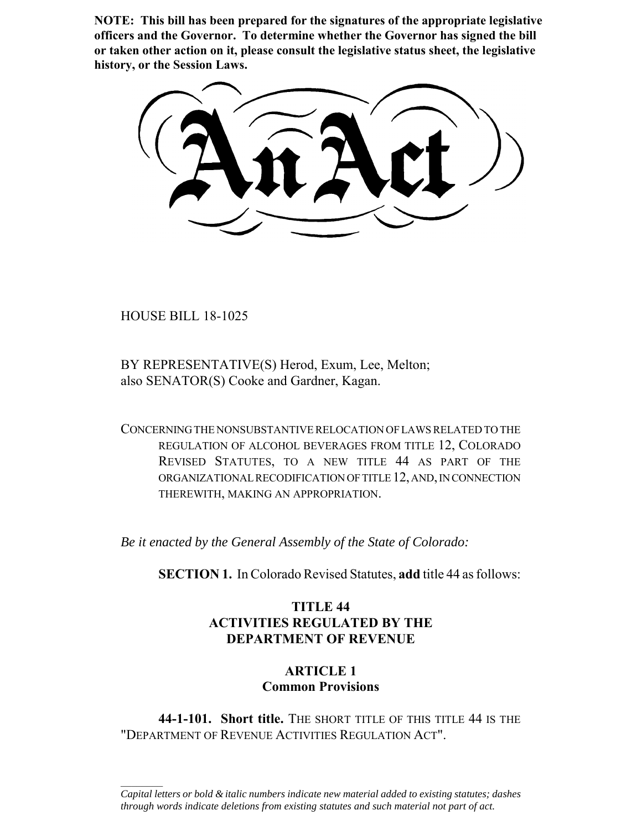**NOTE: This bill has been prepared for the signatures of the appropriate legislative officers and the Governor. To determine whether the Governor has signed the bill or taken other action on it, please consult the legislative status sheet, the legislative history, or the Session Laws.**

HOUSE BILL 18-1025

 $\frac{1}{2}$ 

BY REPRESENTATIVE(S) Herod, Exum, Lee, Melton; also SENATOR(S) Cooke and Gardner, Kagan.

CONCERNING THE NONSUBSTANTIVE RELOCATION OF LAWS RELATED TO THE REGULATION OF ALCOHOL BEVERAGES FROM TITLE 12, COLORADO REVISED STATUTES, TO A NEW TITLE 44 AS PART OF THE ORGANIZATIONAL RECODIFICATION OF TITLE 12, AND, IN CONNECTION THEREWITH, MAKING AN APPROPRIATION.

*Be it enacted by the General Assembly of the State of Colorado:*

**SECTION 1.** In Colorado Revised Statutes, **add** title 44 as follows:

# **TITLE 44 ACTIVITIES REGULATED BY THE DEPARTMENT OF REVENUE**

# **ARTICLE 1 Common Provisions**

**44-1-101. Short title.** THE SHORT TITLE OF THIS TITLE 44 IS THE "DEPARTMENT OF REVENUE ACTIVITIES REGULATION ACT".

*Capital letters or bold & italic numbers indicate new material added to existing statutes; dashes through words indicate deletions from existing statutes and such material not part of act.*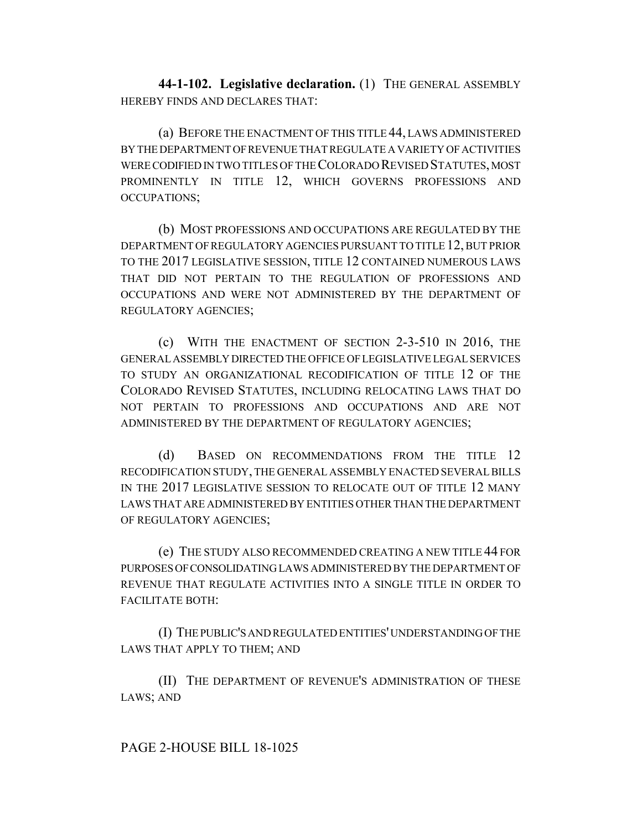**44-1-102. Legislative declaration.** (1) THE GENERAL ASSEMBLY HEREBY FINDS AND DECLARES THAT:

(a) BEFORE THE ENACTMENT OF THIS TITLE 44, LAWS ADMINISTERED BY THE DEPARTMENT OF REVENUE THAT REGULATE A VARIETY OF ACTIVITIES WERE CODIFIED IN TWO TITLES OF THE COLORADO REVISED STATUTES, MOST PROMINENTLY IN TITLE 12, WHICH GOVERNS PROFESSIONS AND OCCUPATIONS;

(b) MOST PROFESSIONS AND OCCUPATIONS ARE REGULATED BY THE DEPARTMENT OF REGULATORY AGENCIES PURSUANT TO TITLE 12, BUT PRIOR TO THE 2017 LEGISLATIVE SESSION, TITLE 12 CONTAINED NUMEROUS LAWS THAT DID NOT PERTAIN TO THE REGULATION OF PROFESSIONS AND OCCUPATIONS AND WERE NOT ADMINISTERED BY THE DEPARTMENT OF REGULATORY AGENCIES;

(c) WITH THE ENACTMENT OF SECTION 2-3-510 IN 2016, THE GENERAL ASSEMBLY DIRECTED THE OFFICE OF LEGISLATIVE LEGAL SERVICES TO STUDY AN ORGANIZATIONAL RECODIFICATION OF TITLE 12 OF THE COLORADO REVISED STATUTES, INCLUDING RELOCATING LAWS THAT DO NOT PERTAIN TO PROFESSIONS AND OCCUPATIONS AND ARE NOT ADMINISTERED BY THE DEPARTMENT OF REGULATORY AGENCIES;

(d) BASED ON RECOMMENDATIONS FROM THE TITLE 12 RECODIFICATION STUDY, THE GENERAL ASSEMBLY ENACTED SEVERAL BILLS IN THE 2017 LEGISLATIVE SESSION TO RELOCATE OUT OF TITLE 12 MANY LAWS THAT ARE ADMINISTERED BY ENTITIES OTHER THAN THE DEPARTMENT OF REGULATORY AGENCIES;

(e) THE STUDY ALSO RECOMMENDED CREATING A NEW TITLE 44 FOR PURPOSES OF CONSOLIDATING LAWS ADMINISTERED BY THE DEPARTMENT OF REVENUE THAT REGULATE ACTIVITIES INTO A SINGLE TITLE IN ORDER TO FACILITATE BOTH:

(I) THE PUBLIC'S AND REGULATED ENTITIES' UNDERSTANDING OF THE LAWS THAT APPLY TO THEM; AND

(II) THE DEPARTMENT OF REVENUE'S ADMINISTRATION OF THESE LAWS; AND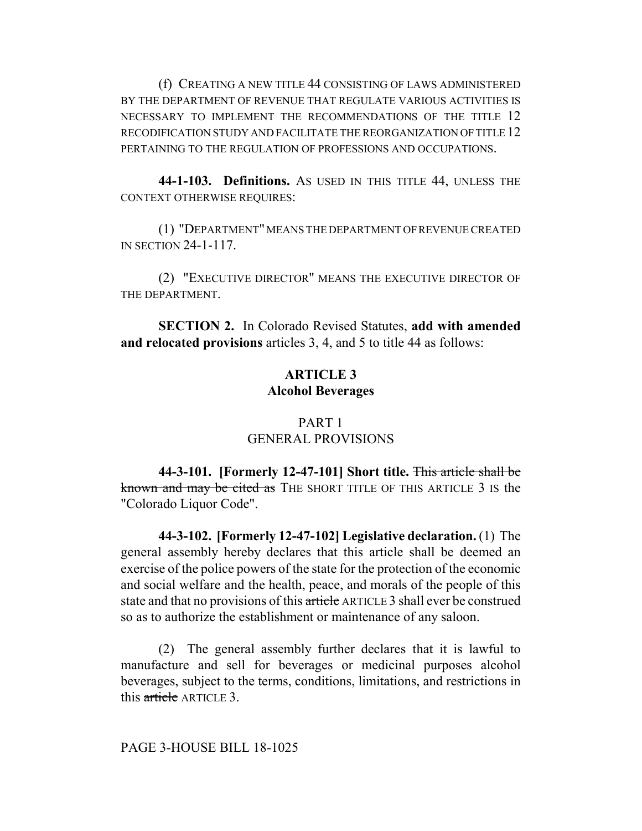(f) CREATING A NEW TITLE 44 CONSISTING OF LAWS ADMINISTERED BY THE DEPARTMENT OF REVENUE THAT REGULATE VARIOUS ACTIVITIES IS NECESSARY TO IMPLEMENT THE RECOMMENDATIONS OF THE TITLE 12 RECODIFICATION STUDY AND FACILITATE THE REORGANIZATION OF TITLE 12 PERTAINING TO THE REGULATION OF PROFESSIONS AND OCCUPATIONS.

**44-1-103. Definitions.** AS USED IN THIS TITLE 44, UNLESS THE CONTEXT OTHERWISE REQUIRES:

(1) "DEPARTMENT" MEANS THE DEPARTMENT OF REVENUE CREATED IN SECTION 24-1-117.

(2) "EXECUTIVE DIRECTOR" MEANS THE EXECUTIVE DIRECTOR OF THE DEPARTMENT.

**SECTION 2.** In Colorado Revised Statutes, **add with amended and relocated provisions** articles 3, 4, and 5 to title 44 as follows:

# **ARTICLE 3 Alcohol Beverages**

# PART 1 GENERAL PROVISIONS

**44-3-101. [Formerly 12-47-101] Short title.** This article shall be known and may be cited as THE SHORT TITLE OF THIS ARTICLE 3 IS the "Colorado Liquor Code".

**44-3-102. [Formerly 12-47-102] Legislative declaration.** (1) The general assembly hereby declares that this article shall be deemed an exercise of the police powers of the state for the protection of the economic and social welfare and the health, peace, and morals of the people of this state and that no provisions of this article ARTICLE 3 shall ever be construed so as to authorize the establishment or maintenance of any saloon.

(2) The general assembly further declares that it is lawful to manufacture and sell for beverages or medicinal purposes alcohol beverages, subject to the terms, conditions, limitations, and restrictions in this article ARTICLE 3.

### PAGE 3-HOUSE BILL 18-1025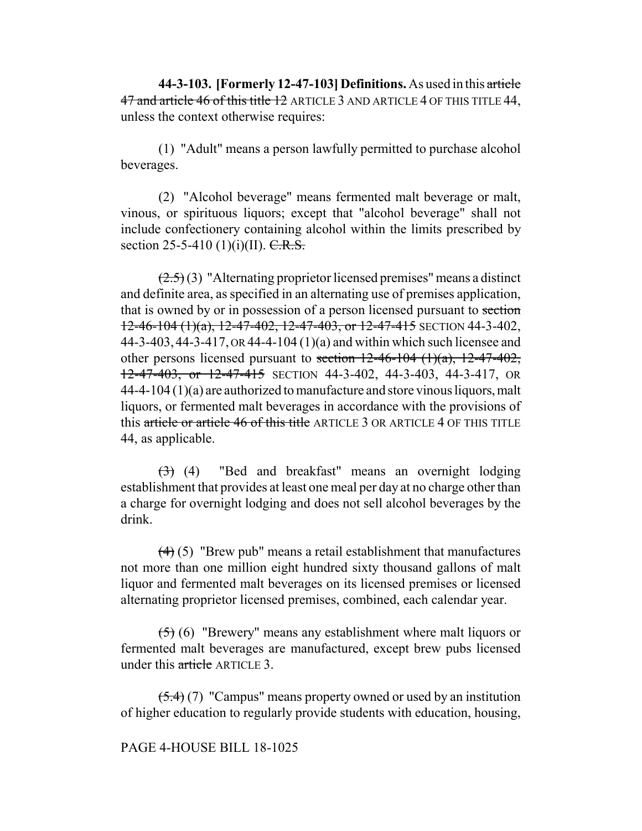**44-3-103. [Formerly 12-47-103] Definitions.** As used in this article 47 and article 46 of this title 12 ARTICLE 3 AND ARTICLE 4 OF THIS TITLE 44, unless the context otherwise requires:

(1) "Adult" means a person lawfully permitted to purchase alcohol beverages.

(2) "Alcohol beverage" means fermented malt beverage or malt, vinous, or spirituous liquors; except that "alcohol beverage" shall not include confectionery containing alcohol within the limits prescribed by section 25-5-410 (1)(i)(II).  $C.R.S.$ 

 $(2.5)(3)$  "Alternating proprietor licensed premises" means a distinct and definite area, as specified in an alternating use of premises application, that is owned by or in possession of a person licensed pursuant to section  $12-46-104(1)(a)$ ,  $12-47-402$ ,  $12-47-403$ , or  $12-47-415$  SECTION 44-3-402, 44-3-403, 44-3-417, OR 44-4-104 (1)(a) and within which such licensee and other persons licensed pursuant to section  $12-46-104$   $(1)(a)$ ,  $12-47-402$ , 12-47-403, or 12-47-415 SECTION 44-3-402, 44-3-403, 44-3-417, OR 44-4-104 (1)(a) are authorized to manufacture and store vinous liquors, malt liquors, or fermented malt beverages in accordance with the provisions of this article or article 46 of this title ARTICLE 3 OR ARTICLE 4 OF THIS TITLE 44, as applicable.

 $(3)$  (4) "Bed and breakfast" means an overnight lodging establishment that provides at least one meal per day at no charge other than a charge for overnight lodging and does not sell alcohol beverages by the drink.

 $(4)$  (5) "Brew pub" means a retail establishment that manufactures not more than one million eight hundred sixty thousand gallons of malt liquor and fermented malt beverages on its licensed premises or licensed alternating proprietor licensed premises, combined, each calendar year.

(5) (6) "Brewery" means any establishment where malt liquors or fermented malt beverages are manufactured, except brew pubs licensed under this article ARTICLE 3.

 $(5.4)$  (7) "Campus" means property owned or used by an institution of higher education to regularly provide students with education, housing,

### PAGE 4-HOUSE BILL 18-1025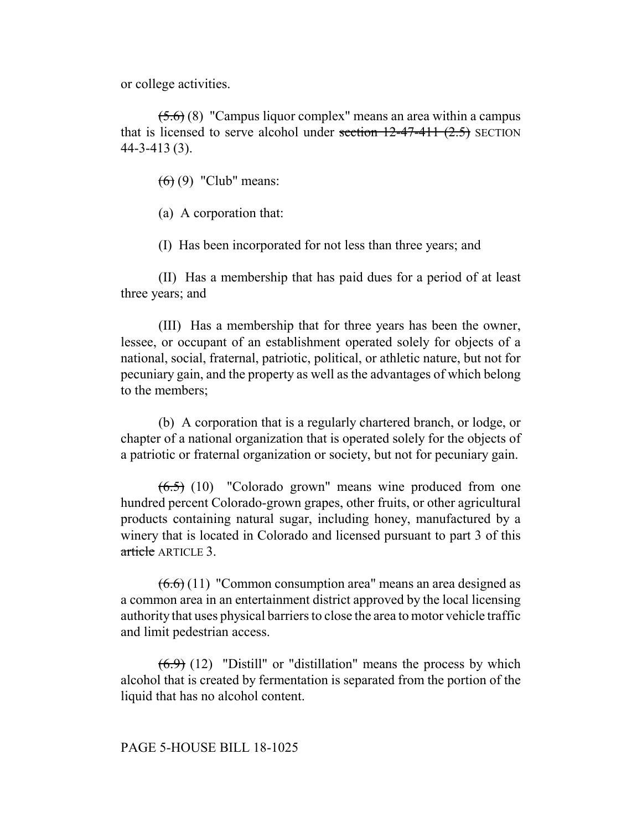or college activities.

 $(5.6)$  (8) "Campus liquor complex" means an area within a campus that is licensed to serve alcohol under section  $12-47-411$   $(2.5)$  SECTION 44-3-413 (3).

 $(6)$  (9) "Club" means:

(a) A corporation that:

(I) Has been incorporated for not less than three years; and

(II) Has a membership that has paid dues for a period of at least three years; and

(III) Has a membership that for three years has been the owner, lessee, or occupant of an establishment operated solely for objects of a national, social, fraternal, patriotic, political, or athletic nature, but not for pecuniary gain, and the property as well as the advantages of which belong to the members;

(b) A corporation that is a regularly chartered branch, or lodge, or chapter of a national organization that is operated solely for the objects of a patriotic or fraternal organization or society, but not for pecuniary gain.

 $(6.5)$  (10) "Colorado grown" means wine produced from one hundred percent Colorado-grown grapes, other fruits, or other agricultural products containing natural sugar, including honey, manufactured by a winery that is located in Colorado and licensed pursuant to part 3 of this article ARTICLE 3

 $(6.6)$  (11) "Common consumption area" means an area designed as a common area in an entertainment district approved by the local licensing authority that uses physical barriers to close the area to motor vehicle traffic and limit pedestrian access.

 $(6.9)$  (12) "Distill" or "distillation" means the process by which alcohol that is created by fermentation is separated from the portion of the liquid that has no alcohol content.

## PAGE 5-HOUSE BILL 18-1025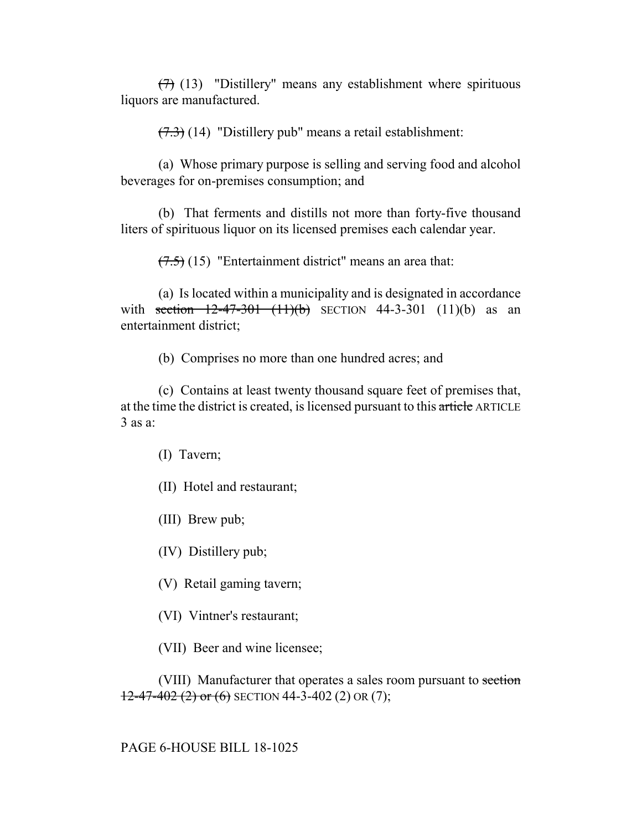$(7)$  (13) "Distillery" means any establishment where spirituous liquors are manufactured.

 $(7.3)$  (14) "Distillery pub" means a retail establishment:

(a) Whose primary purpose is selling and serving food and alcohol beverages for on-premises consumption; and

(b) That ferments and distills not more than forty-five thousand liters of spirituous liquor on its licensed premises each calendar year.

 $(7.5)$  (15) "Entertainment district" means an area that:

(a) Is located within a municipality and is designated in accordance with section  $12-47-301$   $(11)(b)$  SECTION 44-3-301  $(11)(b)$  as an entertainment district;

(b) Comprises no more than one hundred acres; and

(c) Contains at least twenty thousand square feet of premises that, at the time the district is created, is licensed pursuant to this article ARTICLE 3 as a:

(I) Tavern;

(II) Hotel and restaurant;

(III) Brew pub;

(IV) Distillery pub;

(V) Retail gaming tavern;

(VI) Vintner's restaurant;

(VII) Beer and wine licensee;

(VIII) Manufacturer that operates a sales room pursuant to section  $12-47-402$  (2) or (6) SECTION 44-3-402 (2) OR (7);

PAGE 6-HOUSE BILL 18-1025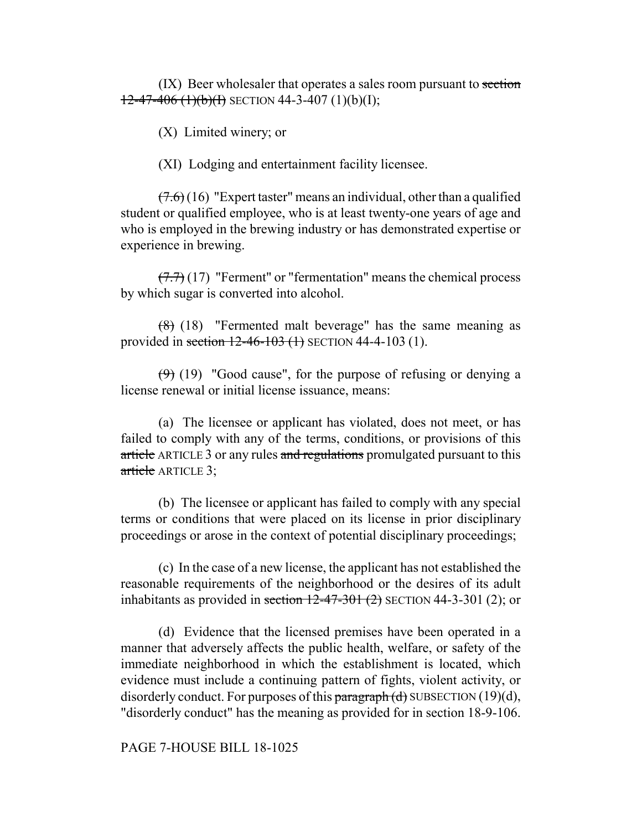(IX) Beer wholesaler that operates a sales room pursuant to section  $12-47-406$  (1)(b)(I) SECTION 44-3-407 (1)(b)(I);

(X) Limited winery; or

(XI) Lodging and entertainment facility licensee.

 $(7.6)$  (16) "Expert taster" means an individual, other than a qualified student or qualified employee, who is at least twenty-one years of age and who is employed in the brewing industry or has demonstrated expertise or experience in brewing.

 $(7.7)(17)$  "Ferment" or "fermentation" means the chemical process by which sugar is converted into alcohol.

 $(8)$  (18) "Fermented malt beverage" has the same meaning as provided in section  $12-46-103$  (1) SECTION 44-4-103 (1).

 $(9)$  (19) "Good cause", for the purpose of refusing or denying a license renewal or initial license issuance, means:

(a) The licensee or applicant has violated, does not meet, or has failed to comply with any of the terms, conditions, or provisions of this article ARTICLE 3 or any rules and regulations promulgated pursuant to this article ARTICLE 3:

(b) The licensee or applicant has failed to comply with any special terms or conditions that were placed on its license in prior disciplinary proceedings or arose in the context of potential disciplinary proceedings;

(c) In the case of a new license, the applicant has not established the reasonable requirements of the neighborhood or the desires of its adult inhabitants as provided in section  $12-47-301$  (2) SECTION 44-3-301 (2); or

(d) Evidence that the licensed premises have been operated in a manner that adversely affects the public health, welfare, or safety of the immediate neighborhood in which the establishment is located, which evidence must include a continuing pattern of fights, violent activity, or disorderly conduct. For purposes of this paragraph  $(d)$  SUBSECTION (19) $(d)$ , "disorderly conduct" has the meaning as provided for in section 18-9-106.

### PAGE 7-HOUSE BILL 18-1025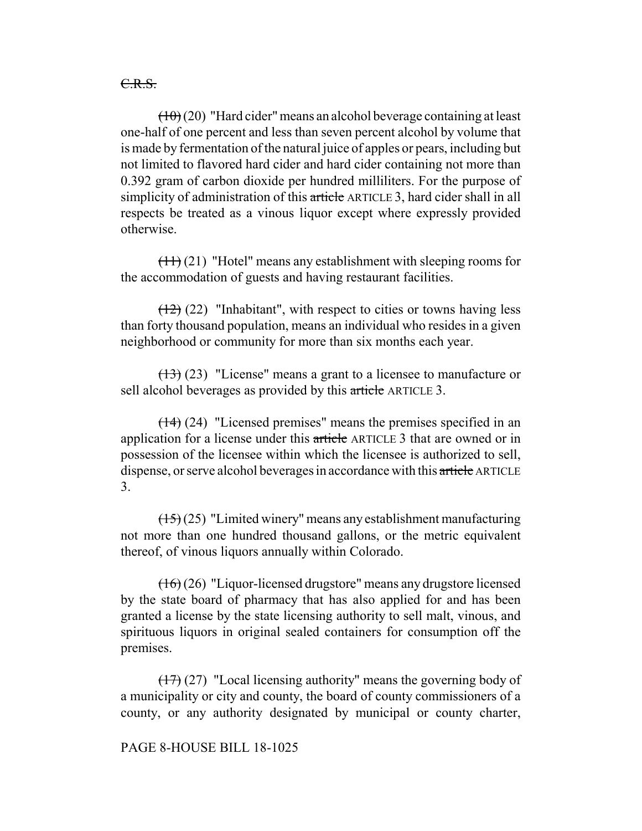C.R.S.

 $(10)(20)$  "Hard cider" means an alcohol beverage containing at least one-half of one percent and less than seven percent alcohol by volume that is made by fermentation of the natural juice of apples or pears, including but not limited to flavored hard cider and hard cider containing not more than 0.392 gram of carbon dioxide per hundred milliliters. For the purpose of simplicity of administration of this article ARTICLE 3, hard cider shall in all respects be treated as a vinous liquor except where expressly provided otherwise.

 $(11)(21)$  "Hotel" means any establishment with sleeping rooms for the accommodation of guests and having restaurant facilities.

 $(12)$  (22) "Inhabitant", with respect to cities or towns having less than forty thousand population, means an individual who resides in a given neighborhood or community for more than six months each year.

 $(13)$  (23) "License" means a grant to a licensee to manufacture or sell alcohol beverages as provided by this article ARTICLE 3.

(14) (24) "Licensed premises" means the premises specified in an application for a license under this article ARTICLE 3 that are owned or in possession of the licensee within which the licensee is authorized to sell, dispense, or serve alcohol beverages in accordance with this article ARTICLE 3.

(15) (25) "Limited winery" means any establishment manufacturing not more than one hundred thousand gallons, or the metric equivalent thereof, of vinous liquors annually within Colorado.

(16) (26) "Liquor-licensed drugstore" means any drugstore licensed by the state board of pharmacy that has also applied for and has been granted a license by the state licensing authority to sell malt, vinous, and spirituous liquors in original sealed containers for consumption off the premises.

 $(17)$  (27) "Local licensing authority" means the governing body of a municipality or city and county, the board of county commissioners of a county, or any authority designated by municipal or county charter,

### PAGE 8-HOUSE BILL 18-1025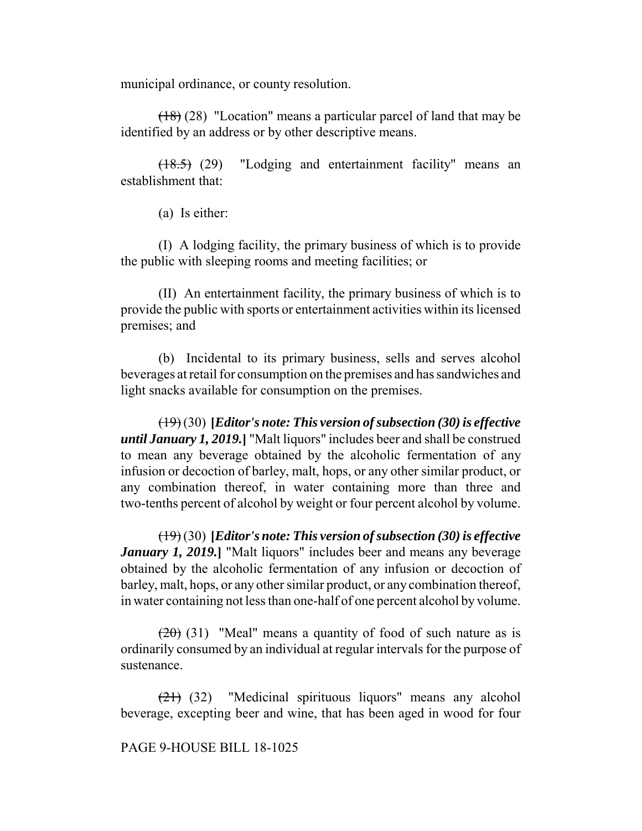municipal ordinance, or county resolution.

(18) (28) "Location" means a particular parcel of land that may be identified by an address or by other descriptive means.

(18.5) (29) "Lodging and entertainment facility" means an establishment that:

(a) Is either:

(I) A lodging facility, the primary business of which is to provide the public with sleeping rooms and meeting facilities; or

(II) An entertainment facility, the primary business of which is to provide the public with sports or entertainment activities within its licensed premises; and

(b) Incidental to its primary business, sells and serves alcohol beverages at retail for consumption on the premises and has sandwiches and light snacks available for consumption on the premises.

(19) (30) **[***Editor's note: This version of subsection (30) is effective until January 1, 2019.***]** "Malt liquors" includes beer and shall be construed to mean any beverage obtained by the alcoholic fermentation of any infusion or decoction of barley, malt, hops, or any other similar product, or any combination thereof, in water containing more than three and two-tenths percent of alcohol by weight or four percent alcohol by volume.

(19) (30) **[***Editor's note: This version of subsection (30) is effective January 1, 2019.***]** "Malt liquors" includes beer and means any beverage obtained by the alcoholic fermentation of any infusion or decoction of barley, malt, hops, or any other similar product, or any combination thereof, in water containing not less than one-half of one percent alcohol by volume.

 $(20)$  (31) "Meal" means a quantity of food of such nature as is ordinarily consumed by an individual at regular intervals for the purpose of sustenance.

(21) (32) "Medicinal spirituous liquors" means any alcohol beverage, excepting beer and wine, that has been aged in wood for four

PAGE 9-HOUSE BILL 18-1025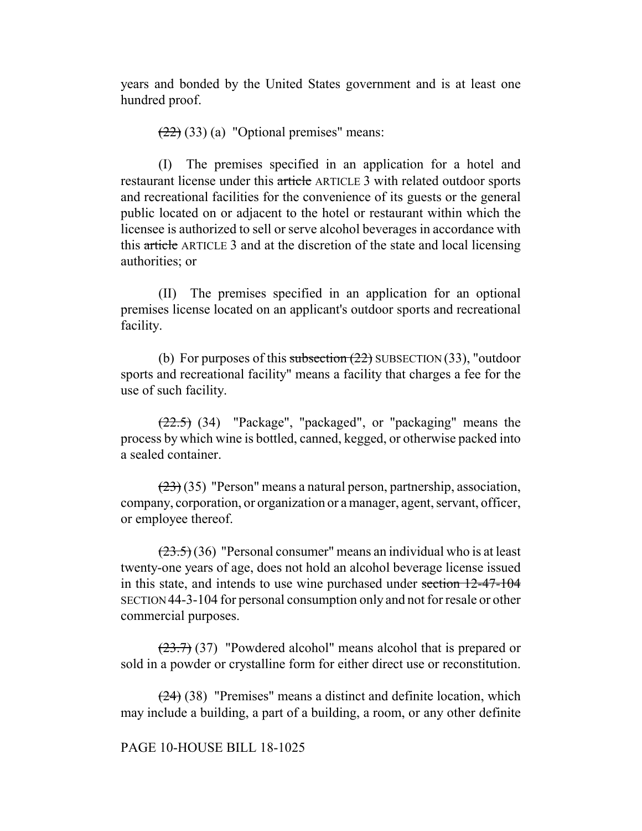years and bonded by the United States government and is at least one hundred proof.

 $(22)$  (33) (a) "Optional premises" means:

(I) The premises specified in an application for a hotel and restaurant license under this article ARTICLE 3 with related outdoor sports and recreational facilities for the convenience of its guests or the general public located on or adjacent to the hotel or restaurant within which the licensee is authorized to sell or serve alcohol beverages in accordance with this article ARTICLE 3 and at the discretion of the state and local licensing authorities; or

(II) The premises specified in an application for an optional premises license located on an applicant's outdoor sports and recreational facility.

(b) For purposes of this subsection  $(22)$  SUBSECTION  $(33)$ , "outdoor sports and recreational facility" means a facility that charges a fee for the use of such facility.

(22.5) (34) "Package", "packaged", or "packaging" means the process by which wine is bottled, canned, kegged, or otherwise packed into a sealed container.

 $(23)(35)$  "Person" means a natural person, partnership, association, company, corporation, or organization or a manager, agent, servant, officer, or employee thereof.

 $(23.5)(36)$  "Personal consumer" means an individual who is at least twenty-one years of age, does not hold an alcohol beverage license issued in this state, and intends to use wine purchased under section 12-47-104 SECTION 44-3-104 for personal consumption only and not for resale or other commercial purposes.

 $(23.7)$  (37) "Powdered alcohol" means alcohol that is prepared or sold in a powder or crystalline form for either direct use or reconstitution.

(24) (38) "Premises" means a distinct and definite location, which may include a building, a part of a building, a room, or any other definite

## PAGE 10-HOUSE BILL 18-1025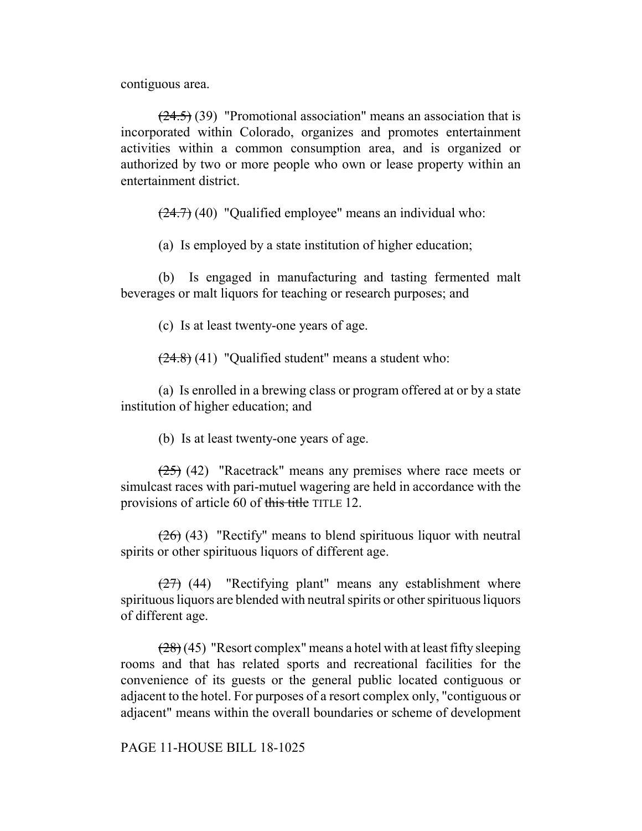contiguous area.

 $(24.5)$  (39) "Promotional association" means an association that is incorporated within Colorado, organizes and promotes entertainment activities within a common consumption area, and is organized or authorized by two or more people who own or lease property within an entertainment district.

 $(24.7)$  (40) "Qualified employee" means an individual who:

(a) Is employed by a state institution of higher education;

(b) Is engaged in manufacturing and tasting fermented malt beverages or malt liquors for teaching or research purposes; and

(c) Is at least twenty-one years of age.

 $(24.8)$  (41) "Qualified student" means a student who:

(a) Is enrolled in a brewing class or program offered at or by a state institution of higher education; and

(b) Is at least twenty-one years of age.

(25) (42) "Racetrack" means any premises where race meets or simulcast races with pari-mutuel wagering are held in accordance with the provisions of article 60 of this title TITLE 12.

 $(26)$  (43) "Rectify" means to blend spirituous liquor with neutral spirits or other spirituous liquors of different age.

 $(27)$  (44) "Rectifying plant" means any establishment where spirituous liquors are blended with neutral spirits or other spirituous liquors of different age.

 $(28)(45)$  "Resort complex" means a hotel with at least fifty sleeping rooms and that has related sports and recreational facilities for the convenience of its guests or the general public located contiguous or adjacent to the hotel. For purposes of a resort complex only, "contiguous or adjacent" means within the overall boundaries or scheme of development

PAGE 11-HOUSE BILL 18-1025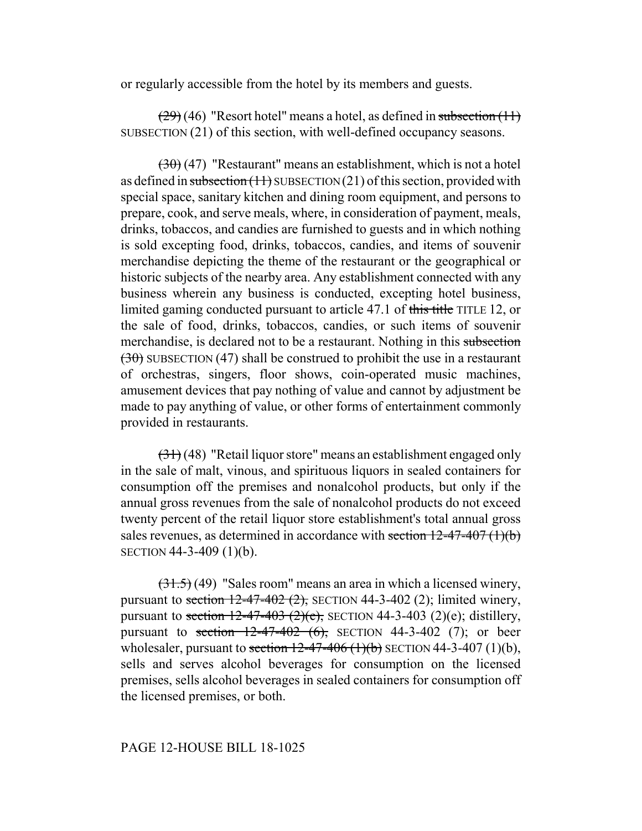or regularly accessible from the hotel by its members and guests.

 $(29)(46)$  "Resort hotel" means a hotel, as defined in subsection  $(11)$ SUBSECTION (21) of this section, with well-defined occupancy seasons.

 $(30)(47)$  "Restaurant" means an establishment, which is not a hotel as defined in subsection  $(11)$  SUBSECTION  $(21)$  of this section, provided with special space, sanitary kitchen and dining room equipment, and persons to prepare, cook, and serve meals, where, in consideration of payment, meals, drinks, tobaccos, and candies are furnished to guests and in which nothing is sold excepting food, drinks, tobaccos, candies, and items of souvenir merchandise depicting the theme of the restaurant or the geographical or historic subjects of the nearby area. Any establishment connected with any business wherein any business is conducted, excepting hotel business, limited gaming conducted pursuant to article 47.1 of this title TITLE 12, or the sale of food, drinks, tobaccos, candies, or such items of souvenir merchandise, is declared not to be a restaurant. Nothing in this subsection  $(30)$  SUBSECTION (47) shall be construed to prohibit the use in a restaurant of orchestras, singers, floor shows, coin-operated music machines, amusement devices that pay nothing of value and cannot by adjustment be made to pay anything of value, or other forms of entertainment commonly provided in restaurants.

 $(31)$  (48) "Retail liquor store" means an establishment engaged only in the sale of malt, vinous, and spirituous liquors in sealed containers for consumption off the premises and nonalcohol products, but only if the annual gross revenues from the sale of nonalcohol products do not exceed twenty percent of the retail liquor store establishment's total annual gross sales revenues, as determined in accordance with section  $12-47-407(1)(b)$ SECTION 44-3-409 (1)(b).

(31.5) (49) "Sales room" means an area in which a licensed winery, pursuant to section  $12-47-402$  (2), SECTION 44-3-402 (2); limited winery, pursuant to section  $12-47-403$  (2)(e), SECTION 44-3-403 (2)(e); distillery, pursuant to section  $12-47-402$  (6), SECTION 44-3-402 (7); or beer wholesaler, pursuant to section  $12-47-406$  (1)(b) SECTION 44-3-407 (1)(b), sells and serves alcohol beverages for consumption on the licensed premises, sells alcohol beverages in sealed containers for consumption off the licensed premises, or both.

## PAGE 12-HOUSE BILL 18-1025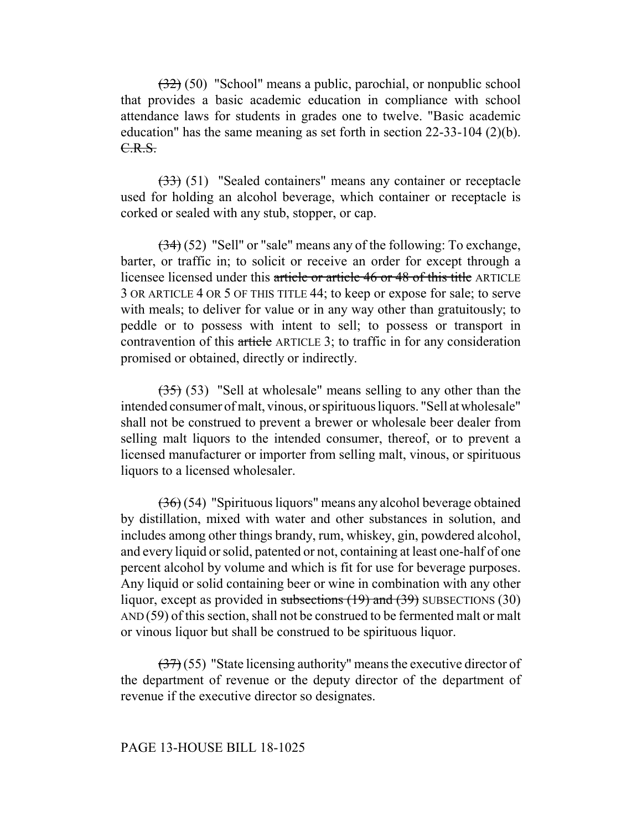(32) (50) "School" means a public, parochial, or nonpublic school that provides a basic academic education in compliance with school attendance laws for students in grades one to twelve. "Basic academic education" has the same meaning as set forth in section 22-33-104 (2)(b). C.R.S.

(33) (51) "Sealed containers" means any container or receptacle used for holding an alcohol beverage, which container or receptacle is corked or sealed with any stub, stopper, or cap.

(34) (52) "Sell" or "sale" means any of the following: To exchange, barter, or traffic in; to solicit or receive an order for except through a licensee licensed under this article or article 46 or 48 of this title ARTICLE 3 OR ARTICLE 4 OR 5 OF THIS TITLE 44; to keep or expose for sale; to serve with meals; to deliver for value or in any way other than gratuitously; to peddle or to possess with intent to sell; to possess or transport in contravention of this article ARTICLE 3; to traffic in for any consideration promised or obtained, directly or indirectly.

 $(35)$  (53) "Sell at wholesale" means selling to any other than the intended consumer of malt, vinous, or spirituous liquors. "Sell at wholesale" shall not be construed to prevent a brewer or wholesale beer dealer from selling malt liquors to the intended consumer, thereof, or to prevent a licensed manufacturer or importer from selling malt, vinous, or spirituous liquors to a licensed wholesaler.

(36) (54) "Spirituous liquors" means any alcohol beverage obtained by distillation, mixed with water and other substances in solution, and includes among other things brandy, rum, whiskey, gin, powdered alcohol, and every liquid or solid, patented or not, containing at least one-half of one percent alcohol by volume and which is fit for use for beverage purposes. Any liquid or solid containing beer or wine in combination with any other liquor, except as provided in subsections  $(19)$  and  $(39)$  SUBSECTIONS  $(30)$ AND (59) of this section, shall not be construed to be fermented malt or malt or vinous liquor but shall be construed to be spirituous liquor.

 $(37)(55)$  "State licensing authority" means the executive director of the department of revenue or the deputy director of the department of revenue if the executive director so designates.

#### PAGE 13-HOUSE BILL 18-1025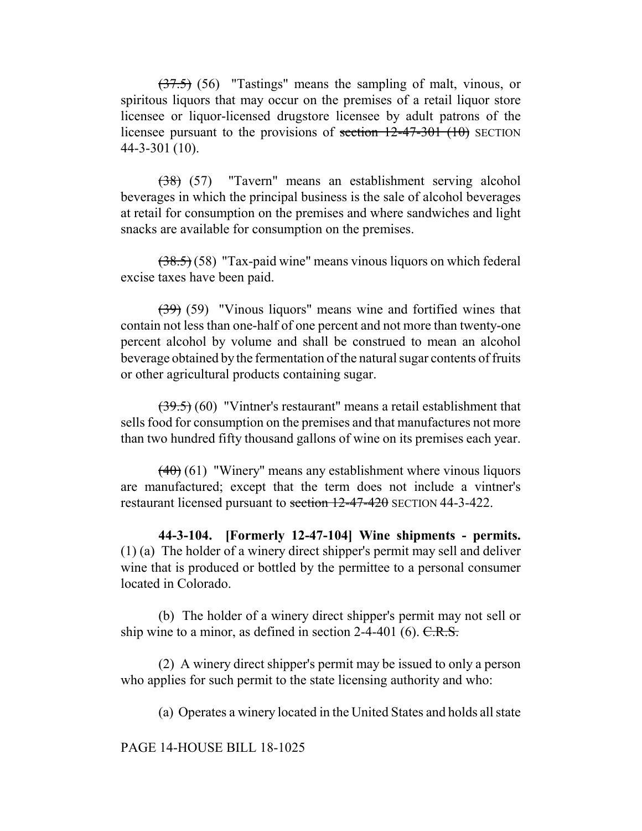$(37.5)$  (56) "Tastings" means the sampling of malt, vinous, or spiritous liquors that may occur on the premises of a retail liquor store licensee or liquor-licensed drugstore licensee by adult patrons of the licensee pursuant to the provisions of section  $12-47-301$  (10) SECTION 44-3-301 (10).

(38) (57) "Tavern" means an establishment serving alcohol beverages in which the principal business is the sale of alcohol beverages at retail for consumption on the premises and where sandwiches and light snacks are available for consumption on the premises.

(38.5) (58) "Tax-paid wine" means vinous liquors on which federal excise taxes have been paid.

(39) (59) "Vinous liquors" means wine and fortified wines that contain not less than one-half of one percent and not more than twenty-one percent alcohol by volume and shall be construed to mean an alcohol beverage obtained by the fermentation of the natural sugar contents of fruits or other agricultural products containing sugar.

(39.5) (60) "Vintner's restaurant" means a retail establishment that sells food for consumption on the premises and that manufactures not more than two hundred fifty thousand gallons of wine on its premises each year.

 $(40)$  (61) "Winery" means any establishment where vinous liquors are manufactured; except that the term does not include a vintner's restaurant licensed pursuant to section 12-47-420 SECTION 44-3-422.

**44-3-104. [Formerly 12-47-104] Wine shipments - permits.** (1) (a) The holder of a winery direct shipper's permit may sell and deliver wine that is produced or bottled by the permittee to a personal consumer located in Colorado.

(b) The holder of a winery direct shipper's permit may not sell or ship wine to a minor, as defined in section  $2-4-401$  (6).  $C.R.S.$ 

(2) A winery direct shipper's permit may be issued to only a person who applies for such permit to the state licensing authority and who:

(a) Operates a winery located in the United States and holds all state

PAGE 14-HOUSE BILL 18-1025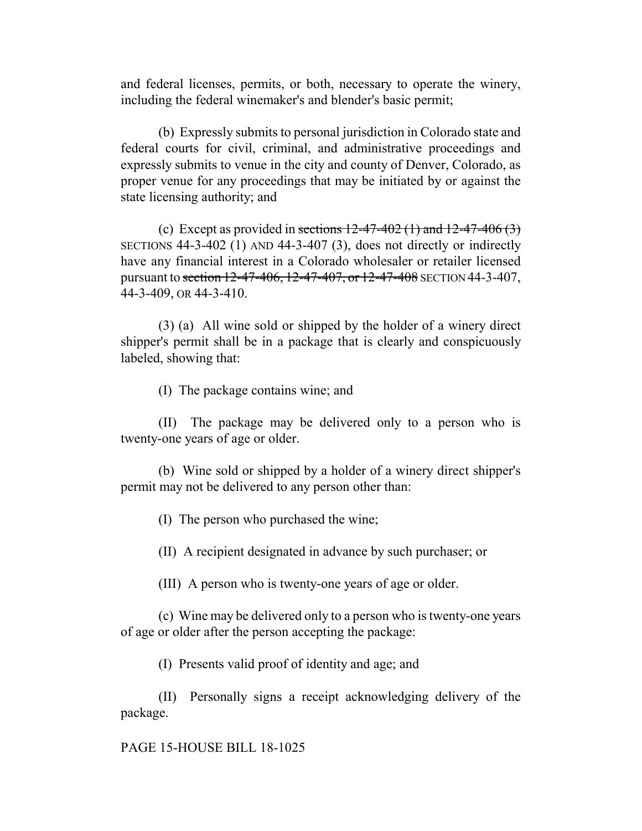and federal licenses, permits, or both, necessary to operate the winery, including the federal winemaker's and blender's basic permit;

(b) Expressly submits to personal jurisdiction in Colorado state and federal courts for civil, criminal, and administrative proceedings and expressly submits to venue in the city and county of Denver, Colorado, as proper venue for any proceedings that may be initiated by or against the state licensing authority; and

(c) Except as provided in sections  $12-47-402$  (1) and  $12-47-406$  (3) SECTIONS 44-3-402 (1) AND 44-3-407 (3), does not directly or indirectly have any financial interest in a Colorado wholesaler or retailer licensed pursuant to section 12-47-406, 12-47-407, or 12-47-408 SECTION 44-3-407, 44-3-409, OR 44-3-410.

(3) (a) All wine sold or shipped by the holder of a winery direct shipper's permit shall be in a package that is clearly and conspicuously labeled, showing that:

(I) The package contains wine; and

(II) The package may be delivered only to a person who is twenty-one years of age or older.

(b) Wine sold or shipped by a holder of a winery direct shipper's permit may not be delivered to any person other than:

(I) The person who purchased the wine;

(II) A recipient designated in advance by such purchaser; or

(III) A person who is twenty-one years of age or older.

(c) Wine may be delivered only to a person who is twenty-one years of age or older after the person accepting the package:

(I) Presents valid proof of identity and age; and

(II) Personally signs a receipt acknowledging delivery of the package.

PAGE 15-HOUSE BILL 18-1025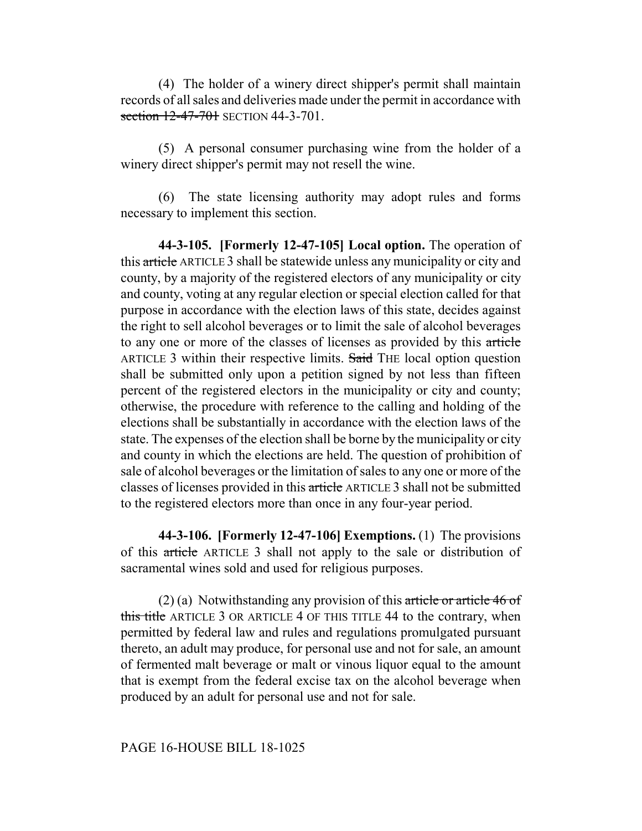(4) The holder of a winery direct shipper's permit shall maintain records of all sales and deliveries made under the permit in accordance with section 12-47-701 SECTION 44-3-701.

(5) A personal consumer purchasing wine from the holder of a winery direct shipper's permit may not resell the wine.

(6) The state licensing authority may adopt rules and forms necessary to implement this section.

**44-3-105. [Formerly 12-47-105] Local option.** The operation of this article ARTICLE 3 shall be statewide unless any municipality or city and county, by a majority of the registered electors of any municipality or city and county, voting at any regular election or special election called for that purpose in accordance with the election laws of this state, decides against the right to sell alcohol beverages or to limit the sale of alcohol beverages to any one or more of the classes of licenses as provided by this article ARTICLE 3 within their respective limits. Said THE local option question shall be submitted only upon a petition signed by not less than fifteen percent of the registered electors in the municipality or city and county; otherwise, the procedure with reference to the calling and holding of the elections shall be substantially in accordance with the election laws of the state. The expenses of the election shall be borne by the municipality or city and county in which the elections are held. The question of prohibition of sale of alcohol beverages or the limitation of sales to any one or more of the classes of licenses provided in this article ARTICLE 3 shall not be submitted to the registered electors more than once in any four-year period.

**44-3-106. [Formerly 12-47-106] Exemptions.** (1) The provisions of this article ARTICLE 3 shall not apply to the sale or distribution of sacramental wines sold and used for religious purposes.

(2) (a) Notwithstanding any provision of this article or article 46 of this title ARTICLE 3 OR ARTICLE 4 OF THIS TITLE 44 to the contrary, when permitted by federal law and rules and regulations promulgated pursuant thereto, an adult may produce, for personal use and not for sale, an amount of fermented malt beverage or malt or vinous liquor equal to the amount that is exempt from the federal excise tax on the alcohol beverage when produced by an adult for personal use and not for sale.

#### PAGE 16-HOUSE BILL 18-1025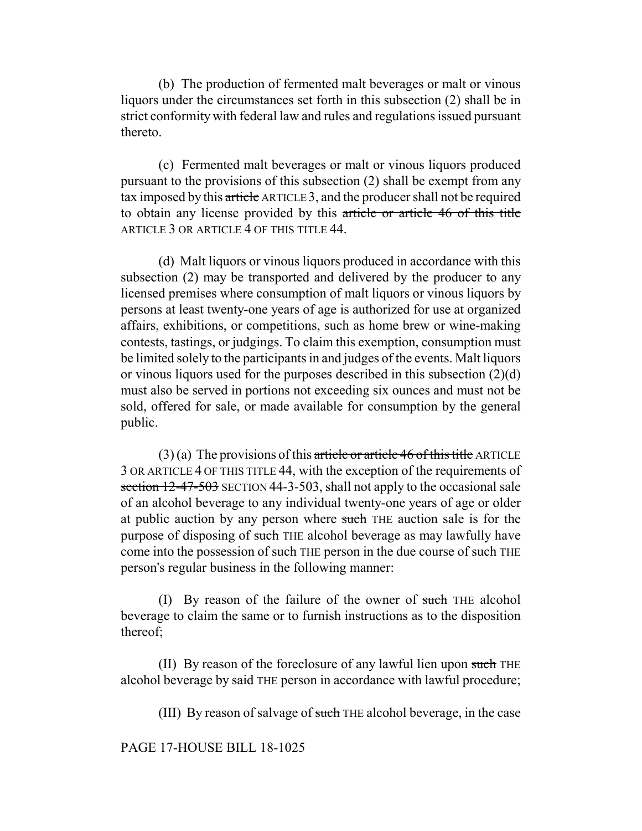(b) The production of fermented malt beverages or malt or vinous liquors under the circumstances set forth in this subsection (2) shall be in strict conformity with federal law and rules and regulations issued pursuant thereto.

(c) Fermented malt beverages or malt or vinous liquors produced pursuant to the provisions of this subsection (2) shall be exempt from any tax imposed by this article ARTICLE 3, and the producer shall not be required to obtain any license provided by this article or article 46 of this title ARTICLE 3 OR ARTICLE 4 OF THIS TITLE 44.

(d) Malt liquors or vinous liquors produced in accordance with this subsection (2) may be transported and delivered by the producer to any licensed premises where consumption of malt liquors or vinous liquors by persons at least twenty-one years of age is authorized for use at organized affairs, exhibitions, or competitions, such as home brew or wine-making contests, tastings, or judgings. To claim this exemption, consumption must be limited solely to the participants in and judges of the events. Malt liquors or vinous liquors used for the purposes described in this subsection (2)(d) must also be served in portions not exceeding six ounces and must not be sold, offered for sale, or made available for consumption by the general public.

 $(3)$  (a) The provisions of this article or article 46 of this title ARTICLE 3 OR ARTICLE 4 OF THIS TITLE 44, with the exception of the requirements of section 12-47-503 SECTION 44-3-503, shall not apply to the occasional sale of an alcohol beverage to any individual twenty-one years of age or older at public auction by any person where such THE auction sale is for the purpose of disposing of such THE alcohol beverage as may lawfully have come into the possession of such THE person in the due course of such THE person's regular business in the following manner:

(I) By reason of the failure of the owner of such THE alcohol beverage to claim the same or to furnish instructions as to the disposition thereof;

(II) By reason of the foreclosure of any lawful lien upon such THE alcohol beverage by said THE person in accordance with lawful procedure;

(III) By reason of salvage of such THE alcohol beverage, in the case

PAGE 17-HOUSE BILL 18-1025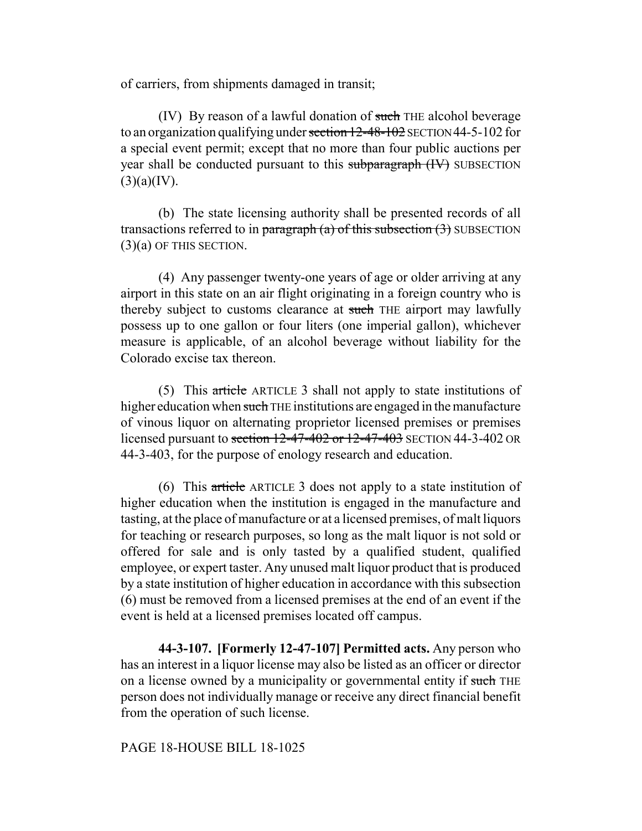of carriers, from shipments damaged in transit;

(IV) By reason of a lawful donation of such THE alcohol beverage to an organization qualifying under section 12-48-102 SECTION 44-5-102 for a special event permit; except that no more than four public auctions per year shall be conducted pursuant to this subparagraph (IV) SUBSECTION  $(3)(a)(IV).$ 

(b) The state licensing authority shall be presented records of all transactions referred to in paragraph (a) of this subsection  $(3)$  SUBSECTION (3)(a) OF THIS SECTION.

(4) Any passenger twenty-one years of age or older arriving at any airport in this state on an air flight originating in a foreign country who is thereby subject to customs clearance at such THE airport may lawfully possess up to one gallon or four liters (one imperial gallon), whichever measure is applicable, of an alcohol beverage without liability for the Colorado excise tax thereon.

(5) This article ARTICLE 3 shall not apply to state institutions of higher education when such THE institutions are engaged in the manufacture of vinous liquor on alternating proprietor licensed premises or premises licensed pursuant to section 12-47-402 or 12-47-403 SECTION 44-3-402 OR 44-3-403, for the purpose of enology research and education.

(6) This article ARTICLE 3 does not apply to a state institution of higher education when the institution is engaged in the manufacture and tasting, at the place of manufacture or at a licensed premises, of malt liquors for teaching or research purposes, so long as the malt liquor is not sold or offered for sale and is only tasted by a qualified student, qualified employee, or expert taster. Any unused malt liquor product that is produced by a state institution of higher education in accordance with this subsection (6) must be removed from a licensed premises at the end of an event if the event is held at a licensed premises located off campus.

**44-3-107. [Formerly 12-47-107] Permitted acts.** Any person who has an interest in a liquor license may also be listed as an officer or director on a license owned by a municipality or governmental entity if such THE person does not individually manage or receive any direct financial benefit from the operation of such license.

## PAGE 18-HOUSE BILL 18-1025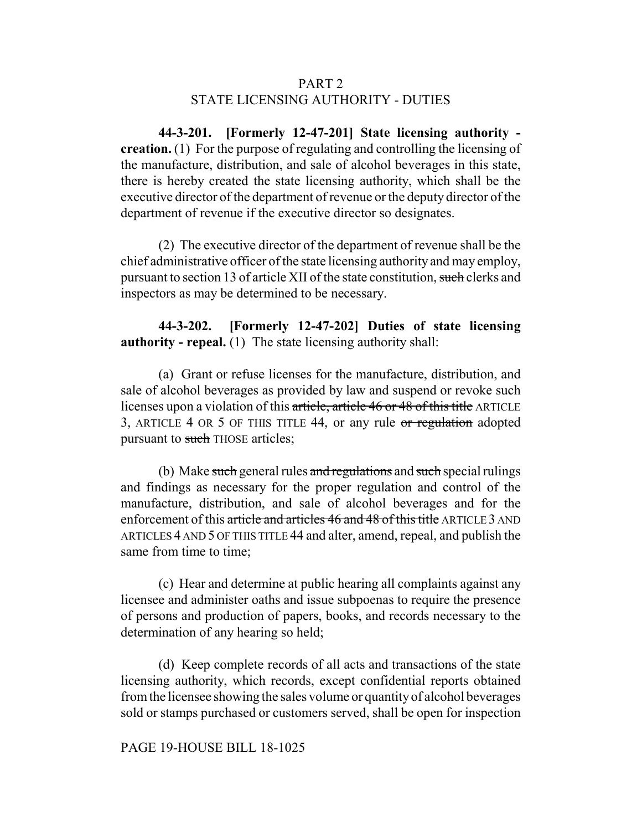# PART 2 STATE LICENSING AUTHORITY - DUTIES

**44-3-201. [Formerly 12-47-201] State licensing authority creation.** (1) For the purpose of regulating and controlling the licensing of the manufacture, distribution, and sale of alcohol beverages in this state, there is hereby created the state licensing authority, which shall be the executive director of the department of revenue or the deputy director of the department of revenue if the executive director so designates.

(2) The executive director of the department of revenue shall be the chief administrative officer of the state licensing authority and may employ, pursuant to section 13 of article XII of the state constitution, such clerks and inspectors as may be determined to be necessary.

# **44-3-202. [Formerly 12-47-202] Duties of state licensing authority - repeal.** (1) The state licensing authority shall:

(a) Grant or refuse licenses for the manufacture, distribution, and sale of alcohol beverages as provided by law and suspend or revoke such licenses upon a violation of this article, article 46 or 48 of this title ARTICLE 3, ARTICLE 4 OR 5 OF THIS TITLE 44, or any rule or regulation adopted pursuant to such THOSE articles;

(b) Make such general rules and regulations and such special rulings and findings as necessary for the proper regulation and control of the manufacture, distribution, and sale of alcohol beverages and for the enforcement of this article and articles 46 and 48 of this title ARTICLE 3 AND ARTICLES 4 AND 5 OF THIS TITLE 44 and alter, amend, repeal, and publish the same from time to time;

(c) Hear and determine at public hearing all complaints against any licensee and administer oaths and issue subpoenas to require the presence of persons and production of papers, books, and records necessary to the determination of any hearing so held;

(d) Keep complete records of all acts and transactions of the state licensing authority, which records, except confidential reports obtained from the licensee showing the sales volume or quantity of alcohol beverages sold or stamps purchased or customers served, shall be open for inspection

### PAGE 19-HOUSE BILL 18-1025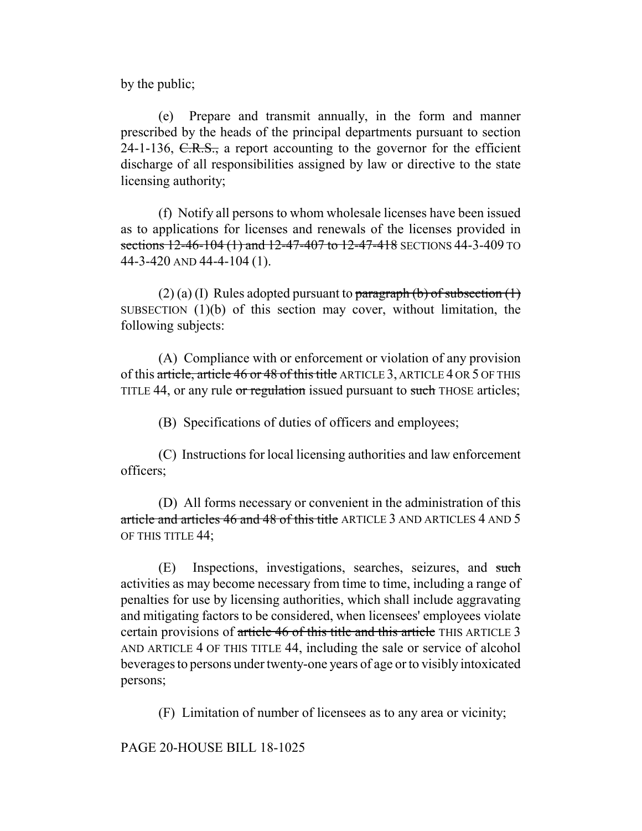by the public;

(e) Prepare and transmit annually, in the form and manner prescribed by the heads of the principal departments pursuant to section 24-1-136,  $C.R.S.,$  a report accounting to the governor for the efficient discharge of all responsibilities assigned by law or directive to the state licensing authority;

(f) Notify all persons to whom wholesale licenses have been issued as to applications for licenses and renewals of the licenses provided in sections 12-46-104 (1) and 12-47-407 to 12-47-418 SECTIONS 44-3-409 TO 44-3-420 AND 44-4-104 (1).

(2) (a) (I) Rules adopted pursuant to  $\frac{\text{parameter}}{\text{mean}}$  (b) of subsection (1) SUBSECTION (1)(b) of this section may cover, without limitation, the following subjects:

(A) Compliance with or enforcement or violation of any provision of this article, article 46 or 48 of this title ARTICLE 3, ARTICLE 4 OR 5 OF THIS TITLE 44, or any rule or regulation issued pursuant to such THOSE articles;

(B) Specifications of duties of officers and employees;

(C) Instructions for local licensing authorities and law enforcement officers;

(D) All forms necessary or convenient in the administration of this article and articles 46 and 48 of this title ARTICLE 3 AND ARTICLES 4 AND 5 OF THIS TITLE 44;

(E) Inspections, investigations, searches, seizures, and such activities as may become necessary from time to time, including a range of penalties for use by licensing authorities, which shall include aggravating and mitigating factors to be considered, when licensees' employees violate certain provisions of article 46 of this title and this article THIS ARTICLE 3 AND ARTICLE 4 OF THIS TITLE 44, including the sale or service of alcohol beverages to persons under twenty-one years of age or to visibly intoxicated persons;

(F) Limitation of number of licensees as to any area or vicinity;

PAGE 20-HOUSE BILL 18-1025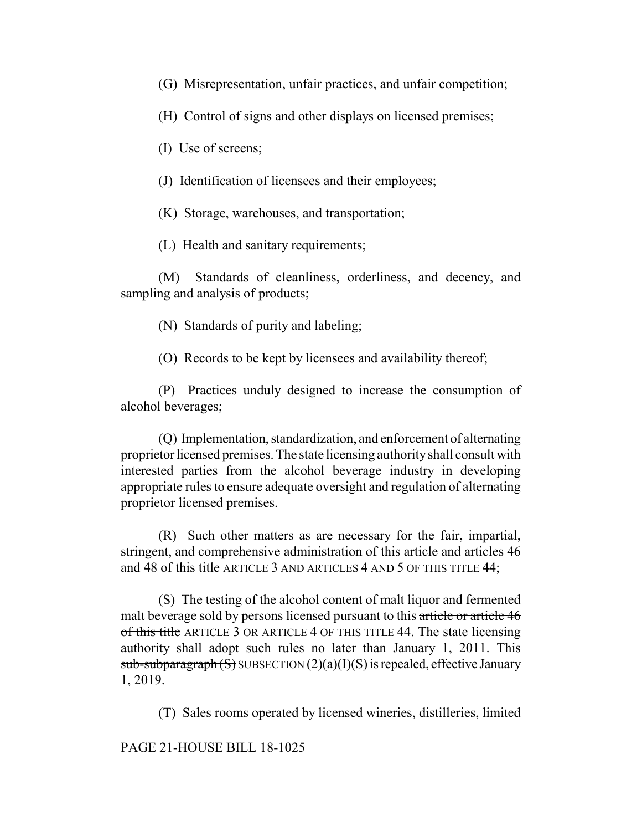(G) Misrepresentation, unfair practices, and unfair competition;

(H) Control of signs and other displays on licensed premises;

(I) Use of screens;

(J) Identification of licensees and their employees;

(K) Storage, warehouses, and transportation;

(L) Health and sanitary requirements;

(M) Standards of cleanliness, orderliness, and decency, and sampling and analysis of products;

(N) Standards of purity and labeling;

(O) Records to be kept by licensees and availability thereof;

(P) Practices unduly designed to increase the consumption of alcohol beverages;

(Q) Implementation, standardization, and enforcement of alternating proprietor licensed premises. The state licensing authority shall consult with interested parties from the alcohol beverage industry in developing appropriate rules to ensure adequate oversight and regulation of alternating proprietor licensed premises.

(R) Such other matters as are necessary for the fair, impartial, stringent, and comprehensive administration of this article and articles 46 and 48 of this title ARTICLE 3 AND ARTICLES 4 AND 5 OF THIS TITLE 44;

(S) The testing of the alcohol content of malt liquor and fermented malt beverage sold by persons licensed pursuant to this article or article 46 of this title ARTICLE 3 OR ARTICLE 4 OF THIS TITLE 44. The state licensing authority shall adopt such rules no later than January 1, 2011. This  $sub-subparagnh(S)$  SUBSECTION  $(2)(a)(I)(S)$  is repealed, effective January 1, 2019.

(T) Sales rooms operated by licensed wineries, distilleries, limited

PAGE 21-HOUSE BILL 18-1025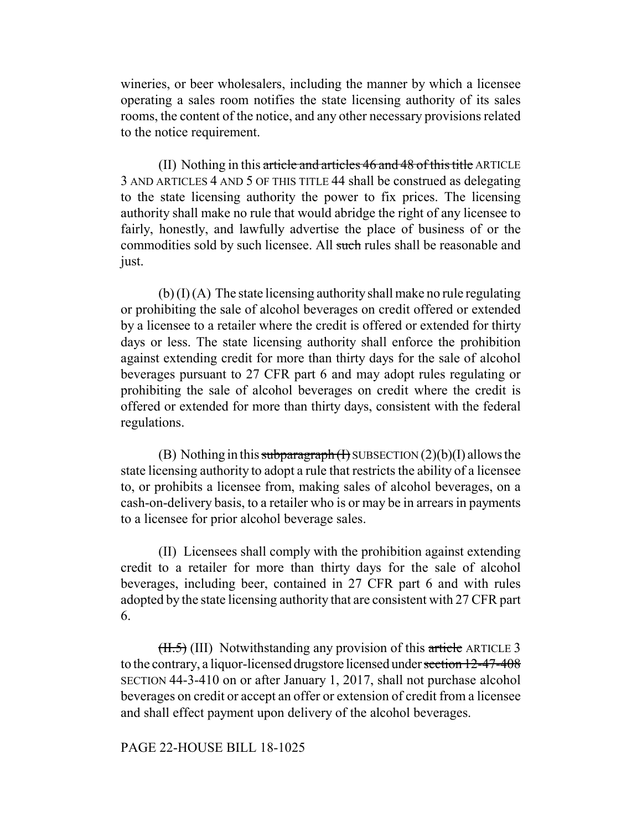wineries, or beer wholesalers, including the manner by which a licensee operating a sales room notifies the state licensing authority of its sales rooms, the content of the notice, and any other necessary provisions related to the notice requirement.

(II) Nothing in this article and articles 46 and 48 of this title ARTICLE 3 AND ARTICLES 4 AND 5 OF THIS TITLE 44 shall be construed as delegating to the state licensing authority the power to fix prices. The licensing authority shall make no rule that would abridge the right of any licensee to fairly, honestly, and lawfully advertise the place of business of or the commodities sold by such licensee. All such rules shall be reasonable and just.

 $(b)$  (I)  $(A)$  The state licensing authority shall make no rule regulating or prohibiting the sale of alcohol beverages on credit offered or extended by a licensee to a retailer where the credit is offered or extended for thirty days or less. The state licensing authority shall enforce the prohibition against extending credit for more than thirty days for the sale of alcohol beverages pursuant to 27 CFR part 6 and may adopt rules regulating or prohibiting the sale of alcohol beverages on credit where the credit is offered or extended for more than thirty days, consistent with the federal regulations.

(B) Nothing in this subparagraph  $(H)$  SUBSECTION  $(2)(b)(I)$  allows the state licensing authority to adopt a rule that restricts the ability of a licensee to, or prohibits a licensee from, making sales of alcohol beverages, on a cash-on-delivery basis, to a retailer who is or may be in arrears in payments to a licensee for prior alcohol beverage sales.

(II) Licensees shall comply with the prohibition against extending credit to a retailer for more than thirty days for the sale of alcohol beverages, including beer, contained in 27 CFR part 6 and with rules adopted by the state licensing authority that are consistent with 27 CFR part 6.

 $(H.5)$  (III) Notwithstanding any provision of this article ARTICLE 3 to the contrary, a liquor-licensed drugstore licensed under section 12-47-408 SECTION 44-3-410 on or after January 1, 2017, shall not purchase alcohol beverages on credit or accept an offer or extension of credit from a licensee and shall effect payment upon delivery of the alcohol beverages.

## PAGE 22-HOUSE BILL 18-1025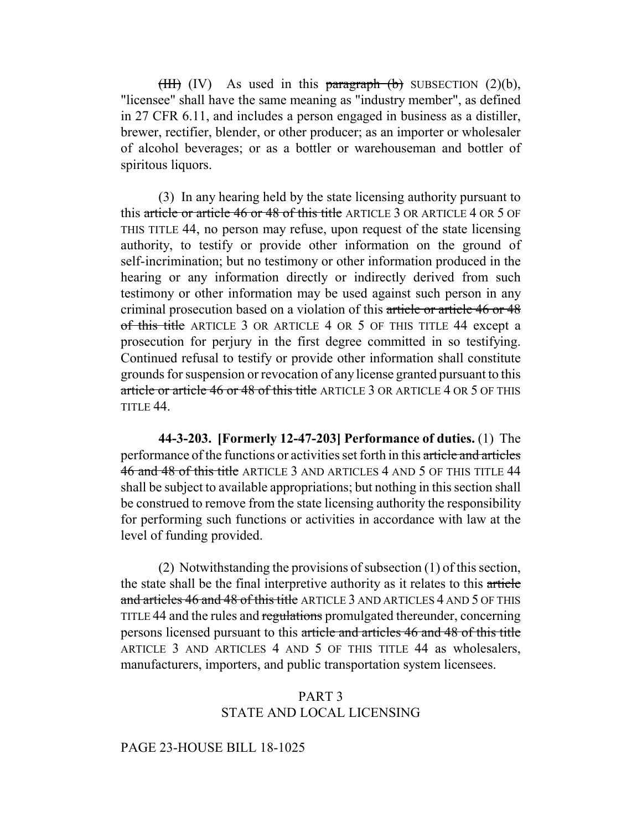(HII) (IV) As used in this paragraph (b) SUBSECTION  $(2)(b)$ , "licensee" shall have the same meaning as "industry member", as defined in 27 CFR 6.11, and includes a person engaged in business as a distiller, brewer, rectifier, blender, or other producer; as an importer or wholesaler of alcohol beverages; or as a bottler or warehouseman and bottler of spiritous liquors.

(3) In any hearing held by the state licensing authority pursuant to this article or article 46 or 48 of this title ARTICLE 3 OR ARTICLE 4 OR 5 OF THIS TITLE 44, no person may refuse, upon request of the state licensing authority, to testify or provide other information on the ground of self-incrimination; but no testimony or other information produced in the hearing or any information directly or indirectly derived from such testimony or other information may be used against such person in any criminal prosecution based on a violation of this article or article 46 or 48 of this title ARTICLE 3 OR ARTICLE 4 OR 5 OF THIS TITLE 44 except a prosecution for perjury in the first degree committed in so testifying. Continued refusal to testify or provide other information shall constitute grounds for suspension or revocation of any license granted pursuant to this article or article 46 or 48 of this title ARTICLE 3 OR ARTICLE 4 OR 5 OF THIS TITLE 44.

**44-3-203. [Formerly 12-47-203] Performance of duties.** (1) The performance of the functions or activities set forth in this article and articles 46 and 48 of this title ARTICLE 3 AND ARTICLES 4 AND 5 OF THIS TITLE 44 shall be subject to available appropriations; but nothing in this section shall be construed to remove from the state licensing authority the responsibility for performing such functions or activities in accordance with law at the level of funding provided.

(2) Notwithstanding the provisions of subsection (1) of this section, the state shall be the final interpretive authority as it relates to this article and articles 46 and 48 of this title ARTICLE 3 AND ARTICLES 4 AND 5 OF THIS TITLE 44 and the rules and regulations promulgated thereunder, concerning persons licensed pursuant to this article and articles 46 and 48 of this title ARTICLE 3 AND ARTICLES 4 AND 5 OF THIS TITLE 44 as wholesalers, manufacturers, importers, and public transportation system licensees.

## PART 3 STATE AND LOCAL LICENSING

PAGE 23-HOUSE BILL 18-1025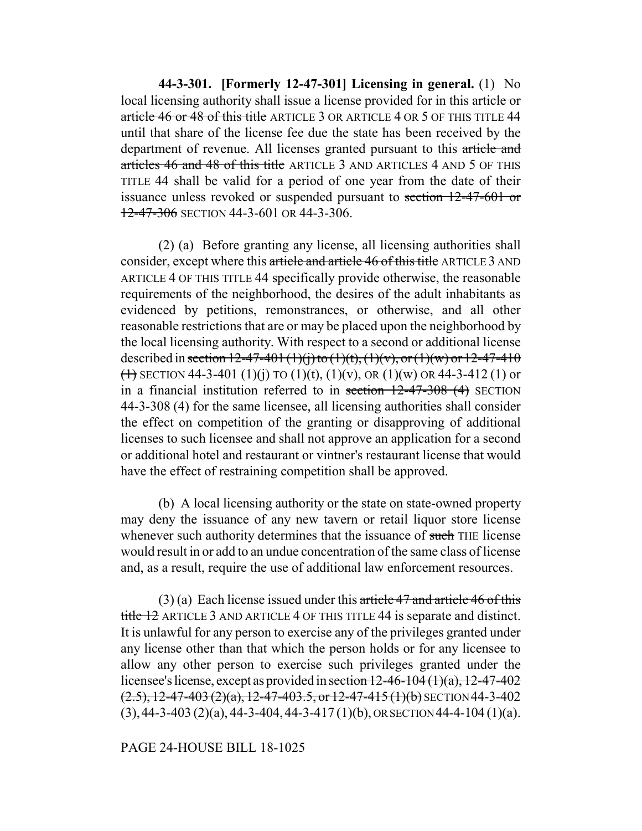**44-3-301. [Formerly 12-47-301] Licensing in general.** (1) No local licensing authority shall issue a license provided for in this article or article 46 or 48 of this title ARTICLE 3 OR ARTICLE 4 OR 5 OF THIS TITLE 44 until that share of the license fee due the state has been received by the department of revenue. All licenses granted pursuant to this article and articles 46 and 48 of this title ARTICLE 3 AND ARTICLES 4 AND 5 OF THIS TITLE 44 shall be valid for a period of one year from the date of their issuance unless revoked or suspended pursuant to section 12-47-601 or 12-47-306 SECTION 44-3-601 OR 44-3-306.

(2) (a) Before granting any license, all licensing authorities shall consider, except where this article and article 46 of this title ARTICLE 3 AND ARTICLE 4 OF THIS TITLE 44 specifically provide otherwise, the reasonable requirements of the neighborhood, the desires of the adult inhabitants as evidenced by petitions, remonstrances, or otherwise, and all other reasonable restrictions that are or may be placed upon the neighborhood by the local licensing authority. With respect to a second or additional license described in section 12-47-401 (1)(j) to (1)(t), (1)(v), or (1)(w) or 12-47-410  $(1)$  SECTION 44-3-401 (1)(j) TO (1)(t), (1)(v), OR (1)(w) OR 44-3-412 (1) or in a financial institution referred to in section  $12-47-308$  (4) SECTION 44-3-308 (4) for the same licensee, all licensing authorities shall consider the effect on competition of the granting or disapproving of additional licenses to such licensee and shall not approve an application for a second or additional hotel and restaurant or vintner's restaurant license that would have the effect of restraining competition shall be approved.

(b) A local licensing authority or the state on state-owned property may deny the issuance of any new tavern or retail liquor store license whenever such authority determines that the issuance of such THE license would result in or add to an undue concentration of the same class of license and, as a result, require the use of additional law enforcement resources.

 $(3)$  (a) Each license issued under this article 47 and article 46 of this title 12 ARTICLE 3 AND ARTICLE 4 OF THIS TITLE 44 is separate and distinct. It is unlawful for any person to exercise any of the privileges granted under any license other than that which the person holds or for any licensee to allow any other person to exercise such privileges granted under the licensee's license, except as provided in section  $12-46-104(1)(a)$ ,  $12-47-402$  $(2.5)$ , 12-47-403 $(2)$ (a), 12-47-403.5, or 12-47-415 $(1)$ (b) SECTION 44-3-402  $(3)$ , 44-3-403  $(2)(a)$ , 44-3-404, 44-3-417  $(1)(b)$ , OR SECTION 44-4-104  $(1)(a)$ .

PAGE 24-HOUSE BILL 18-1025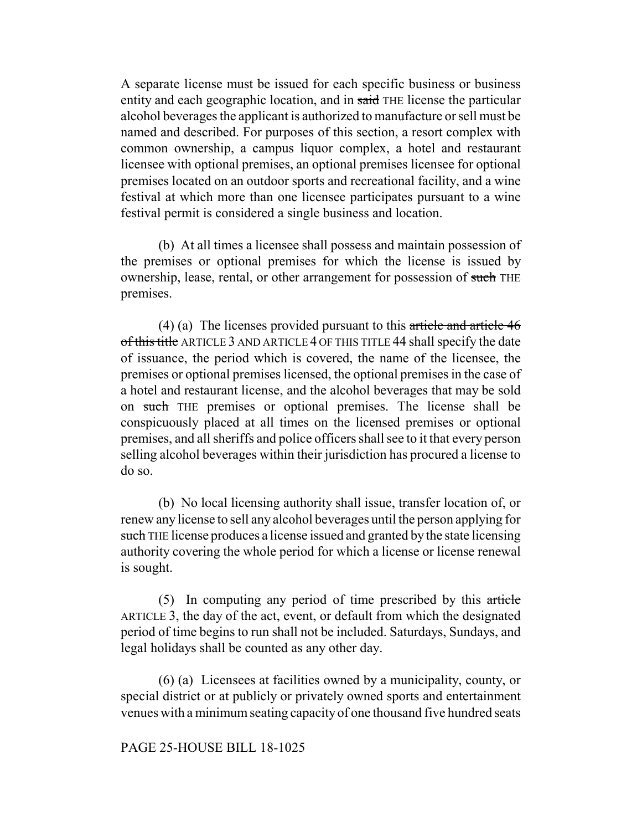A separate license must be issued for each specific business or business entity and each geographic location, and in said THE license the particular alcohol beverages the applicant is authorized to manufacture or sell must be named and described. For purposes of this section, a resort complex with common ownership, a campus liquor complex, a hotel and restaurant licensee with optional premises, an optional premises licensee for optional premises located on an outdoor sports and recreational facility, and a wine festival at which more than one licensee participates pursuant to a wine festival permit is considered a single business and location.

(b) At all times a licensee shall possess and maintain possession of the premises or optional premises for which the license is issued by ownership, lease, rental, or other arrangement for possession of such THE premises.

(4) (a) The licenses provided pursuant to this article and article 46 of this title ARTICLE 3 AND ARTICLE 4 OF THIS TITLE 44 shall specify the date of issuance, the period which is covered, the name of the licensee, the premises or optional premises licensed, the optional premises in the case of a hotel and restaurant license, and the alcohol beverages that may be sold on such THE premises or optional premises. The license shall be conspicuously placed at all times on the licensed premises or optional premises, and all sheriffs and police officers shall see to it that every person selling alcohol beverages within their jurisdiction has procured a license to do so.

(b) No local licensing authority shall issue, transfer location of, or renew any license to sell any alcohol beverages until the person applying for such THE license produces a license issued and granted by the state licensing authority covering the whole period for which a license or license renewal is sought.

(5) In computing any period of time prescribed by this article ARTICLE 3, the day of the act, event, or default from which the designated period of time begins to run shall not be included. Saturdays, Sundays, and legal holidays shall be counted as any other day.

(6) (a) Licensees at facilities owned by a municipality, county, or special district or at publicly or privately owned sports and entertainment venues with a minimum seating capacity of one thousand five hundred seats

### PAGE 25-HOUSE BILL 18-1025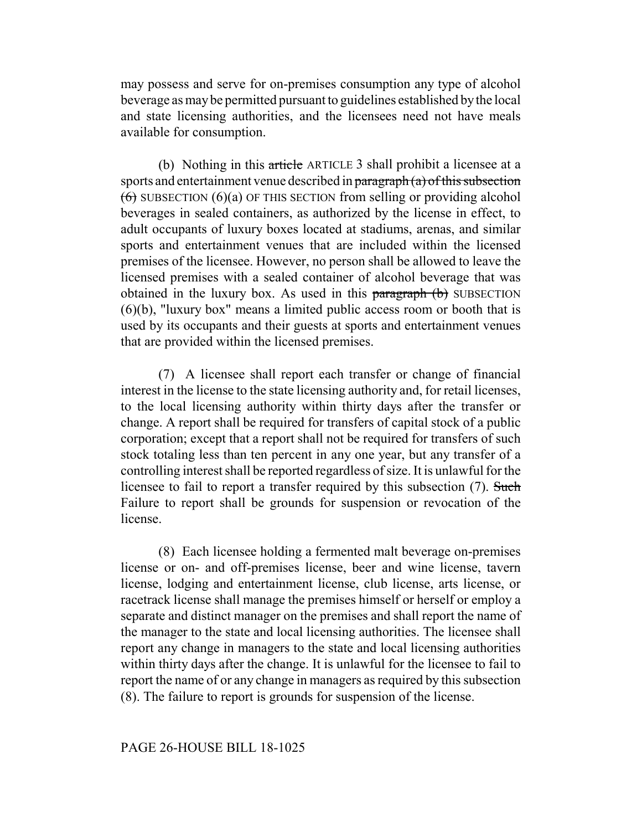may possess and serve for on-premises consumption any type of alcohol beverage as may be permitted pursuant to guidelines established by the local and state licensing authorities, and the licensees need not have meals available for consumption.

(b) Nothing in this article ARTICLE 3 shall prohibit a licensee at a sports and entertainment venue described in paragraph (a) of this subsection  $(6)$  SUBSECTION  $(6)(a)$  OF THIS SECTION from selling or providing alcohol beverages in sealed containers, as authorized by the license in effect, to adult occupants of luxury boxes located at stadiums, arenas, and similar sports and entertainment venues that are included within the licensed premises of the licensee. However, no person shall be allowed to leave the licensed premises with a sealed container of alcohol beverage that was obtained in the luxury box. As used in this paragraph (b) SUBSECTION (6)(b), "luxury box" means a limited public access room or booth that is used by its occupants and their guests at sports and entertainment venues that are provided within the licensed premises.

(7) A licensee shall report each transfer or change of financial interest in the license to the state licensing authority and, for retail licenses, to the local licensing authority within thirty days after the transfer or change. A report shall be required for transfers of capital stock of a public corporation; except that a report shall not be required for transfers of such stock totaling less than ten percent in any one year, but any transfer of a controlling interest shall be reported regardless of size. It is unlawful for the licensee to fail to report a transfer required by this subsection (7). Such Failure to report shall be grounds for suspension or revocation of the license.

(8) Each licensee holding a fermented malt beverage on-premises license or on- and off-premises license, beer and wine license, tavern license, lodging and entertainment license, club license, arts license, or racetrack license shall manage the premises himself or herself or employ a separate and distinct manager on the premises and shall report the name of the manager to the state and local licensing authorities. The licensee shall report any change in managers to the state and local licensing authorities within thirty days after the change. It is unlawful for the licensee to fail to report the name of or any change in managers as required by this subsection (8). The failure to report is grounds for suspension of the license.

#### PAGE 26-HOUSE BILL 18-1025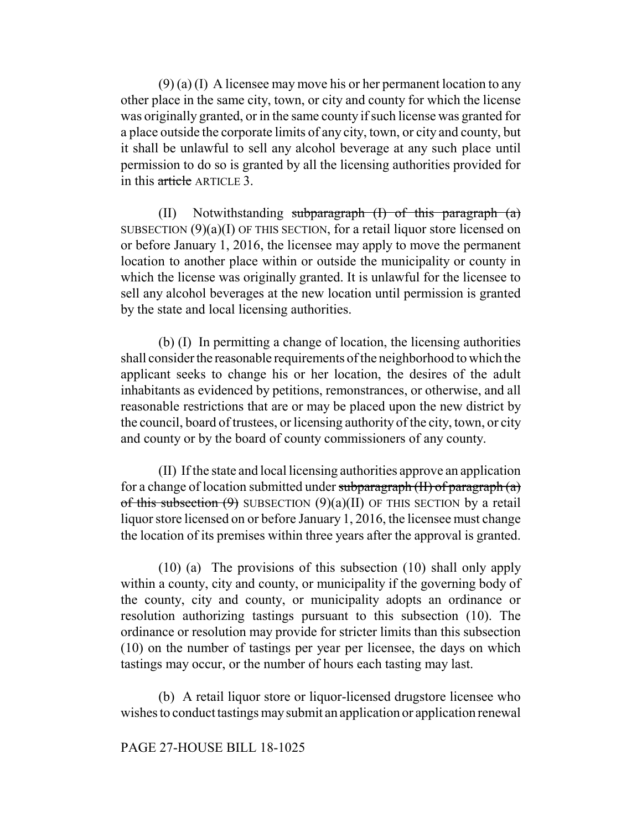$(9)$  (a) (I) A licensee may move his or her permanent location to any other place in the same city, town, or city and county for which the license was originally granted, or in the same county if such license was granted for a place outside the corporate limits of any city, town, or city and county, but it shall be unlawful to sell any alcohol beverage at any such place until permission to do so is granted by all the licensing authorities provided for in this article ARTICLE 3.

(II) Notwithstanding subparagraph  $(I)$  of this paragraph  $(a)$ SUBSECTION  $(9)(a)(I)$  OF THIS SECTION, for a retail liquor store licensed on or before January 1, 2016, the licensee may apply to move the permanent location to another place within or outside the municipality or county in which the license was originally granted. It is unlawful for the licensee to sell any alcohol beverages at the new location until permission is granted by the state and local licensing authorities.

(b) (I) In permitting a change of location, the licensing authorities shall consider the reasonable requirements of the neighborhood to which the applicant seeks to change his or her location, the desires of the adult inhabitants as evidenced by petitions, remonstrances, or otherwise, and all reasonable restrictions that are or may be placed upon the new district by the council, board of trustees, or licensing authority of the city, town, or city and county or by the board of county commissioners of any county.

(II) If the state and local licensing authorities approve an application for a change of location submitted under subparagraph  $(H)$  of paragraph  $(a)$ of this subsection  $(9)$  SUBSECTION  $(9)(a)(II)$  OF THIS SECTION by a retail liquor store licensed on or before January 1, 2016, the licensee must change the location of its premises within three years after the approval is granted.

(10) (a) The provisions of this subsection (10) shall only apply within a county, city and county, or municipality if the governing body of the county, city and county, or municipality adopts an ordinance or resolution authorizing tastings pursuant to this subsection (10). The ordinance or resolution may provide for stricter limits than this subsection (10) on the number of tastings per year per licensee, the days on which tastings may occur, or the number of hours each tasting may last.

(b) A retail liquor store or liquor-licensed drugstore licensee who wishes to conduct tastings may submit an application or application renewal

### PAGE 27-HOUSE BILL 18-1025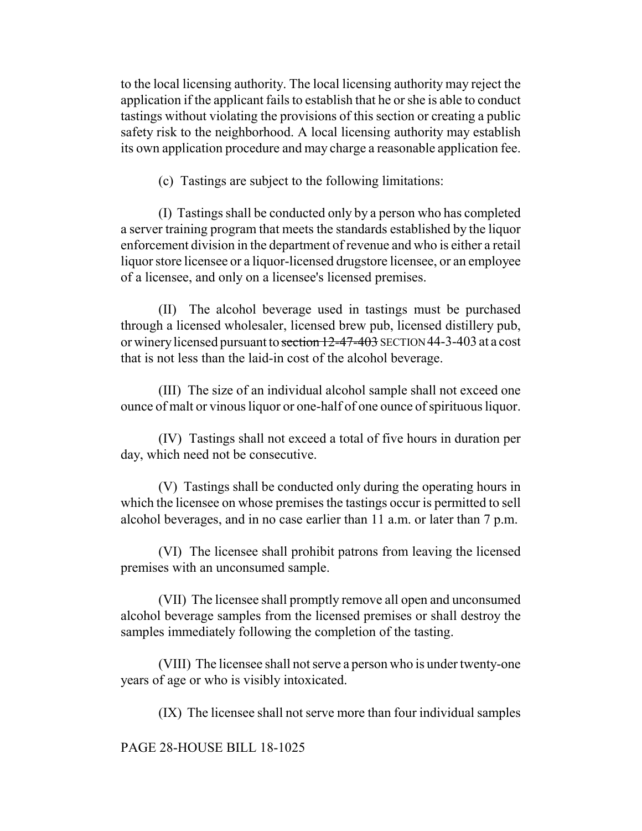to the local licensing authority. The local licensing authority may reject the application if the applicant fails to establish that he or she is able to conduct tastings without violating the provisions of this section or creating a public safety risk to the neighborhood. A local licensing authority may establish its own application procedure and may charge a reasonable application fee.

(c) Tastings are subject to the following limitations:

(I) Tastings shall be conducted only by a person who has completed a server training program that meets the standards established by the liquor enforcement division in the department of revenue and who is either a retail liquor store licensee or a liquor-licensed drugstore licensee, or an employee of a licensee, and only on a licensee's licensed premises.

(II) The alcohol beverage used in tastings must be purchased through a licensed wholesaler, licensed brew pub, licensed distillery pub, or winery licensed pursuant to section 12-47-403 SECTION 44-3-403 at a cost that is not less than the laid-in cost of the alcohol beverage.

(III) The size of an individual alcohol sample shall not exceed one ounce of malt or vinous liquor or one-half of one ounce of spirituous liquor.

(IV) Tastings shall not exceed a total of five hours in duration per day, which need not be consecutive.

(V) Tastings shall be conducted only during the operating hours in which the licensee on whose premises the tastings occur is permitted to sell alcohol beverages, and in no case earlier than 11 a.m. or later than 7 p.m.

(VI) The licensee shall prohibit patrons from leaving the licensed premises with an unconsumed sample.

(VII) The licensee shall promptly remove all open and unconsumed alcohol beverage samples from the licensed premises or shall destroy the samples immediately following the completion of the tasting.

(VIII) The licensee shall not serve a person who is under twenty-one years of age or who is visibly intoxicated.

(IX) The licensee shall not serve more than four individual samples

PAGE 28-HOUSE BILL 18-1025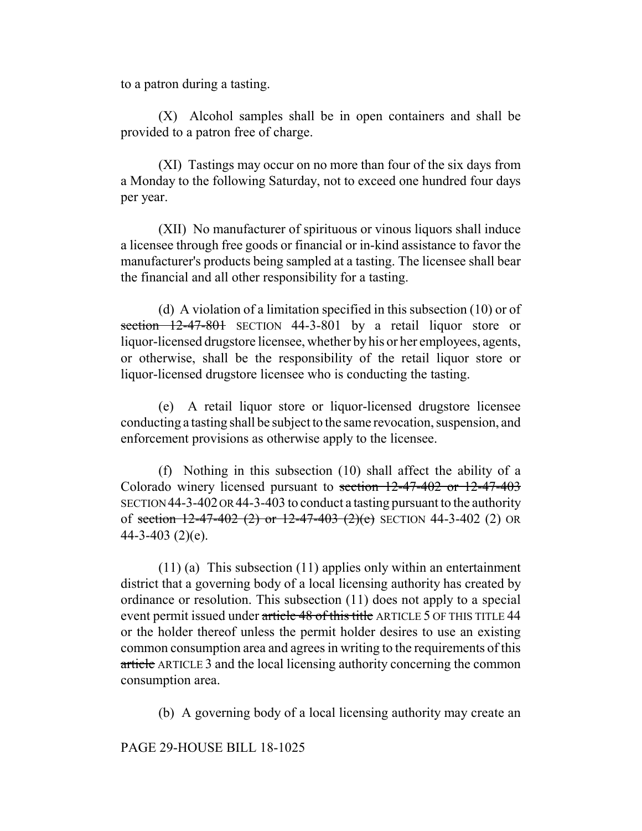to a patron during a tasting.

(X) Alcohol samples shall be in open containers and shall be provided to a patron free of charge.

(XI) Tastings may occur on no more than four of the six days from a Monday to the following Saturday, not to exceed one hundred four days per year.

(XII) No manufacturer of spirituous or vinous liquors shall induce a licensee through free goods or financial or in-kind assistance to favor the manufacturer's products being sampled at a tasting. The licensee shall bear the financial and all other responsibility for a tasting.

(d) A violation of a limitation specified in this subsection (10) or of section 12-47-801 SECTION 44-3-801 by a retail liquor store or liquor-licensed drugstore licensee, whether by his or her employees, agents, or otherwise, shall be the responsibility of the retail liquor store or liquor-licensed drugstore licensee who is conducting the tasting.

(e) A retail liquor store or liquor-licensed drugstore licensee conducting a tasting shall be subject to the same revocation, suspension, and enforcement provisions as otherwise apply to the licensee.

(f) Nothing in this subsection (10) shall affect the ability of a Colorado winery licensed pursuant to section 12-47-402 or 12-47-403 SECTION 44-3-402 OR 44-3-403 to conduct a tasting pursuant to the authority of section  $12-47-402$  (2) or  $12-47-403$  (2)(e) SECTION 44-3-402 (2) OR  $44 - 3 - 403$  (2)(e).

(11) (a) This subsection (11) applies only within an entertainment district that a governing body of a local licensing authority has created by ordinance or resolution. This subsection (11) does not apply to a special event permit issued under article 48 of this title ARTICLE 5 OF THIS TITLE 44 or the holder thereof unless the permit holder desires to use an existing common consumption area and agrees in writing to the requirements of this article ARTICLE 3 and the local licensing authority concerning the common consumption area.

(b) A governing body of a local licensing authority may create an

PAGE 29-HOUSE BILL 18-1025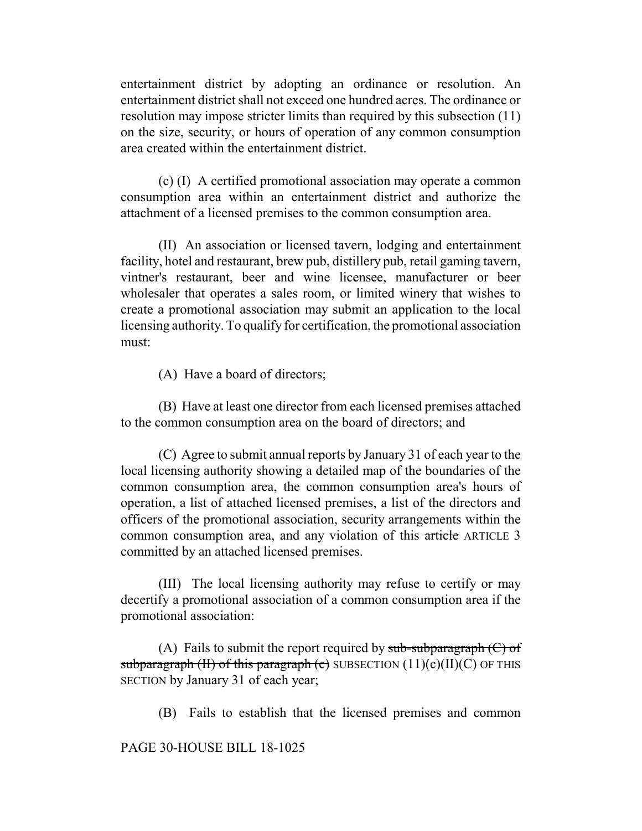entertainment district by adopting an ordinance or resolution. An entertainment district shall not exceed one hundred acres. The ordinance or resolution may impose stricter limits than required by this subsection (11) on the size, security, or hours of operation of any common consumption area created within the entertainment district.

(c) (I) A certified promotional association may operate a common consumption area within an entertainment district and authorize the attachment of a licensed premises to the common consumption area.

(II) An association or licensed tavern, lodging and entertainment facility, hotel and restaurant, brew pub, distillery pub, retail gaming tavern, vintner's restaurant, beer and wine licensee, manufacturer or beer wholesaler that operates a sales room, or limited winery that wishes to create a promotional association may submit an application to the local licensing authority. To qualify for certification, the promotional association must:

(A) Have a board of directors;

(B) Have at least one director from each licensed premises attached to the common consumption area on the board of directors; and

(C) Agree to submit annual reports by January 31 of each year to the local licensing authority showing a detailed map of the boundaries of the common consumption area, the common consumption area's hours of operation, a list of attached licensed premises, a list of the directors and officers of the promotional association, security arrangements within the common consumption area, and any violation of this article ARTICLE 3 committed by an attached licensed premises.

(III) The local licensing authority may refuse to certify or may decertify a promotional association of a common consumption area if the promotional association:

(A) Fails to submit the report required by  $sub-sub-subparam$  (C) of subparagraph (II) of this paragraph (c) SUBSECTION  $(11)(c)(II)(C)$  OF THIS SECTION by January 31 of each year;

(B) Fails to establish that the licensed premises and common

## PAGE 30-HOUSE BILL 18-1025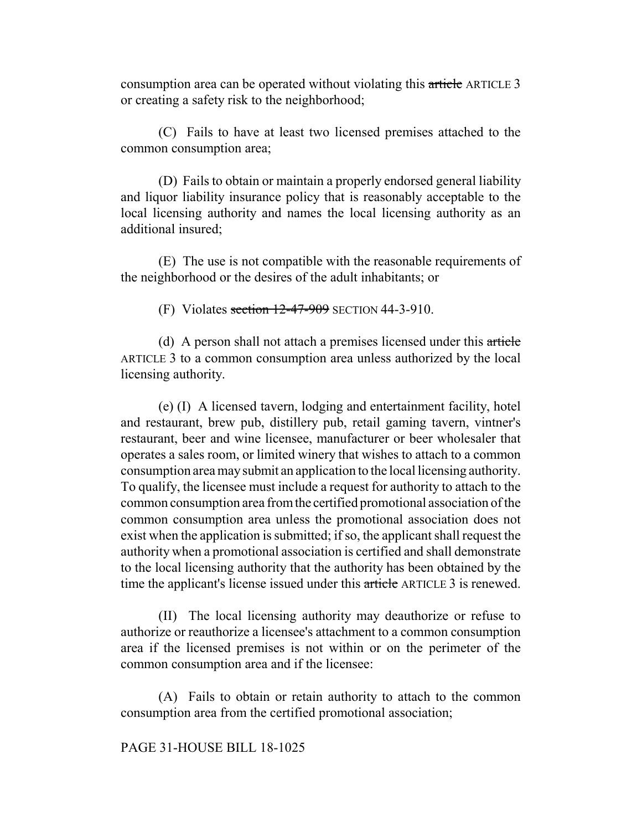consumption area can be operated without violating this article ARTICLE 3 or creating a safety risk to the neighborhood;

(C) Fails to have at least two licensed premises attached to the common consumption area;

(D) Fails to obtain or maintain a properly endorsed general liability and liquor liability insurance policy that is reasonably acceptable to the local licensing authority and names the local licensing authority as an additional insured;

(E) The use is not compatible with the reasonable requirements of the neighborhood or the desires of the adult inhabitants; or

(F) Violates section  $12-47-909$  SECTION 44-3-910.

(d) A person shall not attach a premises licensed under this article ARTICLE 3 to a common consumption area unless authorized by the local licensing authority.

(e) (I) A licensed tavern, lodging and entertainment facility, hotel and restaurant, brew pub, distillery pub, retail gaming tavern, vintner's restaurant, beer and wine licensee, manufacturer or beer wholesaler that operates a sales room, or limited winery that wishes to attach to a common consumption area may submit an application to the local licensing authority. To qualify, the licensee must include a request for authority to attach to the common consumption area from the certified promotional association of the common consumption area unless the promotional association does not exist when the application is submitted; if so, the applicant shall request the authority when a promotional association is certified and shall demonstrate to the local licensing authority that the authority has been obtained by the time the applicant's license issued under this article ARTICLE 3 is renewed.

(II) The local licensing authority may deauthorize or refuse to authorize or reauthorize a licensee's attachment to a common consumption area if the licensed premises is not within or on the perimeter of the common consumption area and if the licensee:

(A) Fails to obtain or retain authority to attach to the common consumption area from the certified promotional association;

#### PAGE 31-HOUSE BILL 18-1025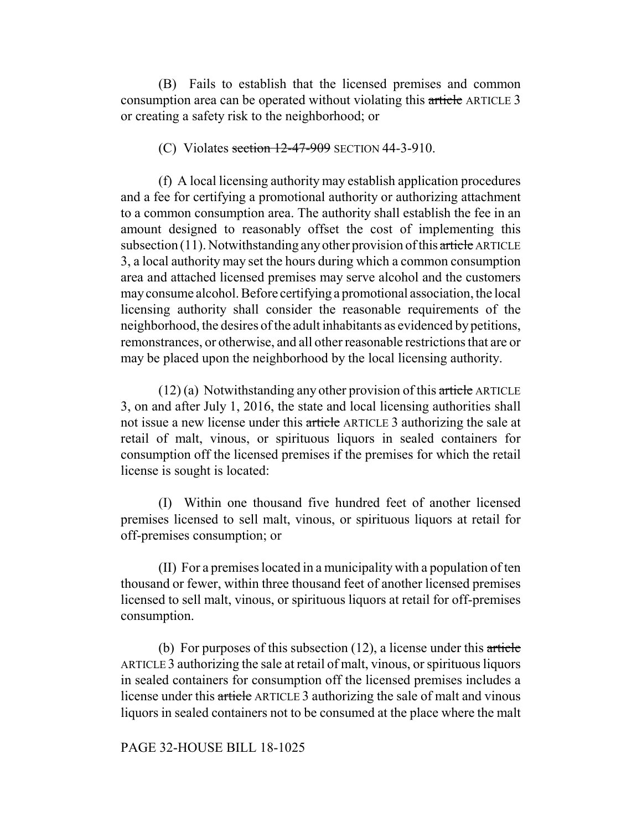(B) Fails to establish that the licensed premises and common consumption area can be operated without violating this article ARTICLE 3 or creating a safety risk to the neighborhood; or

#### (C) Violates section  $12-47-909$  SECTION 44-3-910.

(f) A local licensing authority may establish application procedures and a fee for certifying a promotional authority or authorizing attachment to a common consumption area. The authority shall establish the fee in an amount designed to reasonably offset the cost of implementing this subsection  $(11)$ . Notwithstanding any other provision of this article ARTICLE 3, a local authority may set the hours during which a common consumption area and attached licensed premises may serve alcohol and the customers may consume alcohol. Before certifying a promotional association, the local licensing authority shall consider the reasonable requirements of the neighborhood, the desires of the adult inhabitants as evidenced by petitions, remonstrances, or otherwise, and all other reasonable restrictions that are or may be placed upon the neighborhood by the local licensing authority.

 $(12)$  (a) Notwithstanding any other provision of this article ARTICLE 3, on and after July 1, 2016, the state and local licensing authorities shall not issue a new license under this article ARTICLE 3 authorizing the sale at retail of malt, vinous, or spirituous liquors in sealed containers for consumption off the licensed premises if the premises for which the retail license is sought is located:

(I) Within one thousand five hundred feet of another licensed premises licensed to sell malt, vinous, or spirituous liquors at retail for off-premises consumption; or

(II) For a premises located in a municipality with a population of ten thousand or fewer, within three thousand feet of another licensed premises licensed to sell malt, vinous, or spirituous liquors at retail for off-premises consumption.

(b) For purposes of this subsection  $(12)$ , a license under this article ARTICLE 3 authorizing the sale at retail of malt, vinous, or spirituous liquors in sealed containers for consumption off the licensed premises includes a license under this article ARTICLE 3 authorizing the sale of malt and vinous liquors in sealed containers not to be consumed at the place where the malt

#### PAGE 32-HOUSE BILL 18-1025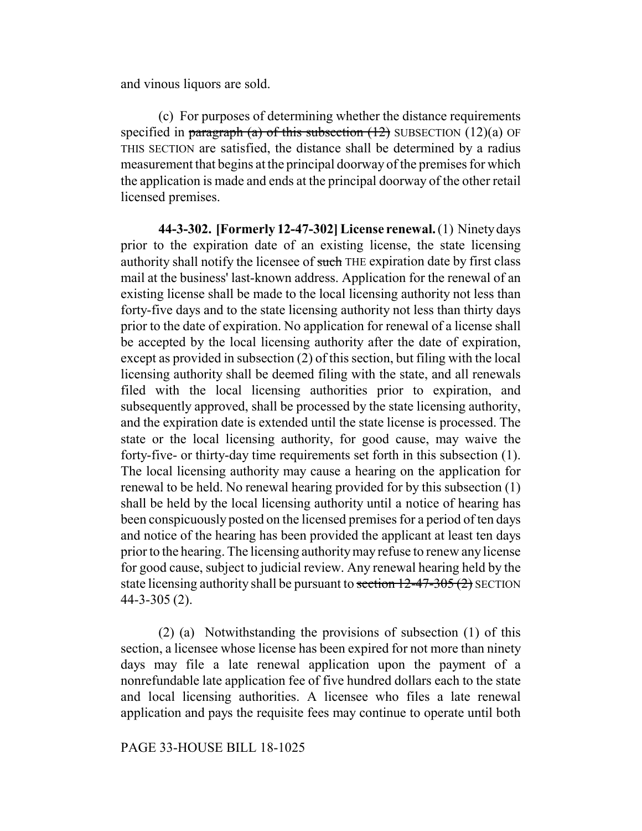and vinous liquors are sold.

(c) For purposes of determining whether the distance requirements specified in paragraph (a) of this subsection  $(12)$  SUBSECTION  $(12)(a)$  OF THIS SECTION are satisfied, the distance shall be determined by a radius measurement that begins at the principal doorway of the premises for which the application is made and ends at the principal doorway of the other retail licensed premises.

**44-3-302. [Formerly 12-47-302] License renewal.** (1) Ninety days prior to the expiration date of an existing license, the state licensing authority shall notify the licensee of such THE expiration date by first class mail at the business' last-known address. Application for the renewal of an existing license shall be made to the local licensing authority not less than forty-five days and to the state licensing authority not less than thirty days prior to the date of expiration. No application for renewal of a license shall be accepted by the local licensing authority after the date of expiration, except as provided in subsection (2) of this section, but filing with the local licensing authority shall be deemed filing with the state, and all renewals filed with the local licensing authorities prior to expiration, and subsequently approved, shall be processed by the state licensing authority, and the expiration date is extended until the state license is processed. The state or the local licensing authority, for good cause, may waive the forty-five- or thirty-day time requirements set forth in this subsection (1). The local licensing authority may cause a hearing on the application for renewal to be held. No renewal hearing provided for by this subsection (1) shall be held by the local licensing authority until a notice of hearing has been conspicuously posted on the licensed premises for a period of ten days and notice of the hearing has been provided the applicant at least ten days prior to the hearing. The licensing authority may refuse to renew any license for good cause, subject to judicial review. Any renewal hearing held by the state licensing authority shall be pursuant to section  $12-47-305(2)$  SECTION 44-3-305 (2).

(2) (a) Notwithstanding the provisions of subsection (1) of this section, a licensee whose license has been expired for not more than ninety days may file a late renewal application upon the payment of a nonrefundable late application fee of five hundred dollars each to the state and local licensing authorities. A licensee who files a late renewal application and pays the requisite fees may continue to operate until both

### PAGE 33-HOUSE BILL 18-1025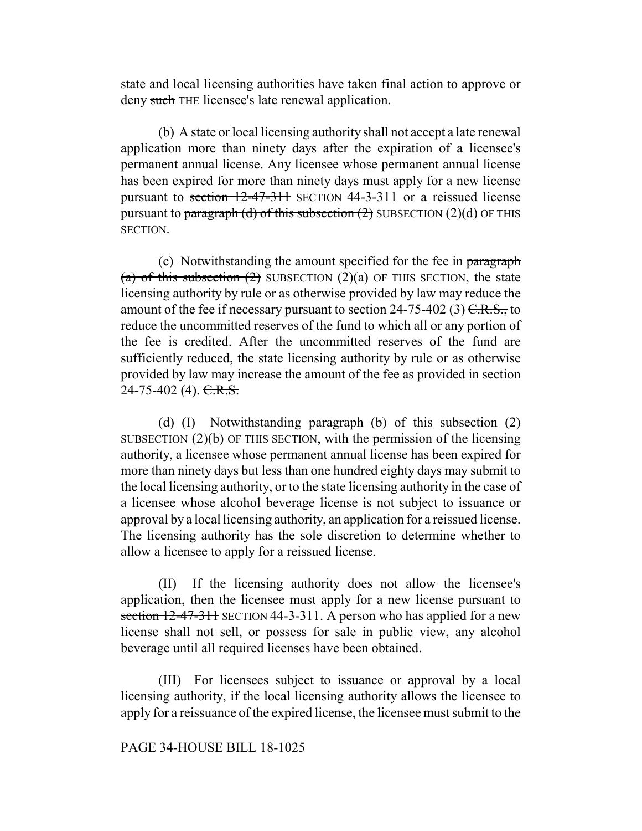state and local licensing authorities have taken final action to approve or deny such THE licensee's late renewal application.

(b) A state or local licensing authority shall not accept a late renewal application more than ninety days after the expiration of a licensee's permanent annual license. Any licensee whose permanent annual license has been expired for more than ninety days must apply for a new license pursuant to section 12-47-311 SECTION 44-3-311 or a reissued license pursuant to paragraph (d) of this subsection (2) SUBSECTION (2)(d) OF THIS SECTION.

(c) Notwithstanding the amount specified for the fee in paragraph (a) of this subsection  $(2)$  SUBSECTION  $(2)(a)$  OF THIS SECTION, the state licensing authority by rule or as otherwise provided by law may reduce the amount of the fee if necessary pursuant to section 24-75-402 (3)  $C.R.S.,$  to reduce the uncommitted reserves of the fund to which all or any portion of the fee is credited. After the uncommitted reserves of the fund are sufficiently reduced, the state licensing authority by rule or as otherwise provided by law may increase the amount of the fee as provided in section  $24-75-402$  (4). C.R.S.

(d) (I) Notwithstanding paragraph (b) of this subsection  $(2)$ SUBSECTION (2)(b) OF THIS SECTION, with the permission of the licensing authority, a licensee whose permanent annual license has been expired for more than ninety days but less than one hundred eighty days may submit to the local licensing authority, or to the state licensing authority in the case of a licensee whose alcohol beverage license is not subject to issuance or approval by a local licensing authority, an application for a reissued license. The licensing authority has the sole discretion to determine whether to allow a licensee to apply for a reissued license.

(II) If the licensing authority does not allow the licensee's application, then the licensee must apply for a new license pursuant to section 12-47-311 SECTION 44-3-311. A person who has applied for a new license shall not sell, or possess for sale in public view, any alcohol beverage until all required licenses have been obtained.

(III) For licensees subject to issuance or approval by a local licensing authority, if the local licensing authority allows the licensee to apply for a reissuance of the expired license, the licensee must submit to the

## PAGE 34-HOUSE BILL 18-1025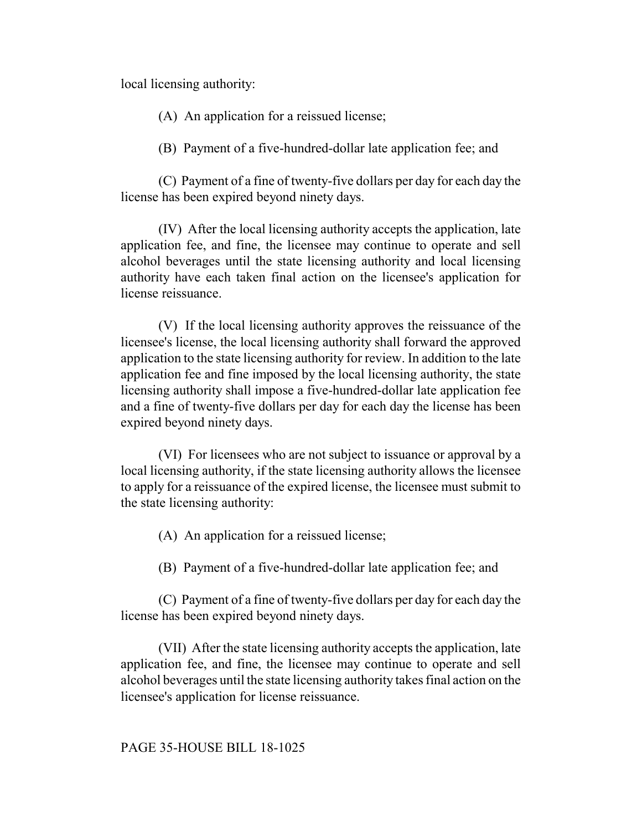local licensing authority:

(A) An application for a reissued license;

(B) Payment of a five-hundred-dollar late application fee; and

(C) Payment of a fine of twenty-five dollars per day for each day the license has been expired beyond ninety days.

(IV) After the local licensing authority accepts the application, late application fee, and fine, the licensee may continue to operate and sell alcohol beverages until the state licensing authority and local licensing authority have each taken final action on the licensee's application for license reissuance.

(V) If the local licensing authority approves the reissuance of the licensee's license, the local licensing authority shall forward the approved application to the state licensing authority for review. In addition to the late application fee and fine imposed by the local licensing authority, the state licensing authority shall impose a five-hundred-dollar late application fee and a fine of twenty-five dollars per day for each day the license has been expired beyond ninety days.

(VI) For licensees who are not subject to issuance or approval by a local licensing authority, if the state licensing authority allows the licensee to apply for a reissuance of the expired license, the licensee must submit to the state licensing authority:

(A) An application for a reissued license;

(B) Payment of a five-hundred-dollar late application fee; and

(C) Payment of a fine of twenty-five dollars per day for each day the license has been expired beyond ninety days.

(VII) After the state licensing authority accepts the application, late application fee, and fine, the licensee may continue to operate and sell alcohol beverages until the state licensing authority takes final action on the licensee's application for license reissuance.

PAGE 35-HOUSE BILL 18-1025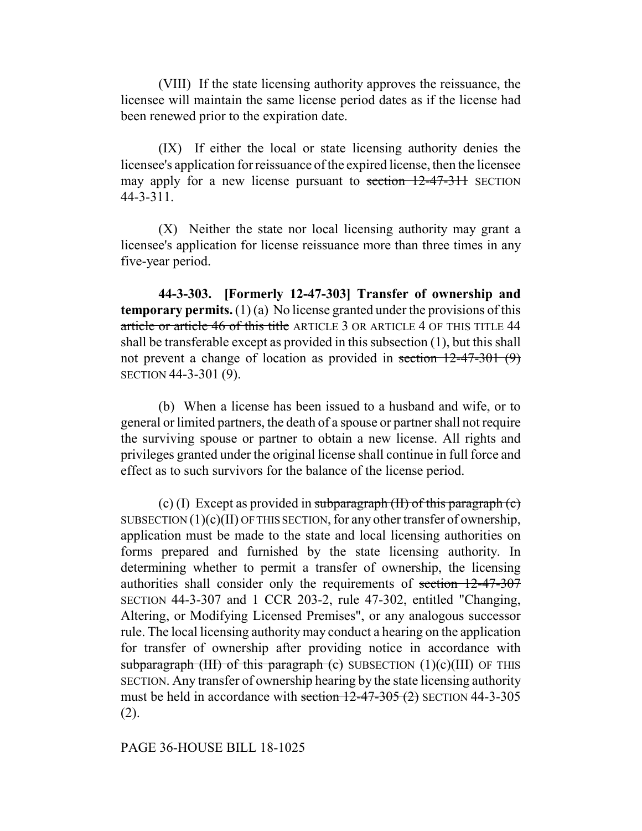(VIII) If the state licensing authority approves the reissuance, the licensee will maintain the same license period dates as if the license had been renewed prior to the expiration date.

(IX) If either the local or state licensing authority denies the licensee's application for reissuance of the expired license, then the licensee may apply for a new license pursuant to section 12-47-311 SECTION 44-3-311.

(X) Neither the state nor local licensing authority may grant a licensee's application for license reissuance more than three times in any five-year period.

**44-3-303. [Formerly 12-47-303] Transfer of ownership and temporary permits.** (1) (a) No license granted under the provisions of this article or article 46 of this title ARTICLE 3 OR ARTICLE 4 OF THIS TITLE 44 shall be transferable except as provided in this subsection (1), but this shall not prevent a change of location as provided in section 12-47-301 (9) SECTION 44-3-301 (9).

(b) When a license has been issued to a husband and wife, or to general or limited partners, the death of a spouse or partner shall not require the surviving spouse or partner to obtain a new license. All rights and privileges granted under the original license shall continue in full force and effect as to such survivors for the balance of the license period.

(c) (I) Except as provided in subparagraph  $(H)$  of this paragraph  $(e)$ SUBSECTION  $(1)(c)(II)$  OF THIS SECTION, for any other transfer of ownership, application must be made to the state and local licensing authorities on forms prepared and furnished by the state licensing authority. In determining whether to permit a transfer of ownership, the licensing authorities shall consider only the requirements of section 12-47-307 SECTION 44-3-307 and 1 CCR 203-2, rule 47-302, entitled "Changing, Altering, or Modifying Licensed Premises", or any analogous successor rule. The local licensing authority may conduct a hearing on the application for transfer of ownership after providing notice in accordance with subparagraph (III) of this paragraph (c) SUBSECTION  $(1)(c)(III)$  OF THIS SECTION. Any transfer of ownership hearing by the state licensing authority must be held in accordance with section  $12-47-305$  (2) SECTION 44-3-305 (2).

### PAGE 36-HOUSE BILL 18-1025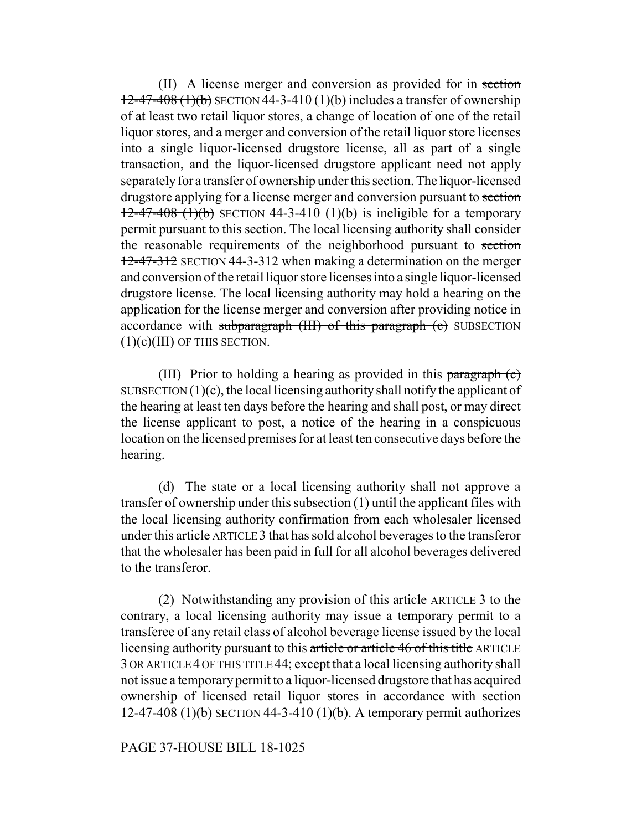(II) A license merger and conversion as provided for in section  $12-47-408$  (1)(b) SECTION 44-3-410 (1)(b) includes a transfer of ownership of at least two retail liquor stores, a change of location of one of the retail liquor stores, and a merger and conversion of the retail liquor store licenses into a single liquor-licensed drugstore license, all as part of a single transaction, and the liquor-licensed drugstore applicant need not apply separately for a transfer of ownership under this section. The liquor-licensed drugstore applying for a license merger and conversion pursuant to section  $12-47-408$  (1)(b) SECTION 44-3-410 (1)(b) is ineligible for a temporary permit pursuant to this section. The local licensing authority shall consider the reasonable requirements of the neighborhood pursuant to section 12-47-312 SECTION 44-3-312 when making a determination on the merger and conversion of the retail liquor store licenses into a single liquor-licensed drugstore license. The local licensing authority may hold a hearing on the application for the license merger and conversion after providing notice in accordance with subparagraph (III) of this paragraph (c) SUBSECTION (1)(c)(III) OF THIS SECTION.

(III) Prior to holding a hearing as provided in this paragraph (c) SUBSECTION  $(1)(c)$ , the local licensing authority shall notify the applicant of the hearing at least ten days before the hearing and shall post, or may direct the license applicant to post, a notice of the hearing in a conspicuous location on the licensed premises for at least ten consecutive days before the hearing.

(d) The state or a local licensing authority shall not approve a transfer of ownership under this subsection (1) until the applicant files with the local licensing authority confirmation from each wholesaler licensed under this article ARTICLE 3 that has sold alcohol beverages to the transferor that the wholesaler has been paid in full for all alcohol beverages delivered to the transferor.

(2) Notwithstanding any provision of this article ARTICLE 3 to the contrary, a local licensing authority may issue a temporary permit to a transferee of any retail class of alcohol beverage license issued by the local licensing authority pursuant to this article or article 46 of this title ARTICLE 3 OR ARTICLE 4 OF THIS TITLE 44; except that a local licensing authority shall not issue a temporary permit to a liquor-licensed drugstore that has acquired ownership of licensed retail liquor stores in accordance with section  $12-47-408$  (1)(b) SECTION 44-3-410 (1)(b). A temporary permit authorizes

PAGE 37-HOUSE BILL 18-1025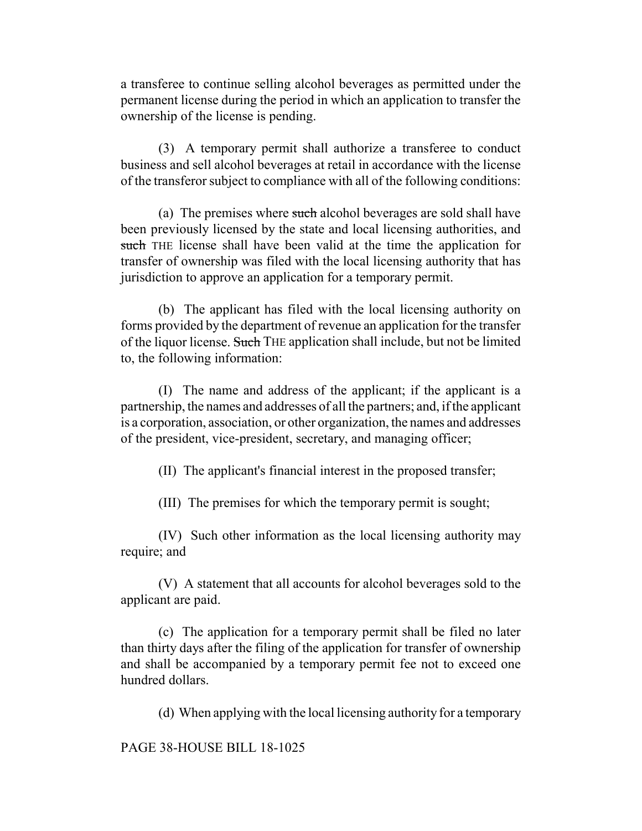a transferee to continue selling alcohol beverages as permitted under the permanent license during the period in which an application to transfer the ownership of the license is pending.

(3) A temporary permit shall authorize a transferee to conduct business and sell alcohol beverages at retail in accordance with the license of the transferor subject to compliance with all of the following conditions:

(a) The premises where such alcohol beverages are sold shall have been previously licensed by the state and local licensing authorities, and such THE license shall have been valid at the time the application for transfer of ownership was filed with the local licensing authority that has jurisdiction to approve an application for a temporary permit.

(b) The applicant has filed with the local licensing authority on forms provided by the department of revenue an application for the transfer of the liquor license. Such THE application shall include, but not be limited to, the following information:

(I) The name and address of the applicant; if the applicant is a partnership, the names and addresses of all the partners; and, if the applicant is a corporation, association, or other organization, the names and addresses of the president, vice-president, secretary, and managing officer;

(II) The applicant's financial interest in the proposed transfer;

(III) The premises for which the temporary permit is sought;

(IV) Such other information as the local licensing authority may require; and

(V) A statement that all accounts for alcohol beverages sold to the applicant are paid.

(c) The application for a temporary permit shall be filed no later than thirty days after the filing of the application for transfer of ownership and shall be accompanied by a temporary permit fee not to exceed one hundred dollars.

(d) When applying with the local licensing authority for a temporary

PAGE 38-HOUSE BILL 18-1025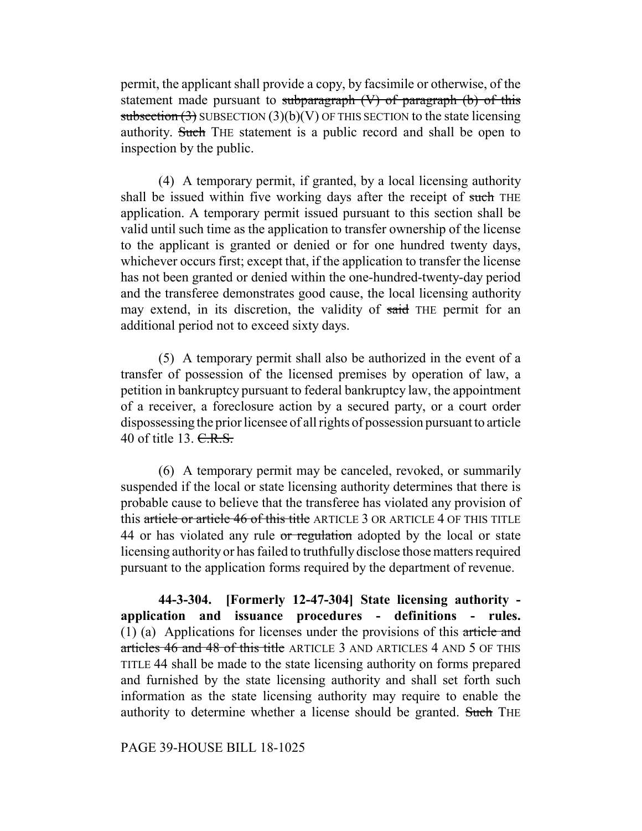permit, the applicant shall provide a copy, by facsimile or otherwise, of the statement made pursuant to subparagraph  $(V)$  of paragraph  $(b)$  of this subsection  $(3)$  SUBSECTION  $(3)(b)(V)$  OF THIS SECTION to the state licensing authority. Such THE statement is a public record and shall be open to inspection by the public.

(4) A temporary permit, if granted, by a local licensing authority shall be issued within five working days after the receipt of such THE application. A temporary permit issued pursuant to this section shall be valid until such time as the application to transfer ownership of the license to the applicant is granted or denied or for one hundred twenty days, whichever occurs first; except that, if the application to transfer the license has not been granted or denied within the one-hundred-twenty-day period and the transferee demonstrates good cause, the local licensing authority may extend, in its discretion, the validity of said THE permit for an additional period not to exceed sixty days.

(5) A temporary permit shall also be authorized in the event of a transfer of possession of the licensed premises by operation of law, a petition in bankruptcy pursuant to federal bankruptcy law, the appointment of a receiver, a foreclosure action by a secured party, or a court order dispossessing the prior licensee of all rights of possession pursuant to article 40 of title 13. C.R.S.

(6) A temporary permit may be canceled, revoked, or summarily suspended if the local or state licensing authority determines that there is probable cause to believe that the transferee has violated any provision of this article or article 46 of this title ARTICLE 3 OR ARTICLE 4 OF THIS TITLE 44 or has violated any rule or regulation adopted by the local or state licensing authority or has failed to truthfully disclose those matters required pursuant to the application forms required by the department of revenue.

**44-3-304. [Formerly 12-47-304] State licensing authority application and issuance procedures - definitions - rules.** (1) (a) Applications for licenses under the provisions of this article and articles 46 and 48 of this title ARTICLE 3 AND ARTICLES 4 AND 5 OF THIS TITLE 44 shall be made to the state licensing authority on forms prepared and furnished by the state licensing authority and shall set forth such information as the state licensing authority may require to enable the authority to determine whether a license should be granted. Such THE

## PAGE 39-HOUSE BILL 18-1025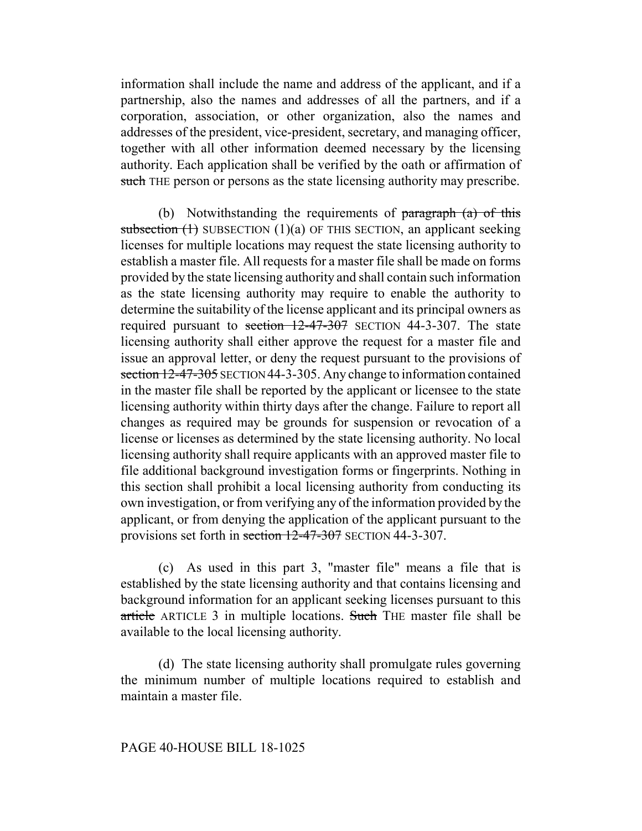information shall include the name and address of the applicant, and if a partnership, also the names and addresses of all the partners, and if a corporation, association, or other organization, also the names and addresses of the president, vice-president, secretary, and managing officer, together with all other information deemed necessary by the licensing authority. Each application shall be verified by the oath or affirmation of such THE person or persons as the state licensing authority may prescribe.

(b) Notwithstanding the requirements of  $\frac{1}{2}$  paragraph (a) of this subsection  $(1)$  SUBSECTION  $(1)(a)$  OF THIS SECTION, an applicant seeking licenses for multiple locations may request the state licensing authority to establish a master file. All requests for a master file shall be made on forms provided by the state licensing authority and shall contain such information as the state licensing authority may require to enable the authority to determine the suitability of the license applicant and its principal owners as required pursuant to section 12-47-307 SECTION 44-3-307. The state licensing authority shall either approve the request for a master file and issue an approval letter, or deny the request pursuant to the provisions of section 12-47-305 SECTION 44-3-305. Any change to information contained in the master file shall be reported by the applicant or licensee to the state licensing authority within thirty days after the change. Failure to report all changes as required may be grounds for suspension or revocation of a license or licenses as determined by the state licensing authority. No local licensing authority shall require applicants with an approved master file to file additional background investigation forms or fingerprints. Nothing in this section shall prohibit a local licensing authority from conducting its own investigation, or from verifying any of the information provided by the applicant, or from denying the application of the applicant pursuant to the provisions set forth in section 12-47-307 SECTION 44-3-307.

(c) As used in this part 3, "master file" means a file that is established by the state licensing authority and that contains licensing and background information for an applicant seeking licenses pursuant to this article ARTICLE 3 in multiple locations. Such THE master file shall be available to the local licensing authority.

(d) The state licensing authority shall promulgate rules governing the minimum number of multiple locations required to establish and maintain a master file.

### PAGE 40-HOUSE BILL 18-1025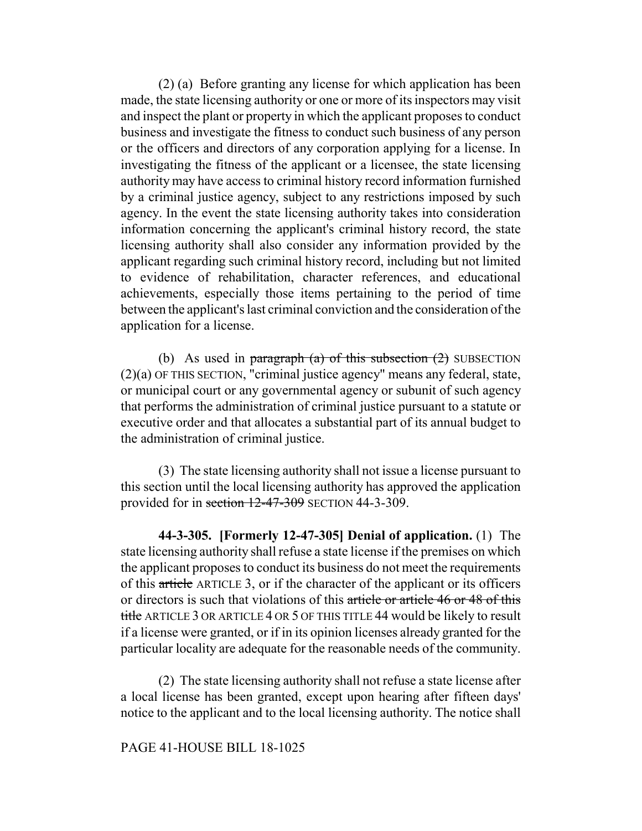(2) (a) Before granting any license for which application has been made, the state licensing authority or one or more of its inspectors may visit and inspect the plant or property in which the applicant proposes to conduct business and investigate the fitness to conduct such business of any person or the officers and directors of any corporation applying for a license. In investigating the fitness of the applicant or a licensee, the state licensing authority may have access to criminal history record information furnished by a criminal justice agency, subject to any restrictions imposed by such agency. In the event the state licensing authority takes into consideration information concerning the applicant's criminal history record, the state licensing authority shall also consider any information provided by the applicant regarding such criminal history record, including but not limited to evidence of rehabilitation, character references, and educational achievements, especially those items pertaining to the period of time between the applicant's last criminal conviction and the consideration of the application for a license.

(b) As used in paragraph (a) of this subsection  $(2)$  SUBSECTION (2)(a) OF THIS SECTION, "criminal justice agency" means any federal, state, or municipal court or any governmental agency or subunit of such agency that performs the administration of criminal justice pursuant to a statute or executive order and that allocates a substantial part of its annual budget to the administration of criminal justice.

(3) The state licensing authority shall not issue a license pursuant to this section until the local licensing authority has approved the application provided for in section 12-47-309 SECTION 44-3-309.

**44-3-305. [Formerly 12-47-305] Denial of application.** (1) The state licensing authority shall refuse a state license if the premises on which the applicant proposes to conduct its business do not meet the requirements of this article ARTICLE 3, or if the character of the applicant or its officers or directors is such that violations of this article or article 46 or 48 of this title ARTICLE 3 OR ARTICLE 4 OR 5 OF THIS TITLE 44 would be likely to result if a license were granted, or if in its opinion licenses already granted for the particular locality are adequate for the reasonable needs of the community.

(2) The state licensing authority shall not refuse a state license after a local license has been granted, except upon hearing after fifteen days' notice to the applicant and to the local licensing authority. The notice shall

## PAGE 41-HOUSE BILL 18-1025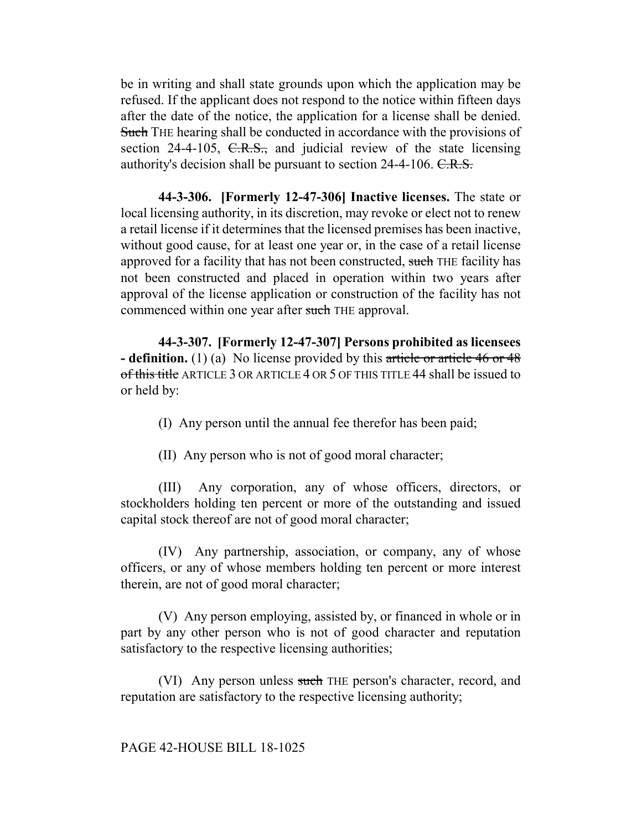be in writing and shall state grounds upon which the application may be refused. If the applicant does not respond to the notice within fifteen days after the date of the notice, the application for a license shall be denied. Such THE hearing shall be conducted in accordance with the provisions of section 24-4-105,  $C.R.S.,$  and judicial review of the state licensing authority's decision shall be pursuant to section 24-4-106. C.R.S.

**44-3-306. [Formerly 12-47-306] Inactive licenses.** The state or local licensing authority, in its discretion, may revoke or elect not to renew a retail license if it determines that the licensed premises has been inactive, without good cause, for at least one year or, in the case of a retail license approved for a facility that has not been constructed, such THE facility has not been constructed and placed in operation within two years after approval of the license application or construction of the facility has not commenced within one year after such THE approval.

**44-3-307. [Formerly 12-47-307] Persons prohibited as licensees - definition.** (1) (a) No license provided by this article or article 46 or 48 of this title ARTICLE 3 OR ARTICLE 4 OR 5 OF THIS TITLE 44 shall be issued to or held by:

(I) Any person until the annual fee therefor has been paid;

(II) Any person who is not of good moral character;

(III) Any corporation, any of whose officers, directors, or stockholders holding ten percent or more of the outstanding and issued capital stock thereof are not of good moral character;

(IV) Any partnership, association, or company, any of whose officers, or any of whose members holding ten percent or more interest therein, are not of good moral character;

(V) Any person employing, assisted by, or financed in whole or in part by any other person who is not of good character and reputation satisfactory to the respective licensing authorities;

(VI) Any person unless such THE person's character, record, and reputation are satisfactory to the respective licensing authority;

PAGE 42-HOUSE BILL 18-1025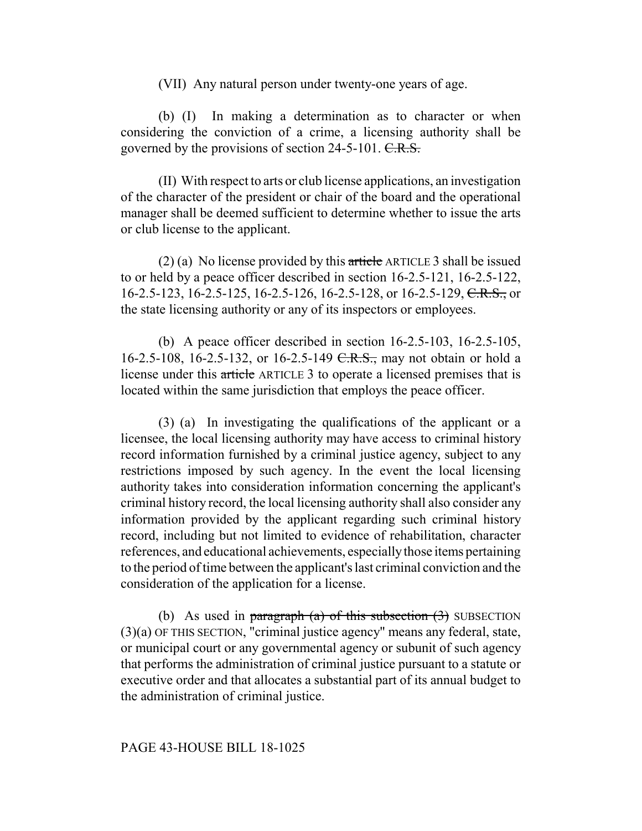(VII) Any natural person under twenty-one years of age.

(b) (I) In making a determination as to character or when considering the conviction of a crime, a licensing authority shall be governed by the provisions of section  $24-5-101$ . C.R.S.

(II) With respect to arts or club license applications, an investigation of the character of the president or chair of the board and the operational manager shall be deemed sufficient to determine whether to issue the arts or club license to the applicant.

(2) (a) No license provided by this article ARTICLE 3 shall be issued to or held by a peace officer described in section 16-2.5-121, 16-2.5-122, 16-2.5-123, 16-2.5-125, 16-2.5-126, 16-2.5-128, or 16-2.5-129, C.R.S., or the state licensing authority or any of its inspectors or employees.

(b) A peace officer described in section 16-2.5-103, 16-2.5-105, 16-2.5-108, 16-2.5-132, or 16-2.5-149 <del>C.R.S.,</del> may not obtain or hold a license under this article ARTICLE 3 to operate a licensed premises that is located within the same jurisdiction that employs the peace officer.

(3) (a) In investigating the qualifications of the applicant or a licensee, the local licensing authority may have access to criminal history record information furnished by a criminal justice agency, subject to any restrictions imposed by such agency. In the event the local licensing authority takes into consideration information concerning the applicant's criminal history record, the local licensing authority shall also consider any information provided by the applicant regarding such criminal history record, including but not limited to evidence of rehabilitation, character references, and educational achievements, especially those items pertaining to the period of time between the applicant's last criminal conviction and the consideration of the application for a license.

(b) As used in paragraph (a) of this subsection  $(3)$  SUBSECTION (3)(a) OF THIS SECTION, "criminal justice agency" means any federal, state, or municipal court or any governmental agency or subunit of such agency that performs the administration of criminal justice pursuant to a statute or executive order and that allocates a substantial part of its annual budget to the administration of criminal justice.

### PAGE 43-HOUSE BILL 18-1025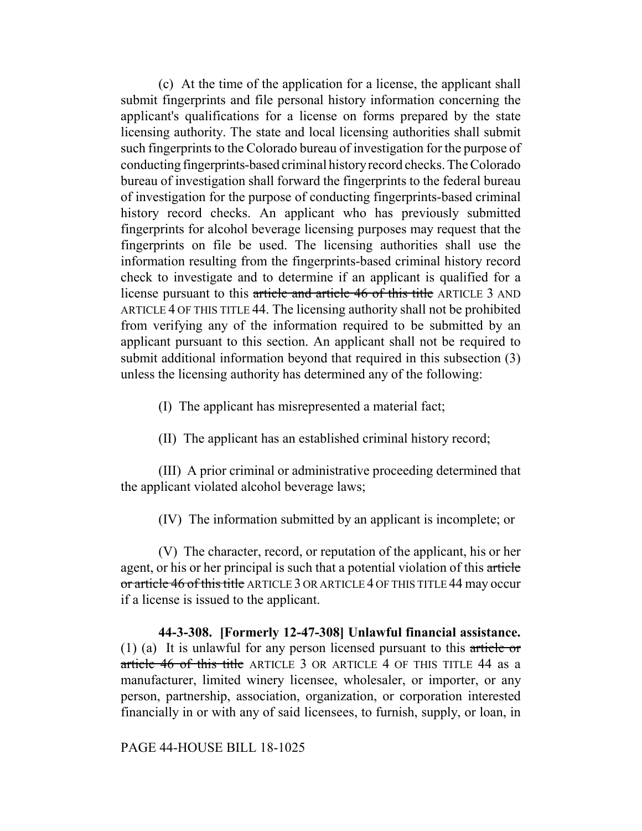(c) At the time of the application for a license, the applicant shall submit fingerprints and file personal history information concerning the applicant's qualifications for a license on forms prepared by the state licensing authority. The state and local licensing authorities shall submit such fingerprints to the Colorado bureau of investigation for the purpose of conducting fingerprints-based criminal history record checks. The Colorado bureau of investigation shall forward the fingerprints to the federal bureau of investigation for the purpose of conducting fingerprints-based criminal history record checks. An applicant who has previously submitted fingerprints for alcohol beverage licensing purposes may request that the fingerprints on file be used. The licensing authorities shall use the information resulting from the fingerprints-based criminal history record check to investigate and to determine if an applicant is qualified for a license pursuant to this article and article 46 of this title ARTICLE 3 AND ARTICLE 4 OF THIS TITLE 44. The licensing authority shall not be prohibited from verifying any of the information required to be submitted by an applicant pursuant to this section. An applicant shall not be required to submit additional information beyond that required in this subsection (3) unless the licensing authority has determined any of the following:

- (I) The applicant has misrepresented a material fact;
- (II) The applicant has an established criminal history record;

(III) A prior criminal or administrative proceeding determined that the applicant violated alcohol beverage laws;

(IV) The information submitted by an applicant is incomplete; or

(V) The character, record, or reputation of the applicant, his or her agent, or his or her principal is such that a potential violation of this article or article 46 of this title ARTICLE 3 OR ARTICLE 4 OF THIS TITLE 44 may occur if a license is issued to the applicant.

**44-3-308. [Formerly 12-47-308] Unlawful financial assistance.** (1) (a) It is unlawful for any person licensed pursuant to this article or article 46 of this title ARTICLE 3 OR ARTICLE 4 OF THIS TITLE 44 as a manufacturer, limited winery licensee, wholesaler, or importer, or any person, partnership, association, organization, or corporation interested financially in or with any of said licensees, to furnish, supply, or loan, in

PAGE 44-HOUSE BILL 18-1025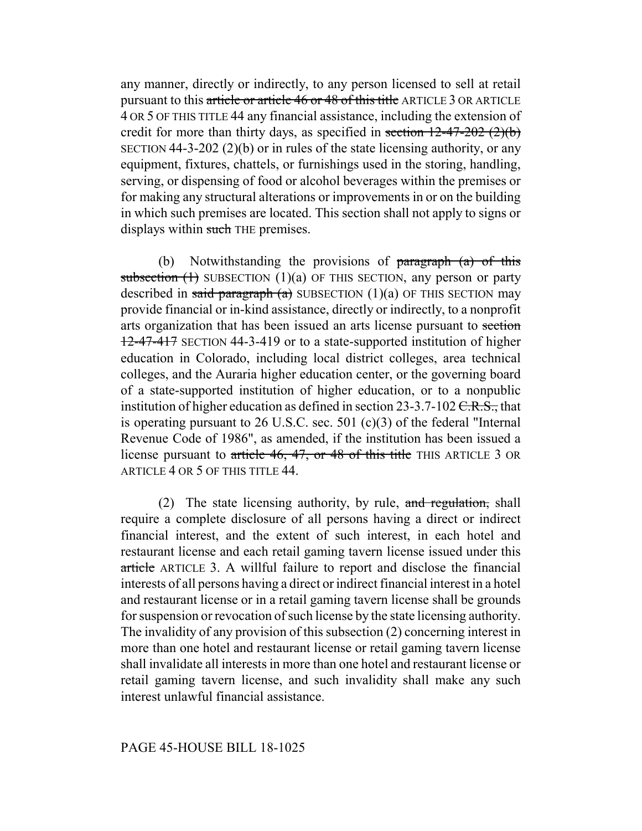any manner, directly or indirectly, to any person licensed to sell at retail pursuant to this article or article 46 or 48 of this title ARTICLE 3 OR ARTICLE 4 OR 5 OF THIS TITLE 44 any financial assistance, including the extension of credit for more than thirty days, as specified in section  $12-47-202$  (2)(b) SECTION 44-3-202 (2)(b) or in rules of the state licensing authority, or any equipment, fixtures, chattels, or furnishings used in the storing, handling, serving, or dispensing of food or alcohol beverages within the premises or for making any structural alterations or improvements in or on the building in which such premises are located. This section shall not apply to signs or displays within such THE premises.

(b) Notwithstanding the provisions of  $\frac{1}{2}$  paragraph (a) of this subsection  $(1)$  SUBSECTION  $(1)(a)$  OF THIS SECTION, any person or party described in said paragraph (a) SUBSECTION (1)(a) OF THIS SECTION may provide financial or in-kind assistance, directly or indirectly, to a nonprofit arts organization that has been issued an arts license pursuant to section 12-47-417 SECTION 44-3-419 or to a state-supported institution of higher education in Colorado, including local district colleges, area technical colleges, and the Auraria higher education center, or the governing board of a state-supported institution of higher education, or to a nonpublic institution of higher education as defined in section 23-3.7-102  $C.R.S.,$  that is operating pursuant to 26 U.S.C. sec. 501 (c)(3) of the federal "Internal Revenue Code of 1986", as amended, if the institution has been issued a license pursuant to article 46, 47, or 48 of this title THIS ARTICLE 3 OR ARTICLE 4 OR 5 OF THIS TITLE 44.

(2) The state licensing authority, by rule,  $\alpha$  regulation, shall require a complete disclosure of all persons having a direct or indirect financial interest, and the extent of such interest, in each hotel and restaurant license and each retail gaming tavern license issued under this article ARTICLE 3. A willful failure to report and disclose the financial interests of all persons having a direct or indirect financial interest in a hotel and restaurant license or in a retail gaming tavern license shall be grounds for suspension or revocation of such license by the state licensing authority. The invalidity of any provision of this subsection (2) concerning interest in more than one hotel and restaurant license or retail gaming tavern license shall invalidate all interests in more than one hotel and restaurant license or retail gaming tavern license, and such invalidity shall make any such interest unlawful financial assistance.

### PAGE 45-HOUSE BILL 18-1025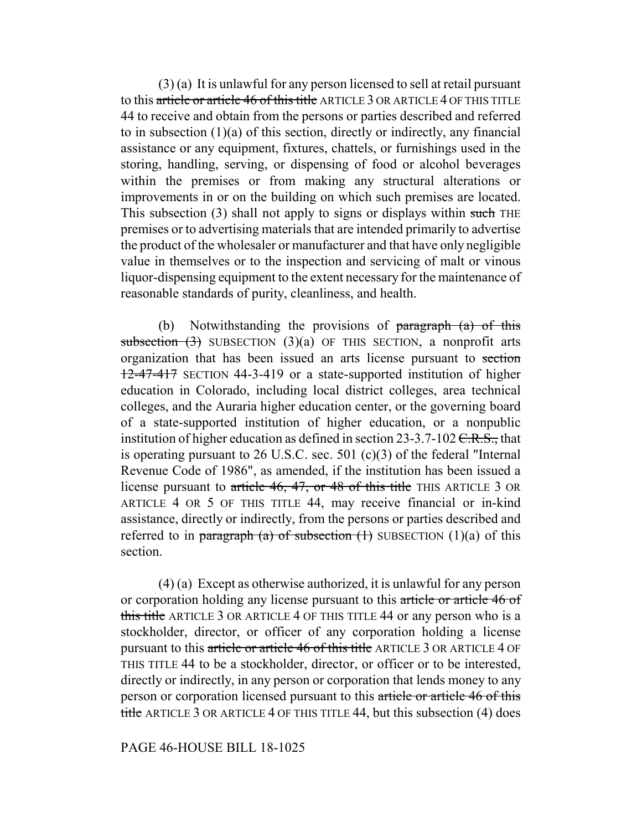(3) (a) It is unlawful for any person licensed to sell at retail pursuant to this article or article 46 of this title ARTICLE 3 OR ARTICLE 4 OF THIS TITLE 44 to receive and obtain from the persons or parties described and referred to in subsection (1)(a) of this section, directly or indirectly, any financial assistance or any equipment, fixtures, chattels, or furnishings used in the storing, handling, serving, or dispensing of food or alcohol beverages within the premises or from making any structural alterations or improvements in or on the building on which such premises are located. This subsection  $(3)$  shall not apply to signs or displays within such THE premises or to advertising materials that are intended primarily to advertise the product of the wholesaler or manufacturer and that have only negligible value in themselves or to the inspection and servicing of malt or vinous liquor-dispensing equipment to the extent necessary for the maintenance of reasonable standards of purity, cleanliness, and health.

(b) Notwithstanding the provisions of  $\frac{1}{2}$  paragraph  $\frac{1}{2}$  of this subsection  $(3)$  SUBSECTION  $(3)(a)$  OF THIS SECTION, a nonprofit arts organization that has been issued an arts license pursuant to section 12-47-417 SECTION 44-3-419 or a state-supported institution of higher education in Colorado, including local district colleges, area technical colleges, and the Auraria higher education center, or the governing board of a state-supported institution of higher education, or a nonpublic institution of higher education as defined in section 23-3.7-102  $C.R.S.,$  that is operating pursuant to 26 U.S.C. sec. 501 (c)(3) of the federal "Internal Revenue Code of 1986", as amended, if the institution has been issued a license pursuant to article 46, 47, or 48 of this title THIS ARTICLE 3 OR ARTICLE 4 OR 5 OF THIS TITLE 44, may receive financial or in-kind assistance, directly or indirectly, from the persons or parties described and referred to in paragraph (a) of subsection  $(1)$  SUBSECTION  $(1)(a)$  of this section.

(4) (a) Except as otherwise authorized, it is unlawful for any person or corporation holding any license pursuant to this article or article 46 of this title ARTICLE 3 OR ARTICLE 4 OF THIS TITLE 44 or any person who is a stockholder, director, or officer of any corporation holding a license pursuant to this article or article 46 of this title ARTICLE 3 OR ARTICLE 4 OF THIS TITLE 44 to be a stockholder, director, or officer or to be interested, directly or indirectly, in any person or corporation that lends money to any person or corporation licensed pursuant to this article or article 46 of this title ARTICLE 3 OR ARTICLE 4 OF THIS TITLE 44, but this subsection (4) does

## PAGE 46-HOUSE BILL 18-1025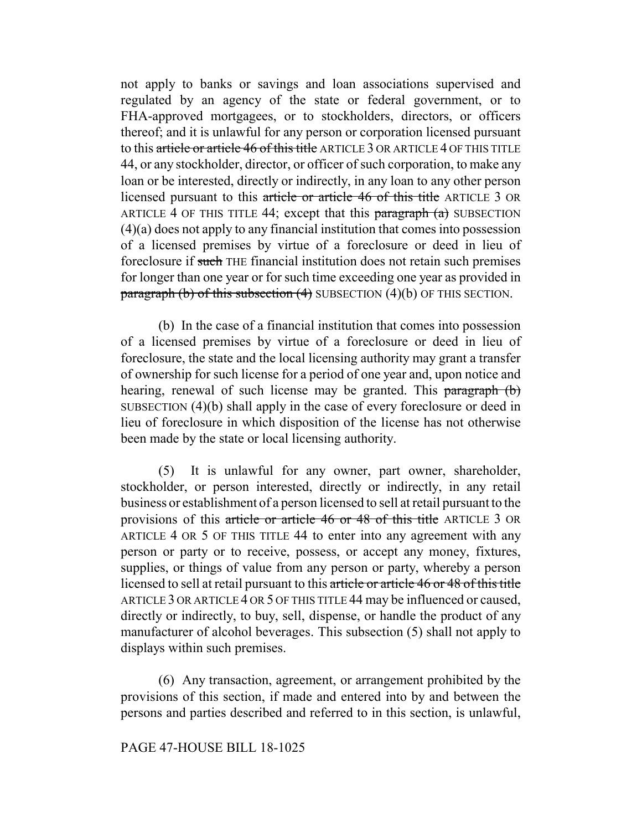not apply to banks or savings and loan associations supervised and regulated by an agency of the state or federal government, or to FHA-approved mortgagees, or to stockholders, directors, or officers thereof; and it is unlawful for any person or corporation licensed pursuant to this article or article 46 of this title ARTICLE 3 OR ARTICLE 4 OF THIS TITLE 44, or any stockholder, director, or officer of such corporation, to make any loan or be interested, directly or indirectly, in any loan to any other person licensed pursuant to this article or article 46 of this title ARTICLE 3 OR ARTICLE 4 OF THIS TITLE 44; except that this  $\frac{\text{pargraph}}{\text{a}}$  SUBSECTION (4)(a) does not apply to any financial institution that comes into possession of a licensed premises by virtue of a foreclosure or deed in lieu of foreclosure if such THE financial institution does not retain such premises for longer than one year or for such time exceeding one year as provided in paragraph (b) of this subsection (4) SUBSECTION (4)(b) OF THIS SECTION.

(b) In the case of a financial institution that comes into possession of a licensed premises by virtue of a foreclosure or deed in lieu of foreclosure, the state and the local licensing authority may grant a transfer of ownership for such license for a period of one year and, upon notice and hearing, renewal of such license may be granted. This paragraph (b) SUBSECTION (4)(b) shall apply in the case of every foreclosure or deed in lieu of foreclosure in which disposition of the license has not otherwise been made by the state or local licensing authority.

(5) It is unlawful for any owner, part owner, shareholder, stockholder, or person interested, directly or indirectly, in any retail business or establishment of a person licensed to sell at retail pursuant to the provisions of this article or article 46 or 48 of this title ARTICLE 3 OR ARTICLE 4 OR 5 OF THIS TITLE 44 to enter into any agreement with any person or party or to receive, possess, or accept any money, fixtures, supplies, or things of value from any person or party, whereby a person licensed to sell at retail pursuant to this article or article 46 or 48 of this title ARTICLE 3 OR ARTICLE 4 OR 5 OF THIS TITLE 44 may be influenced or caused, directly or indirectly, to buy, sell, dispense, or handle the product of any manufacturer of alcohol beverages. This subsection (5) shall not apply to displays within such premises.

(6) Any transaction, agreement, or arrangement prohibited by the provisions of this section, if made and entered into by and between the persons and parties described and referred to in this section, is unlawful,

### PAGE 47-HOUSE BILL 18-1025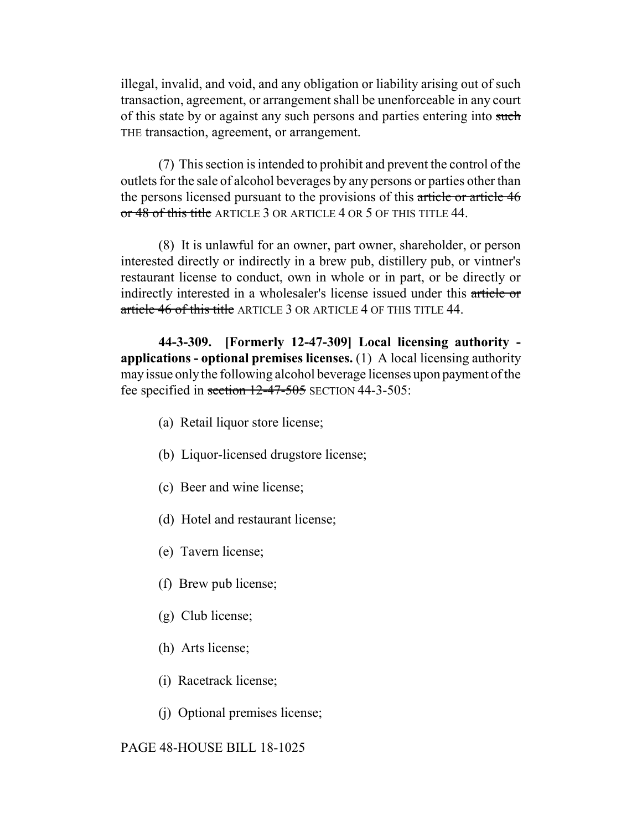illegal, invalid, and void, and any obligation or liability arising out of such transaction, agreement, or arrangement shall be unenforceable in any court of this state by or against any such persons and parties entering into such THE transaction, agreement, or arrangement.

(7) This section is intended to prohibit and prevent the control of the outlets for the sale of alcohol beverages by any persons or parties other than the persons licensed pursuant to the provisions of this article or article 46 or 48 of this title ARTICLE 3 OR ARTICLE 4 OR 5 OF THIS TITLE 44.

(8) It is unlawful for an owner, part owner, shareholder, or person interested directly or indirectly in a brew pub, distillery pub, or vintner's restaurant license to conduct, own in whole or in part, or be directly or indirectly interested in a wholesaler's license issued under this article or article 46 of this title ARTICLE 3 OR ARTICLE 4 OF THIS TITLE 44.

**44-3-309. [Formerly 12-47-309] Local licensing authority applications - optional premises licenses.** (1) A local licensing authority may issue only the following alcohol beverage licenses upon payment of the fee specified in section  $12-47-505$  SECTION 44-3-505:

- (a) Retail liquor store license;
- (b) Liquor-licensed drugstore license;
- (c) Beer and wine license;
- (d) Hotel and restaurant license;
- (e) Tavern license;
- (f) Brew pub license;
- (g) Club license;
- (h) Arts license;
- (i) Racetrack license;
- (j) Optional premises license;

#### PAGE 48-HOUSE BILL 18-1025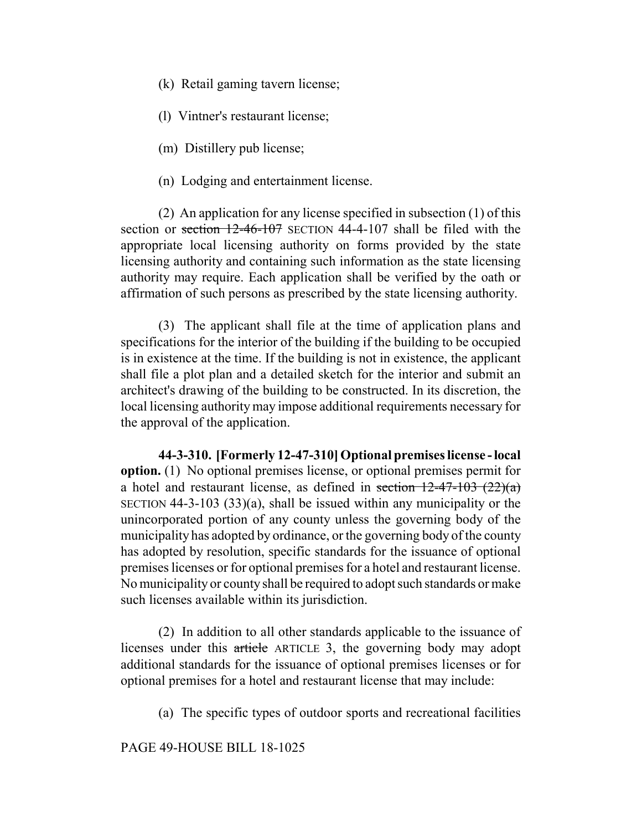- (k) Retail gaming tavern license;
- (l) Vintner's restaurant license;
- (m) Distillery pub license;
- (n) Lodging and entertainment license.

(2) An application for any license specified in subsection (1) of this section or section 12-46-107 SECTION 44-4-107 shall be filed with the appropriate local licensing authority on forms provided by the state licensing authority and containing such information as the state licensing authority may require. Each application shall be verified by the oath or affirmation of such persons as prescribed by the state licensing authority.

(3) The applicant shall file at the time of application plans and specifications for the interior of the building if the building to be occupied is in existence at the time. If the building is not in existence, the applicant shall file a plot plan and a detailed sketch for the interior and submit an architect's drawing of the building to be constructed. In its discretion, the local licensing authority may impose additional requirements necessary for the approval of the application.

**44-3-310. [Formerly 12-47-310] Optional premises license - local option.** (1) No optional premises license, or optional premises permit for a hotel and restaurant license, as defined in section  $12-47-103$   $(22)(a)$ SECTION 44-3-103 (33)(a), shall be issued within any municipality or the unincorporated portion of any county unless the governing body of the municipality has adopted by ordinance, or the governing body of the county has adopted by resolution, specific standards for the issuance of optional premises licenses or for optional premises for a hotel and restaurant license. No municipality or county shall be required to adopt such standards or make such licenses available within its jurisdiction.

(2) In addition to all other standards applicable to the issuance of licenses under this article ARTICLE 3, the governing body may adopt additional standards for the issuance of optional premises licenses or for optional premises for a hotel and restaurant license that may include:

(a) The specific types of outdoor sports and recreational facilities

PAGE 49-HOUSE BILL 18-1025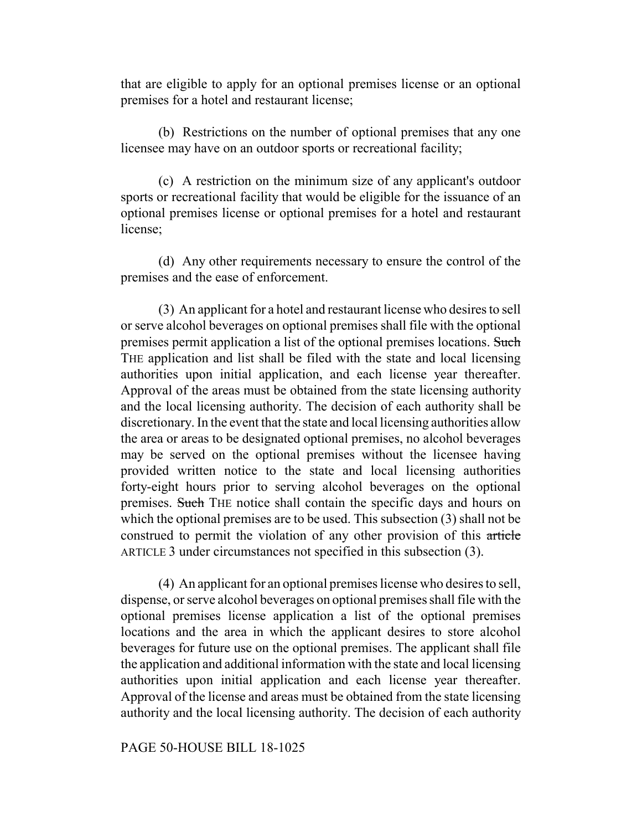that are eligible to apply for an optional premises license or an optional premises for a hotel and restaurant license;

(b) Restrictions on the number of optional premises that any one licensee may have on an outdoor sports or recreational facility;

(c) A restriction on the minimum size of any applicant's outdoor sports or recreational facility that would be eligible for the issuance of an optional premises license or optional premises for a hotel and restaurant license;

(d) Any other requirements necessary to ensure the control of the premises and the ease of enforcement.

(3) An applicant for a hotel and restaurant license who desires to sell or serve alcohol beverages on optional premises shall file with the optional premises permit application a list of the optional premises locations. Such THE application and list shall be filed with the state and local licensing authorities upon initial application, and each license year thereafter. Approval of the areas must be obtained from the state licensing authority and the local licensing authority. The decision of each authority shall be discretionary. In the event that the state and local licensing authorities allow the area or areas to be designated optional premises, no alcohol beverages may be served on the optional premises without the licensee having provided written notice to the state and local licensing authorities forty-eight hours prior to serving alcohol beverages on the optional premises. Such THE notice shall contain the specific days and hours on which the optional premises are to be used. This subsection (3) shall not be construed to permit the violation of any other provision of this article ARTICLE 3 under circumstances not specified in this subsection (3).

(4) An applicant for an optional premises license who desires to sell, dispense, or serve alcohol beverages on optional premises shall file with the optional premises license application a list of the optional premises locations and the area in which the applicant desires to store alcohol beverages for future use on the optional premises. The applicant shall file the application and additional information with the state and local licensing authorities upon initial application and each license year thereafter. Approval of the license and areas must be obtained from the state licensing authority and the local licensing authority. The decision of each authority

## PAGE 50-HOUSE BILL 18-1025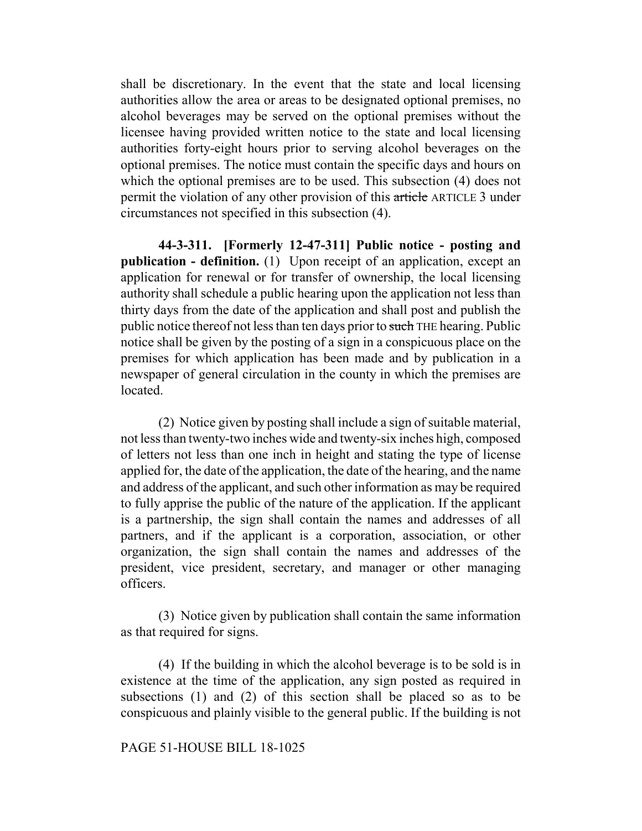shall be discretionary. In the event that the state and local licensing authorities allow the area or areas to be designated optional premises, no alcohol beverages may be served on the optional premises without the licensee having provided written notice to the state and local licensing authorities forty-eight hours prior to serving alcohol beverages on the optional premises. The notice must contain the specific days and hours on which the optional premises are to be used. This subsection (4) does not permit the violation of any other provision of this article ARTICLE 3 under circumstances not specified in this subsection (4).

**44-3-311. [Formerly 12-47-311] Public notice - posting and publication - definition.** (1) Upon receipt of an application, except an application for renewal or for transfer of ownership, the local licensing authority shall schedule a public hearing upon the application not less than thirty days from the date of the application and shall post and publish the public notice thereof not less than ten days prior to such THE hearing. Public notice shall be given by the posting of a sign in a conspicuous place on the premises for which application has been made and by publication in a newspaper of general circulation in the county in which the premises are located.

(2) Notice given by posting shall include a sign of suitable material, not less than twenty-two inches wide and twenty-six inches high, composed of letters not less than one inch in height and stating the type of license applied for, the date of the application, the date of the hearing, and the name and address of the applicant, and such other information as may be required to fully apprise the public of the nature of the application. If the applicant is a partnership, the sign shall contain the names and addresses of all partners, and if the applicant is a corporation, association, or other organization, the sign shall contain the names and addresses of the president, vice president, secretary, and manager or other managing officers.

(3) Notice given by publication shall contain the same information as that required for signs.

(4) If the building in which the alcohol beverage is to be sold is in existence at the time of the application, any sign posted as required in subsections (1) and (2) of this section shall be placed so as to be conspicuous and plainly visible to the general public. If the building is not

#### PAGE 51-HOUSE BILL 18-1025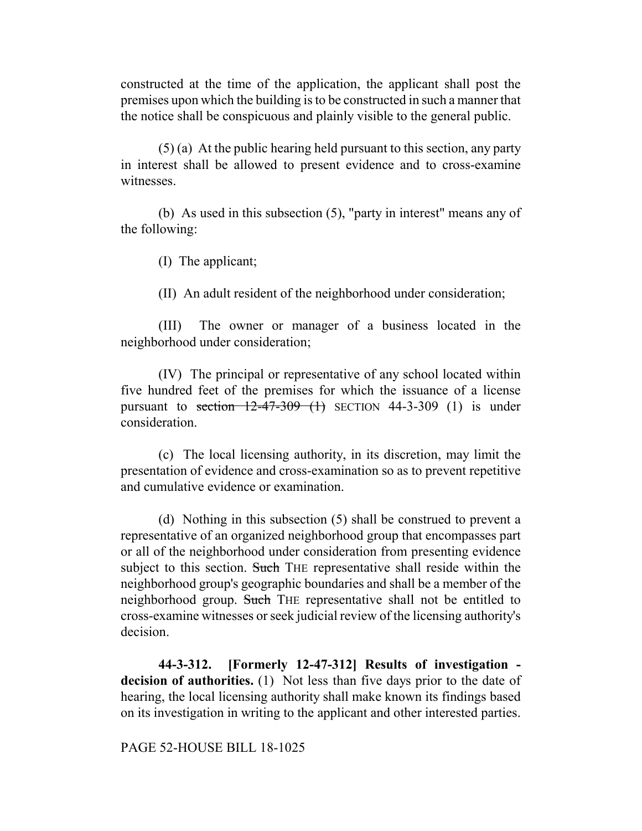constructed at the time of the application, the applicant shall post the premises upon which the building is to be constructed in such a manner that the notice shall be conspicuous and plainly visible to the general public.

(5) (a) At the public hearing held pursuant to this section, any party in interest shall be allowed to present evidence and to cross-examine witnesses.

(b) As used in this subsection (5), "party in interest" means any of the following:

(I) The applicant;

(II) An adult resident of the neighborhood under consideration;

(III) The owner or manager of a business located in the neighborhood under consideration;

(IV) The principal or representative of any school located within five hundred feet of the premises for which the issuance of a license pursuant to section  $12-47-309$  (1) SECTION 44-3-309 (1) is under consideration.

(c) The local licensing authority, in its discretion, may limit the presentation of evidence and cross-examination so as to prevent repetitive and cumulative evidence or examination.

(d) Nothing in this subsection (5) shall be construed to prevent a representative of an organized neighborhood group that encompasses part or all of the neighborhood under consideration from presenting evidence subject to this section. Such THE representative shall reside within the neighborhood group's geographic boundaries and shall be a member of the neighborhood group. Such THE representative shall not be entitled to cross-examine witnesses or seek judicial review of the licensing authority's decision.

**44-3-312. [Formerly 12-47-312] Results of investigation decision of authorities.** (1) Not less than five days prior to the date of hearing, the local licensing authority shall make known its findings based on its investigation in writing to the applicant and other interested parties.

PAGE 52-HOUSE BILL 18-1025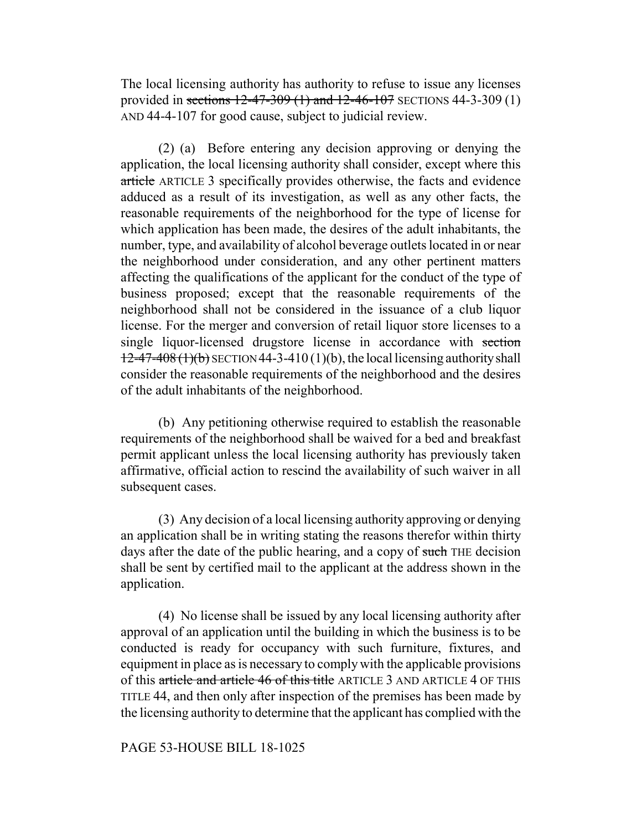The local licensing authority has authority to refuse to issue any licenses provided in sections 12-47-309 (1) and 12-46-107 SECTIONS 44-3-309 (1) AND 44-4-107 for good cause, subject to judicial review.

(2) (a) Before entering any decision approving or denying the application, the local licensing authority shall consider, except where this article ARTICLE 3 specifically provides otherwise, the facts and evidence adduced as a result of its investigation, as well as any other facts, the reasonable requirements of the neighborhood for the type of license for which application has been made, the desires of the adult inhabitants, the number, type, and availability of alcohol beverage outlets located in or near the neighborhood under consideration, and any other pertinent matters affecting the qualifications of the applicant for the conduct of the type of business proposed; except that the reasonable requirements of the neighborhood shall not be considered in the issuance of a club liquor license. For the merger and conversion of retail liquor store licenses to a single liquor-licensed drugstore license in accordance with section  $12-47-408(1)(b)$  SECTION 44-3-410 (1)(b), the local licensing authority shall consider the reasonable requirements of the neighborhood and the desires of the adult inhabitants of the neighborhood.

(b) Any petitioning otherwise required to establish the reasonable requirements of the neighborhood shall be waived for a bed and breakfast permit applicant unless the local licensing authority has previously taken affirmative, official action to rescind the availability of such waiver in all subsequent cases.

(3) Any decision of a local licensing authority approving or denying an application shall be in writing stating the reasons therefor within thirty days after the date of the public hearing, and a copy of such THE decision shall be sent by certified mail to the applicant at the address shown in the application.

(4) No license shall be issued by any local licensing authority after approval of an application until the building in which the business is to be conducted is ready for occupancy with such furniture, fixtures, and equipment in place as is necessary to comply with the applicable provisions of this article and article 46 of this title ARTICLE 3 AND ARTICLE 4 OF THIS TITLE 44, and then only after inspection of the premises has been made by the licensing authority to determine that the applicant has complied with the

### PAGE 53-HOUSE BILL 18-1025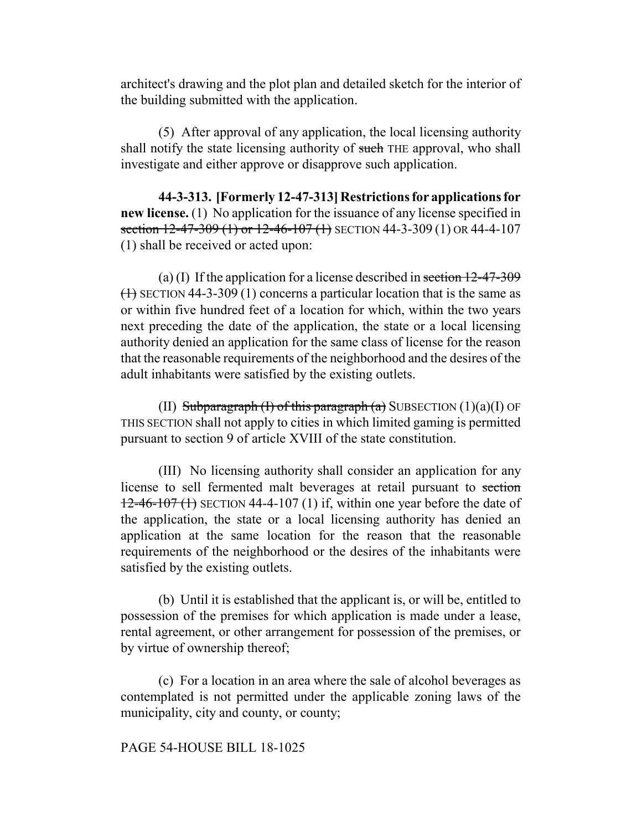architect's drawing and the plot plan and detailed sketch for the interior of the building submitted with the application.

(5) After approval of any application, the local licensing authority shall notify the state licensing authority of such THE approval, who shall investigate and either approve or disapprove such application.

**44-3-313. [Formerly 12-47-313] Restrictions for applications for new license.** (1) No application for the issuance of any license specified in section 12-47-309 (1) or 12-46-107 (1) SECTION 44-3-309 (1) OR 44-4-107 (1) shall be received or acted upon:

(a) (I) If the application for a license described in section 12-47-309  $(1)$  SECTION 44-3-309 (1) concerns a particular location that is the same as or within five hundred feet of a location for which, within the two years next preceding the date of the application, the state or a local licensing authority denied an application for the same class of license for the reason that the reasonable requirements of the neighborhood and the desires of the adult inhabitants were satisfied by the existing outlets.

(II) Subparagraph  $(I)$  of this paragraph  $(a)$  SUBSECTION  $(1)(a)(I)$  OF THIS SECTION shall not apply to cities in which limited gaming is permitted pursuant to section 9 of article XVIII of the state constitution.

(III) No licensing authority shall consider an application for any license to sell fermented malt beverages at retail pursuant to section  $12-46-107$  (1) SECTION 44-4-107 (1) if, within one year before the date of the application, the state or a local licensing authority has denied an application at the same location for the reason that the reasonable requirements of the neighborhood or the desires of the inhabitants were satisfied by the existing outlets.

(b) Until it is established that the applicant is, or will be, entitled to possession of the premises for which application is made under a lease, rental agreement, or other arrangement for possession of the premises, or by virtue of ownership thereof;

(c) For a location in an area where the sale of alcohol beverages as contemplated is not permitted under the applicable zoning laws of the municipality, city and county, or county;

# PAGE 54-HOUSE BILL 18-1025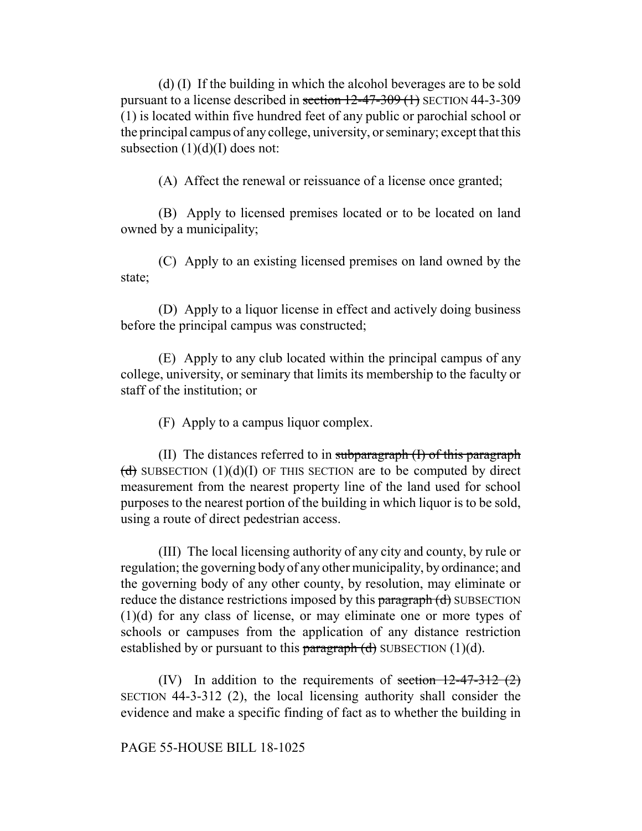(d) (I) If the building in which the alcohol beverages are to be sold pursuant to a license described in section 12-47-309 (1) SECTION 44-3-309 (1) is located within five hundred feet of any public or parochial school or the principal campus of any college, university, or seminary; except that this subsection  $(1)(d)(I)$  does not:

(A) Affect the renewal or reissuance of a license once granted;

(B) Apply to licensed premises located or to be located on land owned by a municipality;

(C) Apply to an existing licensed premises on land owned by the state;

(D) Apply to a liquor license in effect and actively doing business before the principal campus was constructed;

(E) Apply to any club located within the principal campus of any college, university, or seminary that limits its membership to the faculty or staff of the institution; or

(F) Apply to a campus liquor complex.

(II) The distances referred to in subparagraph  $(I)$  of this paragraph (d) SUBSECTION  $(1)(d)(I)$  OF THIS SECTION are to be computed by direct measurement from the nearest property line of the land used for school purposes to the nearest portion of the building in which liquor is to be sold, using a route of direct pedestrian access.

(III) The local licensing authority of any city and county, by rule or regulation; the governing body of any other municipality, by ordinance; and the governing body of any other county, by resolution, may eliminate or reduce the distance restrictions imposed by this paragraph (d) SUBSECTION (1)(d) for any class of license, or may eliminate one or more types of schools or campuses from the application of any distance restriction established by or pursuant to this  $\frac{\partial f}{\partial x}$  (d) SUBSECTION (1)(d).

(IV) In addition to the requirements of section  $12-47-312$  (2) SECTION 44-3-312 (2), the local licensing authority shall consider the evidence and make a specific finding of fact as to whether the building in

PAGE 55-HOUSE BILL 18-1025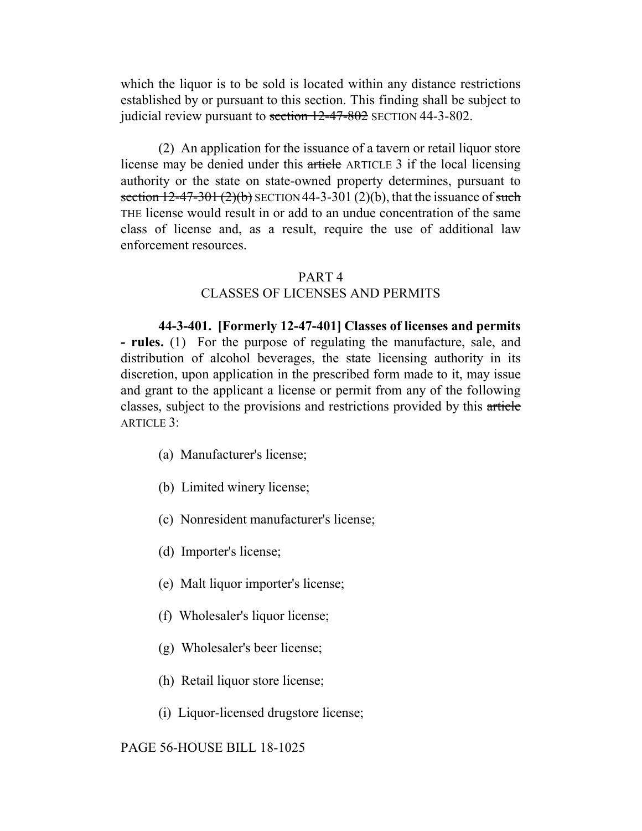which the liquor is to be sold is located within any distance restrictions established by or pursuant to this section. This finding shall be subject to judicial review pursuant to section 12-47-802 SECTION 44-3-802.

(2) An application for the issuance of a tavern or retail liquor store license may be denied under this article ARTICLE 3 if the local licensing authority or the state on state-owned property determines, pursuant to section  $12-47-301(2)(b)$  SECTION 44-3-301 (2)(b), that the issuance of such THE license would result in or add to an undue concentration of the same class of license and, as a result, require the use of additional law enforcement resources.

### PART 4

## CLASSES OF LICENSES AND PERMITS

**44-3-401. [Formerly 12-47-401] Classes of licenses and permits - rules.** (1) For the purpose of regulating the manufacture, sale, and distribution of alcohol beverages, the state licensing authority in its discretion, upon application in the prescribed form made to it, may issue and grant to the applicant a license or permit from any of the following classes, subject to the provisions and restrictions provided by this article ARTICLE 3:

- (a) Manufacturer's license;
- (b) Limited winery license;
- (c) Nonresident manufacturer's license;
- (d) Importer's license;
- (e) Malt liquor importer's license;
- (f) Wholesaler's liquor license;
- (g) Wholesaler's beer license;
- (h) Retail liquor store license;
- (i) Liquor-licensed drugstore license;

### PAGE 56-HOUSE BILL 18-1025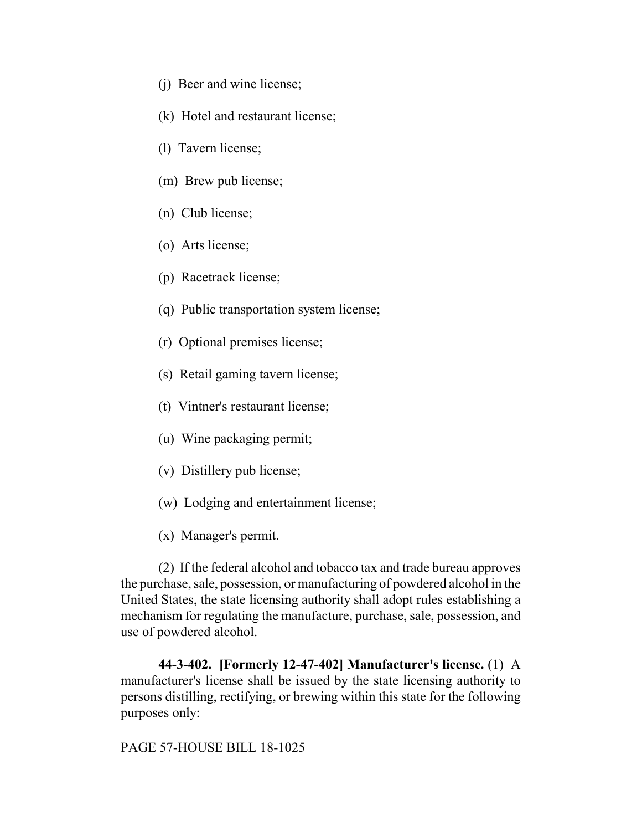- (j) Beer and wine license;
- (k) Hotel and restaurant license;
- (l) Tavern license;
- (m) Brew pub license;
- (n) Club license;
- (o) Arts license;
- (p) Racetrack license;
- (q) Public transportation system license;
- (r) Optional premises license;
- (s) Retail gaming tavern license;
- (t) Vintner's restaurant license;
- (u) Wine packaging permit;
- (v) Distillery pub license;
- (w) Lodging and entertainment license;
- (x) Manager's permit.

(2) If the federal alcohol and tobacco tax and trade bureau approves the purchase, sale, possession, or manufacturing of powdered alcohol in the United States, the state licensing authority shall adopt rules establishing a mechanism for regulating the manufacture, purchase, sale, possession, and use of powdered alcohol.

**44-3-402. [Formerly 12-47-402] Manufacturer's license.** (1) A manufacturer's license shall be issued by the state licensing authority to persons distilling, rectifying, or brewing within this state for the following purposes only:

PAGE 57-HOUSE BILL 18-1025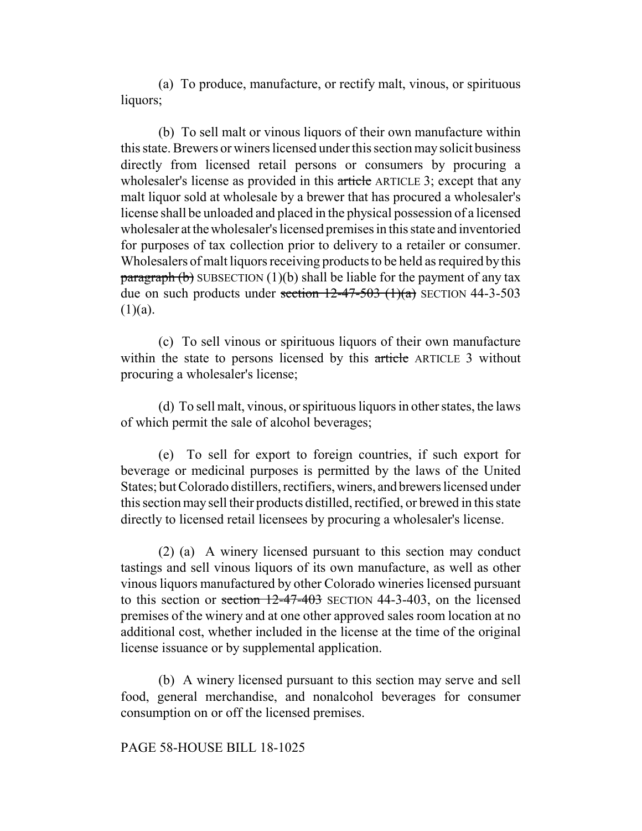(a) To produce, manufacture, or rectify malt, vinous, or spirituous liquors;

(b) To sell malt or vinous liquors of their own manufacture within this state. Brewers or winers licensed under this section may solicit business directly from licensed retail persons or consumers by procuring a wholesaler's license as provided in this article ARTICLE 3; except that any malt liquor sold at wholesale by a brewer that has procured a wholesaler's license shall be unloaded and placed in the physical possession of a licensed wholesaler at the wholesaler's licensed premises in this state and inventoried for purposes of tax collection prior to delivery to a retailer or consumer. Wholesalers of malt liquors receiving products to be held as required by this  $\frac{\text{pargraph}}{\text{b}}$  SUBSECTION (1)(b) shall be liable for the payment of any tax due on such products under section  $12-47-503$  (1)(a) SECTION 44-3-503  $(1)(a)$ .

(c) To sell vinous or spirituous liquors of their own manufacture within the state to persons licensed by this article ARTICLE 3 without procuring a wholesaler's license;

(d) To sell malt, vinous, or spirituous liquors in other states, the laws of which permit the sale of alcohol beverages;

(e) To sell for export to foreign countries, if such export for beverage or medicinal purposes is permitted by the laws of the United States; but Colorado distillers, rectifiers, winers, and brewers licensed under this section may sell their products distilled, rectified, or brewed in this state directly to licensed retail licensees by procuring a wholesaler's license.

(2) (a) A winery licensed pursuant to this section may conduct tastings and sell vinous liquors of its own manufacture, as well as other vinous liquors manufactured by other Colorado wineries licensed pursuant to this section or section 12-47-403 SECTION 44-3-403, on the licensed premises of the winery and at one other approved sales room location at no additional cost, whether included in the license at the time of the original license issuance or by supplemental application.

(b) A winery licensed pursuant to this section may serve and sell food, general merchandise, and nonalcohol beverages for consumer consumption on or off the licensed premises.

### PAGE 58-HOUSE BILL 18-1025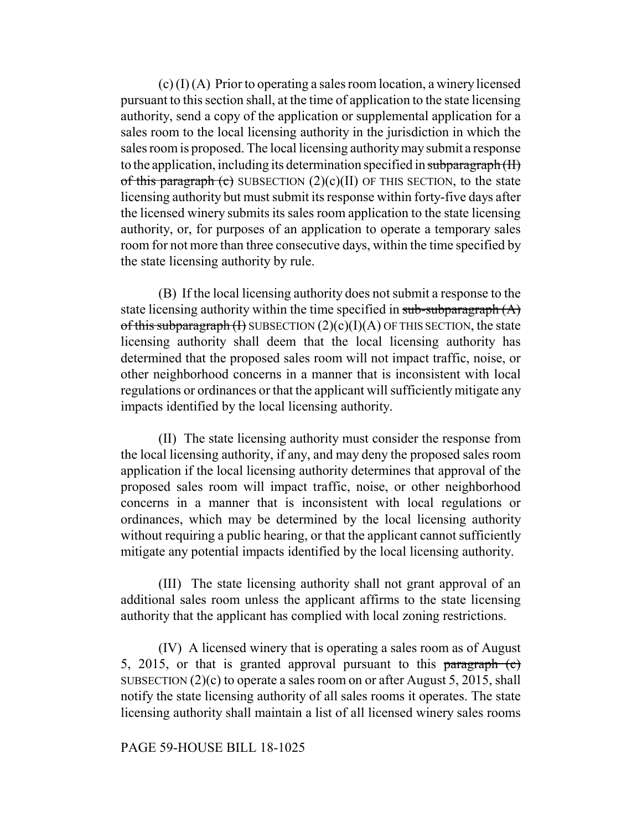$(c)$  (I) (A) Prior to operating a sales room location, a winery licensed pursuant to this section shall, at the time of application to the state licensing authority, send a copy of the application or supplemental application for a sales room to the local licensing authority in the jurisdiction in which the sales room is proposed. The local licensing authority may submit a response to the application, including its determination specified in subparagraph (II) of this paragraph (c) SUBSECTION  $(2)(c)(II)$  OF THIS SECTION, to the state licensing authority but must submit its response within forty-five days after the licensed winery submits its sales room application to the state licensing authority, or, for purposes of an application to operate a temporary sales room for not more than three consecutive days, within the time specified by the state licensing authority by rule.

(B) If the local licensing authority does not submit a response to the state licensing authority within the time specified in  $sub-subgraph(A)$ of this subparagraph  $(H)$  SUBSECTION  $(2)(c)(I)(A)$  OF THIS SECTION, the state licensing authority shall deem that the local licensing authority has determined that the proposed sales room will not impact traffic, noise, or other neighborhood concerns in a manner that is inconsistent with local regulations or ordinances or that the applicant will sufficiently mitigate any impacts identified by the local licensing authority.

(II) The state licensing authority must consider the response from the local licensing authority, if any, and may deny the proposed sales room application if the local licensing authority determines that approval of the proposed sales room will impact traffic, noise, or other neighborhood concerns in a manner that is inconsistent with local regulations or ordinances, which may be determined by the local licensing authority without requiring a public hearing, or that the applicant cannot sufficiently mitigate any potential impacts identified by the local licensing authority.

(III) The state licensing authority shall not grant approval of an additional sales room unless the applicant affirms to the state licensing authority that the applicant has complied with local zoning restrictions.

(IV) A licensed winery that is operating a sales room as of August 5, 2015, or that is granted approval pursuant to this  $\frac{\text{paramal}}{\text{paramal}}(c)$ SUBSECTION (2)(c) to operate a sales room on or after August 5, 2015, shall notify the state licensing authority of all sales rooms it operates. The state licensing authority shall maintain a list of all licensed winery sales rooms

#### PAGE 59-HOUSE BILL 18-1025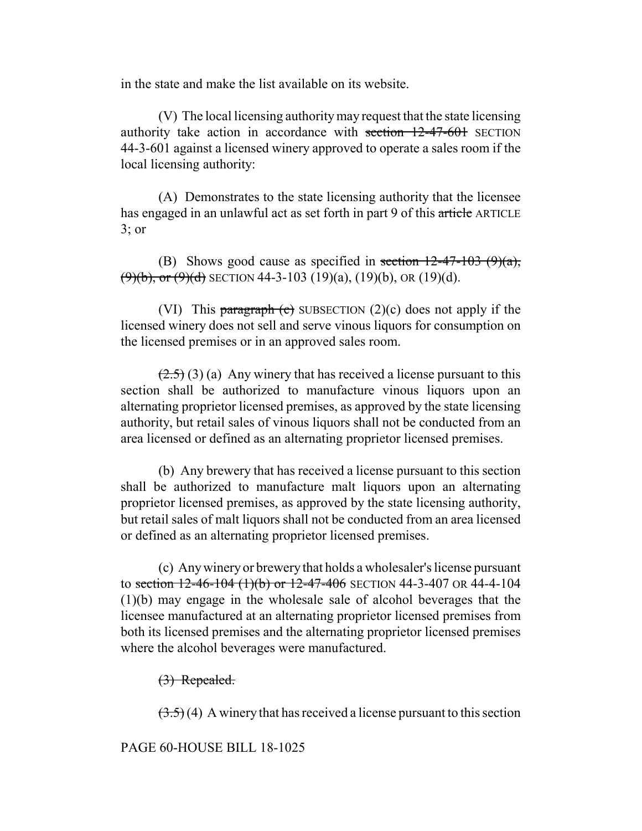in the state and make the list available on its website.

(V) The local licensing authority may request that the state licensing authority take action in accordance with section 12-47-601 SECTION 44-3-601 against a licensed winery approved to operate a sales room if the local licensing authority:

(A) Demonstrates to the state licensing authority that the licensee has engaged in an unlawful act as set forth in part 9 of this article ARTICLE 3; or

(B) Shows good cause as specified in section  $12-47-103$  (9)(a),  $(9)(b)$ , or  $(9)(d)$  SECTION 44-3-103 (19)(a), (19)(b), OR (19)(d).

(VI) This paragraph  $\left(\text{c}\right)$  SUBSECTION (2)(c) does not apply if the licensed winery does not sell and serve vinous liquors for consumption on the licensed premises or in an approved sales room.

 $(2.5)$  (3) (a) Any winery that has received a license pursuant to this section shall be authorized to manufacture vinous liquors upon an alternating proprietor licensed premises, as approved by the state licensing authority, but retail sales of vinous liquors shall not be conducted from an area licensed or defined as an alternating proprietor licensed premises.

(b) Any brewery that has received a license pursuant to this section shall be authorized to manufacture malt liquors upon an alternating proprietor licensed premises, as approved by the state licensing authority, but retail sales of malt liquors shall not be conducted from an area licensed or defined as an alternating proprietor licensed premises.

(c) Any winery or brewery that holds a wholesaler's license pursuant to section  $12-46-104$  (1)(b) or  $12-47-406$  SECTION 44-3-407 OR 44-4-104 (1)(b) may engage in the wholesale sale of alcohol beverages that the licensee manufactured at an alternating proprietor licensed premises from both its licensed premises and the alternating proprietor licensed premises where the alcohol beverages were manufactured.

(3) Repealed.

 $(3.5)(4)$  A winery that has received a license pursuant to this section

PAGE 60-HOUSE BILL 18-1025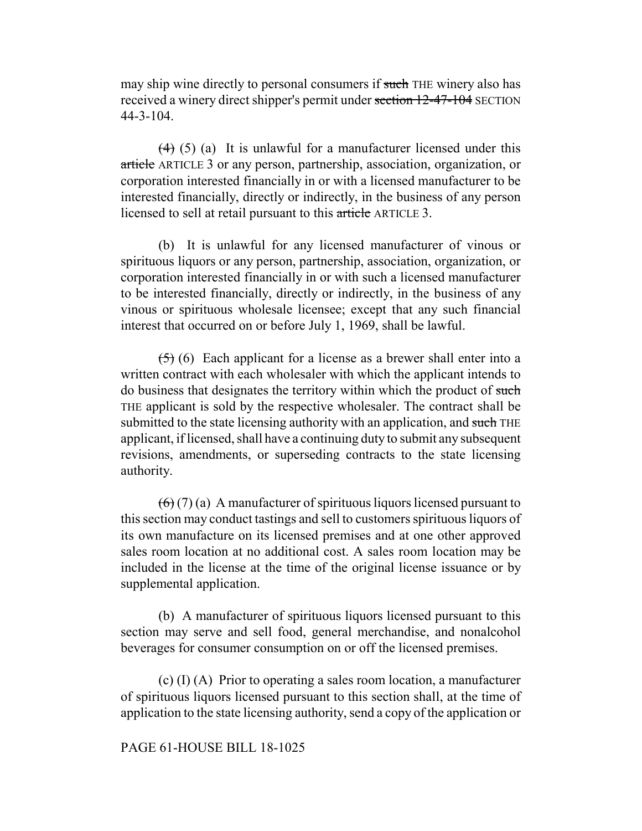may ship wine directly to personal consumers if such THE winery also has received a winery direct shipper's permit under section 12-47-104 SECTION 44-3-104.

 $(4)$  (5) (a) It is unlawful for a manufacturer licensed under this article ARTICLE 3 or any person, partnership, association, organization, or corporation interested financially in or with a licensed manufacturer to be interested financially, directly or indirectly, in the business of any person licensed to sell at retail pursuant to this article ARTICLE 3.

(b) It is unlawful for any licensed manufacturer of vinous or spirituous liquors or any person, partnership, association, organization, or corporation interested financially in or with such a licensed manufacturer to be interested financially, directly or indirectly, in the business of any vinous or spirituous wholesale licensee; except that any such financial interest that occurred on or before July 1, 1969, shall be lawful.

 $(5)$  (6) Each applicant for a license as a brewer shall enter into a written contract with each wholesaler with which the applicant intends to do business that designates the territory within which the product of such THE applicant is sold by the respective wholesaler. The contract shall be submitted to the state licensing authority with an application, and such THE applicant, if licensed, shall have a continuing duty to submit any subsequent revisions, amendments, or superseding contracts to the state licensing authority.

 $(6)(7)(a)$  A manufacturer of spirituous liquors licensed pursuant to this section may conduct tastings and sell to customers spirituous liquors of its own manufacture on its licensed premises and at one other approved sales room location at no additional cost. A sales room location may be included in the license at the time of the original license issuance or by supplemental application.

(b) A manufacturer of spirituous liquors licensed pursuant to this section may serve and sell food, general merchandise, and nonalcohol beverages for consumer consumption on or off the licensed premises.

(c) (I) (A) Prior to operating a sales room location, a manufacturer of spirituous liquors licensed pursuant to this section shall, at the time of application to the state licensing authority, send a copy of the application or

## PAGE 61-HOUSE BILL 18-1025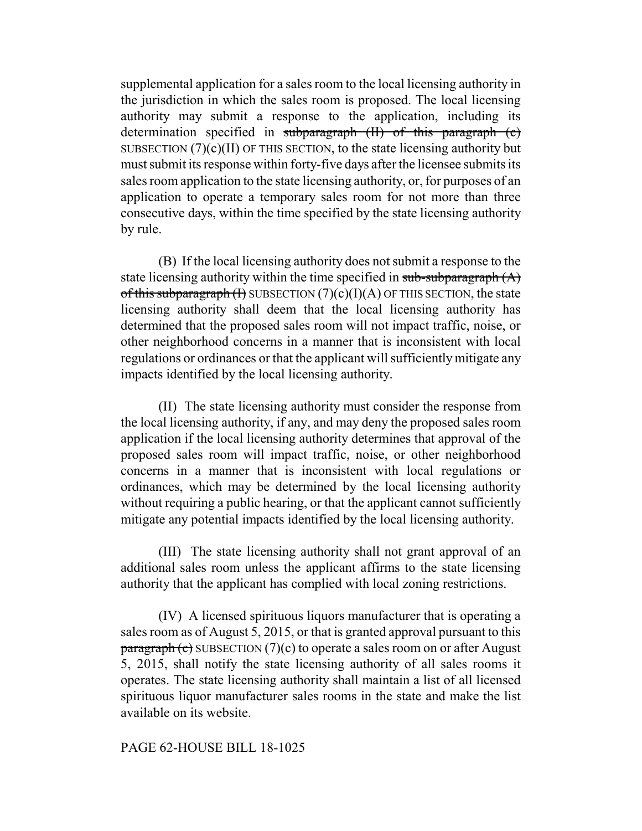supplemental application for a sales room to the local licensing authority in the jurisdiction in which the sales room is proposed. The local licensing authority may submit a response to the application, including its determination specified in subparagraph (II) of this paragraph (c) SUBSECTION  $(7)(c)(II)$  OF THIS SECTION, to the state licensing authority but must submit its response within forty-five days after the licensee submits its sales room application to the state licensing authority, or, for purposes of an application to operate a temporary sales room for not more than three consecutive days, within the time specified by the state licensing authority by rule.

(B) If the local licensing authority does not submit a response to the state licensing authority within the time specified in  $sub-subgraph(A)$ of this subparagraph  $(H)$  SUBSECTION  $(7)(c)(I)(A)$  OF THIS SECTION, the state licensing authority shall deem that the local licensing authority has determined that the proposed sales room will not impact traffic, noise, or other neighborhood concerns in a manner that is inconsistent with local regulations or ordinances or that the applicant will sufficiently mitigate any impacts identified by the local licensing authority.

(II) The state licensing authority must consider the response from the local licensing authority, if any, and may deny the proposed sales room application if the local licensing authority determines that approval of the proposed sales room will impact traffic, noise, or other neighborhood concerns in a manner that is inconsistent with local regulations or ordinances, which may be determined by the local licensing authority without requiring a public hearing, or that the applicant cannot sufficiently mitigate any potential impacts identified by the local licensing authority.

(III) The state licensing authority shall not grant approval of an additional sales room unless the applicant affirms to the state licensing authority that the applicant has complied with local zoning restrictions.

(IV) A licensed spirituous liquors manufacturer that is operating a sales room as of August 5, 2015, or that is granted approval pursuant to this  $\frac{\text{parameter}}{\text{c}}$  SUBSECTION (7)(c) to operate a sales room on or after August 5, 2015, shall notify the state licensing authority of all sales rooms it operates. The state licensing authority shall maintain a list of all licensed spirituous liquor manufacturer sales rooms in the state and make the list available on its website.

### PAGE 62-HOUSE BILL 18-1025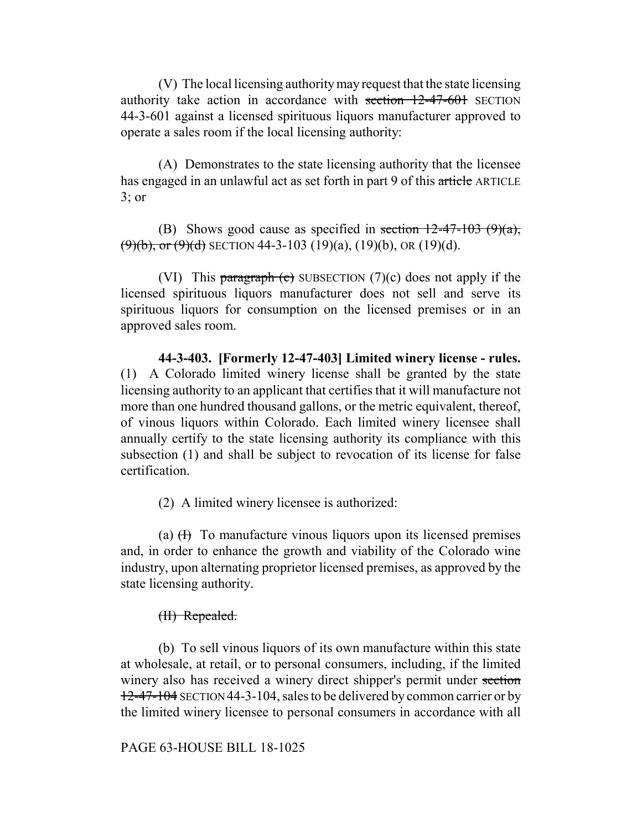(V) The local licensing authority may request that the state licensing authority take action in accordance with section 12-47-601 SECTION 44-3-601 against a licensed spirituous liquors manufacturer approved to operate a sales room if the local licensing authority:

(A) Demonstrates to the state licensing authority that the licensee has engaged in an unlawful act as set forth in part 9 of this article ARTICLE 3; or

(B) Shows good cause as specified in section  $12-47-103$  (9)(a),  $(9)(b)$ , or  $(9)(d)$  SECTION 44-3-103 (19)(a), (19)(b), OR (19)(d).

(VI) This paragraph  $(e)$  SUBSECTION  $(7)(c)$  does not apply if the licensed spirituous liquors manufacturer does not sell and serve its spirituous liquors for consumption on the licensed premises or in an approved sales room.

**44-3-403. [Formerly 12-47-403] Limited winery license - rules.** (1) A Colorado limited winery license shall be granted by the state licensing authority to an applicant that certifies that it will manufacture not more than one hundred thousand gallons, or the metric equivalent, thereof, of vinous liquors within Colorado. Each limited winery licensee shall annually certify to the state licensing authority its compliance with this subsection (1) and shall be subject to revocation of its license for false certification.

(2) A limited winery licensee is authorized:

(a)  $(H)$  To manufacture vinous liquors upon its licensed premises and, in order to enhance the growth and viability of the Colorado wine industry, upon alternating proprietor licensed premises, as approved by the state licensing authority.

# (II) Repealed.

(b) To sell vinous liquors of its own manufacture within this state at wholesale, at retail, or to personal consumers, including, if the limited winery also has received a winery direct shipper's permit under section 12-47-104 SECTION 44-3-104, sales to be delivered by common carrier or by the limited winery licensee to personal consumers in accordance with all

### PAGE 63-HOUSE BILL 18-1025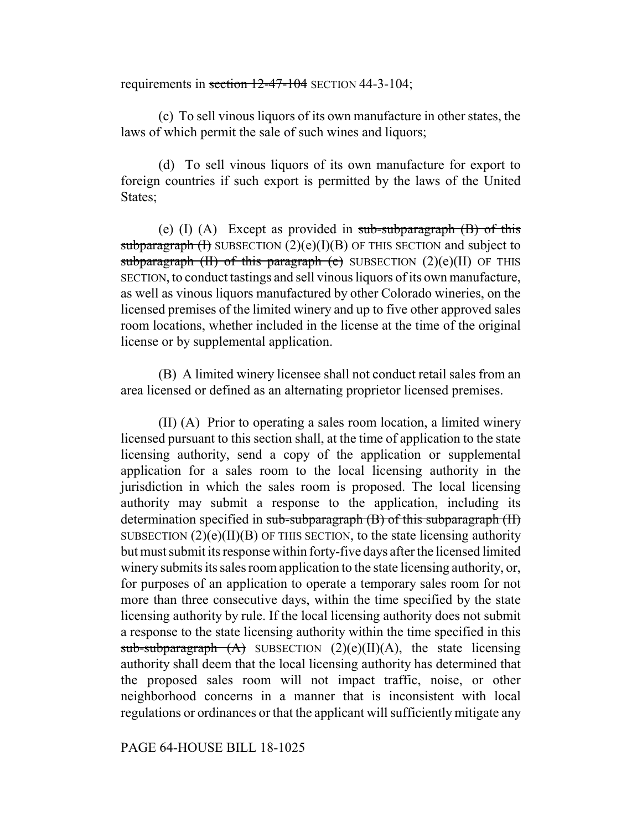requirements in section 12-47-104 SECTION 44-3-104;

(c) To sell vinous liquors of its own manufacture in other states, the laws of which permit the sale of such wines and liquors;

(d) To sell vinous liquors of its own manufacture for export to foreign countries if such export is permitted by the laws of the United States;

(e) (I) (A) Except as provided in  $sub-subparagnah$  (B) of this subparagraph  $(H)$  SUBSECTION  $(2)(e)(I)(B)$  OF THIS SECTION and subject to subparagraph (II) of this paragraph (e) SUBSECTION  $(2)(e)(II)$  OF THIS SECTION, to conduct tastings and sell vinous liquors of its own manufacture, as well as vinous liquors manufactured by other Colorado wineries, on the licensed premises of the limited winery and up to five other approved sales room locations, whether included in the license at the time of the original license or by supplemental application.

(B) A limited winery licensee shall not conduct retail sales from an area licensed or defined as an alternating proprietor licensed premises.

(II) (A) Prior to operating a sales room location, a limited winery licensed pursuant to this section shall, at the time of application to the state licensing authority, send a copy of the application or supplemental application for a sales room to the local licensing authority in the jurisdiction in which the sales room is proposed. The local licensing authority may submit a response to the application, including its determination specified in sub-subparagraph (B) of this subparagraph (II) SUBSECTION  $(2)(e)(II)(B)$  OF THIS SECTION, to the state licensing authority but must submit its response within forty-five days after the licensed limited winery submits its sales room application to the state licensing authority, or, for purposes of an application to operate a temporary sales room for not more than three consecutive days, within the time specified by the state licensing authority by rule. If the local licensing authority does not submit a response to the state licensing authority within the time specified in this sub-subparagraph  $(A)$  SUBSECTION  $(2)(e)(II)(A)$ , the state licensing authority shall deem that the local licensing authority has determined that the proposed sales room will not impact traffic, noise, or other neighborhood concerns in a manner that is inconsistent with local regulations or ordinances or that the applicant will sufficiently mitigate any

PAGE 64-HOUSE BILL 18-1025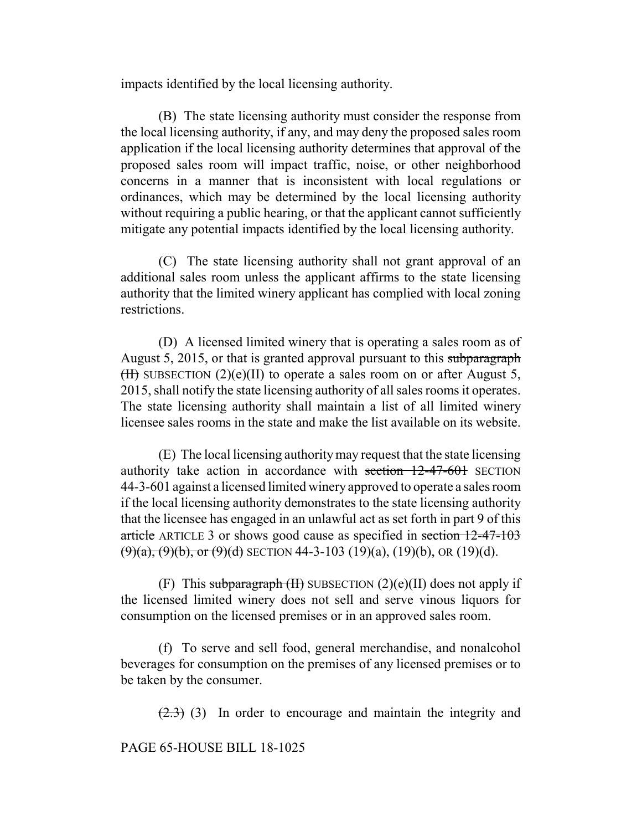impacts identified by the local licensing authority.

(B) The state licensing authority must consider the response from the local licensing authority, if any, and may deny the proposed sales room application if the local licensing authority determines that approval of the proposed sales room will impact traffic, noise, or other neighborhood concerns in a manner that is inconsistent with local regulations or ordinances, which may be determined by the local licensing authority without requiring a public hearing, or that the applicant cannot sufficiently mitigate any potential impacts identified by the local licensing authority.

(C) The state licensing authority shall not grant approval of an additional sales room unless the applicant affirms to the state licensing authority that the limited winery applicant has complied with local zoning restrictions.

(D) A licensed limited winery that is operating a sales room as of August 5, 2015, or that is granted approval pursuant to this subparagraph  $(H)$  SUBSECTION (2)(e)(II) to operate a sales room on or after August 5, 2015, shall notify the state licensing authority of all sales rooms it operates. The state licensing authority shall maintain a list of all limited winery licensee sales rooms in the state and make the list available on its website.

(E) The local licensing authority may request that the state licensing authority take action in accordance with section 12-47-601 SECTION 44-3-601 against a licensed limited winery approved to operate a sales room if the local licensing authority demonstrates to the state licensing authority that the licensee has engaged in an unlawful act as set forth in part 9 of this article ARTICLE 3 or shows good cause as specified in section 12-47-103  $(9)(a)$ ,  $(9)(b)$ , or  $(9)(d)$  SECTION 44-3-103 (19)(a), (19)(b), OR (19)(d).

(F) This subparagraph  $(H)$  SUBSECTION  $(2)(e)(II)$  does not apply if the licensed limited winery does not sell and serve vinous liquors for consumption on the licensed premises or in an approved sales room.

(f) To serve and sell food, general merchandise, and nonalcohol beverages for consumption on the premises of any licensed premises or to be taken by the consumer.

 $(2.3)$  (3) In order to encourage and maintain the integrity and

PAGE 65-HOUSE BILL 18-1025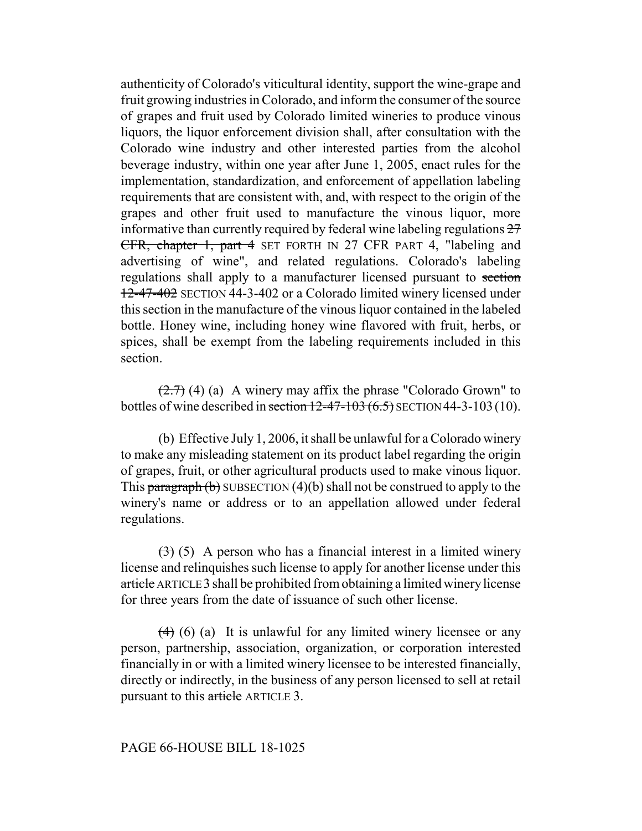authenticity of Colorado's viticultural identity, support the wine-grape and fruit growing industries in Colorado, and inform the consumer of the source of grapes and fruit used by Colorado limited wineries to produce vinous liquors, the liquor enforcement division shall, after consultation with the Colorado wine industry and other interested parties from the alcohol beverage industry, within one year after June 1, 2005, enact rules for the implementation, standardization, and enforcement of appellation labeling requirements that are consistent with, and, with respect to the origin of the grapes and other fruit used to manufacture the vinous liquor, more informative than currently required by federal wine labeling regulations  $27$ CFR, chapter 1, part 4 SET FORTH IN 27 CFR PART 4, "labeling and advertising of wine", and related regulations. Colorado's labeling regulations shall apply to a manufacturer licensed pursuant to section 12-47-402 SECTION 44-3-402 or a Colorado limited winery licensed under this section in the manufacture of the vinous liquor contained in the labeled bottle. Honey wine, including honey wine flavored with fruit, herbs, or spices, shall be exempt from the labeling requirements included in this section.

 $(2.7)$  (4) (a) A winery may affix the phrase "Colorado Grown" to bottles of wine described in section  $12-47-103(6.5)$  SECTION 44-3-103 (10).

(b) Effective July 1, 2006, it shall be unlawful for a Colorado winery to make any misleading statement on its product label regarding the origin of grapes, fruit, or other agricultural products used to make vinous liquor. This paragraph  $(b)$  SUBSECTION  $(4)(b)$  shall not be construed to apply to the winery's name or address or to an appellation allowed under federal regulations.

 $(3)$  (5) A person who has a financial interest in a limited winery license and relinquishes such license to apply for another license under this article ARTICLE 3 shall be prohibited from obtaining a limited winery license for three years from the date of issuance of such other license.

 $(4)$  (6) (a) It is unlawful for any limited winery licensee or any person, partnership, association, organization, or corporation interested financially in or with a limited winery licensee to be interested financially, directly or indirectly, in the business of any person licensed to sell at retail pursuant to this article ARTICLE 3.

# PAGE 66-HOUSE BILL 18-1025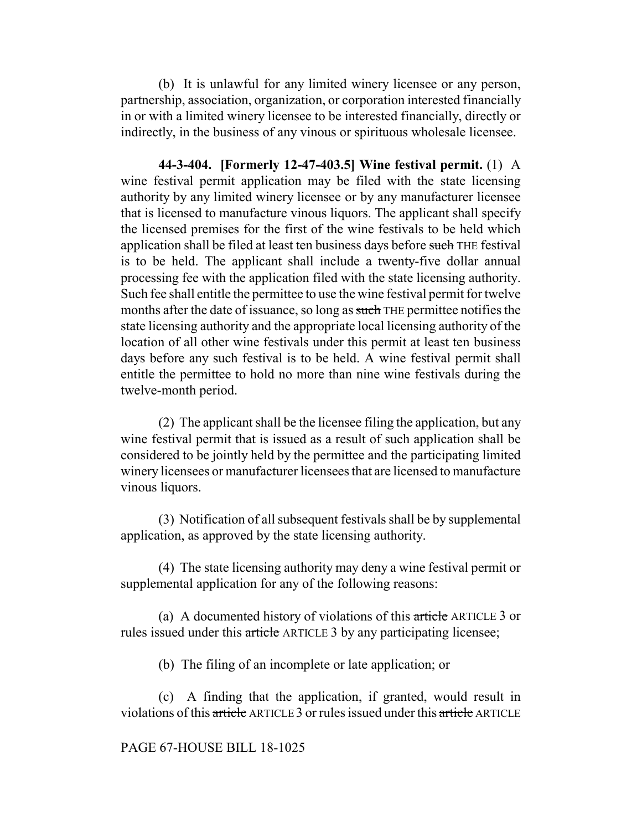(b) It is unlawful for any limited winery licensee or any person, partnership, association, organization, or corporation interested financially in or with a limited winery licensee to be interested financially, directly or indirectly, in the business of any vinous or spirituous wholesale licensee.

**44-3-404. [Formerly 12-47-403.5] Wine festival permit.** (1) A wine festival permit application may be filed with the state licensing authority by any limited winery licensee or by any manufacturer licensee that is licensed to manufacture vinous liquors. The applicant shall specify the licensed premises for the first of the wine festivals to be held which application shall be filed at least ten business days before such THE festival is to be held. The applicant shall include a twenty-five dollar annual processing fee with the application filed with the state licensing authority. Such fee shall entitle the permittee to use the wine festival permit for twelve months after the date of issuance, so long as such THE permittee notifies the state licensing authority and the appropriate local licensing authority of the location of all other wine festivals under this permit at least ten business days before any such festival is to be held. A wine festival permit shall entitle the permittee to hold no more than nine wine festivals during the twelve-month period.

(2) The applicant shall be the licensee filing the application, but any wine festival permit that is issued as a result of such application shall be considered to be jointly held by the permittee and the participating limited winery licensees or manufacturer licensees that are licensed to manufacture vinous liquors.

(3) Notification of all subsequent festivals shall be by supplemental application, as approved by the state licensing authority.

(4) The state licensing authority may deny a wine festival permit or supplemental application for any of the following reasons:

(a) A documented history of violations of this article ARTICLE 3 or rules issued under this article ARTICLE 3 by any participating licensee;

(b) The filing of an incomplete or late application; or

(c) A finding that the application, if granted, would result in violations of this article ARTICLE 3 or rules issued under this article ARTICLE

#### PAGE 67-HOUSE BILL 18-1025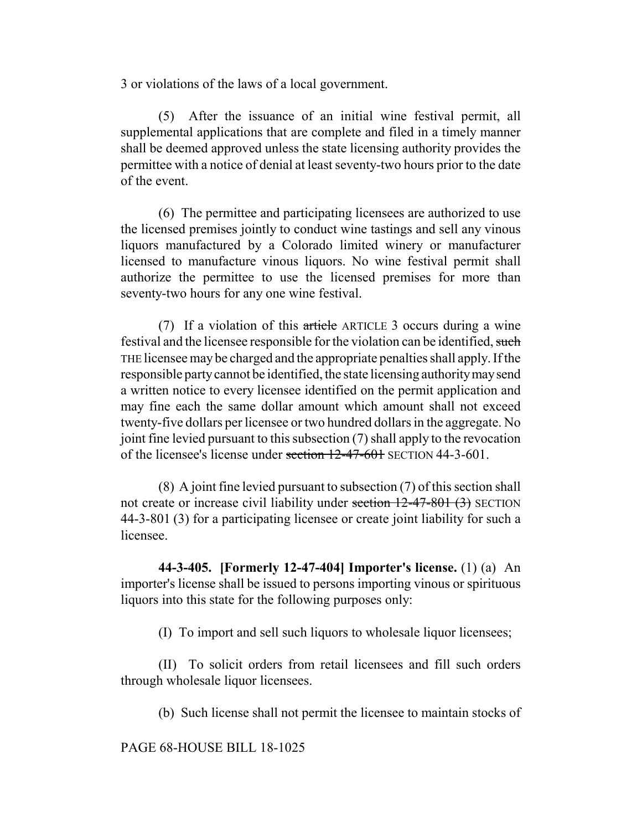3 or violations of the laws of a local government.

(5) After the issuance of an initial wine festival permit, all supplemental applications that are complete and filed in a timely manner shall be deemed approved unless the state licensing authority provides the permittee with a notice of denial at least seventy-two hours prior to the date of the event.

(6) The permittee and participating licensees are authorized to use the licensed premises jointly to conduct wine tastings and sell any vinous liquors manufactured by a Colorado limited winery or manufacturer licensed to manufacture vinous liquors. No wine festival permit shall authorize the permittee to use the licensed premises for more than seventy-two hours for any one wine festival.

(7) If a violation of this article ARTICLE 3 occurs during a wine festival and the licensee responsible for the violation can be identified, such THE licensee may be charged and the appropriate penalties shall apply. If the responsible party cannot be identified, the state licensing authority may send a written notice to every licensee identified on the permit application and may fine each the same dollar amount which amount shall not exceed twenty-five dollars per licensee or two hundred dollars in the aggregate. No joint fine levied pursuant to this subsection (7) shall apply to the revocation of the licensee's license under section 12-47-601 SECTION 44-3-601.

(8) A joint fine levied pursuant to subsection (7) of this section shall not create or increase civil liability under section 12-47-801 (3) SECTION 44-3-801 (3) for a participating licensee or create joint liability for such a licensee.

**44-3-405. [Formerly 12-47-404] Importer's license.** (1) (a) An importer's license shall be issued to persons importing vinous or spirituous liquors into this state for the following purposes only:

(I) To import and sell such liquors to wholesale liquor licensees;

(II) To solicit orders from retail licensees and fill such orders through wholesale liquor licensees.

(b) Such license shall not permit the licensee to maintain stocks of

PAGE 68-HOUSE BILL 18-1025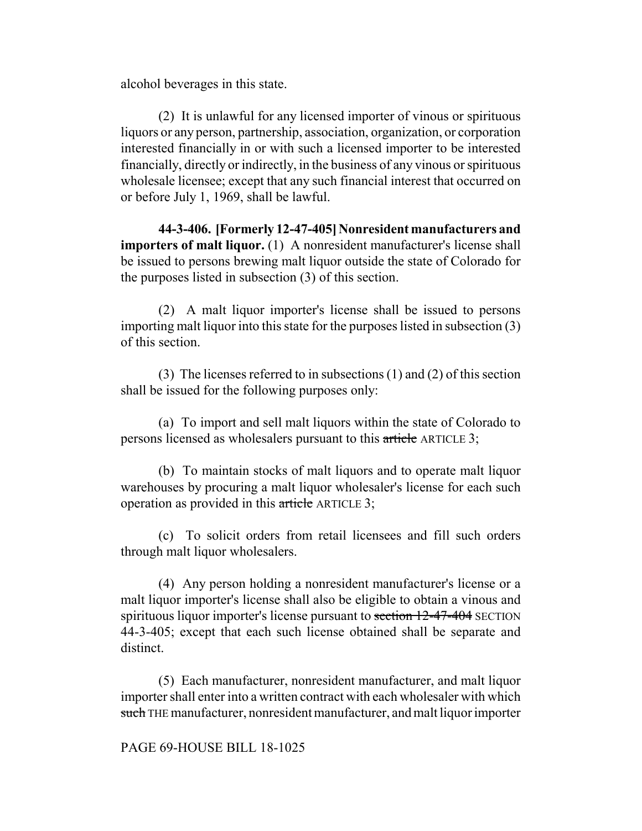alcohol beverages in this state.

(2) It is unlawful for any licensed importer of vinous or spirituous liquors or any person, partnership, association, organization, or corporation interested financially in or with such a licensed importer to be interested financially, directly or indirectly, in the business of any vinous or spirituous wholesale licensee; except that any such financial interest that occurred on or before July 1, 1969, shall be lawful.

**44-3-406. [Formerly 12-47-405] Nonresident manufacturers and importers of malt liquor.** (1) A nonresident manufacturer's license shall be issued to persons brewing malt liquor outside the state of Colorado for the purposes listed in subsection (3) of this section.

(2) A malt liquor importer's license shall be issued to persons importing malt liquor into this state for the purposes listed in subsection (3) of this section.

(3) The licenses referred to in subsections (1) and (2) of this section shall be issued for the following purposes only:

(a) To import and sell malt liquors within the state of Colorado to persons licensed as wholesalers pursuant to this article ARTICLE 3;

(b) To maintain stocks of malt liquors and to operate malt liquor warehouses by procuring a malt liquor wholesaler's license for each such operation as provided in this article ARTICLE 3;

(c) To solicit orders from retail licensees and fill such orders through malt liquor wholesalers.

(4) Any person holding a nonresident manufacturer's license or a malt liquor importer's license shall also be eligible to obtain a vinous and spirituous liquor importer's license pursuant to section 12-47-404 SECTION 44-3-405; except that each such license obtained shall be separate and distinct.

(5) Each manufacturer, nonresident manufacturer, and malt liquor importer shall enter into a written contract with each wholesaler with which such THE manufacturer, nonresident manufacturer, and malt liquor importer

### PAGE 69-HOUSE BILL 18-1025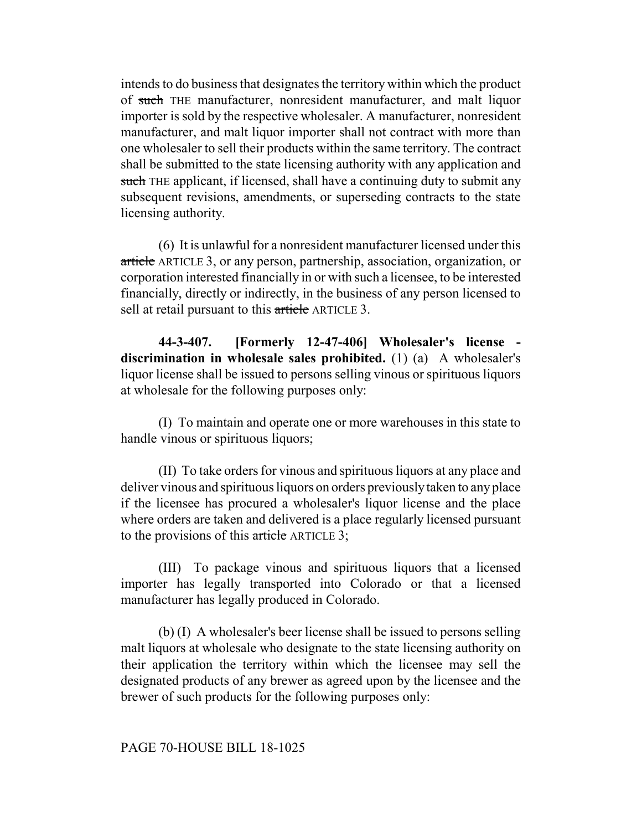intends to do business that designates the territory within which the product of such THE manufacturer, nonresident manufacturer, and malt liquor importer is sold by the respective wholesaler. A manufacturer, nonresident manufacturer, and malt liquor importer shall not contract with more than one wholesaler to sell their products within the same territory. The contract shall be submitted to the state licensing authority with any application and such THE applicant, if licensed, shall have a continuing duty to submit any subsequent revisions, amendments, or superseding contracts to the state licensing authority.

(6) It is unlawful for a nonresident manufacturer licensed under this article ARTICLE 3, or any person, partnership, association, organization, or corporation interested financially in or with such a licensee, to be interested financially, directly or indirectly, in the business of any person licensed to sell at retail pursuant to this article ARTICLE 3.

**44-3-407. [Formerly 12-47-406] Wholesaler's license discrimination in wholesale sales prohibited.** (1) (a) A wholesaler's liquor license shall be issued to persons selling vinous or spirituous liquors at wholesale for the following purposes only:

(I) To maintain and operate one or more warehouses in this state to handle vinous or spirituous liquors;

(II) To take orders for vinous and spirituous liquors at any place and deliver vinous and spirituous liquors on orders previously taken to any place if the licensee has procured a wholesaler's liquor license and the place where orders are taken and delivered is a place regularly licensed pursuant to the provisions of this article ARTICLE 3;

(III) To package vinous and spirituous liquors that a licensed importer has legally transported into Colorado or that a licensed manufacturer has legally produced in Colorado.

(b) (I) A wholesaler's beer license shall be issued to persons selling malt liquors at wholesale who designate to the state licensing authority on their application the territory within which the licensee may sell the designated products of any brewer as agreed upon by the licensee and the brewer of such products for the following purposes only:

#### PAGE 70-HOUSE BILL 18-1025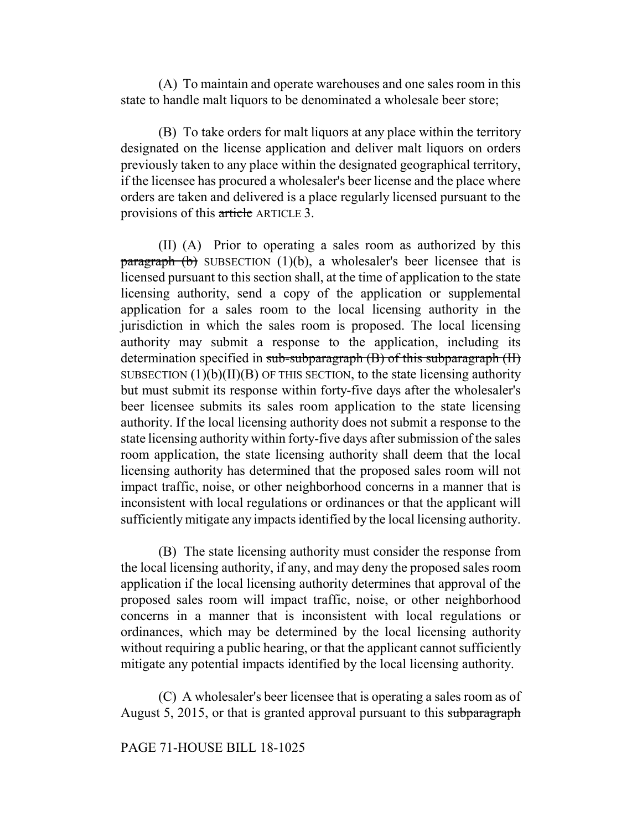(A) To maintain and operate warehouses and one sales room in this state to handle malt liquors to be denominated a wholesale beer store;

(B) To take orders for malt liquors at any place within the territory designated on the license application and deliver malt liquors on orders previously taken to any place within the designated geographical territory, if the licensee has procured a wholesaler's beer license and the place where orders are taken and delivered is a place regularly licensed pursuant to the provisions of this article ARTICLE 3.

(II) (A) Prior to operating a sales room as authorized by this  $\frac{\text{parameter}}{\text{equation}}$  (b) SUBSECTION (1)(b), a wholesaler's beer licensee that is licensed pursuant to this section shall, at the time of application to the state licensing authority, send a copy of the application or supplemental application for a sales room to the local licensing authority in the jurisdiction in which the sales room is proposed. The local licensing authority may submit a response to the application, including its determination specified in sub-subparagraph (B) of this subparagraph (II) SUBSECTION  $(1)(b)(II)(B)$  OF THIS SECTION, to the state licensing authority but must submit its response within forty-five days after the wholesaler's beer licensee submits its sales room application to the state licensing authority. If the local licensing authority does not submit a response to the state licensing authority within forty-five days after submission of the sales room application, the state licensing authority shall deem that the local licensing authority has determined that the proposed sales room will not impact traffic, noise, or other neighborhood concerns in a manner that is inconsistent with local regulations or ordinances or that the applicant will sufficiently mitigate any impacts identified by the local licensing authority.

(B) The state licensing authority must consider the response from the local licensing authority, if any, and may deny the proposed sales room application if the local licensing authority determines that approval of the proposed sales room will impact traffic, noise, or other neighborhood concerns in a manner that is inconsistent with local regulations or ordinances, which may be determined by the local licensing authority without requiring a public hearing, or that the applicant cannot sufficiently mitigate any potential impacts identified by the local licensing authority.

(C) A wholesaler's beer licensee that is operating a sales room as of August 5, 2015, or that is granted approval pursuant to this subparagraph

# PAGE 71-HOUSE BILL 18-1025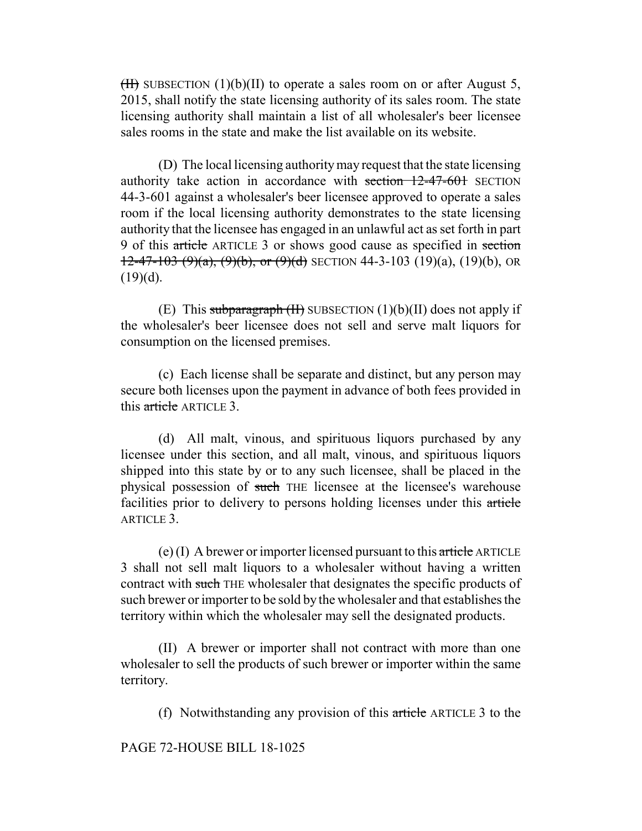$(H)$  SUBSECTION (1)(b)(II) to operate a sales room on or after August 5, 2015, shall notify the state licensing authority of its sales room. The state licensing authority shall maintain a list of all wholesaler's beer licensee sales rooms in the state and make the list available on its website.

(D) The local licensing authority may request that the state licensing authority take action in accordance with section 12-47-601 SECTION 44-3-601 against a wholesaler's beer licensee approved to operate a sales room if the local licensing authority demonstrates to the state licensing authority that the licensee has engaged in an unlawful act as set forth in part 9 of this article ARTICLE 3 or shows good cause as specified in section  $12-47-103$  (9)(a), (9)(b), or (9)(d) SECTION 44-3-103 (19)(a), (19)(b), OR  $(19)(d)$ .

(E) This subparagraph  $(H)$  SUBSECTION  $(1)(b)(II)$  does not apply if the wholesaler's beer licensee does not sell and serve malt liquors for consumption on the licensed premises.

(c) Each license shall be separate and distinct, but any person may secure both licenses upon the payment in advance of both fees provided in this article ARTICLE 3.

(d) All malt, vinous, and spirituous liquors purchased by any licensee under this section, and all malt, vinous, and spirituous liquors shipped into this state by or to any such licensee, shall be placed in the physical possession of such THE licensee at the licensee's warehouse facilities prior to delivery to persons holding licenses under this article ARTICLE 3.

(e) (I) A brewer or importer licensed pursuant to this article ARTICLE 3 shall not sell malt liquors to a wholesaler without having a written contract with such THE wholesaler that designates the specific products of such brewer or importer to be sold by the wholesaler and that establishes the territory within which the wholesaler may sell the designated products.

(II) A brewer or importer shall not contract with more than one wholesaler to sell the products of such brewer or importer within the same territory.

(f) Notwithstanding any provision of this article ARTICLE 3 to the

PAGE 72-HOUSE BILL 18-1025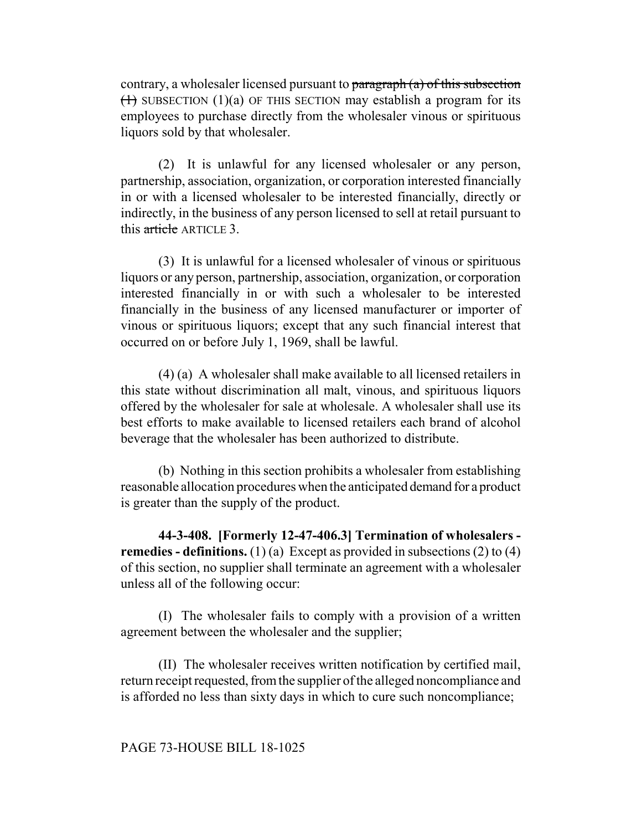contrary, a wholesaler licensed pursuant to paragraph (a) of this subsection  $(1)$  SUBSECTION  $(1)(a)$  OF THIS SECTION may establish a program for its employees to purchase directly from the wholesaler vinous or spirituous liquors sold by that wholesaler.

(2) It is unlawful for any licensed wholesaler or any person, partnership, association, organization, or corporation interested financially in or with a licensed wholesaler to be interested financially, directly or indirectly, in the business of any person licensed to sell at retail pursuant to this article ARTICLE 3.

(3) It is unlawful for a licensed wholesaler of vinous or spirituous liquors or any person, partnership, association, organization, or corporation interested financially in or with such a wholesaler to be interested financially in the business of any licensed manufacturer or importer of vinous or spirituous liquors; except that any such financial interest that occurred on or before July 1, 1969, shall be lawful.

(4) (a) A wholesaler shall make available to all licensed retailers in this state without discrimination all malt, vinous, and spirituous liquors offered by the wholesaler for sale at wholesale. A wholesaler shall use its best efforts to make available to licensed retailers each brand of alcohol beverage that the wholesaler has been authorized to distribute.

(b) Nothing in this section prohibits a wholesaler from establishing reasonable allocation procedures when the anticipated demand for a product is greater than the supply of the product.

**44-3-408. [Formerly 12-47-406.3] Termination of wholesalers remedies - definitions.** (1) (a) Except as provided in subsections (2) to (4) of this section, no supplier shall terminate an agreement with a wholesaler unless all of the following occur:

(I) The wholesaler fails to comply with a provision of a written agreement between the wholesaler and the supplier;

(II) The wholesaler receives written notification by certified mail, return receipt requested, from the supplier of the alleged noncompliance and is afforded no less than sixty days in which to cure such noncompliance;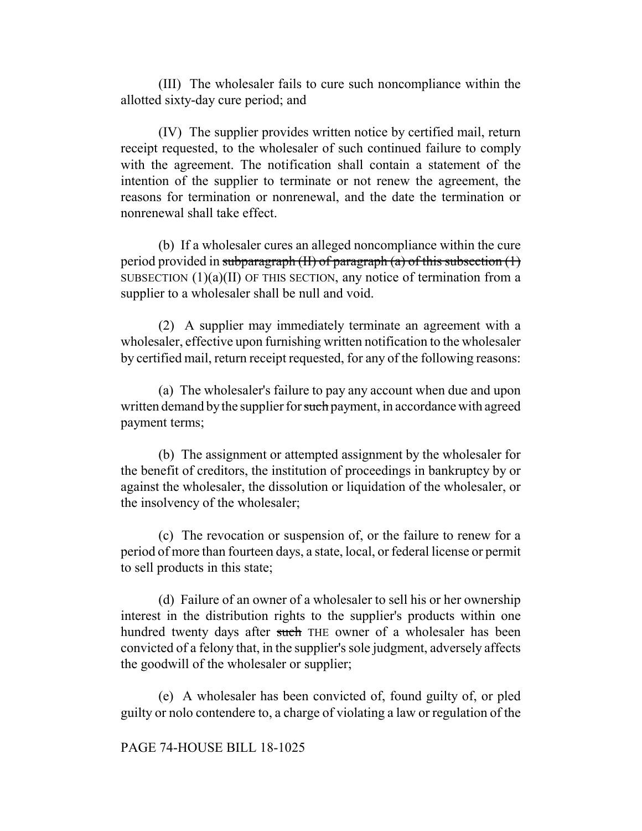(III) The wholesaler fails to cure such noncompliance within the allotted sixty-day cure period; and

(IV) The supplier provides written notice by certified mail, return receipt requested, to the wholesaler of such continued failure to comply with the agreement. The notification shall contain a statement of the intention of the supplier to terminate or not renew the agreement, the reasons for termination or nonrenewal, and the date the termination or nonrenewal shall take effect.

(b) If a wholesaler cures an alleged noncompliance within the cure period provided in subparagraph (II) of paragraph (a) of this subsection (1) SUBSECTION  $(1)(a)(II)$  OF THIS SECTION, any notice of termination from a supplier to a wholesaler shall be null and void.

(2) A supplier may immediately terminate an agreement with a wholesaler, effective upon furnishing written notification to the wholesaler by certified mail, return receipt requested, for any of the following reasons:

(a) The wholesaler's failure to pay any account when due and upon written demand by the supplier for such payment, in accordance with agreed payment terms;

(b) The assignment or attempted assignment by the wholesaler for the benefit of creditors, the institution of proceedings in bankruptcy by or against the wholesaler, the dissolution or liquidation of the wholesaler, or the insolvency of the wholesaler;

(c) The revocation or suspension of, or the failure to renew for a period of more than fourteen days, a state, local, or federal license or permit to sell products in this state;

(d) Failure of an owner of a wholesaler to sell his or her ownership interest in the distribution rights to the supplier's products within one hundred twenty days after such THE owner of a wholesaler has been convicted of a felony that, in the supplier's sole judgment, adversely affects the goodwill of the wholesaler or supplier;

(e) A wholesaler has been convicted of, found guilty of, or pled guilty or nolo contendere to, a charge of violating a law or regulation of the

### PAGE 74-HOUSE BILL 18-1025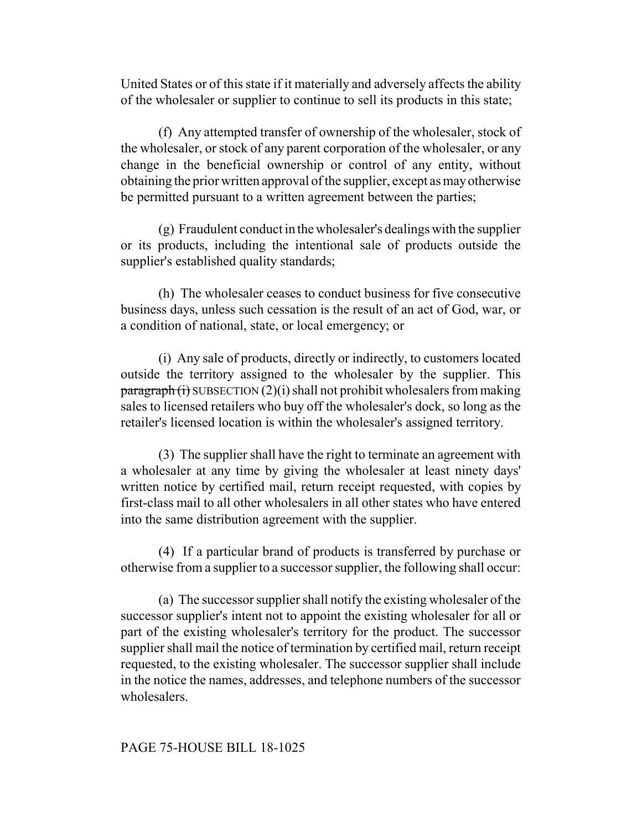United States or of this state if it materially and adversely affects the ability of the wholesaler or supplier to continue to sell its products in this state;

(f) Any attempted transfer of ownership of the wholesaler, stock of the wholesaler, or stock of any parent corporation of the wholesaler, or any change in the beneficial ownership or control of any entity, without obtaining the prior written approval of the supplier, except as may otherwise be permitted pursuant to a written agreement between the parties;

(g) Fraudulent conduct in the wholesaler's dealings with the supplier or its products, including the intentional sale of products outside the supplier's established quality standards;

(h) The wholesaler ceases to conduct business for five consecutive business days, unless such cessation is the result of an act of God, war, or a condition of national, state, or local emergency; or

(i) Any sale of products, directly or indirectly, to customers located outside the territory assigned to the wholesaler by the supplier. This  $\frac{\text{parameter}}{\text{equation}}$  (i) SUBSECTION (2)(i) shall not prohibit wholesalers from making sales to licensed retailers who buy off the wholesaler's dock, so long as the retailer's licensed location is within the wholesaler's assigned territory.

(3) The supplier shall have the right to terminate an agreement with a wholesaler at any time by giving the wholesaler at least ninety days' written notice by certified mail, return receipt requested, with copies by first-class mail to all other wholesalers in all other states who have entered into the same distribution agreement with the supplier.

(4) If a particular brand of products is transferred by purchase or otherwise from a supplier to a successor supplier, the following shall occur:

(a) The successor supplier shall notify the existing wholesaler of the successor supplier's intent not to appoint the existing wholesaler for all or part of the existing wholesaler's territory for the product. The successor supplier shall mail the notice of termination by certified mail, return receipt requested, to the existing wholesaler. The successor supplier shall include in the notice the names, addresses, and telephone numbers of the successor wholesalers.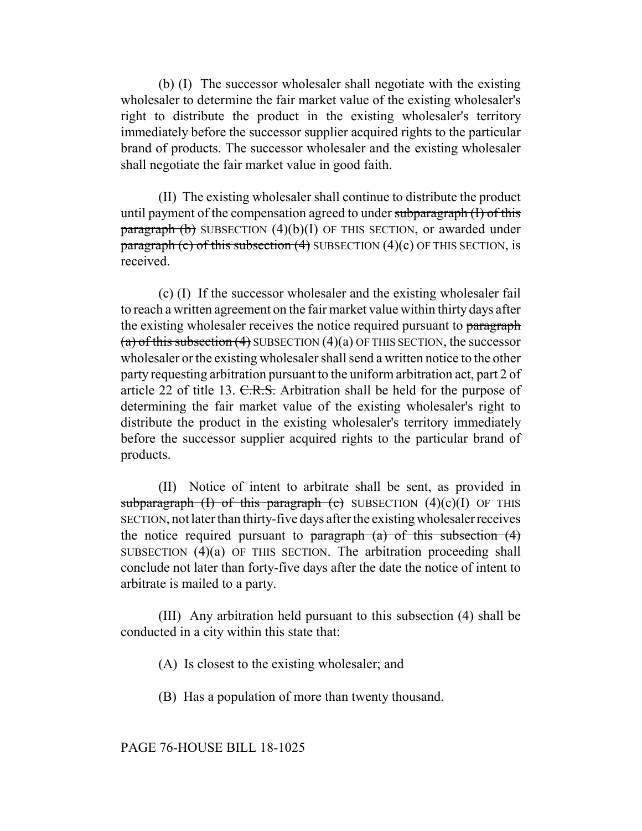(b) (I) The successor wholesaler shall negotiate with the existing wholesaler to determine the fair market value of the existing wholesaler's right to distribute the product in the existing wholesaler's territory immediately before the successor supplier acquired rights to the particular brand of products. The successor wholesaler and the existing wholesaler shall negotiate the fair market value in good faith.

(II) The existing wholesaler shall continue to distribute the product until payment of the compensation agreed to under subparagraph (I) of this  $\frac{\text{parameter of}}{\text{frac}}$  (b) SUBSECTION (4)(b)(I) OF THIS SECTION, or awarded under paragraph (c) of this subsection  $(4)$  SUBSECTION  $(4)(c)$  OF THIS SECTION, is received.

(c) (I) If the successor wholesaler and the existing wholesaler fail to reach a written agreement on the fair market value within thirty days after the existing wholesaler receives the notice required pursuant to paragraph (a) of this subsection (4) SUBSECTION  $(4)(a)$  OF THIS SECTION, the successor wholesaler or the existing wholesaler shall send a written notice to the other party requesting arbitration pursuant to the uniform arbitration act, part 2 of article 22 of title 13.  $C.R.S.$  Arbitration shall be held for the purpose of determining the fair market value of the existing wholesaler's right to distribute the product in the existing wholesaler's territory immediately before the successor supplier acquired rights to the particular brand of products.

(II) Notice of intent to arbitrate shall be sent, as provided in subparagraph (I) of this paragraph (c) SUBSECTION  $(4)(c)(I)$  OF THIS SECTION, not later than thirty-five days after the existing wholesaler receives the notice required pursuant to paragraph  $(a)$  of this subsection  $(4)$ SUBSECTION (4)(a) OF THIS SECTION. The arbitration proceeding shall conclude not later than forty-five days after the date the notice of intent to arbitrate is mailed to a party.

(III) Any arbitration held pursuant to this subsection (4) shall be conducted in a city within this state that:

(A) Is closest to the existing wholesaler; and

(B) Has a population of more than twenty thousand.

PAGE 76-HOUSE BILL 18-1025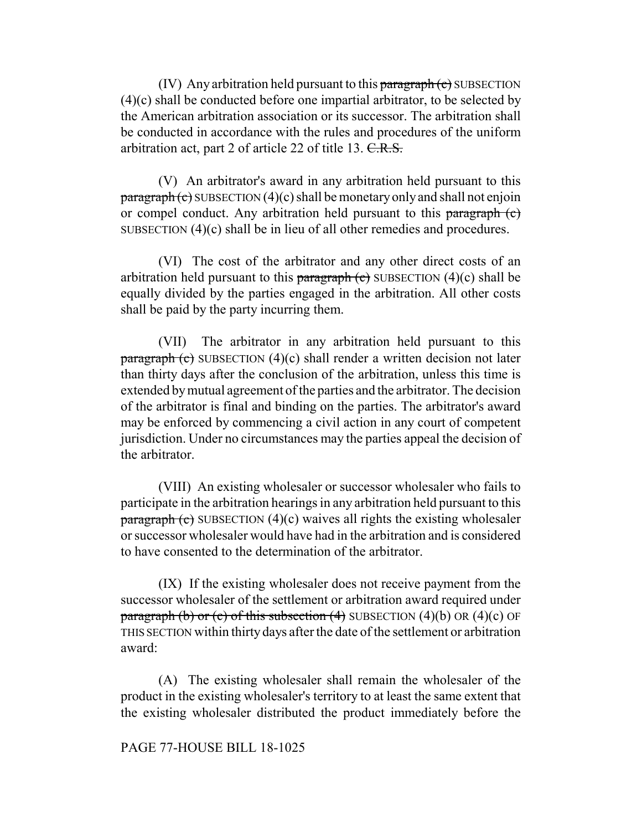(IV) Any arbitration held pursuant to this paragraph  $(c)$  SUBSECTION (4)(c) shall be conducted before one impartial arbitrator, to be selected by the American arbitration association or its successor. The arbitration shall be conducted in accordance with the rules and procedures of the uniform arbitration act, part 2 of article 22 of title 13. C.R.S.

(V) An arbitrator's award in any arbitration held pursuant to this  $\frac{\text{parameter of}}{\text{parameter of}}$  SUBSECTION (4)(c) shall be monetary only and shall not enjoin or compel conduct. Any arbitration held pursuant to this paragraph (c) SUBSECTION (4)(c) shall be in lieu of all other remedies and procedures.

(VI) The cost of the arbitrator and any other direct costs of an arbitration held pursuant to this paragraph  $\left($ c $\right)$  SUBSECTION  $(4)(c)$  shall be equally divided by the parties engaged in the arbitration. All other costs shall be paid by the party incurring them.

(VII) The arbitrator in any arbitration held pursuant to this  $\frac{\text{parameter of}}{\text{parameter of}}$  (c) SUBSECTION (4)(c) shall render a written decision not later than thirty days after the conclusion of the arbitration, unless this time is extended by mutual agreement of the parties and the arbitrator. The decision of the arbitrator is final and binding on the parties. The arbitrator's award may be enforced by commencing a civil action in any court of competent jurisdiction. Under no circumstances may the parties appeal the decision of the arbitrator.

(VIII) An existing wholesaler or successor wholesaler who fails to participate in the arbitration hearings in any arbitration held pursuant to this  $\frac{\text{parameter of}}{\text{energy of}}$  SUBSECTION (4)(c) waives all rights the existing wholesaler or successor wholesaler would have had in the arbitration and is considered to have consented to the determination of the arbitrator.

(IX) If the existing wholesaler does not receive payment from the successor wholesaler of the settlement or arbitration award required under paragraph (b) or (c) of this subsection (4) SUBSECTION  $(4)(b)$  OR  $(4)(c)$  OF THIS SECTION within thirty days after the date of the settlement or arbitration award:

(A) The existing wholesaler shall remain the wholesaler of the product in the existing wholesaler's territory to at least the same extent that the existing wholesaler distributed the product immediately before the

### PAGE 77-HOUSE BILL 18-1025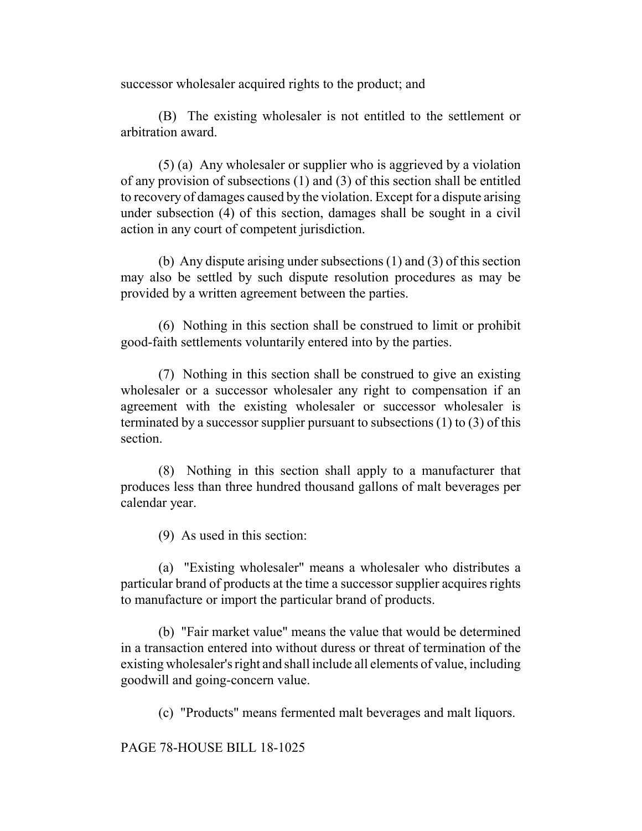successor wholesaler acquired rights to the product; and

(B) The existing wholesaler is not entitled to the settlement or arbitration award.

(5) (a) Any wholesaler or supplier who is aggrieved by a violation of any provision of subsections (1) and (3) of this section shall be entitled to recovery of damages caused by the violation. Except for a dispute arising under subsection (4) of this section, damages shall be sought in a civil action in any court of competent jurisdiction.

(b) Any dispute arising under subsections (1) and (3) of this section may also be settled by such dispute resolution procedures as may be provided by a written agreement between the parties.

(6) Nothing in this section shall be construed to limit or prohibit good-faith settlements voluntarily entered into by the parties.

(7) Nothing in this section shall be construed to give an existing wholesaler or a successor wholesaler any right to compensation if an agreement with the existing wholesaler or successor wholesaler is terminated by a successor supplier pursuant to subsections (1) to (3) of this section.

(8) Nothing in this section shall apply to a manufacturer that produces less than three hundred thousand gallons of malt beverages per calendar year.

(9) As used in this section:

(a) "Existing wholesaler" means a wholesaler who distributes a particular brand of products at the time a successor supplier acquires rights to manufacture or import the particular brand of products.

(b) "Fair market value" means the value that would be determined in a transaction entered into without duress or threat of termination of the existing wholesaler's right and shall include all elements of value, including goodwill and going-concern value.

(c) "Products" means fermented malt beverages and malt liquors.

PAGE 78-HOUSE BILL 18-1025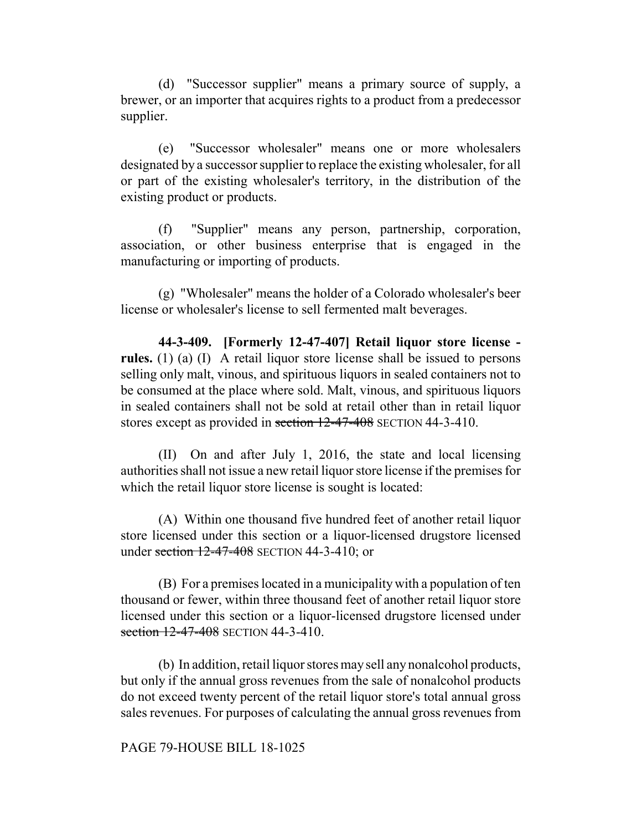(d) "Successor supplier" means a primary source of supply, a brewer, or an importer that acquires rights to a product from a predecessor supplier.

(e) "Successor wholesaler" means one or more wholesalers designated by a successor supplier to replace the existing wholesaler, for all or part of the existing wholesaler's territory, in the distribution of the existing product or products.

(f) "Supplier" means any person, partnership, corporation, association, or other business enterprise that is engaged in the manufacturing or importing of products.

(g) "Wholesaler" means the holder of a Colorado wholesaler's beer license or wholesaler's license to sell fermented malt beverages.

**44-3-409. [Formerly 12-47-407] Retail liquor store license rules.** (1) (a) (I) A retail liquor store license shall be issued to persons selling only malt, vinous, and spirituous liquors in sealed containers not to be consumed at the place where sold. Malt, vinous, and spirituous liquors in sealed containers shall not be sold at retail other than in retail liquor stores except as provided in section  $12-47-408$  SECTION 44-3-410.

(II) On and after July 1, 2016, the state and local licensing authorities shall not issue a new retail liquor store license if the premises for which the retail liquor store license is sought is located:

(A) Within one thousand five hundred feet of another retail liquor store licensed under this section or a liquor-licensed drugstore licensed under section 12-47-408 SECTION 44-3-410; or

(B) For a premises located in a municipality with a population of ten thousand or fewer, within three thousand feet of another retail liquor store licensed under this section or a liquor-licensed drugstore licensed under section 12-47-408 SECTION 44-3-410

(b) In addition, retail liquor stores may sell any nonalcohol products, but only if the annual gross revenues from the sale of nonalcohol products do not exceed twenty percent of the retail liquor store's total annual gross sales revenues. For purposes of calculating the annual gross revenues from

### PAGE 79-HOUSE BILL 18-1025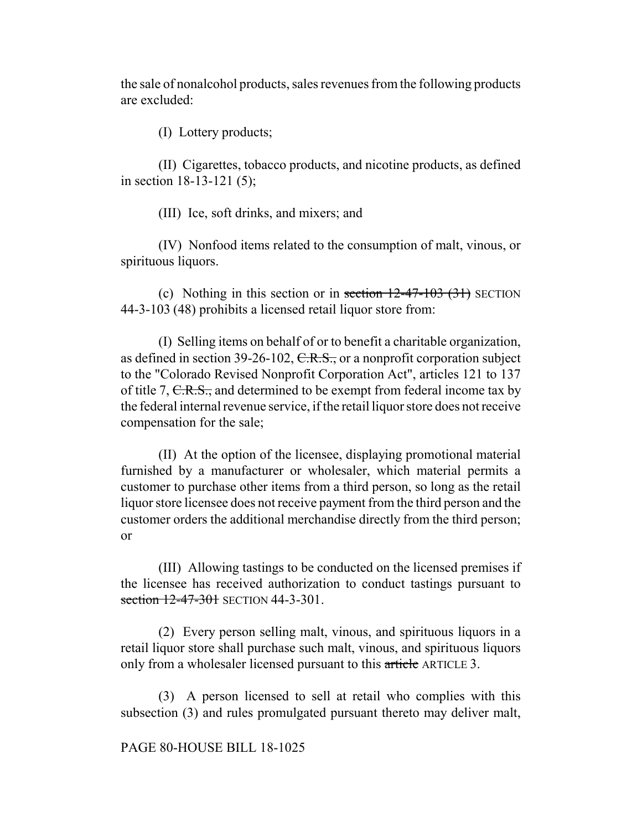the sale of nonalcohol products, sales revenues from the following products are excluded:

(I) Lottery products;

(II) Cigarettes, tobacco products, and nicotine products, as defined in section 18-13-121 (5);

(III) Ice, soft drinks, and mixers; and

(IV) Nonfood items related to the consumption of malt, vinous, or spirituous liquors.

(c) Nothing in this section or in section  $12-47-103$  (31) SECTION 44-3-103 (48) prohibits a licensed retail liquor store from:

(I) Selling items on behalf of or to benefit a charitable organization, as defined in section  $39-26-102$ , C.R.S., or a nonprofit corporation subject to the "Colorado Revised Nonprofit Corporation Act", articles 121 to 137 of title 7, C.R.S., and determined to be exempt from federal income tax by the federal internal revenue service, if the retail liquor store does not receive compensation for the sale;

(II) At the option of the licensee, displaying promotional material furnished by a manufacturer or wholesaler, which material permits a customer to purchase other items from a third person, so long as the retail liquor store licensee does not receive payment from the third person and the customer orders the additional merchandise directly from the third person; or

(III) Allowing tastings to be conducted on the licensed premises if the licensee has received authorization to conduct tastings pursuant to section 12-47-301 SECTION 44-3-301.

(2) Every person selling malt, vinous, and spirituous liquors in a retail liquor store shall purchase such malt, vinous, and spirituous liquors only from a wholesaler licensed pursuant to this article ARTICLE 3.

(3) A person licensed to sell at retail who complies with this subsection (3) and rules promulgated pursuant thereto may deliver malt,

### PAGE 80-HOUSE BILL 18-1025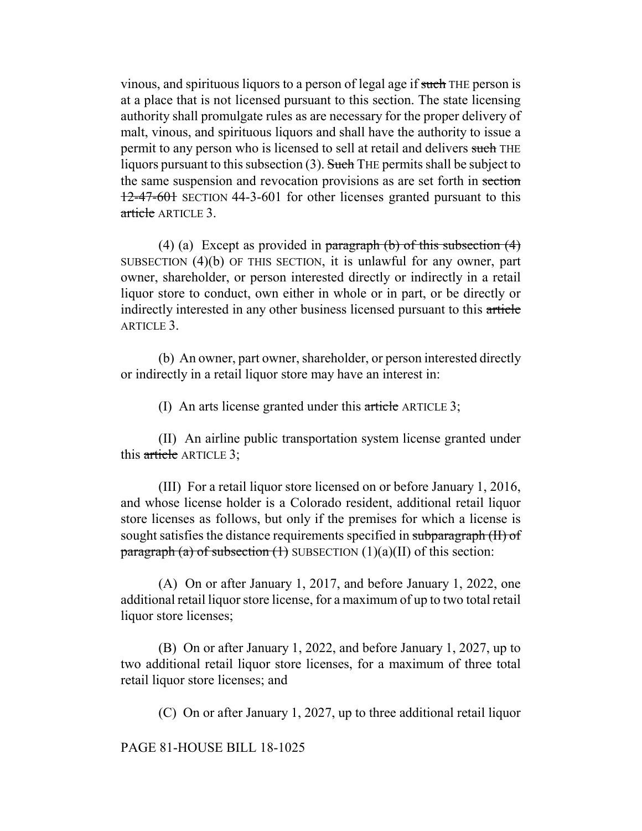vinous, and spirituous liquors to a person of legal age if such THE person is at a place that is not licensed pursuant to this section. The state licensing authority shall promulgate rules as are necessary for the proper delivery of malt, vinous, and spirituous liquors and shall have the authority to issue a permit to any person who is licensed to sell at retail and delivers such THE liquors pursuant to this subsection  $(3)$ . Such THE permits shall be subject to the same suspension and revocation provisions as are set forth in section 12-47-601 SECTION 44-3-601 for other licenses granted pursuant to this article ARTICLE 3.

(4) (a) Except as provided in paragraph (b) of this subsection  $(4)$ SUBSECTION (4)(b) OF THIS SECTION, it is unlawful for any owner, part owner, shareholder, or person interested directly or indirectly in a retail liquor store to conduct, own either in whole or in part, or be directly or indirectly interested in any other business licensed pursuant to this article ARTICLE 3.

(b) An owner, part owner, shareholder, or person interested directly or indirectly in a retail liquor store may have an interest in:

(I) An arts license granted under this article ARTICLE 3;

(II) An airline public transportation system license granted under this article ARTICLE 3;

(III) For a retail liquor store licensed on or before January 1, 2016, and whose license holder is a Colorado resident, additional retail liquor store licenses as follows, but only if the premises for which a license is sought satisfies the distance requirements specified in subparagraph (II) of paragraph (a) of subsection  $(1)$  SUBSECTION  $(1)(a)(II)$  of this section:

(A) On or after January 1, 2017, and before January 1, 2022, one additional retail liquor store license, for a maximum of up to two total retail liquor store licenses;

(B) On or after January 1, 2022, and before January 1, 2027, up to two additional retail liquor store licenses, for a maximum of three total retail liquor store licenses; and

(C) On or after January 1, 2027, up to three additional retail liquor

PAGE 81-HOUSE BILL 18-1025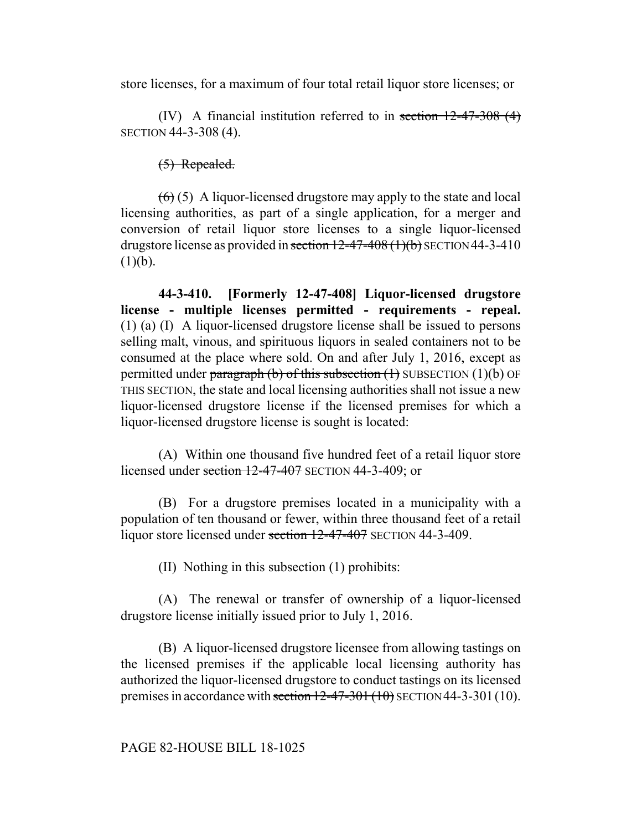store licenses, for a maximum of four total retail liquor store licenses; or

(IV) A financial institution referred to in section 12-47-308 (4) SECTION 44-3-308 (4).

(5) Repealed.

 $(6)$  (5) A liquor-licensed drugstore may apply to the state and local licensing authorities, as part of a single application, for a merger and conversion of retail liquor store licenses to a single liquor-licensed drugstore license as provided in section  $12-47-408(1)(b)$  SECTION 44-3-410  $(1)(b)$ .

**44-3-410. [Formerly 12-47-408] Liquor-licensed drugstore license - multiple licenses permitted - requirements - repeal.** (1) (a) (I) A liquor-licensed drugstore license shall be issued to persons selling malt, vinous, and spirituous liquors in sealed containers not to be consumed at the place where sold. On and after July 1, 2016, except as permitted under paragraph (b) of this subsection  $(1)$  SUBSECTION  $(1)(b)$  OF THIS SECTION, the state and local licensing authorities shall not issue a new liquor-licensed drugstore license if the licensed premises for which a liquor-licensed drugstore license is sought is located:

(A) Within one thousand five hundred feet of a retail liquor store licensed under section  $12-47-407$  SECTION 44-3-409; or

(B) For a drugstore premises located in a municipality with a population of ten thousand or fewer, within three thousand feet of a retail liquor store licensed under section 12-47-407 SECTION 44-3-409.

(II) Nothing in this subsection (1) prohibits:

(A) The renewal or transfer of ownership of a liquor-licensed drugstore license initially issued prior to July 1, 2016.

(B) A liquor-licensed drugstore licensee from allowing tastings on the licensed premises if the applicable local licensing authority has authorized the liquor-licensed drugstore to conduct tastings on its licensed premises in accordance with section  $12-47-301(10)$  SECTION 44-3-301 (10).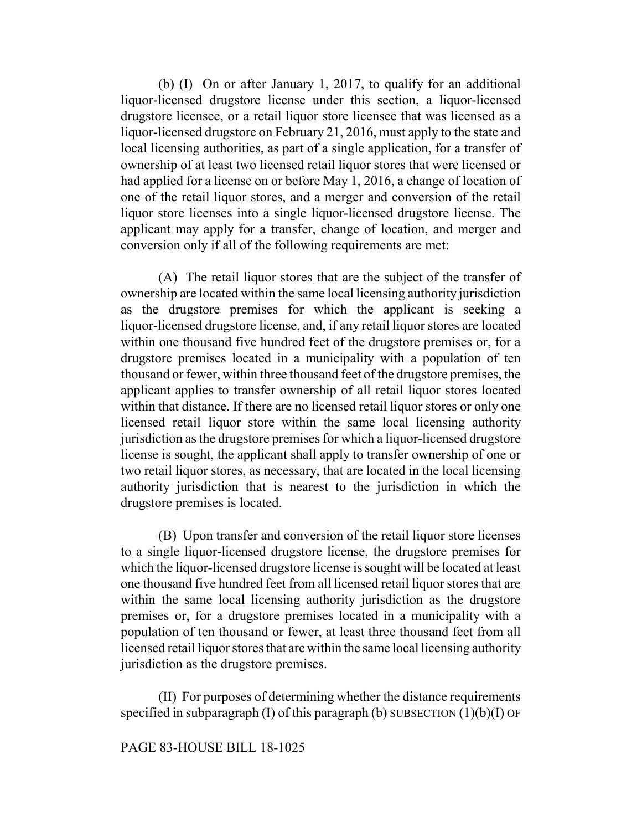(b) (I) On or after January 1, 2017, to qualify for an additional liquor-licensed drugstore license under this section, a liquor-licensed drugstore licensee, or a retail liquor store licensee that was licensed as a liquor-licensed drugstore on February 21, 2016, must apply to the state and local licensing authorities, as part of a single application, for a transfer of ownership of at least two licensed retail liquor stores that were licensed or had applied for a license on or before May 1, 2016, a change of location of one of the retail liquor stores, and a merger and conversion of the retail liquor store licenses into a single liquor-licensed drugstore license. The applicant may apply for a transfer, change of location, and merger and conversion only if all of the following requirements are met:

(A) The retail liquor stores that are the subject of the transfer of ownership are located within the same local licensing authority jurisdiction as the drugstore premises for which the applicant is seeking a liquor-licensed drugstore license, and, if any retail liquor stores are located within one thousand five hundred feet of the drugstore premises or, for a drugstore premises located in a municipality with a population of ten thousand or fewer, within three thousand feet of the drugstore premises, the applicant applies to transfer ownership of all retail liquor stores located within that distance. If there are no licensed retail liquor stores or only one licensed retail liquor store within the same local licensing authority jurisdiction as the drugstore premises for which a liquor-licensed drugstore license is sought, the applicant shall apply to transfer ownership of one or two retail liquor stores, as necessary, that are located in the local licensing authority jurisdiction that is nearest to the jurisdiction in which the drugstore premises is located.

(B) Upon transfer and conversion of the retail liquor store licenses to a single liquor-licensed drugstore license, the drugstore premises for which the liquor-licensed drugstore license is sought will be located at least one thousand five hundred feet from all licensed retail liquor stores that are within the same local licensing authority jurisdiction as the drugstore premises or, for a drugstore premises located in a municipality with a population of ten thousand or fewer, at least three thousand feet from all licensed retail liquor stores that are within the same local licensing authority jurisdiction as the drugstore premises.

(II) For purposes of determining whether the distance requirements specified in subparagraph (I) of this paragraph (b) SUBSECTION  $(1)(b)(I)$  OF

### PAGE 83-HOUSE BILL 18-1025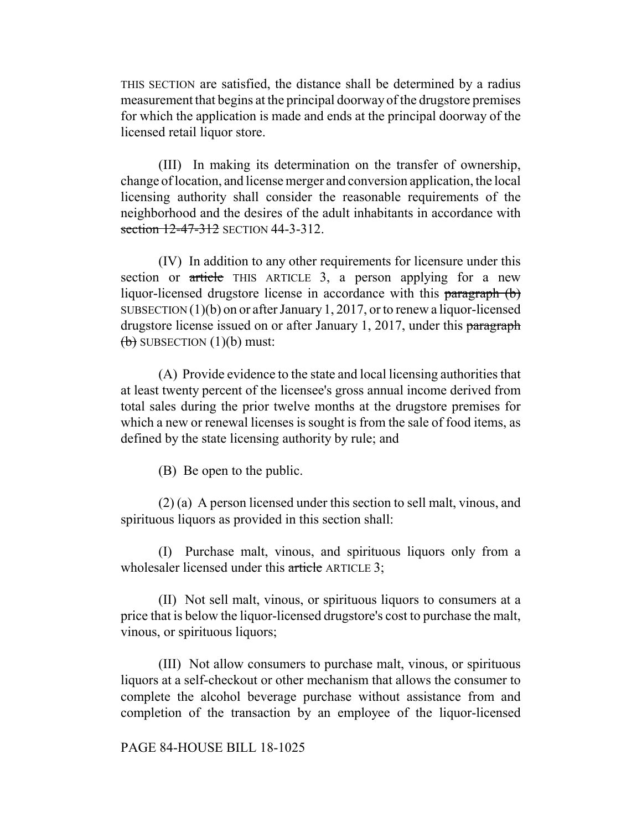THIS SECTION are satisfied, the distance shall be determined by a radius measurement that begins at the principal doorway of the drugstore premises for which the application is made and ends at the principal doorway of the licensed retail liquor store.

(III) In making its determination on the transfer of ownership, change of location, and license merger and conversion application, the local licensing authority shall consider the reasonable requirements of the neighborhood and the desires of the adult inhabitants in accordance with section 12-47-312 SECTION 44-3-312.

(IV) In addition to any other requirements for licensure under this section or article THIS ARTICLE 3, a person applying for a new liquor-licensed drugstore license in accordance with this paragraph (b) SUBSECTION (1)(b) on or after January 1, 2017, or to renew a liquor-licensed drugstore license issued on or after January 1, 2017, under this paragraph  $(b)$  SUBSECTION  $(1)(b)$  must:

(A) Provide evidence to the state and local licensing authorities that at least twenty percent of the licensee's gross annual income derived from total sales during the prior twelve months at the drugstore premises for which a new or renewal licenses is sought is from the sale of food items, as defined by the state licensing authority by rule; and

(B) Be open to the public.

(2) (a) A person licensed under this section to sell malt, vinous, and spirituous liquors as provided in this section shall:

(I) Purchase malt, vinous, and spirituous liquors only from a wholesaler licensed under this article ARTICLE 3;

(II) Not sell malt, vinous, or spirituous liquors to consumers at a price that is below the liquor-licensed drugstore's cost to purchase the malt, vinous, or spirituous liquors;

(III) Not allow consumers to purchase malt, vinous, or spirituous liquors at a self-checkout or other mechanism that allows the consumer to complete the alcohol beverage purchase without assistance from and completion of the transaction by an employee of the liquor-licensed

### PAGE 84-HOUSE BILL 18-1025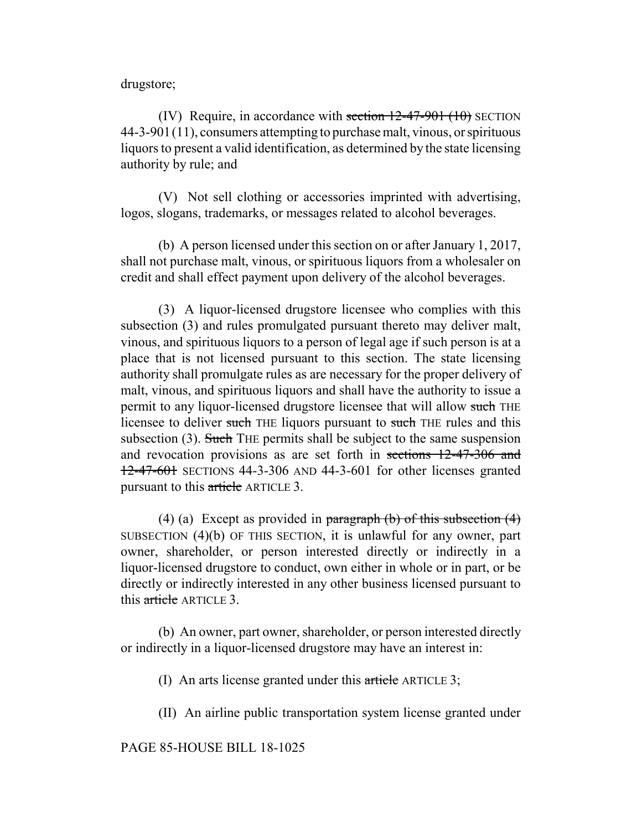drugstore;

(IV) Require, in accordance with section  $12-47-901$  (10) SECTION 44-3-901(11), consumers attempting to purchase malt, vinous, or spirituous liquors to present a valid identification, as determined by the state licensing authority by rule; and

(V) Not sell clothing or accessories imprinted with advertising, logos, slogans, trademarks, or messages related to alcohol beverages.

(b) A person licensed under this section on or after January 1, 2017, shall not purchase malt, vinous, or spirituous liquors from a wholesaler on credit and shall effect payment upon delivery of the alcohol beverages.

(3) A liquor-licensed drugstore licensee who complies with this subsection (3) and rules promulgated pursuant thereto may deliver malt, vinous, and spirituous liquors to a person of legal age if such person is at a place that is not licensed pursuant to this section. The state licensing authority shall promulgate rules as are necessary for the proper delivery of malt, vinous, and spirituous liquors and shall have the authority to issue a permit to any liquor-licensed drugstore licensee that will allow such THE licensee to deliver such THE liquors pursuant to such THE rules and this subsection (3). Such THE permits shall be subject to the same suspension and revocation provisions as are set forth in sections 12-47-306 and 12-47-601 SECTIONS 44-3-306 AND 44-3-601 for other licenses granted pursuant to this article ARTICLE 3.

(4) (a) Except as provided in paragraph (b) of this subsection  $(4)$ SUBSECTION (4)(b) OF THIS SECTION, it is unlawful for any owner, part owner, shareholder, or person interested directly or indirectly in a liquor-licensed drugstore to conduct, own either in whole or in part, or be directly or indirectly interested in any other business licensed pursuant to this article ARTICLE 3.

(b) An owner, part owner, shareholder, or person interested directly or indirectly in a liquor-licensed drugstore may have an interest in:

(I) An arts license granted under this article ARTICLE 3;

(II) An airline public transportation system license granted under

PAGE 85-HOUSE BILL 18-1025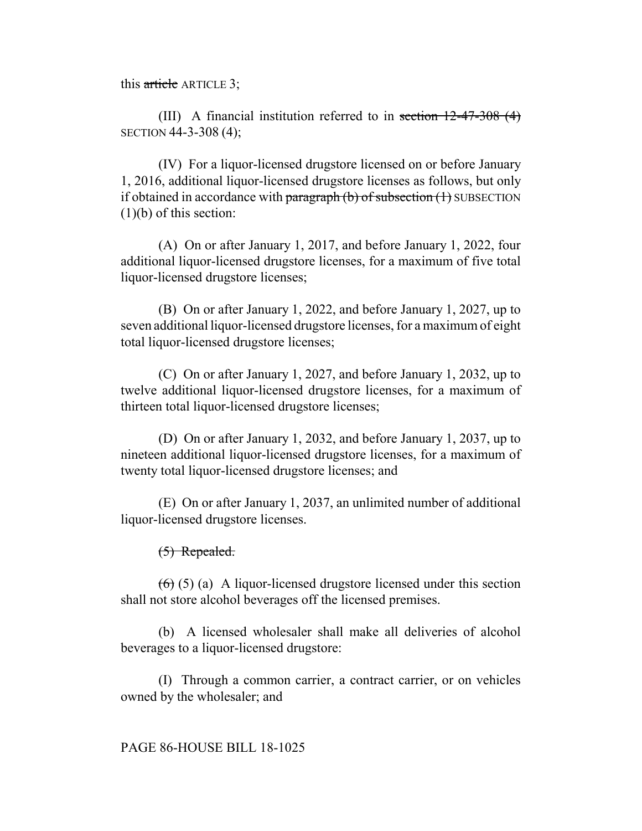this article ARTICLE 3;

(III) A financial institution referred to in section 12-47-308 (4) SECTION 44-3-308 (4);

(IV) For a liquor-licensed drugstore licensed on or before January 1, 2016, additional liquor-licensed drugstore licenses as follows, but only if obtained in accordance with paragraph  $(b)$  of subsection  $(1)$  SUBSECTION (1)(b) of this section:

(A) On or after January 1, 2017, and before January 1, 2022, four additional liquor-licensed drugstore licenses, for a maximum of five total liquor-licensed drugstore licenses;

(B) On or after January 1, 2022, and before January 1, 2027, up to seven additional liquor-licensed drugstore licenses, for a maximum of eight total liquor-licensed drugstore licenses;

(C) On or after January 1, 2027, and before January 1, 2032, up to twelve additional liquor-licensed drugstore licenses, for a maximum of thirteen total liquor-licensed drugstore licenses;

(D) On or after January 1, 2032, and before January 1, 2037, up to nineteen additional liquor-licensed drugstore licenses, for a maximum of twenty total liquor-licensed drugstore licenses; and

(E) On or after January 1, 2037, an unlimited number of additional liquor-licensed drugstore licenses.

(5) Repealed.

 $(6)$  (5) (a) A liquor-licensed drugstore licensed under this section shall not store alcohol beverages off the licensed premises.

(b) A licensed wholesaler shall make all deliveries of alcohol beverages to a liquor-licensed drugstore:

(I) Through a common carrier, a contract carrier, or on vehicles owned by the wholesaler; and

# PAGE 86-HOUSE BILL 18-1025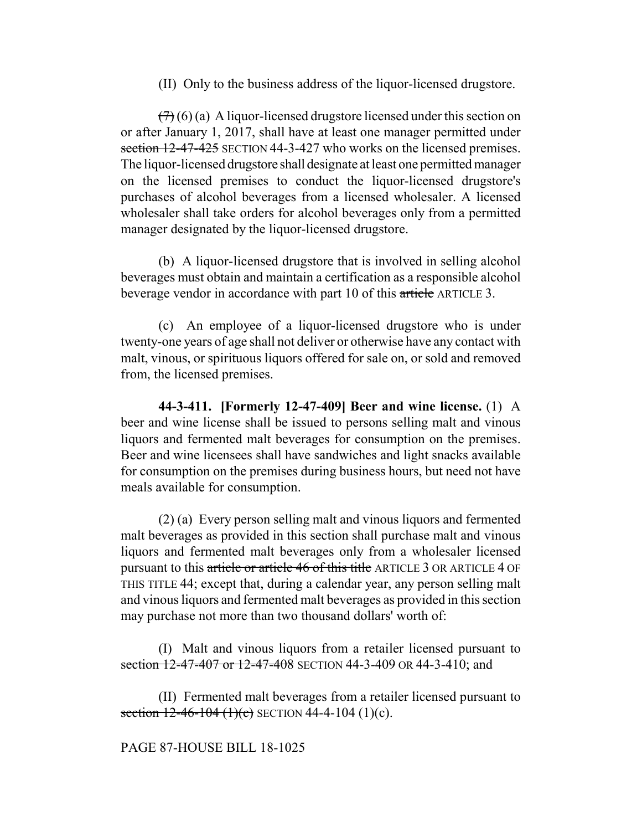(II) Only to the business address of the liquor-licensed drugstore.

 $(7)(6)$  (a) A liquor-licensed drugstore licensed under this section on or after January 1, 2017, shall have at least one manager permitted under section 12-47-425 SECTION 44-3-427 who works on the licensed premises. The liquor-licensed drugstore shall designate at least one permitted manager on the licensed premises to conduct the liquor-licensed drugstore's purchases of alcohol beverages from a licensed wholesaler. A licensed wholesaler shall take orders for alcohol beverages only from a permitted manager designated by the liquor-licensed drugstore.

(b) A liquor-licensed drugstore that is involved in selling alcohol beverages must obtain and maintain a certification as a responsible alcohol beverage vendor in accordance with part 10 of this article ARTICLE 3.

(c) An employee of a liquor-licensed drugstore who is under twenty-one years of age shall not deliver or otherwise have any contact with malt, vinous, or spirituous liquors offered for sale on, or sold and removed from, the licensed premises.

**44-3-411. [Formerly 12-47-409] Beer and wine license.** (1) A beer and wine license shall be issued to persons selling malt and vinous liquors and fermented malt beverages for consumption on the premises. Beer and wine licensees shall have sandwiches and light snacks available for consumption on the premises during business hours, but need not have meals available for consumption.

(2) (a) Every person selling malt and vinous liquors and fermented malt beverages as provided in this section shall purchase malt and vinous liquors and fermented malt beverages only from a wholesaler licensed pursuant to this article or article 46 of this title ARTICLE 3 OR ARTICLE 4 OF THIS TITLE 44; except that, during a calendar year, any person selling malt and vinous liquors and fermented malt beverages as provided in this section may purchase not more than two thousand dollars' worth of:

(I) Malt and vinous liquors from a retailer licensed pursuant to section 12-47-407 or 12-47-408 SECTION 44-3-409 OR 44-3-410; and

(II) Fermented malt beverages from a retailer licensed pursuant to section  $12-46-104$  (1)(c) SECTION 44-4-104 (1)(c).

### PAGE 87-HOUSE BILL 18-1025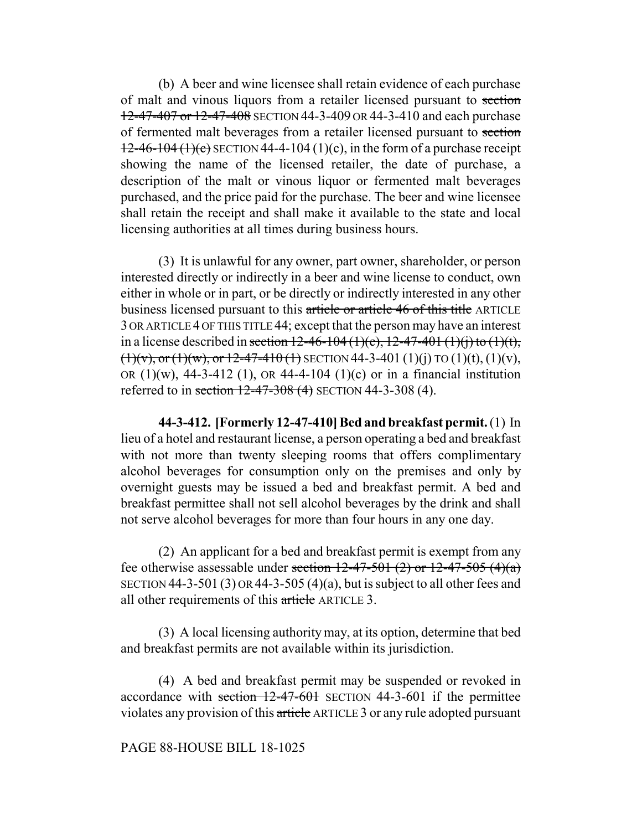(b) A beer and wine licensee shall retain evidence of each purchase of malt and vinous liquors from a retailer licensed pursuant to section 12-47-407 or 12-47-408 SECTION 44-3-409 OR 44-3-410 and each purchase of fermented malt beverages from a retailer licensed pursuant to section  $12-46-104(1)(c)$  SECTION 44-4-104 (1)(c), in the form of a purchase receipt showing the name of the licensed retailer, the date of purchase, a description of the malt or vinous liquor or fermented malt beverages purchased, and the price paid for the purchase. The beer and wine licensee shall retain the receipt and shall make it available to the state and local licensing authorities at all times during business hours.

(3) It is unlawful for any owner, part owner, shareholder, or person interested directly or indirectly in a beer and wine license to conduct, own either in whole or in part, or be directly or indirectly interested in any other business licensed pursuant to this article or article 46 of this title ARTICLE 3 OR ARTICLE 4 OF THIS TITLE 44; except that the person may have an interest in a license described in section  $12-46-104(1)(c)$ ,  $12-47-401(1)(i)$  to  $(1)(t)$ ,  $(1)(v)$ , or  $(1)(w)$ , or  $12-47-410$  (1) SECTION 44-3-401 (1)(j) TO (1)(t), (1)(v), OR  $(1)(w)$ , 44-3-412  $(1)$ , OR 44-4-104  $(1)(c)$  or in a financial institution referred to in section 12-47-308 (4) SECTION 44-3-308 (4).

**44-3-412. [Formerly 12-47-410] Bed and breakfast permit.** (1) In lieu of a hotel and restaurant license, a person operating a bed and breakfast with not more than twenty sleeping rooms that offers complimentary alcohol beverages for consumption only on the premises and only by overnight guests may be issued a bed and breakfast permit. A bed and breakfast permittee shall not sell alcohol beverages by the drink and shall not serve alcohol beverages for more than four hours in any one day.

(2) An applicant for a bed and breakfast permit is exempt from any fee otherwise assessable under section  $12-47-501$  (2) or  $12-47-505$  (4)(a) SECTION 44-3-501 (3) OR 44-3-505 (4)(a), but is subject to all other fees and all other requirements of this article ARTICLE 3.

(3) A local licensing authority may, at its option, determine that bed and breakfast permits are not available within its jurisdiction.

(4) A bed and breakfast permit may be suspended or revoked in accordance with section 12-47-601 SECTION 44-3-601 if the permittee violates any provision of this article ARTICLE 3 or any rule adopted pursuant

### PAGE 88-HOUSE BILL 18-1025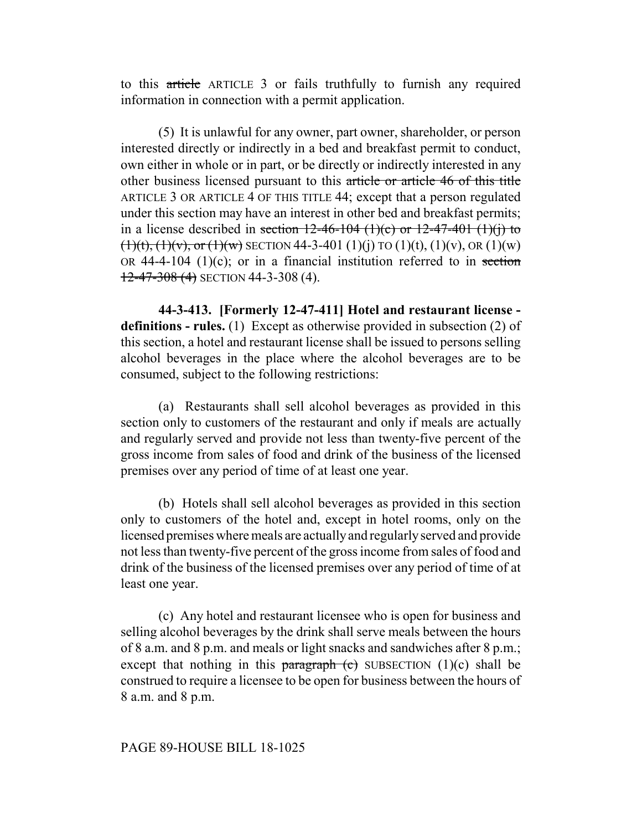to this article ARTICLE 3 or fails truthfully to furnish any required information in connection with a permit application.

(5) It is unlawful for any owner, part owner, shareholder, or person interested directly or indirectly in a bed and breakfast permit to conduct, own either in whole or in part, or be directly or indirectly interested in any other business licensed pursuant to this article or article 46 of this title ARTICLE 3 OR ARTICLE 4 OF THIS TITLE 44; except that a person regulated under this section may have an interest in other bed and breakfast permits; in a license described in section  $12-46-104$  (1)(c) or  $12-47-401$  (1)(j) to  $(1)(t)$ ,  $(1)(v)$ , or  $(1)(w)$  SECTION 44-3-401 (1)(j) TO (1)(t), (1)(v), OR (1)(w) OR 44-4-104 (1)(c); or in a financial institution referred to in section 12-47-308 (4) SECTION 44-3-308 (4).

**44-3-413. [Formerly 12-47-411] Hotel and restaurant license definitions - rules.** (1) Except as otherwise provided in subsection (2) of this section, a hotel and restaurant license shall be issued to persons selling alcohol beverages in the place where the alcohol beverages are to be consumed, subject to the following restrictions:

(a) Restaurants shall sell alcohol beverages as provided in this section only to customers of the restaurant and only if meals are actually and regularly served and provide not less than twenty-five percent of the gross income from sales of food and drink of the business of the licensed premises over any period of time of at least one year.

(b) Hotels shall sell alcohol beverages as provided in this section only to customers of the hotel and, except in hotel rooms, only on the licensed premises where meals are actually and regularly served and provide not less than twenty-five percent of the gross income from sales of food and drink of the business of the licensed premises over any period of time of at least one year.

(c) Any hotel and restaurant licensee who is open for business and selling alcohol beverages by the drink shall serve meals between the hours of 8 a.m. and 8 p.m. and meals or light snacks and sandwiches after 8 p.m.; except that nothing in this paragraph  $(c)$  SUBSECTION (1)(c) shall be construed to require a licensee to be open for business between the hours of 8 a.m. and 8 p.m.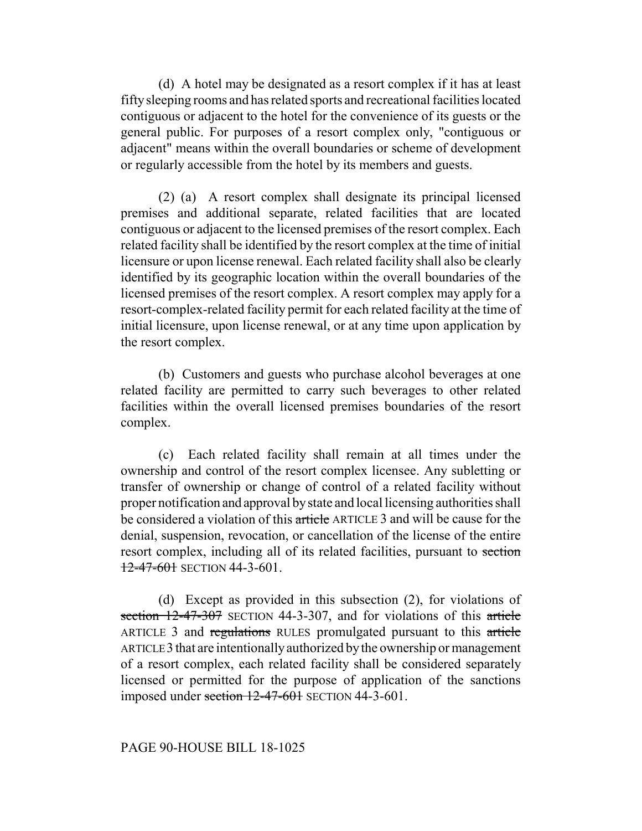(d) A hotel may be designated as a resort complex if it has at least fifty sleeping rooms and has related sports and recreational facilities located contiguous or adjacent to the hotel for the convenience of its guests or the general public. For purposes of a resort complex only, "contiguous or adjacent" means within the overall boundaries or scheme of development or regularly accessible from the hotel by its members and guests.

(2) (a) A resort complex shall designate its principal licensed premises and additional separate, related facilities that are located contiguous or adjacent to the licensed premises of the resort complex. Each related facility shall be identified by the resort complex at the time of initial licensure or upon license renewal. Each related facility shall also be clearly identified by its geographic location within the overall boundaries of the licensed premises of the resort complex. A resort complex may apply for a resort-complex-related facility permit for each related facility at the time of initial licensure, upon license renewal, or at any time upon application by the resort complex.

(b) Customers and guests who purchase alcohol beverages at one related facility are permitted to carry such beverages to other related facilities within the overall licensed premises boundaries of the resort complex.

(c) Each related facility shall remain at all times under the ownership and control of the resort complex licensee. Any subletting or transfer of ownership or change of control of a related facility without proper notification and approval by state and local licensing authorities shall be considered a violation of this article ARTICLE 3 and will be cause for the denial, suspension, revocation, or cancellation of the license of the entire resort complex, including all of its related facilities, pursuant to section 12-47-601 SECTION 44-3-601.

(d) Except as provided in this subsection (2), for violations of section 12-47-307 SECTION 44-3-307, and for violations of this article ARTICLE 3 and regulations RULES promulgated pursuant to this article ARTICLE 3 that are intentionally authorized by the ownership or management of a resort complex, each related facility shall be considered separately licensed or permitted for the purpose of application of the sanctions imposed under section  $12-47-601$  SECTION 44-3-601.

### PAGE 90-HOUSE BILL 18-1025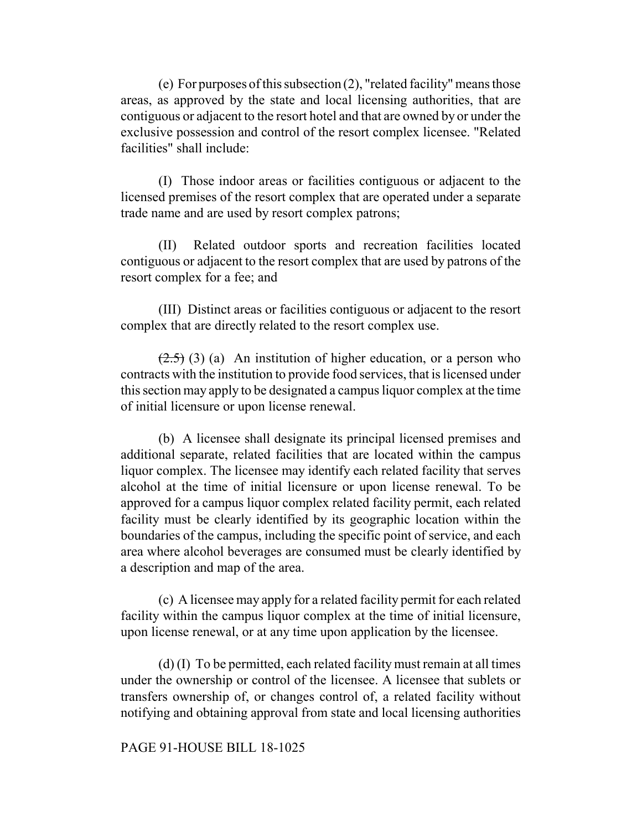(e) For purposes of this subsection (2), "related facility" means those areas, as approved by the state and local licensing authorities, that are contiguous or adjacent to the resort hotel and that are owned by or under the exclusive possession and control of the resort complex licensee. "Related facilities" shall include:

(I) Those indoor areas or facilities contiguous or adjacent to the licensed premises of the resort complex that are operated under a separate trade name and are used by resort complex patrons;

(II) Related outdoor sports and recreation facilities located contiguous or adjacent to the resort complex that are used by patrons of the resort complex for a fee; and

(III) Distinct areas or facilities contiguous or adjacent to the resort complex that are directly related to the resort complex use.

 $(2.5)$  (3) (a) An institution of higher education, or a person who contracts with the institution to provide food services, that is licensed under this section may apply to be designated a campus liquor complex at the time of initial licensure or upon license renewal.

(b) A licensee shall designate its principal licensed premises and additional separate, related facilities that are located within the campus liquor complex. The licensee may identify each related facility that serves alcohol at the time of initial licensure or upon license renewal. To be approved for a campus liquor complex related facility permit, each related facility must be clearly identified by its geographic location within the boundaries of the campus, including the specific point of service, and each area where alcohol beverages are consumed must be clearly identified by a description and map of the area.

(c) A licensee may apply for a related facility permit for each related facility within the campus liquor complex at the time of initial licensure, upon license renewal, or at any time upon application by the licensee.

(d) (I) To be permitted, each related facility must remain at all times under the ownership or control of the licensee. A licensee that sublets or transfers ownership of, or changes control of, a related facility without notifying and obtaining approval from state and local licensing authorities

#### PAGE 91-HOUSE BILL 18-1025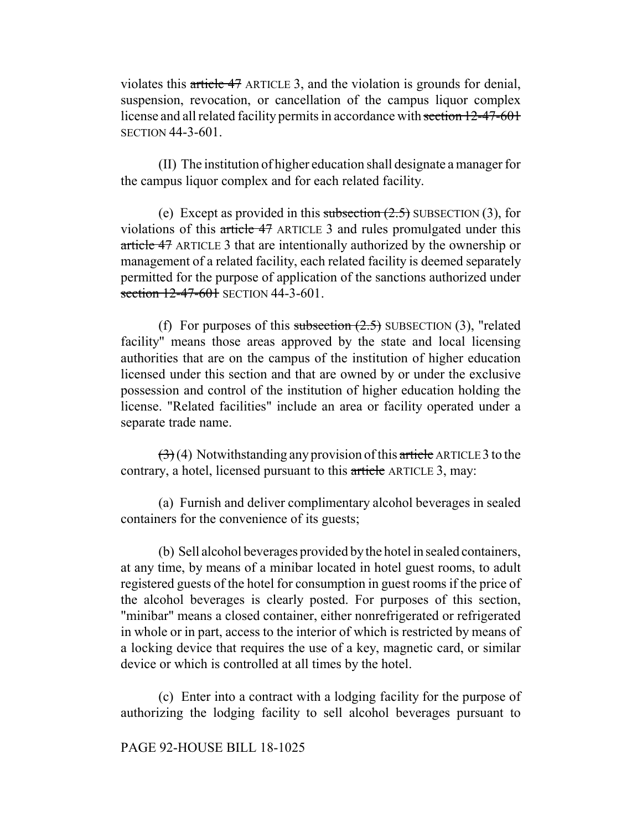violates this article 47 ARTICLE 3, and the violation is grounds for denial, suspension, revocation, or cancellation of the campus liquor complex license and all related facility permits in accordance with section 12-47-601 SECTION 44-3-601.

(II) The institution of higher education shall designate a manager for the campus liquor complex and for each related facility.

(e) Except as provided in this subsection  $(2.5)$  SUBSECTION (3), for violations of this article 47 ARTICLE 3 and rules promulgated under this article 47 ARTICLE 3 that are intentionally authorized by the ownership or management of a related facility, each related facility is deemed separately permitted for the purpose of application of the sanctions authorized under section 12-47-601 SECTION 44-3-601.

(f) For purposes of this subsection  $(2.5)$  SUBSECTION (3), "related facility" means those areas approved by the state and local licensing authorities that are on the campus of the institution of higher education licensed under this section and that are owned by or under the exclusive possession and control of the institution of higher education holding the license. "Related facilities" include an area or facility operated under a separate trade name.

 $\left(\frac{1}{2}\right)$  (4) Notwithstanding any provision of this article ARTICLE 3 to the contrary, a hotel, licensed pursuant to this article ARTICLE 3, may:

(a) Furnish and deliver complimentary alcohol beverages in sealed containers for the convenience of its guests;

(b) Sell alcohol beverages provided by the hotel in sealed containers, at any time, by means of a minibar located in hotel guest rooms, to adult registered guests of the hotel for consumption in guest rooms if the price of the alcohol beverages is clearly posted. For purposes of this section, "minibar" means a closed container, either nonrefrigerated or refrigerated in whole or in part, access to the interior of which is restricted by means of a locking device that requires the use of a key, magnetic card, or similar device or which is controlled at all times by the hotel.

(c) Enter into a contract with a lodging facility for the purpose of authorizing the lodging facility to sell alcohol beverages pursuant to

### PAGE 92-HOUSE BILL 18-1025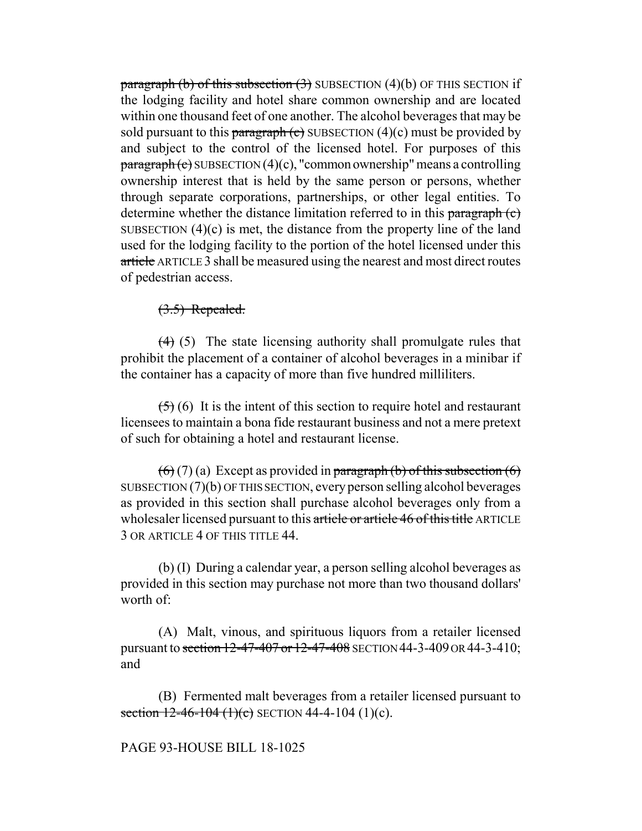paragraph (b) of this subsection  $(3)$  SUBSECTION  $(4)(b)$  OF THIS SECTION if the lodging facility and hotel share common ownership and are located within one thousand feet of one another. The alcohol beverages that may be sold pursuant to this paragraph  $\left( e \right)$  SUBSECTION (4)(c) must be provided by and subject to the control of the licensed hotel. For purposes of this  $\frac{\text{pargraph}}{\text{c}}$  SUBSECTION (4)(c), "common ownership" means a controlling ownership interest that is held by the same person or persons, whether through separate corporations, partnerships, or other legal entities. To determine whether the distance limitation referred to in this paragraph (c) SUBSECTION  $(4)(c)$  is met, the distance from the property line of the land used for the lodging facility to the portion of the hotel licensed under this article ARTICLE 3 shall be measured using the nearest and most direct routes of pedestrian access.

# $(3.5)$  Repealed.

(4) (5) The state licensing authority shall promulgate rules that prohibit the placement of a container of alcohol beverages in a minibar if the container has a capacity of more than five hundred milliliters.

 $(5)$  (6) It is the intent of this section to require hotel and restaurant licensees to maintain a bona fide restaurant business and not a mere pretext of such for obtaining a hotel and restaurant license.

 $(6)(7)(a)$  Except as provided in paragraph (b) of this subsection  $(6)$ SUBSECTION (7)(b) OF THIS SECTION, every person selling alcohol beverages as provided in this section shall purchase alcohol beverages only from a wholesaler licensed pursuant to this article or article 46 of this title ARTICLE 3 OR ARTICLE 4 OF THIS TITLE 44.

(b) (I) During a calendar year, a person selling alcohol beverages as provided in this section may purchase not more than two thousand dollars' worth of:

(A) Malt, vinous, and spirituous liquors from a retailer licensed pursuant to section 12-47-407 or 12-47-408 SECTION 44-3-409 OR 44-3-410; and

(B) Fermented malt beverages from a retailer licensed pursuant to section  $12-46-104$  (1)(c) SECTION 44-4-104 (1)(c).

# PAGE 93-HOUSE BILL 18-1025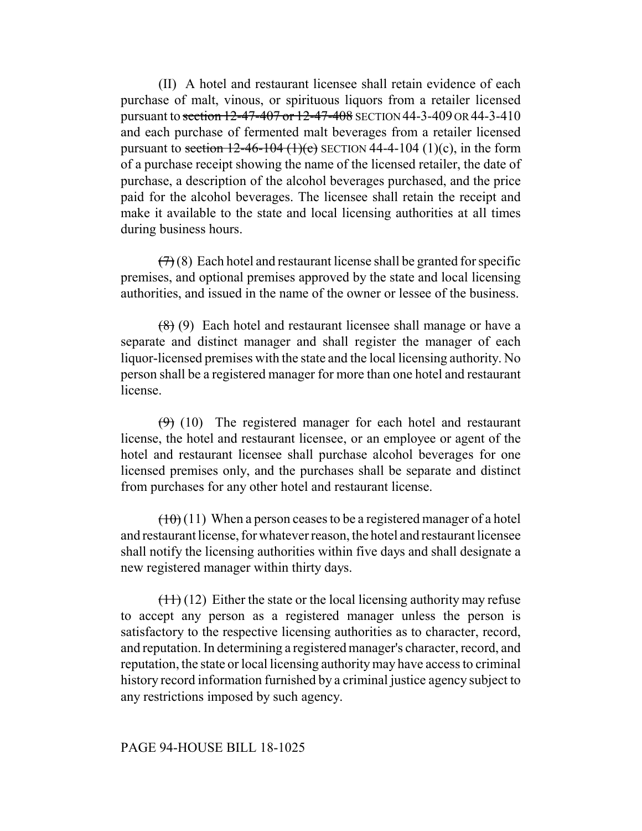(II) A hotel and restaurant licensee shall retain evidence of each purchase of malt, vinous, or spirituous liquors from a retailer licensed pursuant to section 12-47-407 or 12-47-408 SECTION 44-3-409 OR 44-3-410 and each purchase of fermented malt beverages from a retailer licensed pursuant to section  $12-46-104$  (1)(c) SECTION 44-4-104 (1)(c), in the form of a purchase receipt showing the name of the licensed retailer, the date of purchase, a description of the alcohol beverages purchased, and the price paid for the alcohol beverages. The licensee shall retain the receipt and make it available to the state and local licensing authorities at all times during business hours.

 $(7)(8)$  Each hotel and restaurant license shall be granted for specific premises, and optional premises approved by the state and local licensing authorities, and issued in the name of the owner or lessee of the business.

 $(8)$  (9) Each hotel and restaurant licensee shall manage or have a separate and distinct manager and shall register the manager of each liquor-licensed premises with the state and the local licensing authority. No person shall be a registered manager for more than one hotel and restaurant license.

 $(9)$  (10) The registered manager for each hotel and restaurant license, the hotel and restaurant licensee, or an employee or agent of the hotel and restaurant licensee shall purchase alcohol beverages for one licensed premises only, and the purchases shall be separate and distinct from purchases for any other hotel and restaurant license.

 $(10)(11)$  When a person ceases to be a registered manager of a hotel and restaurant license, for whatever reason, the hotel and restaurant licensee shall notify the licensing authorities within five days and shall designate a new registered manager within thirty days.

 $(11)(12)$  Either the state or the local licensing authority may refuse to accept any person as a registered manager unless the person is satisfactory to the respective licensing authorities as to character, record, and reputation. In determining a registered manager's character, record, and reputation, the state or local licensing authority may have access to criminal history record information furnished by a criminal justice agency subject to any restrictions imposed by such agency.

### PAGE 94-HOUSE BILL 18-1025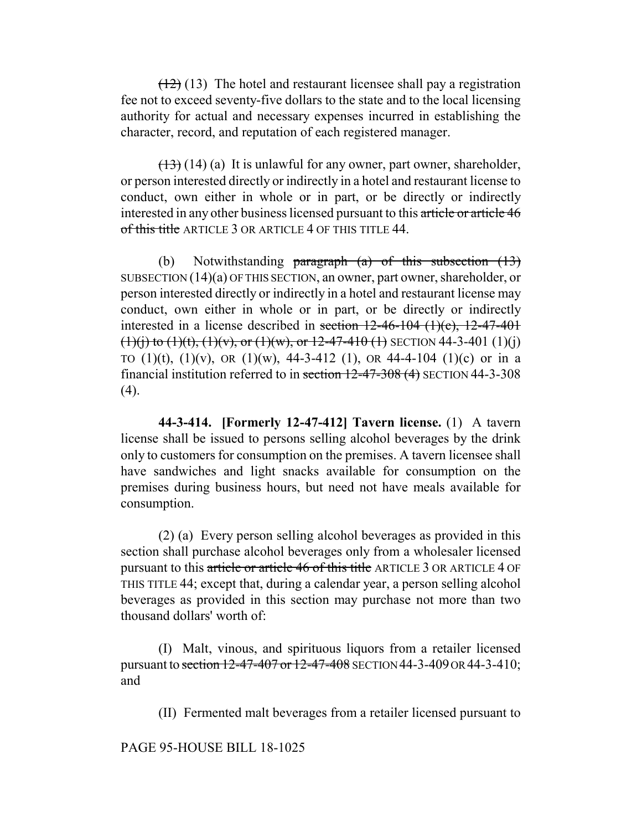$(12)$  (13) The hotel and restaurant licensee shall pay a registration fee not to exceed seventy-five dollars to the state and to the local licensing authority for actual and necessary expenses incurred in establishing the character, record, and reputation of each registered manager.

 $(13)$  (14) (a) It is unlawful for any owner, part owner, shareholder, or person interested directly or indirectly in a hotel and restaurant license to conduct, own either in whole or in part, or be directly or indirectly interested in any other business licensed pursuant to this article or article 46 of this title ARTICLE 3 OR ARTICLE 4 OF THIS TITLE 44.

(b) Notwithstanding paragraph  $(a)$  of this subsection  $(13)$ SUBSECTION (14)(a) OF THIS SECTION, an owner, part owner, shareholder, or person interested directly or indirectly in a hotel and restaurant license may conduct, own either in whole or in part, or be directly or indirectly interested in a license described in section  $12-46-104$   $(1)(c)$ ,  $12-47-401$  $(1)(i)$  to  $(1)(t)$ ,  $(1)(v)$ , or  $(1)(w)$ , or  $12-47-410$   $(1)$  SECTION 44-3-401  $(1)(i)$ TO  $(1)(t)$ ,  $(1)(v)$ , OR  $(1)(w)$ , 44-3-412  $(1)$ , OR 44-4-104  $(1)(c)$  or in a financial institution referred to in section 12-47-308 (4) SECTION 44-3-308  $(4)$ .

**44-3-414. [Formerly 12-47-412] Tavern license.** (1) A tavern license shall be issued to persons selling alcohol beverages by the drink only to customers for consumption on the premises. A tavern licensee shall have sandwiches and light snacks available for consumption on the premises during business hours, but need not have meals available for consumption.

(2) (a) Every person selling alcohol beverages as provided in this section shall purchase alcohol beverages only from a wholesaler licensed pursuant to this article or article 46 of this title ARTICLE 3 OR ARTICLE 4 OF THIS TITLE 44; except that, during a calendar year, a person selling alcohol beverages as provided in this section may purchase not more than two thousand dollars' worth of:

(I) Malt, vinous, and spirituous liquors from a retailer licensed pursuant to section 12-47-407 or 12-47-408 SECTION 44-3-409 OR 44-3-410; and

(II) Fermented malt beverages from a retailer licensed pursuant to

PAGE 95-HOUSE BILL 18-1025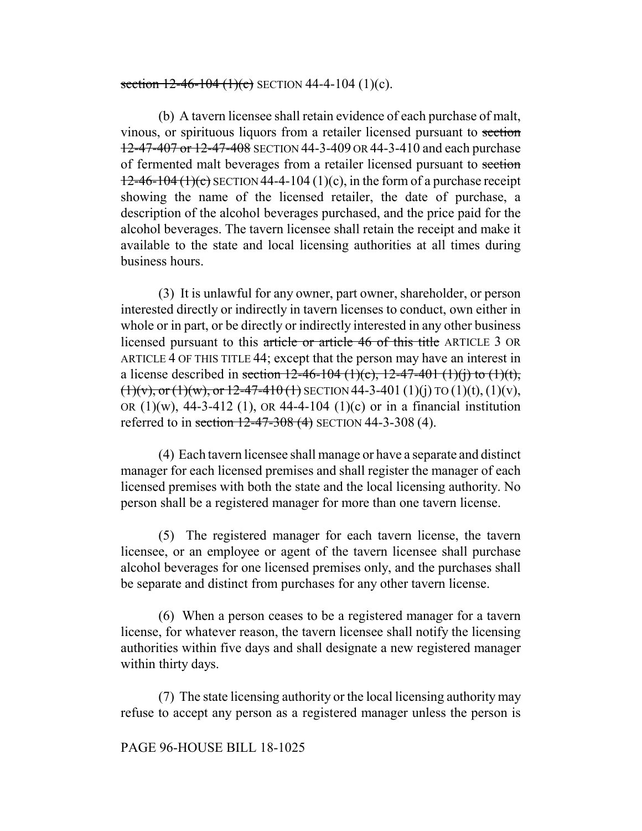#### section  $12-46-104$  (1)(c) SECTION 44-4-104 (1)(c).

(b) A tavern licensee shall retain evidence of each purchase of malt, vinous, or spirituous liquors from a retailer licensed pursuant to section 12-47-407 or 12-47-408 SECTION 44-3-409 OR 44-3-410 and each purchase of fermented malt beverages from a retailer licensed pursuant to section  $12-46-104(1)(c)$  SECTION 44-4-104 (1)(c), in the form of a purchase receipt showing the name of the licensed retailer, the date of purchase, a description of the alcohol beverages purchased, and the price paid for the alcohol beverages. The tavern licensee shall retain the receipt and make it available to the state and local licensing authorities at all times during business hours.

(3) It is unlawful for any owner, part owner, shareholder, or person interested directly or indirectly in tavern licenses to conduct, own either in whole or in part, or be directly or indirectly interested in any other business licensed pursuant to this article or article 46 of this title ARTICLE 3 OR ARTICLE 4 OF THIS TITLE 44; except that the person may have an interest in a license described in <del>section 12-46-104 (1)(c), 12-47-401 (1)(j) to (1)(t),</del>  $(1)(v)$ , or  $(1)(w)$ , or  $12-47-410$  (1) SECTION 44-3-401 (1)(j) TO (1)(t), (1)(v), OR  $(1)(w)$ , 44-3-412  $(1)$ , OR 44-4-104  $(1)(c)$  or in a financial institution referred to in section 12-47-308 (4) SECTION 44-3-308 (4).

(4) Each tavern licensee shall manage or have a separate and distinct manager for each licensed premises and shall register the manager of each licensed premises with both the state and the local licensing authority. No person shall be a registered manager for more than one tavern license.

(5) The registered manager for each tavern license, the tavern licensee, or an employee or agent of the tavern licensee shall purchase alcohol beverages for one licensed premises only, and the purchases shall be separate and distinct from purchases for any other tavern license.

(6) When a person ceases to be a registered manager for a tavern license, for whatever reason, the tavern licensee shall notify the licensing authorities within five days and shall designate a new registered manager within thirty days.

(7) The state licensing authority or the local licensing authority may refuse to accept any person as a registered manager unless the person is

### PAGE 96-HOUSE BILL 18-1025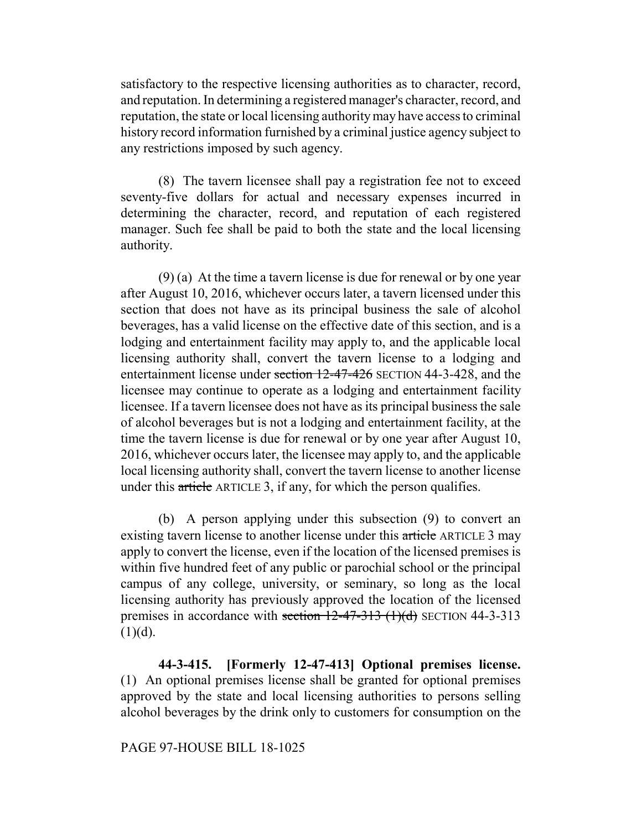satisfactory to the respective licensing authorities as to character, record, and reputation. In determining a registered manager's character, record, and reputation, the state or local licensing authority may have access to criminal history record information furnished by a criminal justice agency subject to any restrictions imposed by such agency.

(8) The tavern licensee shall pay a registration fee not to exceed seventy-five dollars for actual and necessary expenses incurred in determining the character, record, and reputation of each registered manager. Such fee shall be paid to both the state and the local licensing authority.

(9) (a) At the time a tavern license is due for renewal or by one year after August 10, 2016, whichever occurs later, a tavern licensed under this section that does not have as its principal business the sale of alcohol beverages, has a valid license on the effective date of this section, and is a lodging and entertainment facility may apply to, and the applicable local licensing authority shall, convert the tavern license to a lodging and entertainment license under section 12-47-426 SECTION 44-3-428, and the licensee may continue to operate as a lodging and entertainment facility licensee. If a tavern licensee does not have as its principal business the sale of alcohol beverages but is not a lodging and entertainment facility, at the time the tavern license is due for renewal or by one year after August 10, 2016, whichever occurs later, the licensee may apply to, and the applicable local licensing authority shall, convert the tavern license to another license under this article ARTICLE 3, if any, for which the person qualifies.

(b) A person applying under this subsection (9) to convert an existing tavern license to another license under this article ARTICLE 3 may apply to convert the license, even if the location of the licensed premises is within five hundred feet of any public or parochial school or the principal campus of any college, university, or seminary, so long as the local licensing authority has previously approved the location of the licensed premises in accordance with section  $12-47-313$  (1)(d) SECTION 44-3-313  $(1)(d)$ .

**44-3-415. [Formerly 12-47-413] Optional premises license.** (1) An optional premises license shall be granted for optional premises approved by the state and local licensing authorities to persons selling alcohol beverages by the drink only to customers for consumption on the

### PAGE 97-HOUSE BILL 18-1025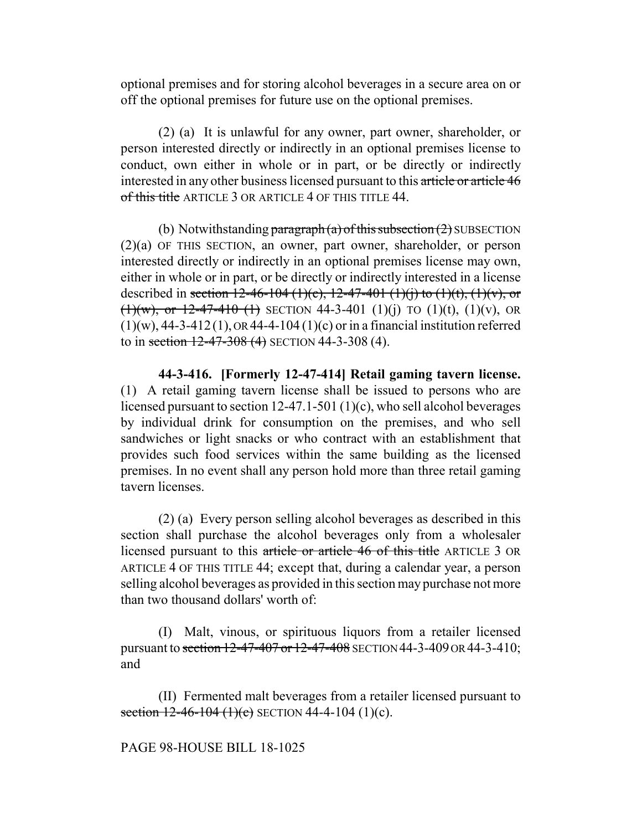optional premises and for storing alcohol beverages in a secure area on or off the optional premises for future use on the optional premises.

(2) (a) It is unlawful for any owner, part owner, shareholder, or person interested directly or indirectly in an optional premises license to conduct, own either in whole or in part, or be directly or indirectly interested in any other business licensed pursuant to this article or article 46 of this title ARTICLE 3 OR ARTICLE 4 OF THIS TITLE 44.

(b) Notwithstanding paragraph (a) of this subsection  $(2)$  SUBSECTION (2)(a) OF THIS SECTION, an owner, part owner, shareholder, or person interested directly or indirectly in an optional premises license may own, either in whole or in part, or be directly or indirectly interested in a license described in section 12-46-104 (1)(c), 12-47-401 (1)(j) to (1)(t), (1)(v), or  $(1)(w)$ , or 12-47-410 (1) SECTION 44-3-401 (1)(i) TO (1)(t), (1)(v), OR  $(1)(w)$ , 44-3-412(1), OR 44-4-104(1)(c) or in a financial institution referred to in section  $12-47-308$  (4) SECTION 44-3-308 (4).

**44-3-416. [Formerly 12-47-414] Retail gaming tavern license.** (1) A retail gaming tavern license shall be issued to persons who are licensed pursuant to section 12-47.1-501 (1)(c), who sell alcohol beverages by individual drink for consumption on the premises, and who sell sandwiches or light snacks or who contract with an establishment that provides such food services within the same building as the licensed premises. In no event shall any person hold more than three retail gaming tavern licenses.

(2) (a) Every person selling alcohol beverages as described in this section shall purchase the alcohol beverages only from a wholesaler licensed pursuant to this article or article 46 of this title ARTICLE 3 OR ARTICLE 4 OF THIS TITLE 44; except that, during a calendar year, a person selling alcohol beverages as provided in this section may purchase not more than two thousand dollars' worth of:

(I) Malt, vinous, or spirituous liquors from a retailer licensed pursuant to section 12-47-407 or 12-47-408 SECTION 44-3-409 OR 44-3-410; and

(II) Fermented malt beverages from a retailer licensed pursuant to section  $12-46-104$  (1)(c) SECTION 44-4-104 (1)(c).

PAGE 98-HOUSE BILL 18-1025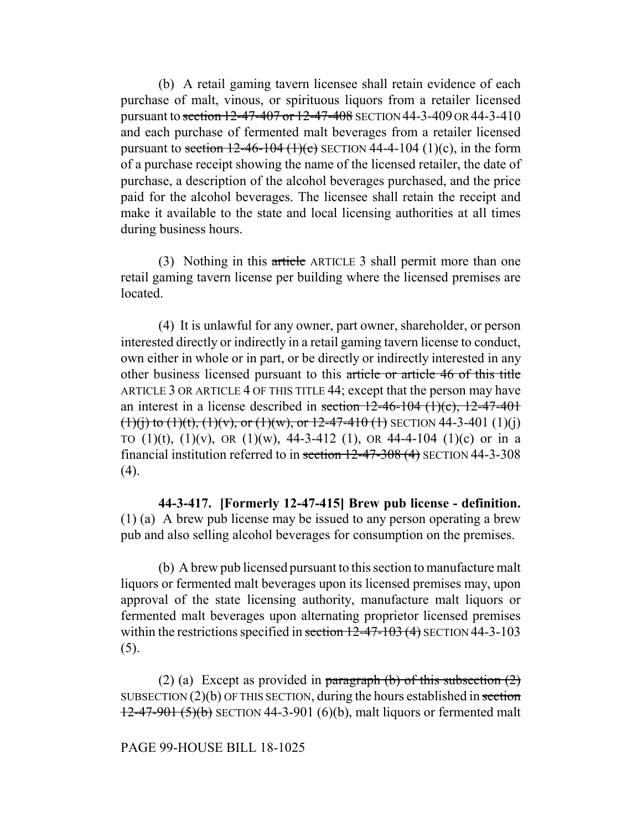(b) A retail gaming tavern licensee shall retain evidence of each purchase of malt, vinous, or spirituous liquors from a retailer licensed pursuant to section 12-47-407 or 12-47-408 SECTION 44-3-409 OR 44-3-410 and each purchase of fermented malt beverages from a retailer licensed pursuant to section  $12-46-104$  (1)(c) SECTION 44-4-104 (1)(c), in the form of a purchase receipt showing the name of the licensed retailer, the date of purchase, a description of the alcohol beverages purchased, and the price paid for the alcohol beverages. The licensee shall retain the receipt and make it available to the state and local licensing authorities at all times during business hours.

(3) Nothing in this article ARTICLE 3 shall permit more than one retail gaming tavern license per building where the licensed premises are located.

(4) It is unlawful for any owner, part owner, shareholder, or person interested directly or indirectly in a retail gaming tavern license to conduct, own either in whole or in part, or be directly or indirectly interested in any other business licensed pursuant to this article or article 46 of this title ARTICLE 3 OR ARTICLE 4 OF THIS TITLE 44; except that the person may have an interest in a license described in section  $12-46-104$   $(1)(c)$ ,  $12-47-401$  $(1)(i)$  to  $(1)(t)$ ,  $(1)(v)$ , or  $(1)(w)$ , or  $12-47-410$  (1) SECTION 44-3-401 (1)(j) TO  $(1)(t)$ ,  $(1)(v)$ , OR  $(1)(w)$ , 44-3-412  $(1)$ , OR 44-4-104  $(1)(c)$  or in a financial institution referred to in section 12-47-308 (4) SECTION 44-3-308 (4).

**44-3-417. [Formerly 12-47-415] Brew pub license - definition.** (1) (a) A brew pub license may be issued to any person operating a brew pub and also selling alcohol beverages for consumption on the premises.

(b) A brew pub licensed pursuant to this section to manufacture malt liquors or fermented malt beverages upon its licensed premises may, upon approval of the state licensing authority, manufacture malt liquors or fermented malt beverages upon alternating proprietor licensed premises within the restrictions specified in section 12-47-103 (4) SECTION 44-3-103 (5).

(2) (a) Except as provided in paragraph (b) of this subsection  $(2)$ SUBSECTION  $(2)(b)$  OF THIS SECTION, during the hours established in section  $12-47-901(5)(b)$  SECTION 44-3-901 (6)(b), malt liquors or fermented malt

# PAGE 99-HOUSE BILL 18-1025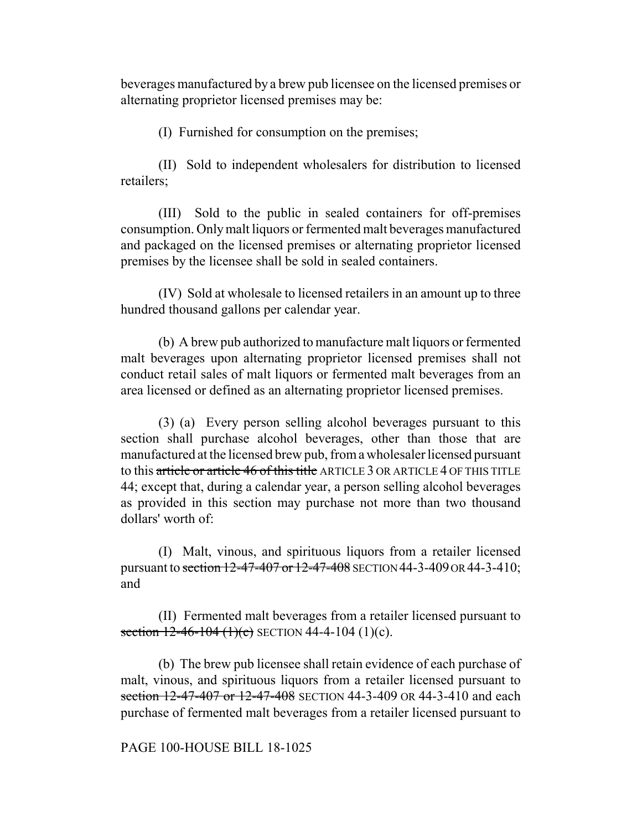beverages manufactured by a brew pub licensee on the licensed premises or alternating proprietor licensed premises may be:

(I) Furnished for consumption on the premises;

(II) Sold to independent wholesalers for distribution to licensed retailers;

(III) Sold to the public in sealed containers for off-premises consumption. Only malt liquors or fermented malt beverages manufactured and packaged on the licensed premises or alternating proprietor licensed premises by the licensee shall be sold in sealed containers.

(IV) Sold at wholesale to licensed retailers in an amount up to three hundred thousand gallons per calendar year.

(b) A brew pub authorized to manufacture malt liquors or fermented malt beverages upon alternating proprietor licensed premises shall not conduct retail sales of malt liquors or fermented malt beverages from an area licensed or defined as an alternating proprietor licensed premises.

(3) (a) Every person selling alcohol beverages pursuant to this section shall purchase alcohol beverages, other than those that are manufactured at the licensed brew pub, from a wholesaler licensed pursuant to this article or article 46 of this title ARTICLE 3 OR ARTICLE 4 OF THIS TITLE 44; except that, during a calendar year, a person selling alcohol beverages as provided in this section may purchase not more than two thousand dollars' worth of:

(I) Malt, vinous, and spirituous liquors from a retailer licensed pursuant to section 12-47-407 or 12-47-408 SECTION 44-3-409 OR 44-3-410; and

(II) Fermented malt beverages from a retailer licensed pursuant to section  $12-46-104$  (1)(c) SECTION 44-4-104 (1)(c).

(b) The brew pub licensee shall retain evidence of each purchase of malt, vinous, and spirituous liquors from a retailer licensed pursuant to section 12-47-407 or 12-47-408 SECTION 44-3-409 OR 44-3-410 and each purchase of fermented malt beverages from a retailer licensed pursuant to

### PAGE 100-HOUSE BILL 18-1025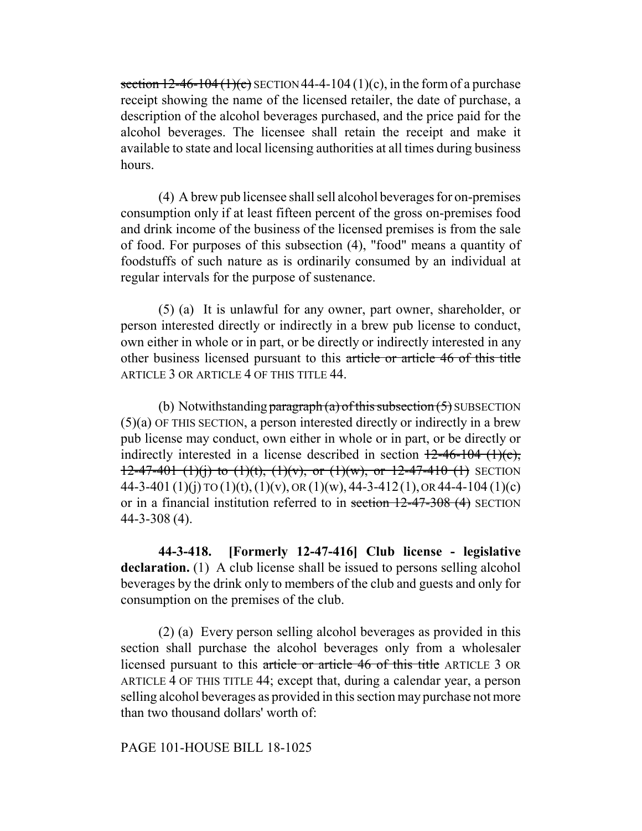section  $12-46-104(1)(c)$  SECTION 44-4-104 (1)(c), in the form of a purchase receipt showing the name of the licensed retailer, the date of purchase, a description of the alcohol beverages purchased, and the price paid for the alcohol beverages. The licensee shall retain the receipt and make it available to state and local licensing authorities at all times during business hours.

(4) A brew pub licensee shall sell alcohol beverages for on-premises consumption only if at least fifteen percent of the gross on-premises food and drink income of the business of the licensed premises is from the sale of food. For purposes of this subsection (4), "food" means a quantity of foodstuffs of such nature as is ordinarily consumed by an individual at regular intervals for the purpose of sustenance.

(5) (a) It is unlawful for any owner, part owner, shareholder, or person interested directly or indirectly in a brew pub license to conduct, own either in whole or in part, or be directly or indirectly interested in any other business licensed pursuant to this article or article 46 of this title ARTICLE 3 OR ARTICLE 4 OF THIS TITLE 44.

(b) Notwithstanding paragraph (a) of this subsection  $(5)$  SUBSECTION (5)(a) OF THIS SECTION, a person interested directly or indirectly in a brew pub license may conduct, own either in whole or in part, or be directly or indirectly interested in a license described in section  $12-46-104$  (1)(c),  $12-47-401$  (1)(i) to (1)(t), (1)(v), or (1)(w), or 12-47-410 (1) SECTION 44-3-401 (1)(j) TO (1)(t), (1)(v), OR (1)(w), 44-3-412(1), OR 44-4-104 (1)(c) or in a financial institution referred to in section 12-47-308 (4) SECTION 44-3-308 (4).

**44-3-418. [Formerly 12-47-416] Club license - legislative declaration.** (1) A club license shall be issued to persons selling alcohol beverages by the drink only to members of the club and guests and only for consumption on the premises of the club.

(2) (a) Every person selling alcohol beverages as provided in this section shall purchase the alcohol beverages only from a wholesaler licensed pursuant to this article or article 46 of this title ARTICLE 3 OR ARTICLE 4 OF THIS TITLE 44; except that, during a calendar year, a person selling alcohol beverages as provided in this section may purchase not more than two thousand dollars' worth of:

# PAGE 101-HOUSE BILL 18-1025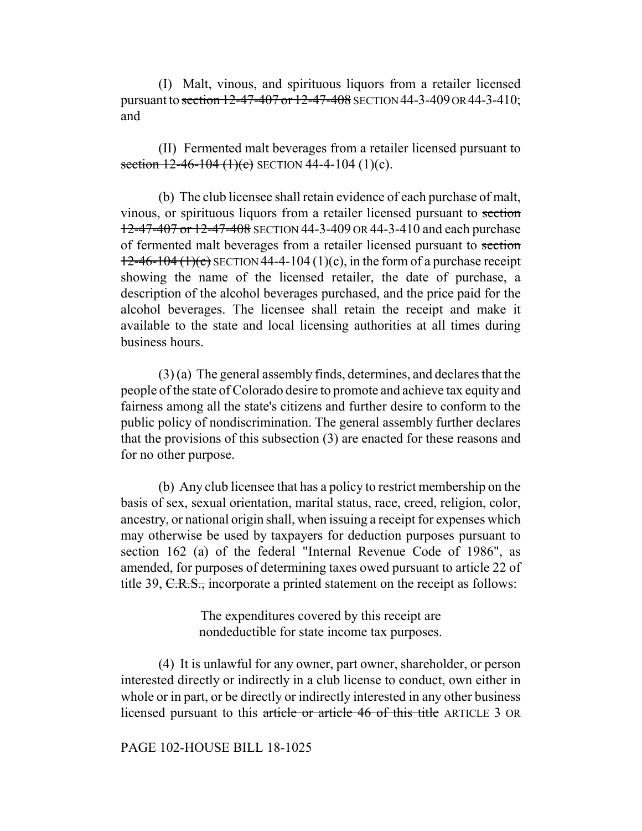(I) Malt, vinous, and spirituous liquors from a retailer licensed pursuant to section 12-47-407 or 12-47-408 SECTION 44-3-409 OR 44-3-410; and

(II) Fermented malt beverages from a retailer licensed pursuant to section  $12-46-104$  (1)(c) SECTION 44-4-104 (1)(c).

(b) The club licensee shall retain evidence of each purchase of malt, vinous, or spirituous liquors from a retailer licensed pursuant to section 12-47-407 or 12-47-408 SECTION 44-3-409 OR 44-3-410 and each purchase of fermented malt beverages from a retailer licensed pursuant to section  $12-46-104(1)(c)$  SECTION 44-4-104 (1)(c), in the form of a purchase receipt showing the name of the licensed retailer, the date of purchase, a description of the alcohol beverages purchased, and the price paid for the alcohol beverages. The licensee shall retain the receipt and make it available to the state and local licensing authorities at all times during business hours.

(3) (a) The general assembly finds, determines, and declares that the people of the state of Colorado desire to promote and achieve tax equity and fairness among all the state's citizens and further desire to conform to the public policy of nondiscrimination. The general assembly further declares that the provisions of this subsection (3) are enacted for these reasons and for no other purpose.

(b) Any club licensee that has a policy to restrict membership on the basis of sex, sexual orientation, marital status, race, creed, religion, color, ancestry, or national origin shall, when issuing a receipt for expenses which may otherwise be used by taxpayers for deduction purposes pursuant to section 162 (a) of the federal "Internal Revenue Code of 1986", as amended, for purposes of determining taxes owed pursuant to article 22 of title 39, C.R.S., incorporate a printed statement on the receipt as follows:

> The expenditures covered by this receipt are nondeductible for state income tax purposes.

(4) It is unlawful for any owner, part owner, shareholder, or person interested directly or indirectly in a club license to conduct, own either in whole or in part, or be directly or indirectly interested in any other business licensed pursuant to this article or article 46 of this title ARTICLE 3 OR

#### PAGE 102-HOUSE BILL 18-1025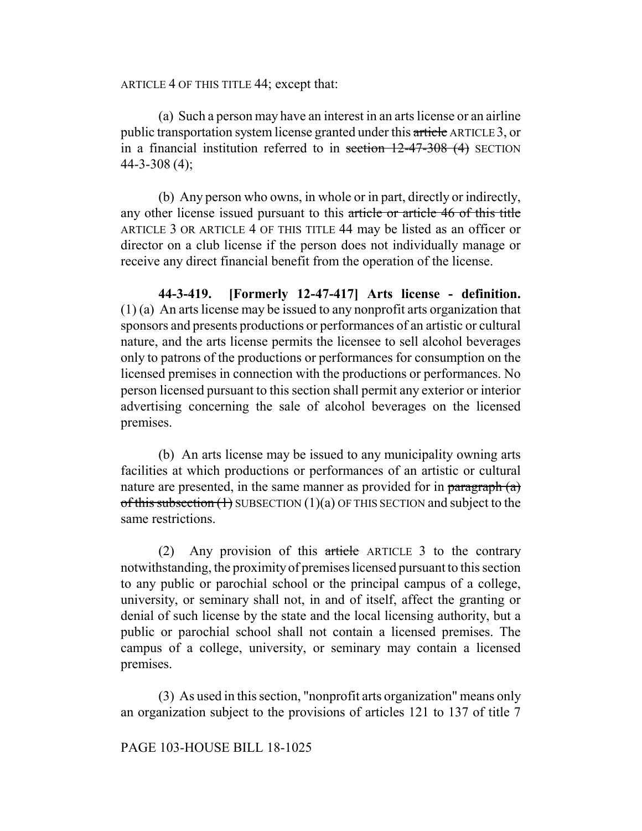ARTICLE 4 OF THIS TITLE 44; except that:

(a) Such a person may have an interest in an arts license or an airline public transportation system license granted under this article ARTICLE 3, or in a financial institution referred to in section  $12-47-308$  (4) SECTION  $44 - 3 - 308(4)$ ;

(b) Any person who owns, in whole or in part, directly or indirectly, any other license issued pursuant to this article or article 46 of this title ARTICLE 3 OR ARTICLE 4 OF THIS TITLE 44 may be listed as an officer or director on a club license if the person does not individually manage or receive any direct financial benefit from the operation of the license.

**44-3-419. [Formerly 12-47-417] Arts license - definition.** (1) (a) An arts license may be issued to any nonprofit arts organization that sponsors and presents productions or performances of an artistic or cultural nature, and the arts license permits the licensee to sell alcohol beverages only to patrons of the productions or performances for consumption on the licensed premises in connection with the productions or performances. No person licensed pursuant to this section shall permit any exterior or interior advertising concerning the sale of alcohol beverages on the licensed premises.

(b) An arts license may be issued to any municipality owning arts facilities at which productions or performances of an artistic or cultural nature are presented, in the same manner as provided for in paragraph  $(a)$ of this subsection  $(1)$  SUBSECTION  $(1)(a)$  OF THIS SECTION and subject to the same restrictions.

(2) Any provision of this article ARTICLE 3 to the contrary notwithstanding, the proximity of premises licensed pursuant to this section to any public or parochial school or the principal campus of a college, university, or seminary shall not, in and of itself, affect the granting or denial of such license by the state and the local licensing authority, but a public or parochial school shall not contain a licensed premises. The campus of a college, university, or seminary may contain a licensed premises.

(3) As used in this section, "nonprofit arts organization" means only an organization subject to the provisions of articles 121 to 137 of title 7

### PAGE 103-HOUSE BILL 18-1025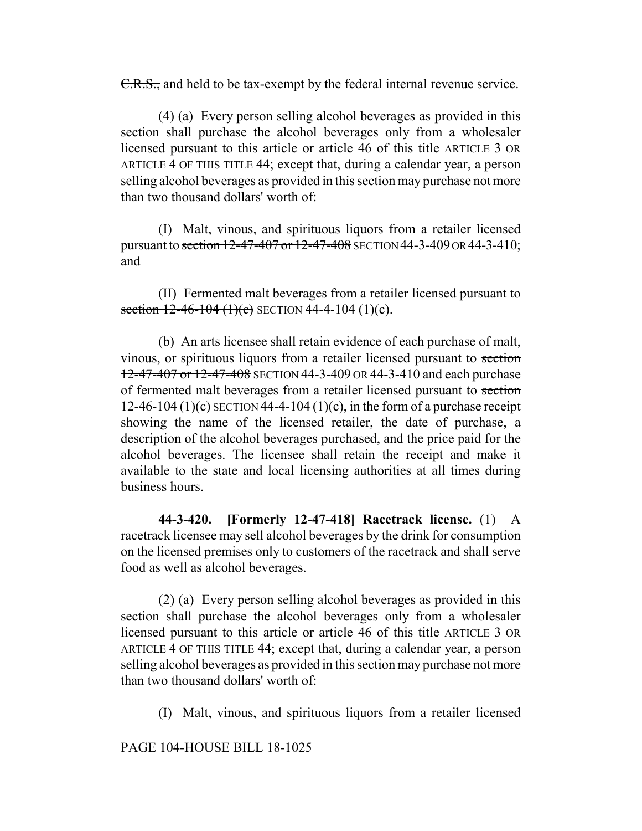C.R.S., and held to be tax-exempt by the federal internal revenue service.

(4) (a) Every person selling alcohol beverages as provided in this section shall purchase the alcohol beverages only from a wholesaler licensed pursuant to this article or article 46 of this title ARTICLE 3 OR ARTICLE 4 OF THIS TITLE 44; except that, during a calendar year, a person selling alcohol beverages as provided in this section may purchase not more than two thousand dollars' worth of:

(I) Malt, vinous, and spirituous liquors from a retailer licensed pursuant to section 12-47-407 or 12-47-408 SECTION 44-3-409 OR 44-3-410; and

(II) Fermented malt beverages from a retailer licensed pursuant to section  $12-46-104$  (1)(c) SECTION 44-4-104 (1)(c).

(b) An arts licensee shall retain evidence of each purchase of malt, vinous, or spirituous liquors from a retailer licensed pursuant to section 12-47-407 or 12-47-408 SECTION 44-3-409 OR 44-3-410 and each purchase of fermented malt beverages from a retailer licensed pursuant to section  $12-46-104(1)(c)$  SECTION 44-4-104 (1)(c), in the form of a purchase receipt showing the name of the licensed retailer, the date of purchase, a description of the alcohol beverages purchased, and the price paid for the alcohol beverages. The licensee shall retain the receipt and make it available to the state and local licensing authorities at all times during business hours.

**44-3-420. [Formerly 12-47-418] Racetrack license.** (1) A racetrack licensee may sell alcohol beverages by the drink for consumption on the licensed premises only to customers of the racetrack and shall serve food as well as alcohol beverages.

(2) (a) Every person selling alcohol beverages as provided in this section shall purchase the alcohol beverages only from a wholesaler licensed pursuant to this article or article 46 of this title ARTICLE 3 OR ARTICLE 4 OF THIS TITLE 44; except that, during a calendar year, a person selling alcohol beverages as provided in this section may purchase not more than two thousand dollars' worth of:

(I) Malt, vinous, and spirituous liquors from a retailer licensed

PAGE 104-HOUSE BILL 18-1025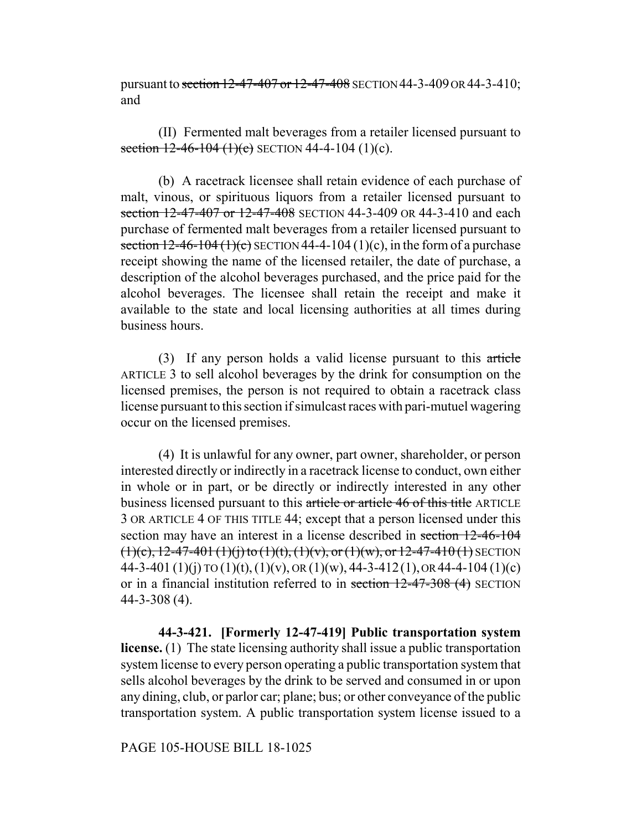pursuant to section 12-47-407 or 12-47-408 SECTION 44-3-409 OR 44-3-410; and

(II) Fermented malt beverages from a retailer licensed pursuant to section  $12-46-104$  (1)(c) SECTION 44-4-104 (1)(c).

(b) A racetrack licensee shall retain evidence of each purchase of malt, vinous, or spirituous liquors from a retailer licensed pursuant to section 12-47-407 or 12-47-408 SECTION 44-3-409 OR 44-3-410 and each purchase of fermented malt beverages from a retailer licensed pursuant to section  $12-46-104$  (1)(c) SECTION 44-4-104 (1)(c), in the form of a purchase receipt showing the name of the licensed retailer, the date of purchase, a description of the alcohol beverages purchased, and the price paid for the alcohol beverages. The licensee shall retain the receipt and make it available to the state and local licensing authorities at all times during business hours.

(3) If any person holds a valid license pursuant to this article ARTICLE 3 to sell alcohol beverages by the drink for consumption on the licensed premises, the person is not required to obtain a racetrack class license pursuant to this section if simulcast races with pari-mutuel wagering occur on the licensed premises.

(4) It is unlawful for any owner, part owner, shareholder, or person interested directly or indirectly in a racetrack license to conduct, own either in whole or in part, or be directly or indirectly interested in any other business licensed pursuant to this article or article 46 of this title ARTICLE 3 OR ARTICLE 4 OF THIS TITLE 44; except that a person licensed under this section may have an interest in a license described in section 12-46-104  $(1)(e)$ , 12-47-401  $(1)(i)$  to  $(1)(t)$ ,  $(1)(v)$ , or  $(1)(w)$ , or  $12$ -47-410 $(1)$  SECTION 44-3-401 (1)(j) TO (1)(t), (1)(v), OR (1)(w), 44-3-412(1), OR 44-4-104 (1)(c) or in a financial institution referred to in section 12-47-308 (4) SECTION 44-3-308 (4).

**44-3-421. [Formerly 12-47-419] Public transportation system license.** (1) The state licensing authority shall issue a public transportation system license to every person operating a public transportation system that sells alcohol beverages by the drink to be served and consumed in or upon any dining, club, or parlor car; plane; bus; or other conveyance of the public transportation system. A public transportation system license issued to a

PAGE 105-HOUSE BILL 18-1025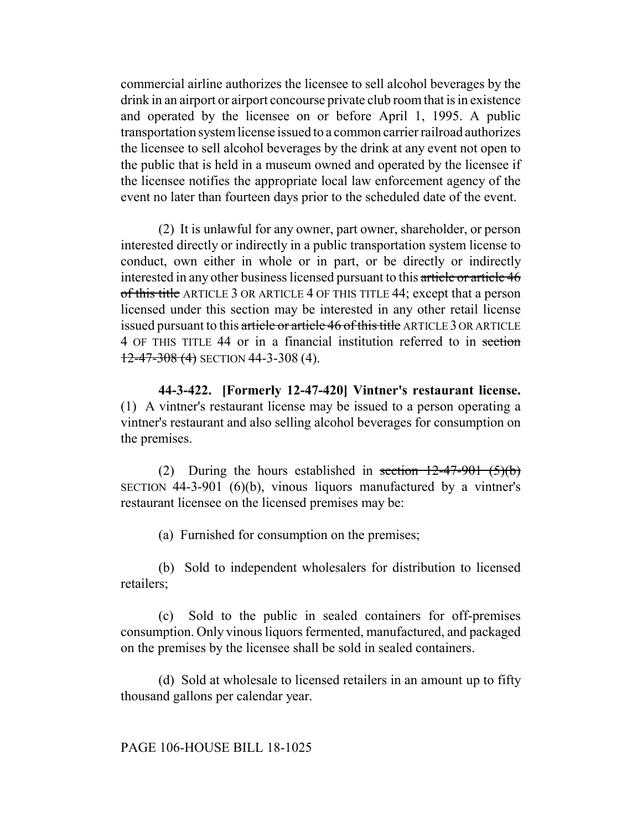commercial airline authorizes the licensee to sell alcohol beverages by the drink in an airport or airport concourse private club room that is in existence and operated by the licensee on or before April 1, 1995. A public transportation system license issued to a common carrier railroad authorizes the licensee to sell alcohol beverages by the drink at any event not open to the public that is held in a museum owned and operated by the licensee if the licensee notifies the appropriate local law enforcement agency of the event no later than fourteen days prior to the scheduled date of the event.

(2) It is unlawful for any owner, part owner, shareholder, or person interested directly or indirectly in a public transportation system license to conduct, own either in whole or in part, or be directly or indirectly interested in any other business licensed pursuant to this article or article 46 of this title ARTICLE 3 OR ARTICLE 4 OF THIS TITLE 44; except that a person licensed under this section may be interested in any other retail license issued pursuant to this article or article 46 of this title ARTICLE 3 OR ARTICLE 4 OF THIS TITLE 44 or in a financial institution referred to in section  $12-47-308$  (4) SECTION 44-3-308 (4).

**44-3-422. [Formerly 12-47-420] Vintner's restaurant license.** (1) A vintner's restaurant license may be issued to a person operating a vintner's restaurant and also selling alcohol beverages for consumption on the premises.

(2) During the hours established in section  $12-47-901$  (5)(b) SECTION 44-3-901 (6)(b), vinous liquors manufactured by a vintner's restaurant licensee on the licensed premises may be:

(a) Furnished for consumption on the premises;

(b) Sold to independent wholesalers for distribution to licensed retailers;

(c) Sold to the public in sealed containers for off-premises consumption. Only vinous liquors fermented, manufactured, and packaged on the premises by the licensee shall be sold in sealed containers.

(d) Sold at wholesale to licensed retailers in an amount up to fifty thousand gallons per calendar year.

### PAGE 106-HOUSE BILL 18-1025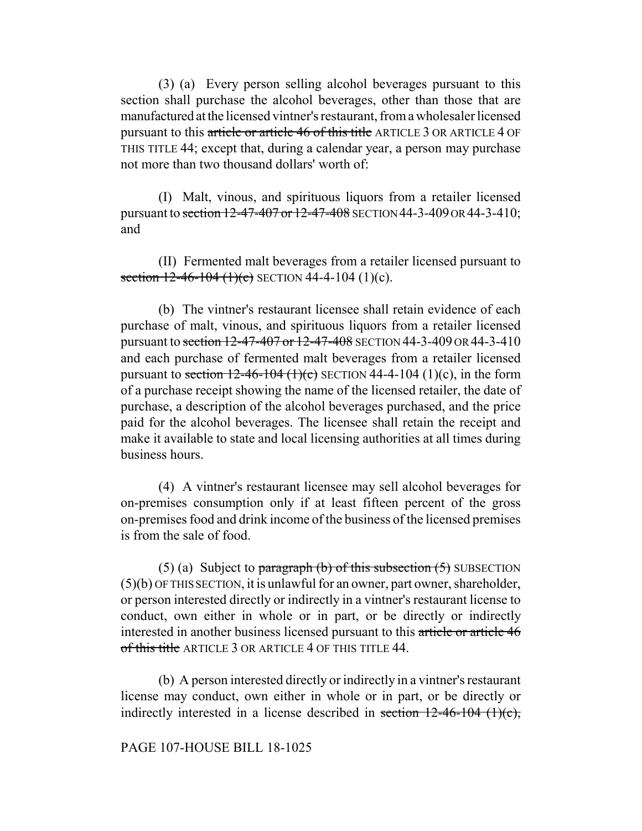(3) (a) Every person selling alcohol beverages pursuant to this section shall purchase the alcohol beverages, other than those that are manufactured at the licensed vintner's restaurant, from a wholesaler licensed pursuant to this article or article 46 of this title ARTICLE 3 OR ARTICLE 4 OF THIS TITLE 44; except that, during a calendar year, a person may purchase not more than two thousand dollars' worth of:

(I) Malt, vinous, and spirituous liquors from a retailer licensed pursuant to section 12-47-407 or 12-47-408 SECTION 44-3-409 OR 44-3-410; and

(II) Fermented malt beverages from a retailer licensed pursuant to section  $12-46-104$  (1)(c) SECTION 44-4-104 (1)(c).

(b) The vintner's restaurant licensee shall retain evidence of each purchase of malt, vinous, and spirituous liquors from a retailer licensed pursuant to section 12-47-407 or 12-47-408 SECTION 44-3-409 OR 44-3-410 and each purchase of fermented malt beverages from a retailer licensed pursuant to section  $12-46-104$  (1)(c) SECTION 44-4-104 (1)(c), in the form of a purchase receipt showing the name of the licensed retailer, the date of purchase, a description of the alcohol beverages purchased, and the price paid for the alcohol beverages. The licensee shall retain the receipt and make it available to state and local licensing authorities at all times during business hours.

(4) A vintner's restaurant licensee may sell alcohol beverages for on-premises consumption only if at least fifteen percent of the gross on-premises food and drink income of the business of the licensed premises is from the sale of food.

(5) (a) Subject to paragraph  $(b)$  of this subsection  $(5)$  SUBSECTION (5)(b) OF THIS SECTION, it is unlawful for an owner, part owner, shareholder, or person interested directly or indirectly in a vintner's restaurant license to conduct, own either in whole or in part, or be directly or indirectly interested in another business licensed pursuant to this article or article 46 of this title ARTICLE 3 OR ARTICLE 4 OF THIS TITLE 44.

(b) A person interested directly or indirectly in a vintner's restaurant license may conduct, own either in whole or in part, or be directly or indirectly interested in a license described in section  $12-46-104$  (1)(c),

# PAGE 107-HOUSE BILL 18-1025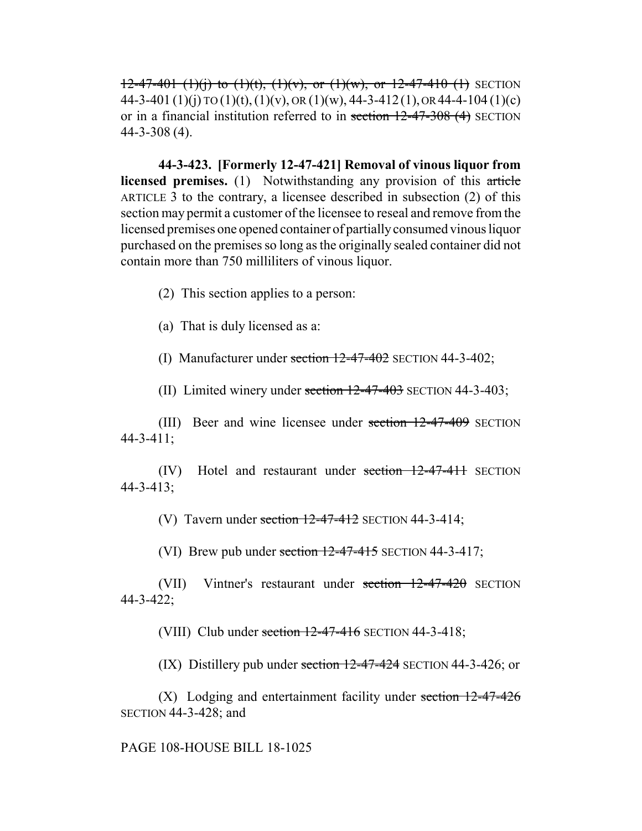$12-47-401$  (1)(i) to (1)(t), (1)(v), or (1)(w), or 12-47-410 (1) SECTION 44-3-401 (1)(j) TO (1)(t), (1)(v), OR (1)(w), 44-3-412(1), OR 44-4-104 (1)(c) or in a financial institution referred to in section 12-47-308 (4) SECTION 44-3-308 (4).

**44-3-423. [Formerly 12-47-421] Removal of vinous liquor from licensed premises.** (1) Notwithstanding any provision of this article ARTICLE 3 to the contrary, a licensee described in subsection (2) of this section may permit a customer of the licensee to reseal and remove from the licensed premises one opened container of partially consumed vinous liquor purchased on the premises so long as the originally sealed container did not contain more than 750 milliliters of vinous liquor.

(2) This section applies to a person:

(a) That is duly licensed as a:

(I) Manufacturer under section  $12-47-402$  SECTION 44-3-402;

(II) Limited winery under section  $12-47-403$  SECTION 44-3-403;

(III) Beer and wine licensee under section 12-47-409 SECTION 44-3-411;

(IV) Hotel and restaurant under section 12-47-411 SECTION 44-3-413;

(V) Tavern under section  $12-47-412$  SECTION 44-3-414;

(VI) Brew pub under section  $12-47-415$  SECTION 44-3-417;

(VII) Vintner's restaurant under section 12-47-420 SECTION 44-3-422;

(VIII) Club under section  $12-47-416$  SECTION 44-3-418;

(IX) Distillery pub under section  $12-47-424$  SECTION 44-3-426; or

(X) Lodging and entertainment facility under section 12-47-426 SECTION 44-3-428; and

PAGE 108-HOUSE BILL 18-1025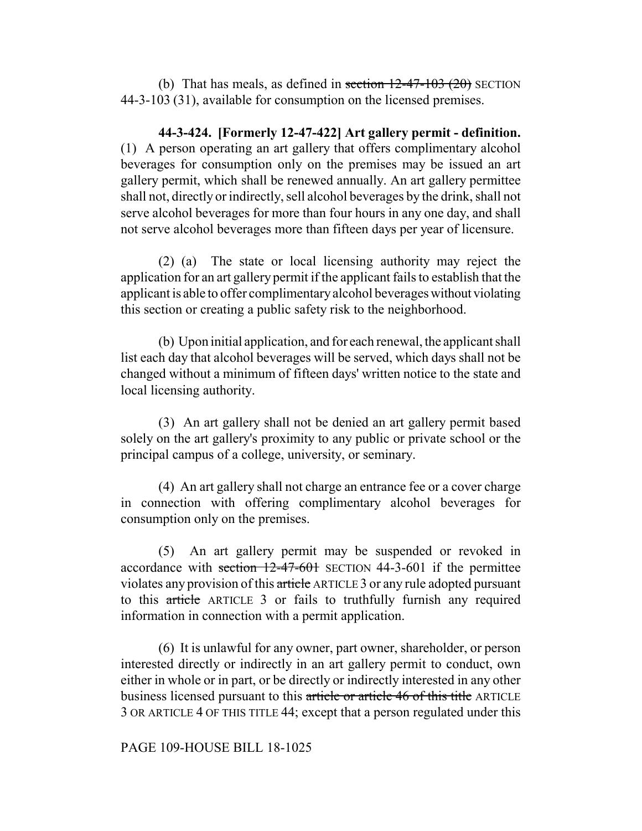(b) That has meals, as defined in section  $12-47-103$  (20) SECTION 44-3-103 (31), available for consumption on the licensed premises.

**44-3-424. [Formerly 12-47-422] Art gallery permit - definition.** (1) A person operating an art gallery that offers complimentary alcohol beverages for consumption only on the premises may be issued an art gallery permit, which shall be renewed annually. An art gallery permittee shall not, directly or indirectly, sell alcohol beverages by the drink, shall not serve alcohol beverages for more than four hours in any one day, and shall not serve alcohol beverages more than fifteen days per year of licensure.

(2) (a) The state or local licensing authority may reject the application for an art gallery permit if the applicant fails to establish that the applicant is able to offer complimentary alcohol beverages without violating this section or creating a public safety risk to the neighborhood.

(b) Upon initial application, and for each renewal, the applicant shall list each day that alcohol beverages will be served, which days shall not be changed without a minimum of fifteen days' written notice to the state and local licensing authority.

(3) An art gallery shall not be denied an art gallery permit based solely on the art gallery's proximity to any public or private school or the principal campus of a college, university, or seminary.

(4) An art gallery shall not charge an entrance fee or a cover charge in connection with offering complimentary alcohol beverages for consumption only on the premises.

(5) An art gallery permit may be suspended or revoked in accordance with section  $12-47-601$  SECTION 44-3-601 if the permittee violates any provision of this article ARTICLE 3 or any rule adopted pursuant to this article ARTICLE 3 or fails to truthfully furnish any required information in connection with a permit application.

(6) It is unlawful for any owner, part owner, shareholder, or person interested directly or indirectly in an art gallery permit to conduct, own either in whole or in part, or be directly or indirectly interested in any other business licensed pursuant to this article or article 46 of this title ARTICLE 3 OR ARTICLE 4 OF THIS TITLE 44; except that a person regulated under this

## PAGE 109-HOUSE BILL 18-1025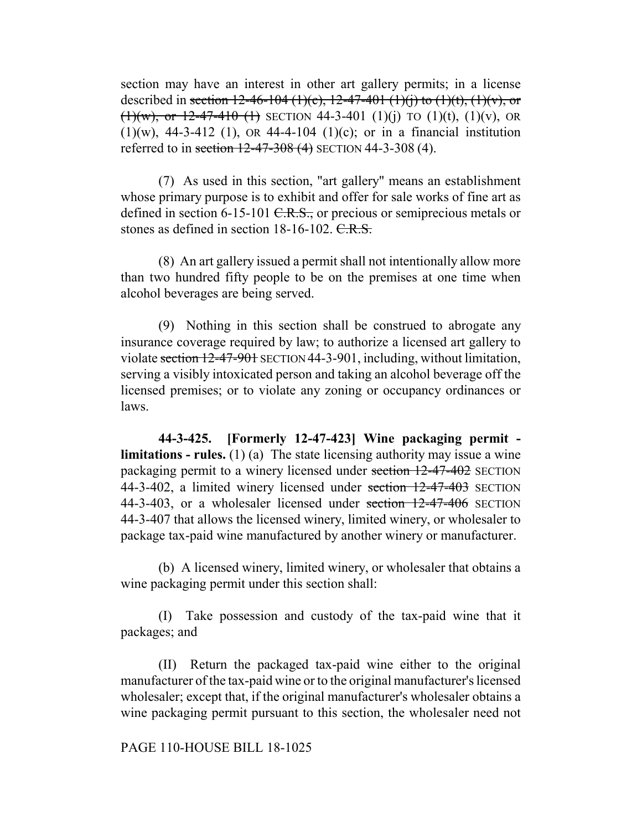section may have an interest in other art gallery permits; in a license described in section 12-46-104 (1)(c), 12-47-401 (1)(j) to (1)(t), (1)(v), or (1)(w), or 12-47-410 (1) SECTION 44-3-401 (1)(j) TO (1)(t), (1)(v), OR  $(1)(w)$ , 44-3-412 (1), OR 44-4-104 (1)(c); or in a financial institution referred to in section  $12-47-308(4)$  SECTION 44-3-308 (4).

(7) As used in this section, "art gallery" means an establishment whose primary purpose is to exhibit and offer for sale works of fine art as defined in section 6-15-101 C.R.S., or precious or semiprecious metals or stones as defined in section 18-16-102. C.R.S.

(8) An art gallery issued a permit shall not intentionally allow more than two hundred fifty people to be on the premises at one time when alcohol beverages are being served.

(9) Nothing in this section shall be construed to abrogate any insurance coverage required by law; to authorize a licensed art gallery to violate section 12-47-901 SECTION 44-3-901, including, without limitation, serving a visibly intoxicated person and taking an alcohol beverage off the licensed premises; or to violate any zoning or occupancy ordinances or laws.

**44-3-425. [Formerly 12-47-423] Wine packaging permit limitations - rules.** (1) (a) The state licensing authority may issue a wine packaging permit to a winery licensed under section 12-47-402 SECTION 44-3-402, a limited winery licensed under section 12-47-403 SECTION 44-3-403, or a wholesaler licensed under section 12-47-406 SECTION 44-3-407 that allows the licensed winery, limited winery, or wholesaler to package tax-paid wine manufactured by another winery or manufacturer.

(b) A licensed winery, limited winery, or wholesaler that obtains a wine packaging permit under this section shall:

(I) Take possession and custody of the tax-paid wine that it packages; and

(II) Return the packaged tax-paid wine either to the original manufacturer of the tax-paid wine or to the original manufacturer's licensed wholesaler; except that, if the original manufacturer's wholesaler obtains a wine packaging permit pursuant to this section, the wholesaler need not

# PAGE 110-HOUSE BILL 18-1025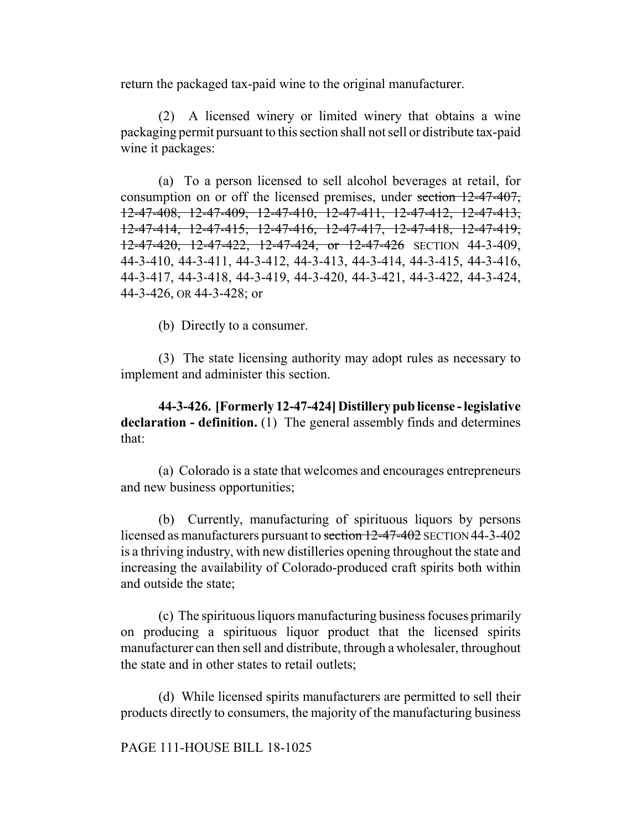return the packaged tax-paid wine to the original manufacturer.

(2) A licensed winery or limited winery that obtains a wine packaging permit pursuant to this section shall not sell or distribute tax-paid wine it packages:

(a) To a person licensed to sell alcohol beverages at retail, for consumption on or off the licensed premises, under section 12-47-407, 12-47-408, 12-47-409, 12-47-410, 12-47-411, 12-47-412, 12-47-413, 12-47-414, 12-47-415, 12-47-416, 12-47-417, 12-47-418, 12-47-419, 12-47-420, 12-47-422, 12-47-424, or 12-47-426 SECTION 44-3-409, 44-3-410, 44-3-411, 44-3-412, 44-3-413, 44-3-414, 44-3-415, 44-3-416, 44-3-417, 44-3-418, 44-3-419, 44-3-420, 44-3-421, 44-3-422, 44-3-424, 44-3-426, OR 44-3-428; or

(b) Directly to a consumer.

(3) The state licensing authority may adopt rules as necessary to implement and administer this section.

**44-3-426. [Formerly 12-47-424] Distillery pub license - legislative declaration - definition.** (1) The general assembly finds and determines that:

(a) Colorado is a state that welcomes and encourages entrepreneurs and new business opportunities;

(b) Currently, manufacturing of spirituous liquors by persons licensed as manufacturers pursuant to section 12-47-402 SECTION 44-3-402 is a thriving industry, with new distilleries opening throughout the state and increasing the availability of Colorado-produced craft spirits both within and outside the state;

(c) The spirituous liquors manufacturing business focuses primarily on producing a spirituous liquor product that the licensed spirits manufacturer can then sell and distribute, through a wholesaler, throughout the state and in other states to retail outlets;

(d) While licensed spirits manufacturers are permitted to sell their products directly to consumers, the majority of the manufacturing business

#### PAGE 111-HOUSE BILL 18-1025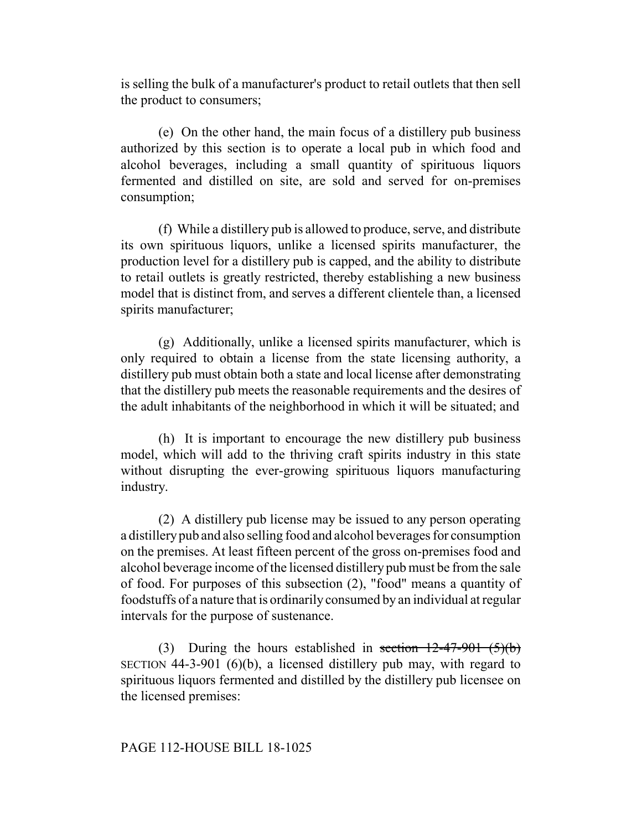is selling the bulk of a manufacturer's product to retail outlets that then sell the product to consumers;

(e) On the other hand, the main focus of a distillery pub business authorized by this section is to operate a local pub in which food and alcohol beverages, including a small quantity of spirituous liquors fermented and distilled on site, are sold and served for on-premises consumption;

(f) While a distillery pub is allowed to produce, serve, and distribute its own spirituous liquors, unlike a licensed spirits manufacturer, the production level for a distillery pub is capped, and the ability to distribute to retail outlets is greatly restricted, thereby establishing a new business model that is distinct from, and serves a different clientele than, a licensed spirits manufacturer;

(g) Additionally, unlike a licensed spirits manufacturer, which is only required to obtain a license from the state licensing authority, a distillery pub must obtain both a state and local license after demonstrating that the distillery pub meets the reasonable requirements and the desires of the adult inhabitants of the neighborhood in which it will be situated; and

(h) It is important to encourage the new distillery pub business model, which will add to the thriving craft spirits industry in this state without disrupting the ever-growing spirituous liquors manufacturing industry.

(2) A distillery pub license may be issued to any person operating a distillery pub and also selling food and alcohol beverages for consumption on the premises. At least fifteen percent of the gross on-premises food and alcohol beverage income of the licensed distillery pub must be from the sale of food. For purposes of this subsection (2), "food" means a quantity of foodstuffs of a nature that is ordinarily consumed by an individual at regular intervals for the purpose of sustenance.

(3) During the hours established in section  $12-47-901$  (5)(b) SECTION 44-3-901 (6)(b), a licensed distillery pub may, with regard to spirituous liquors fermented and distilled by the distillery pub licensee on the licensed premises:

## PAGE 112-HOUSE BILL 18-1025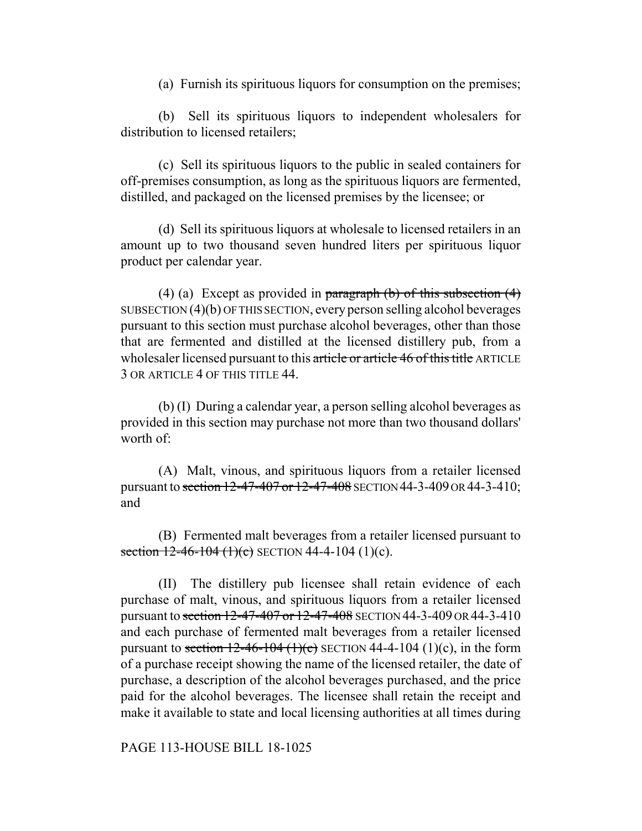(a) Furnish its spirituous liquors for consumption on the premises;

(b) Sell its spirituous liquors to independent wholesalers for distribution to licensed retailers;

(c) Sell its spirituous liquors to the public in sealed containers for off-premises consumption, as long as the spirituous liquors are fermented, distilled, and packaged on the licensed premises by the licensee; or

(d) Sell its spirituous liquors at wholesale to licensed retailers in an amount up to two thousand seven hundred liters per spirituous liquor product per calendar year.

(4) (a) Except as provided in paragraph  $(b)$  of this subsection  $(4)$ SUBSECTION (4)(b) OF THIS SECTION, every person selling alcohol beverages pursuant to this section must purchase alcohol beverages, other than those that are fermented and distilled at the licensed distillery pub, from a wholesaler licensed pursuant to this article or article 46 of this title ARTICLE 3 OR ARTICLE 4 OF THIS TITLE 44.

(b) (I) During a calendar year, a person selling alcohol beverages as provided in this section may purchase not more than two thousand dollars' worth of:

(A) Malt, vinous, and spirituous liquors from a retailer licensed pursuant to section 12-47-407 or 12-47-408 SECTION 44-3-409 OR 44-3-410; and

(B) Fermented malt beverages from a retailer licensed pursuant to section  $12-46-104$  (1)(c) SECTION 44-4-104 (1)(c).

(II) The distillery pub licensee shall retain evidence of each purchase of malt, vinous, and spirituous liquors from a retailer licensed pursuant to section 12-47-407 or 12-47-408 SECTION 44-3-409 OR 44-3-410 and each purchase of fermented malt beverages from a retailer licensed pursuant to section  $12-46-104$  (1)(c) SECTION 44-4-104 (1)(c), in the form of a purchase receipt showing the name of the licensed retailer, the date of purchase, a description of the alcohol beverages purchased, and the price paid for the alcohol beverages. The licensee shall retain the receipt and make it available to state and local licensing authorities at all times during

#### PAGE 113-HOUSE BILL 18-1025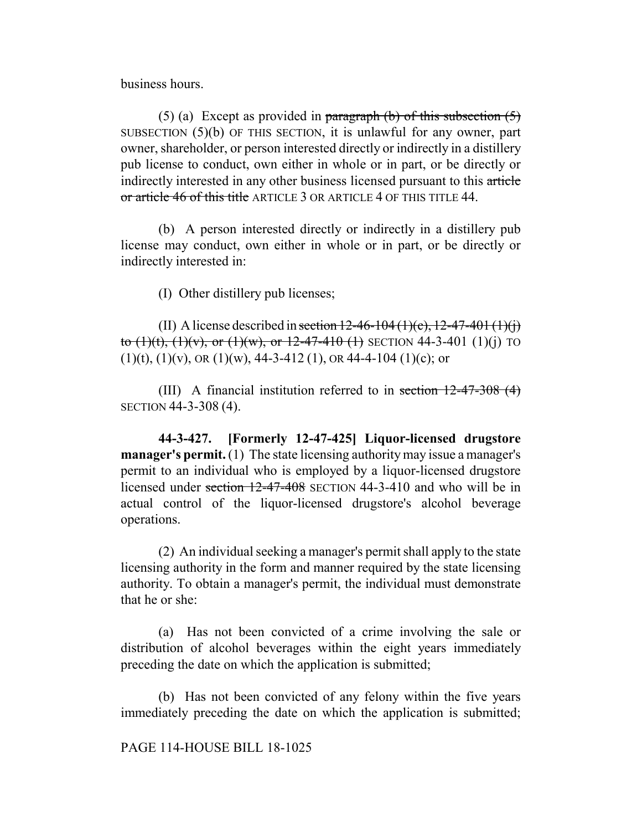business hours.

(5) (a) Except as provided in paragraph (b) of this subsection  $(5)$ SUBSECTION (5)(b) OF THIS SECTION, it is unlawful for any owner, part owner, shareholder, or person interested directly or indirectly in a distillery pub license to conduct, own either in whole or in part, or be directly or indirectly interested in any other business licensed pursuant to this article or article 46 of this title ARTICLE 3 OR ARTICLE 4 OF THIS TITLE 44.

(b) A person interested directly or indirectly in a distillery pub license may conduct, own either in whole or in part, or be directly or indirectly interested in:

(I) Other distillery pub licenses;

(II) A license described in section  $12-46-104(1)(c)$ ,  $12-47-401(1)(j)$ to  $(1)(t)$ ,  $(1)(v)$ , or  $(1)(w)$ , or  $12-47-410$   $(1)$  SECTION 44-3-401  $(1)(i)$  TO  $(1)(t)$ ,  $(1)(v)$ , OR  $(1)(w)$ , 44-3-412  $(1)$ , OR 44-4-104  $(1)(c)$ ; or

(III) A financial institution referred to in section 12-47-308 (4) SECTION 44-3-308 (4).

**44-3-427. [Formerly 12-47-425] Liquor-licensed drugstore manager's permit.** (1) The state licensing authority may issue a manager's permit to an individual who is employed by a liquor-licensed drugstore licensed under section 12-47-408 SECTION 44-3-410 and who will be in actual control of the liquor-licensed drugstore's alcohol beverage operations.

(2) An individual seeking a manager's permit shall apply to the state licensing authority in the form and manner required by the state licensing authority. To obtain a manager's permit, the individual must demonstrate that he or she:

(a) Has not been convicted of a crime involving the sale or distribution of alcohol beverages within the eight years immediately preceding the date on which the application is submitted;

(b) Has not been convicted of any felony within the five years immediately preceding the date on which the application is submitted;

# PAGE 114-HOUSE BILL 18-1025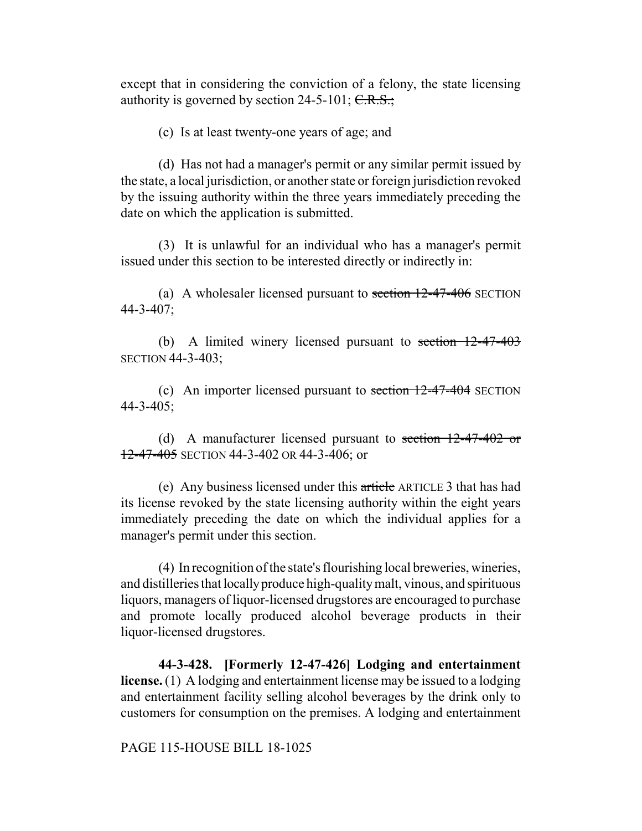except that in considering the conviction of a felony, the state licensing authority is governed by section  $24-5-101$ ; C.R.S.;

(c) Is at least twenty-one years of age; and

(d) Has not had a manager's permit or any similar permit issued by the state, a local jurisdiction, or another state or foreign jurisdiction revoked by the issuing authority within the three years immediately preceding the date on which the application is submitted.

(3) It is unlawful for an individual who has a manager's permit issued under this section to be interested directly or indirectly in:

(a) A wholesaler licensed pursuant to section  $12-47-406$  SECTION 44-3-407;

(b) A limited winery licensed pursuant to section 12-47-403 SECTION 44-3-403;

(c) An importer licensed pursuant to section 12-47-404 SECTION 44-3-405;

(d) A manufacturer licensed pursuant to section  $12-47-402$  or 12-47-405 SECTION 44-3-402 OR 44-3-406; or

(e) Any business licensed under this article ARTICLE 3 that has had its license revoked by the state licensing authority within the eight years immediately preceding the date on which the individual applies for a manager's permit under this section.

(4) In recognition of the state's flourishing local breweries, wineries, and distilleries that locally produce high-quality malt, vinous, and spirituous liquors, managers of liquor-licensed drugstores are encouraged to purchase and promote locally produced alcohol beverage products in their liquor-licensed drugstores.

**44-3-428. [Formerly 12-47-426] Lodging and entertainment license.** (1) A lodging and entertainment license may be issued to a lodging and entertainment facility selling alcohol beverages by the drink only to customers for consumption on the premises. A lodging and entertainment

PAGE 115-HOUSE BILL 18-1025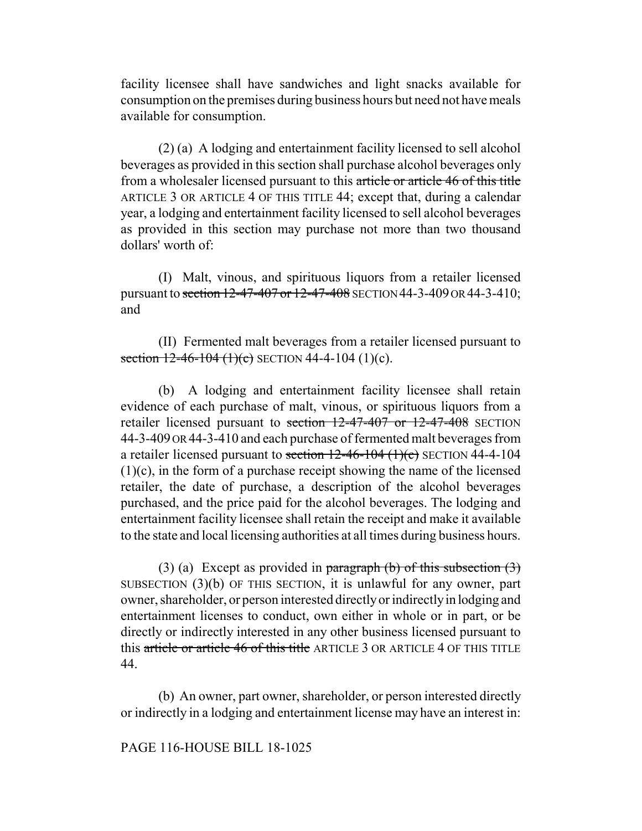facility licensee shall have sandwiches and light snacks available for consumption on the premises during business hours but need not have meals available for consumption.

(2) (a) A lodging and entertainment facility licensed to sell alcohol beverages as provided in this section shall purchase alcohol beverages only from a wholesaler licensed pursuant to this article or article 46 of this title ARTICLE 3 OR ARTICLE 4 OF THIS TITLE 44; except that, during a calendar year, a lodging and entertainment facility licensed to sell alcohol beverages as provided in this section may purchase not more than two thousand dollars' worth of:

(I) Malt, vinous, and spirituous liquors from a retailer licensed pursuant to section 12-47-407 or 12-47-408 SECTION 44-3-409 OR 44-3-410; and

(II) Fermented malt beverages from a retailer licensed pursuant to section  $12-46-104$  (1)(c) SECTION 44-4-104 (1)(c).

(b) A lodging and entertainment facility licensee shall retain evidence of each purchase of malt, vinous, or spirituous liquors from a retailer licensed pursuant to section 12-47-407 or 12-47-408 SECTION 44-3-409 OR 44-3-410 and each purchase of fermented malt beverages from a retailer licensed pursuant to section  $12-46-104$  (1)(c) SECTION 44-4-104 (1)(c), in the form of a purchase receipt showing the name of the licensed retailer, the date of purchase, a description of the alcohol beverages purchased, and the price paid for the alcohol beverages. The lodging and entertainment facility licensee shall retain the receipt and make it available to the state and local licensing authorities at all times during business hours.

(3) (a) Except as provided in paragraph  $(b)$  of this subsection  $(3)$ SUBSECTION (3)(b) OF THIS SECTION, it is unlawful for any owner, part owner, shareholder, or person interested directly or indirectly in lodging and entertainment licenses to conduct, own either in whole or in part, or be directly or indirectly interested in any other business licensed pursuant to this article or article 46 of this title ARTICLE 3 OR ARTICLE 4 OF THIS TITLE 44.

(b) An owner, part owner, shareholder, or person interested directly or indirectly in a lodging and entertainment license may have an interest in:

## PAGE 116-HOUSE BILL 18-1025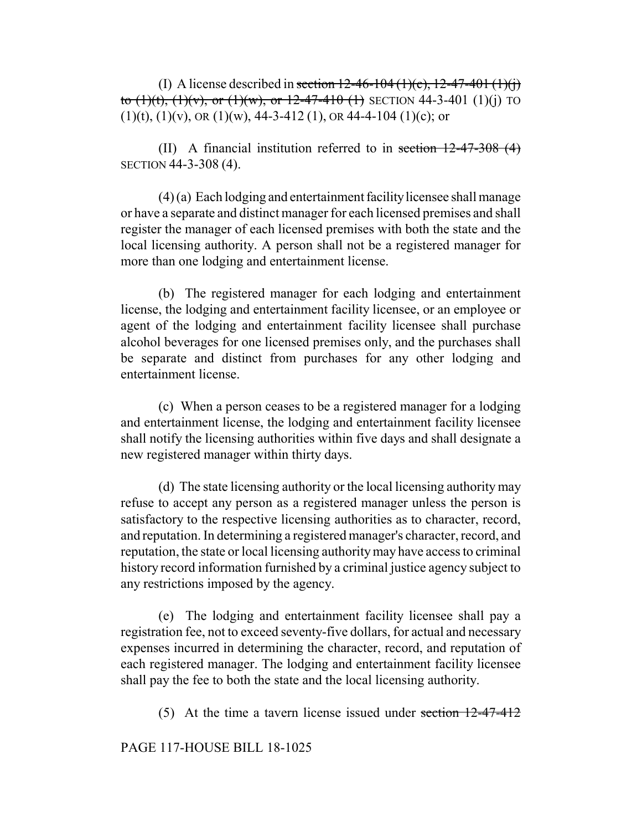(I) A license described in section  $12-46-104(1)(c)$ ,  $12-47-401(1)(i)$ to  $(1)(t)$ ,  $(1)(v)$ , or  $(1)(w)$ , or  $12-47-410$   $(1)$  SECTION 44-3-401  $(1)(i)$  TO  $(1)(t)$ ,  $(1)(v)$ , OR  $(1)(w)$ , 44-3-412  $(1)$ , OR 44-4-104  $(1)(c)$ ; or

(II) A financial institution referred to in section  $12-47-308$  (4) SECTION 44-3-308 (4).

(4) (a) Each lodging and entertainment facility licensee shall manage or have a separate and distinct manager for each licensed premises and shall register the manager of each licensed premises with both the state and the local licensing authority. A person shall not be a registered manager for more than one lodging and entertainment license.

(b) The registered manager for each lodging and entertainment license, the lodging and entertainment facility licensee, or an employee or agent of the lodging and entertainment facility licensee shall purchase alcohol beverages for one licensed premises only, and the purchases shall be separate and distinct from purchases for any other lodging and entertainment license.

(c) When a person ceases to be a registered manager for a lodging and entertainment license, the lodging and entertainment facility licensee shall notify the licensing authorities within five days and shall designate a new registered manager within thirty days.

(d) The state licensing authority or the local licensing authority may refuse to accept any person as a registered manager unless the person is satisfactory to the respective licensing authorities as to character, record, and reputation. In determining a registered manager's character, record, and reputation, the state or local licensing authority may have access to criminal history record information furnished by a criminal justice agency subject to any restrictions imposed by the agency.

(e) The lodging and entertainment facility licensee shall pay a registration fee, not to exceed seventy-five dollars, for actual and necessary expenses incurred in determining the character, record, and reputation of each registered manager. The lodging and entertainment facility licensee shall pay the fee to both the state and the local licensing authority.

(5) At the time a tavern license issued under section 12-47-412

# PAGE 117-HOUSE BILL 18-1025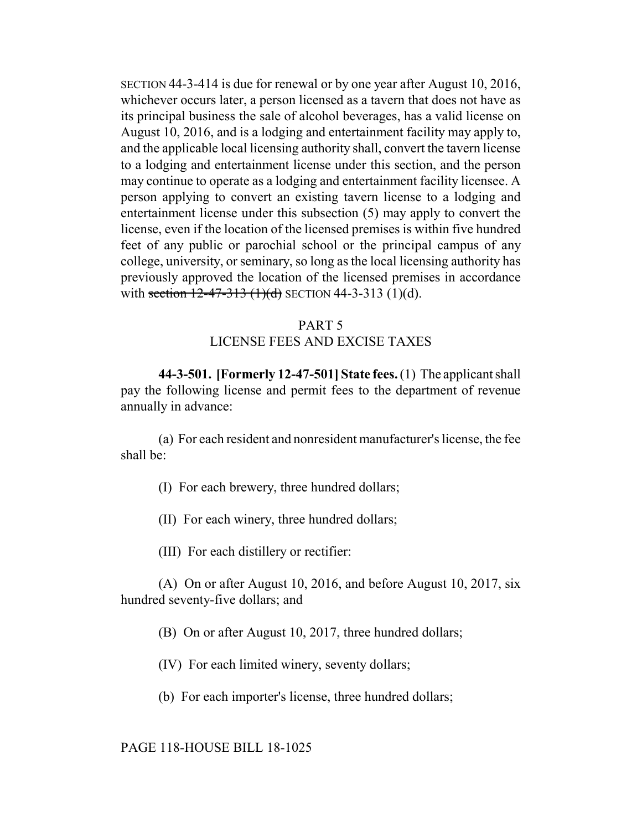SECTION 44-3-414 is due for renewal or by one year after August 10, 2016, whichever occurs later, a person licensed as a tavern that does not have as its principal business the sale of alcohol beverages, has a valid license on August 10, 2016, and is a lodging and entertainment facility may apply to, and the applicable local licensing authority shall, convert the tavern license to a lodging and entertainment license under this section, and the person may continue to operate as a lodging and entertainment facility licensee. A person applying to convert an existing tavern license to a lodging and entertainment license under this subsection (5) may apply to convert the license, even if the location of the licensed premises is within five hundred feet of any public or parochial school or the principal campus of any college, university, or seminary, so long as the local licensing authority has previously approved the location of the licensed premises in accordance with section  $12-47-313$  (1)(d) SECTION 44-3-313 (1)(d).

# PART 5 LICENSE FEES AND EXCISE TAXES

**44-3-501. [Formerly 12-47-501] State fees.** (1) The applicant shall pay the following license and permit fees to the department of revenue annually in advance:

(a) For each resident and nonresident manufacturer's license, the fee shall be:

(I) For each brewery, three hundred dollars;

(II) For each winery, three hundred dollars;

(III) For each distillery or rectifier:

(A) On or after August 10, 2016, and before August 10, 2017, six hundred seventy-five dollars; and

(B) On or after August 10, 2017, three hundred dollars;

(IV) For each limited winery, seventy dollars;

(b) For each importer's license, three hundred dollars;

PAGE 118-HOUSE BILL 18-1025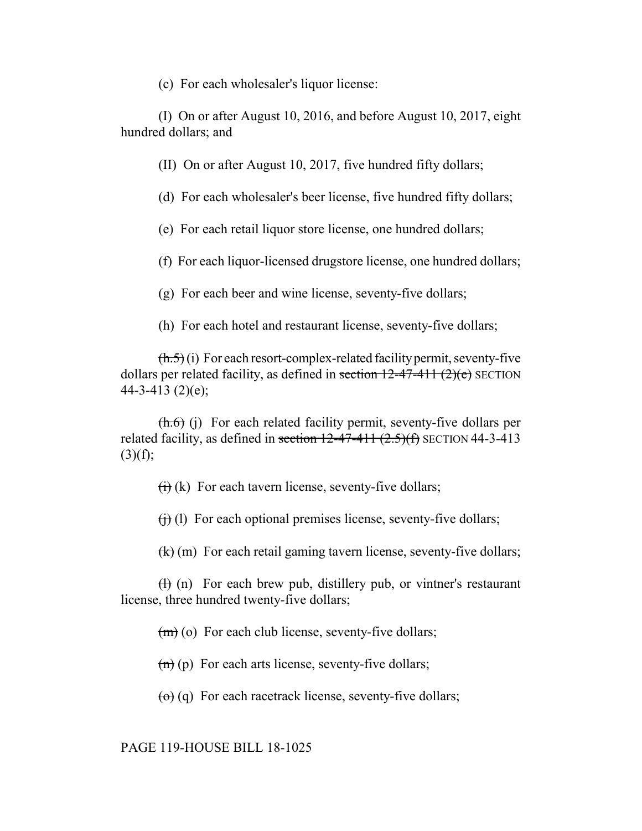(c) For each wholesaler's liquor license:

(I) On or after August 10, 2016, and before August 10, 2017, eight hundred dollars; and

(II) On or after August 10, 2017, five hundred fifty dollars;

(d) For each wholesaler's beer license, five hundred fifty dollars;

(e) For each retail liquor store license, one hundred dollars;

(f) For each liquor-licensed drugstore license, one hundred dollars;

(g) For each beer and wine license, seventy-five dollars;

(h) For each hotel and restaurant license, seventy-five dollars;

 $(\frac{h.5}{h.5})(i)$  For each resort-complex-related facility permit, seventy-five dollars per related facility, as defined in section  $12-47-411$   $(2)(e)$  SECTION 44-3-413 (2)(e);

 $(h.6)$  (j) For each related facility permit, seventy-five dollars per related facility, as defined in section  $12-47-411$   $(2.5)(f)$  SECTION 44-3-413  $(3)(f);$ 

 $\overrightarrow{H}$  (k) For each tavern license, seventy-five dollars;

 $(f<sub>i</sub>)$  (l) For each optional premises license, seventy-five dollars;

 $\left(\frac{k}{k}\right)$  (m) For each retail gaming tavern license, seventy-five dollars;

 $(H)$  (n) For each brew pub, distillery pub, or vintner's restaurant license, three hundred twenty-five dollars;

 $(m)$  (o) For each club license, seventy-five dollars;

 $(n)$  (p) For each arts license, seventy-five dollars;

 $\left(\Theta\right)$  (q) For each racetrack license, seventy-five dollars;

PAGE 119-HOUSE BILL 18-1025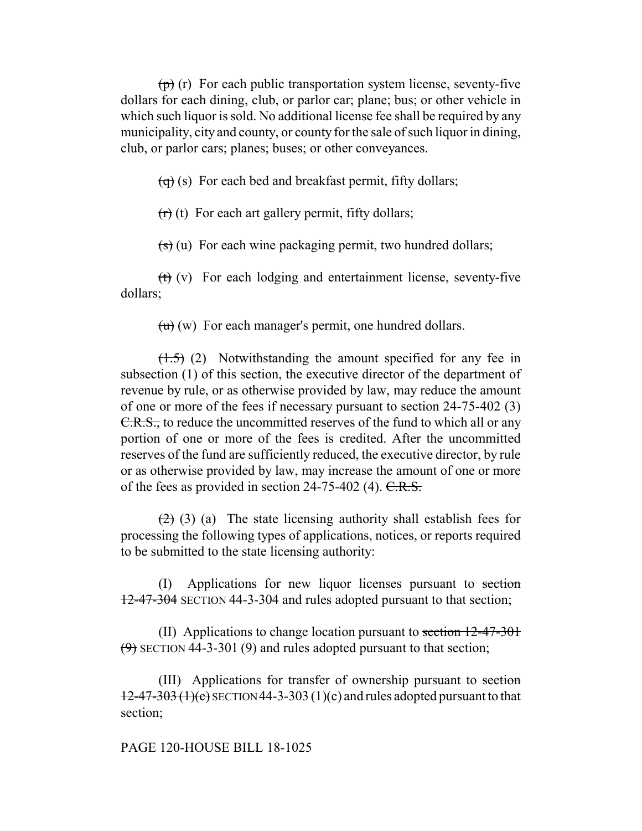$(p)$  (r) For each public transportation system license, seventy-five dollars for each dining, club, or parlor car; plane; bus; or other vehicle in which such liquor is sold. No additional license fee shall be required by any municipality, city and county, or county for the sale of such liquor in dining, club, or parlor cars; planes; buses; or other conveyances.

 $\left(\overline{q}\right)$  (s) For each bed and breakfast permit, fifty dollars;

 $(r)$  (t) For each art gallery permit, fifty dollars;

 $\left( \frac{1}{s} \right)$  (u) For each wine packaging permit, two hundred dollars;

(t) (v) For each lodging and entertainment license, seventy-five dollars;

 $(u)$  (w) For each manager's permit, one hundred dollars.

 $(1.5)$  (2) Notwithstanding the amount specified for any fee in subsection (1) of this section, the executive director of the department of revenue by rule, or as otherwise provided by law, may reduce the amount of one or more of the fees if necessary pursuant to section 24-75-402 (3) C.R.S., to reduce the uncommitted reserves of the fund to which all or any portion of one or more of the fees is credited. After the uncommitted reserves of the fund are sufficiently reduced, the executive director, by rule or as otherwise provided by law, may increase the amount of one or more of the fees as provided in section  $24-75-402$  (4). C.R.S.

 $(2)$  (3) (a) The state licensing authority shall establish fees for processing the following types of applications, notices, or reports required to be submitted to the state licensing authority:

(I) Applications for new liquor licenses pursuant to section 12-47-304 SECTION 44-3-304 and rules adopted pursuant to that section;

(II) Applications to change location pursuant to section 12-47-301  $(9)$  SECTION 44-3-301 (9) and rules adopted pursuant to that section;

(III) Applications for transfer of ownership pursuant to section  $12-47-303$  (1)(c) SECTION 44-3-303 (1)(c) and rules adopted pursuant to that section;

# PAGE 120-HOUSE BILL 18-1025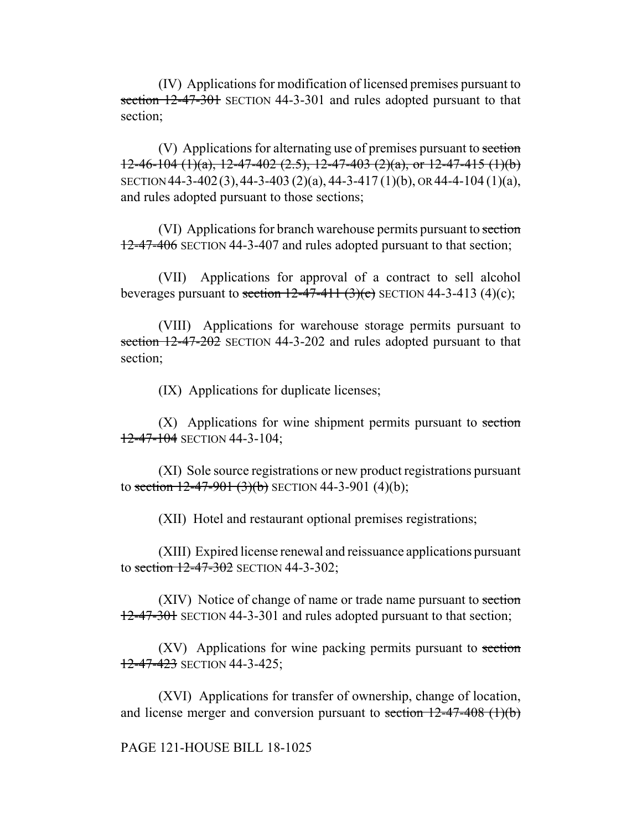(IV) Applications for modification of licensed premises pursuant to section 12-47-301 SECTION 44-3-301 and rules adopted pursuant to that section;

(V) Applications for alternating use of premises pursuant to section  $12-46-104$  (1)(a),  $12-47-402$  (2.5),  $12-47-403$  (2)(a), or  $12-47-415$  (1)(b) SECTION 44-3-402(3),44-3-403 (2)(a), 44-3-417 (1)(b), OR 44-4-104 (1)(a), and rules adopted pursuant to those sections;

(VI) Applications for branch warehouse permits pursuant to section 12-47-406 SECTION 44-3-407 and rules adopted pursuant to that section;

(VII) Applications for approval of a contract to sell alcohol beverages pursuant to section  $12-47-411$  (3)(c) SECTION 44-3-413 (4)(c);

(VIII) Applications for warehouse storage permits pursuant to section 12-47-202 SECTION 44-3-202 and rules adopted pursuant to that section;

(IX) Applications for duplicate licenses;

 $(X)$  Applications for wine shipment permits pursuant to section  $12-47-104$  SECTION 44-3-104;

(XI) Sole source registrations or new product registrations pursuant to section  $12-47-901(3)(b)$  SECTION 44-3-901 (4)(b);

(XII) Hotel and restaurant optional premises registrations;

(XIII) Expired license renewal and reissuance applications pursuant to section 12-47-302 SECTION 44-3-302;

(XIV) Notice of change of name or trade name pursuant to section 12-47-301 SECTION 44-3-301 and rules adopted pursuant to that section;

(XV) Applications for wine packing permits pursuant to section 12-47-423 SECTION 44-3-425;

(XVI) Applications for transfer of ownership, change of location, and license merger and conversion pursuant to section  $12-47-408$  (1)(b)

#### PAGE 121-HOUSE BILL 18-1025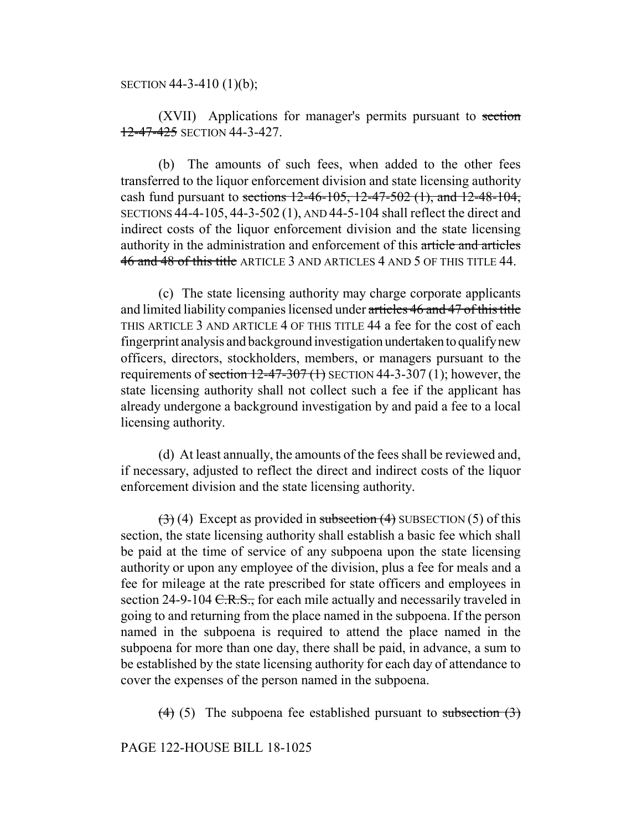SECTION 44-3-410 (1)(b);

(XVII) Applications for manager's permits pursuant to section 12-47-425 SECTION 44-3-427.

(b) The amounts of such fees, when added to the other fees transferred to the liquor enforcement division and state licensing authority cash fund pursuant to sections  $12-46-105$ ,  $12-47-502$  (1), and  $12-48-104$ , SECTIONS 44-4-105, 44-3-502 (1), AND 44-5-104 shall reflect the direct and indirect costs of the liquor enforcement division and the state licensing authority in the administration and enforcement of this article and articles 46 and 48 of this title ARTICLE 3 AND ARTICLES 4 AND 5 OF THIS TITLE 44.

(c) The state licensing authority may charge corporate applicants and limited liability companies licensed under articles 46 and 47 of this title THIS ARTICLE 3 AND ARTICLE 4 OF THIS TITLE 44 a fee for the cost of each fingerprint analysis and background investigation undertaken to qualify new officers, directors, stockholders, members, or managers pursuant to the requirements of section  $12-47-307(1)$  SECTION 44-3-307(1); however, the state licensing authority shall not collect such a fee if the applicant has already undergone a background investigation by and paid a fee to a local licensing authority.

(d) At least annually, the amounts of the fees shall be reviewed and, if necessary, adjusted to reflect the direct and indirect costs of the liquor enforcement division and the state licensing authority.

 $(3)$  (4) Except as provided in subsection (4) SUBSECTION (5) of this section, the state licensing authority shall establish a basic fee which shall be paid at the time of service of any subpoena upon the state licensing authority or upon any employee of the division, plus a fee for meals and a fee for mileage at the rate prescribed for state officers and employees in section 24-9-104  $C.R.S.,$  for each mile actually and necessarily traveled in going to and returning from the place named in the subpoena. If the person named in the subpoena is required to attend the place named in the subpoena for more than one day, there shall be paid, in advance, a sum to be established by the state licensing authority for each day of attendance to cover the expenses of the person named in the subpoena.

(4) (5) The subpoena fee established pursuant to subsection  $(3)$ 

PAGE 122-HOUSE BILL 18-1025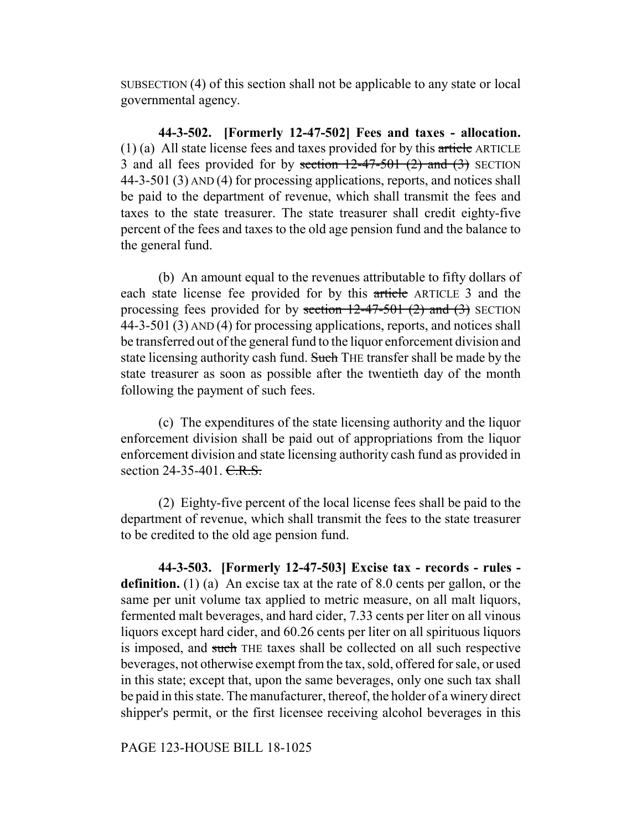SUBSECTION (4) of this section shall not be applicable to any state or local governmental agency.

**44-3-502. [Formerly 12-47-502] Fees and taxes - allocation.** (1) (a) All state license fees and taxes provided for by this article ARTICLE 3 and all fees provided for by section  $12-47-501$  (2) and (3) SECTION 44-3-501 (3) AND (4) for processing applications, reports, and notices shall be paid to the department of revenue, which shall transmit the fees and taxes to the state treasurer. The state treasurer shall credit eighty-five percent of the fees and taxes to the old age pension fund and the balance to the general fund.

(b) An amount equal to the revenues attributable to fifty dollars of each state license fee provided for by this article ARTICLE 3 and the processing fees provided for by section  $12-47-501$  (2) and (3) SECTION 44-3-501 (3) AND (4) for processing applications, reports, and notices shall be transferred out of the general fund to the liquor enforcement division and state licensing authority cash fund. Such THE transfer shall be made by the state treasurer as soon as possible after the twentieth day of the month following the payment of such fees.

(c) The expenditures of the state licensing authority and the liquor enforcement division shall be paid out of appropriations from the liquor enforcement division and state licensing authority cash fund as provided in section 24-35-401. C.R.S.

(2) Eighty-five percent of the local license fees shall be paid to the department of revenue, which shall transmit the fees to the state treasurer to be credited to the old age pension fund.

**44-3-503. [Formerly 12-47-503] Excise tax - records - rules definition.** (1) (a) An excise tax at the rate of 8.0 cents per gallon, or the same per unit volume tax applied to metric measure, on all malt liquors, fermented malt beverages, and hard cider, 7.33 cents per liter on all vinous liquors except hard cider, and 60.26 cents per liter on all spirituous liquors is imposed, and such THE taxes shall be collected on all such respective beverages, not otherwise exempt from the tax, sold, offered for sale, or used in this state; except that, upon the same beverages, only one such tax shall be paid in this state. The manufacturer, thereof, the holder of a winery direct shipper's permit, or the first licensee receiving alcohol beverages in this

PAGE 123-HOUSE BILL 18-1025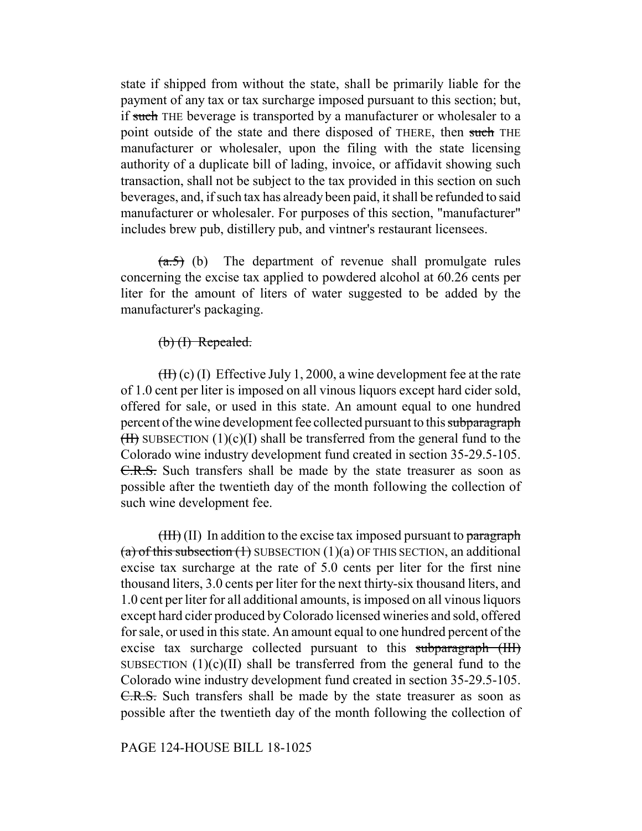state if shipped from without the state, shall be primarily liable for the payment of any tax or tax surcharge imposed pursuant to this section; but, if such THE beverage is transported by a manufacturer or wholesaler to a point outside of the state and there disposed of THERE, then such THE manufacturer or wholesaler, upon the filing with the state licensing authority of a duplicate bill of lading, invoice, or affidavit showing such transaction, shall not be subject to the tax provided in this section on such beverages, and, if such tax has already been paid, it shall be refunded to said manufacturer or wholesaler. For purposes of this section, "manufacturer" includes brew pub, distillery pub, and vintner's restaurant licensees.

 $(a.5)$  (b) The department of revenue shall promulgate rules concerning the excise tax applied to powdered alcohol at 60.26 cents per liter for the amount of liters of water suggested to be added by the manufacturer's packaging.

# (b) (I) Repealed.

 $(Hf)(c)$  (I) Effective July 1, 2000, a wine development fee at the rate of 1.0 cent per liter is imposed on all vinous liquors except hard cider sold, offered for sale, or used in this state. An amount equal to one hundred percent of the wine development fee collected pursuant to this subparagraph  $(H)$  SUBSECTION  $(1)(c)(I)$  shall be transferred from the general fund to the Colorado wine industry development fund created in section 35-29.5-105. C.R.S. Such transfers shall be made by the state treasurer as soon as possible after the twentieth day of the month following the collection of such wine development fee.

 $(HH)(II)$  In addition to the excise tax imposed pursuant to paragraph (a) of this subsection  $(1)$  SUBSECTION  $(1)(a)$  OF THIS SECTION, an additional excise tax surcharge at the rate of 5.0 cents per liter for the first nine thousand liters, 3.0 cents per liter for the next thirty-six thousand liters, and 1.0 cent per liter for all additional amounts, is imposed on all vinous liquors except hard cider produced by Colorado licensed wineries and sold, offered for sale, or used in this state. An amount equal to one hundred percent of the excise tax surcharge collected pursuant to this subparagraph (III) SUBSECTION  $(1)(c)(II)$  shall be transferred from the general fund to the Colorado wine industry development fund created in section 35-29.5-105. C.R.S. Such transfers shall be made by the state treasurer as soon as possible after the twentieth day of the month following the collection of

#### PAGE 124-HOUSE BILL 18-1025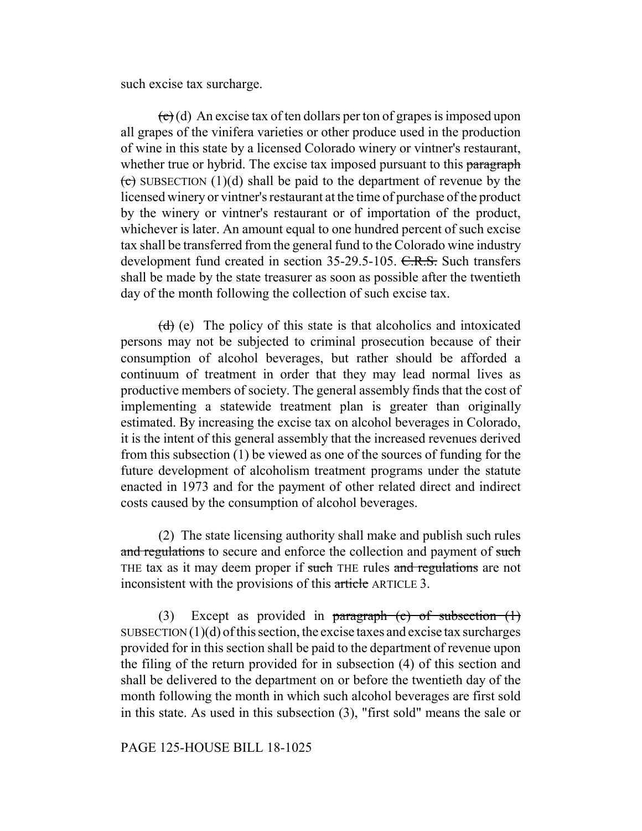such excise tax surcharge.

 $\left(\frac{\partial}{\partial x}\right)$  (d) An excise tax of ten dollars per ton of grapes is imposed upon all grapes of the vinifera varieties or other produce used in the production of wine in this state by a licensed Colorado winery or vintner's restaurant, whether true or hybrid. The excise tax imposed pursuant to this paragraph  $\overline{(e)}$  SUBSECTION (1)(d) shall be paid to the department of revenue by the licensed winery or vintner's restaurant at the time of purchase of the product by the winery or vintner's restaurant or of importation of the product, whichever is later. An amount equal to one hundred percent of such excise tax shall be transferred from the general fund to the Colorado wine industry development fund created in section 35-29.5-105. C.R.S. Such transfers shall be made by the state treasurer as soon as possible after the twentieth day of the month following the collection of such excise tax.

 $(d)$  (e) The policy of this state is that alcoholics and intoxicated persons may not be subjected to criminal prosecution because of their consumption of alcohol beverages, but rather should be afforded a continuum of treatment in order that they may lead normal lives as productive members of society. The general assembly finds that the cost of implementing a statewide treatment plan is greater than originally estimated. By increasing the excise tax on alcohol beverages in Colorado, it is the intent of this general assembly that the increased revenues derived from this subsection (1) be viewed as one of the sources of funding for the future development of alcoholism treatment programs under the statute enacted in 1973 and for the payment of other related direct and indirect costs caused by the consumption of alcohol beverages.

(2) The state licensing authority shall make and publish such rules and regulations to secure and enforce the collection and payment of such THE tax as it may deem proper if such THE rules and regulations are not inconsistent with the provisions of this article ARTICLE 3.

(3) Except as provided in paragraph  $(c)$  of subsection  $(1)$ SUBSECTION  $(1)(d)$  of this section, the excise taxes and excise tax surcharges provided for in this section shall be paid to the department of revenue upon the filing of the return provided for in subsection (4) of this section and shall be delivered to the department on or before the twentieth day of the month following the month in which such alcohol beverages are first sold in this state. As used in this subsection (3), "first sold" means the sale or

# PAGE 125-HOUSE BILL 18-1025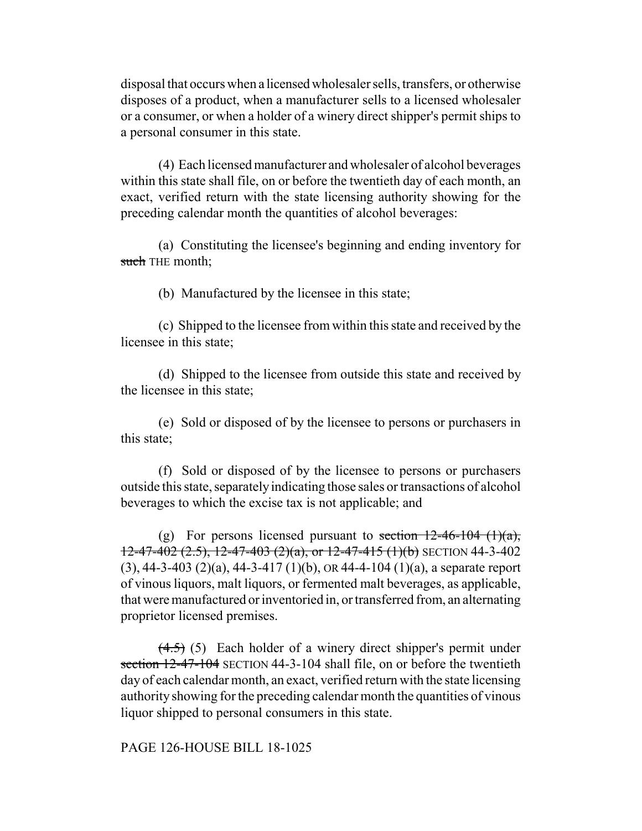disposal that occurs when a licensed wholesaler sells, transfers, or otherwise disposes of a product, when a manufacturer sells to a licensed wholesaler or a consumer, or when a holder of a winery direct shipper's permit ships to a personal consumer in this state.

(4) Each licensed manufacturer and wholesaler of alcohol beverages within this state shall file, on or before the twentieth day of each month, an exact, verified return with the state licensing authority showing for the preceding calendar month the quantities of alcohol beverages:

(a) Constituting the licensee's beginning and ending inventory for such THE month;

(b) Manufactured by the licensee in this state;

(c) Shipped to the licensee from within this state and received by the licensee in this state;

(d) Shipped to the licensee from outside this state and received by the licensee in this state;

(e) Sold or disposed of by the licensee to persons or purchasers in this state;

(f) Sold or disposed of by the licensee to persons or purchasers outside this state, separately indicating those sales or transactions of alcohol beverages to which the excise tax is not applicable; and

(g) For persons licensed pursuant to section  $12-46-104$  (1)(a),  $12-47-402$  (2.5),  $12-47-403$  (2)(a), or  $12-47-415$  (1)(b) SECTION 44-3-402 (3), 44-3-403 (2)(a), 44-3-417 (1)(b), OR 44-4-104 (1)(a), a separate report of vinous liquors, malt liquors, or fermented malt beverages, as applicable, that were manufactured or inventoried in, or transferred from, an alternating proprietor licensed premises.

 $(4.5)$  (5) Each holder of a winery direct shipper's permit under section 12-47-104 SECTION 44-3-104 shall file, on or before the twentieth day of each calendar month, an exact, verified return with the state licensing authority showing for the preceding calendar month the quantities of vinous liquor shipped to personal consumers in this state.

PAGE 126-HOUSE BILL 18-1025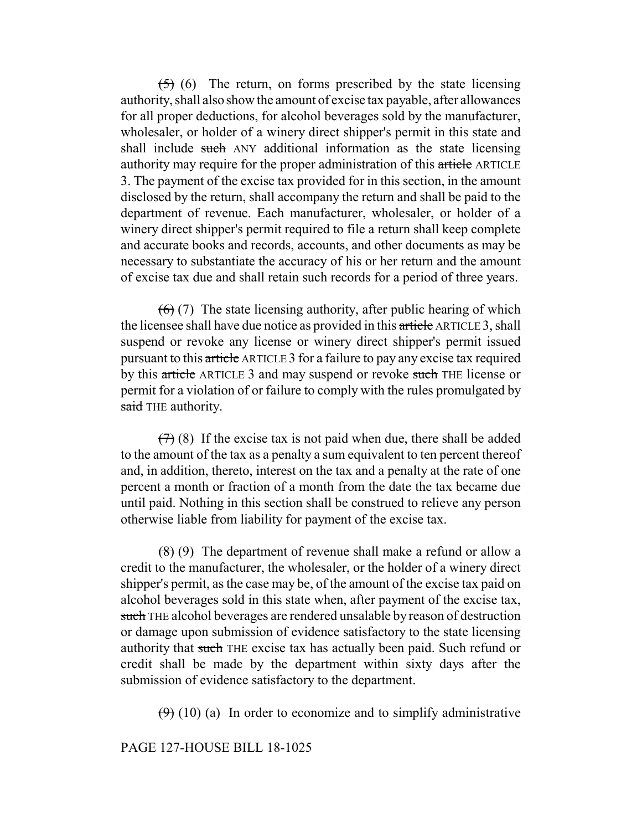$(5)$  (6) The return, on forms prescribed by the state licensing authority, shall also show the amount of excise tax payable, after allowances for all proper deductions, for alcohol beverages sold by the manufacturer, wholesaler, or holder of a winery direct shipper's permit in this state and shall include such ANY additional information as the state licensing authority may require for the proper administration of this article ARTICLE 3. The payment of the excise tax provided for in this section, in the amount disclosed by the return, shall accompany the return and shall be paid to the department of revenue. Each manufacturer, wholesaler, or holder of a winery direct shipper's permit required to file a return shall keep complete and accurate books and records, accounts, and other documents as may be necessary to substantiate the accuracy of his or her return and the amount of excise tax due and shall retain such records for a period of three years.

 $(6)$  (7) The state licensing authority, after public hearing of which the licensee shall have due notice as provided in this article ARTICLE 3, shall suspend or revoke any license or winery direct shipper's permit issued pursuant to this article ARTICLE 3 for a failure to pay any excise tax required by this article ARTICLE 3 and may suspend or revoke such THE license or permit for a violation of or failure to comply with the rules promulgated by said THE authority.

 $(7)$  (8) If the excise tax is not paid when due, there shall be added to the amount of the tax as a penalty a sum equivalent to ten percent thereof and, in addition, thereto, interest on the tax and a penalty at the rate of one percent a month or fraction of a month from the date the tax became due until paid. Nothing in this section shall be construed to relieve any person otherwise liable from liability for payment of the excise tax.

 $(8)$  (9) The department of revenue shall make a refund or allow a credit to the manufacturer, the wholesaler, or the holder of a winery direct shipper's permit, as the case may be, of the amount of the excise tax paid on alcohol beverages sold in this state when, after payment of the excise tax, such THE alcohol beverages are rendered unsalable by reason of destruction or damage upon submission of evidence satisfactory to the state licensing authority that such THE excise tax has actually been paid. Such refund or credit shall be made by the department within sixty days after the submission of evidence satisfactory to the department.

 $(9)$  (10) (a) In order to economize and to simplify administrative

## PAGE 127-HOUSE BILL 18-1025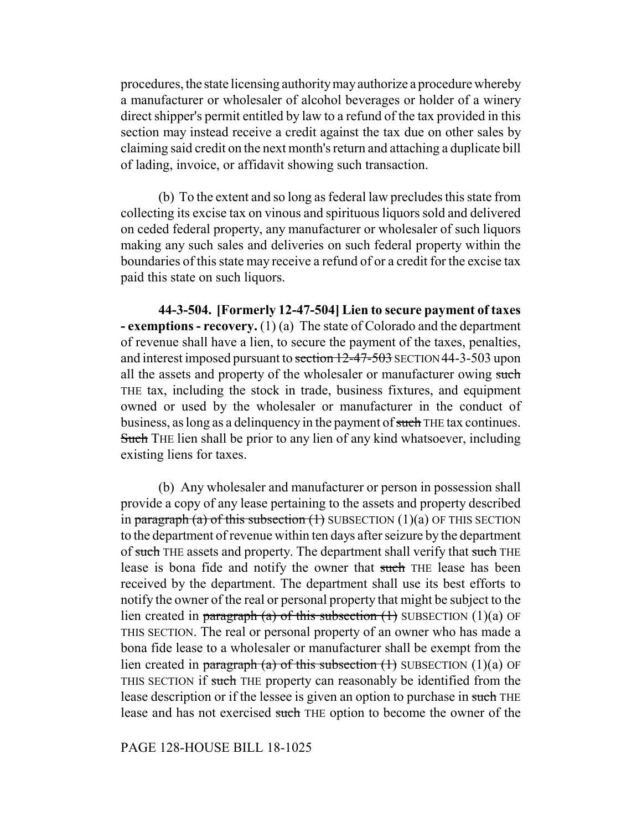procedures, the state licensing authority may authorize a procedure whereby a manufacturer or wholesaler of alcohol beverages or holder of a winery direct shipper's permit entitled by law to a refund of the tax provided in this section may instead receive a credit against the tax due on other sales by claiming said credit on the next month's return and attaching a duplicate bill of lading, invoice, or affidavit showing such transaction.

(b) To the extent and so long as federal law precludes this state from collecting its excise tax on vinous and spirituous liquors sold and delivered on ceded federal property, any manufacturer or wholesaler of such liquors making any such sales and deliveries on such federal property within the boundaries of this state may receive a refund of or a credit for the excise tax paid this state on such liquors.

**44-3-504. [Formerly 12-47-504] Lien to secure payment of taxes - exemptions - recovery.** (1) (a) The state of Colorado and the department of revenue shall have a lien, to secure the payment of the taxes, penalties, and interest imposed pursuant to section 12-47-503 SECTION 44-3-503 upon all the assets and property of the wholesaler or manufacturer owing such THE tax, including the stock in trade, business fixtures, and equipment owned or used by the wholesaler or manufacturer in the conduct of business, as long as a delinquency in the payment of such THE tax continues. Such THE lien shall be prior to any lien of any kind whatsoever, including existing liens for taxes.

(b) Any wholesaler and manufacturer or person in possession shall provide a copy of any lease pertaining to the assets and property described in paragraph (a) of this subsection  $(1)$  SUBSECTION  $(1)(a)$  OF THIS SECTION to the department of revenue within ten days after seizure by the department of such THE assets and property. The department shall verify that such THE lease is bona fide and notify the owner that such THE lease has been received by the department. The department shall use its best efforts to notify the owner of the real or personal property that might be subject to the lien created in paragraph (a) of this subsection  $(1)$  SUBSECTION  $(1)(a)$  OF THIS SECTION. The real or personal property of an owner who has made a bona fide lease to a wholesaler or manufacturer shall be exempt from the lien created in paragraph (a) of this subsection  $(1)$  SUBSECTION  $(1)(a)$  OF THIS SECTION if such THE property can reasonably be identified from the lease description or if the lessee is given an option to purchase in such THE lease and has not exercised such THE option to become the owner of the

# PAGE 128-HOUSE BILL 18-1025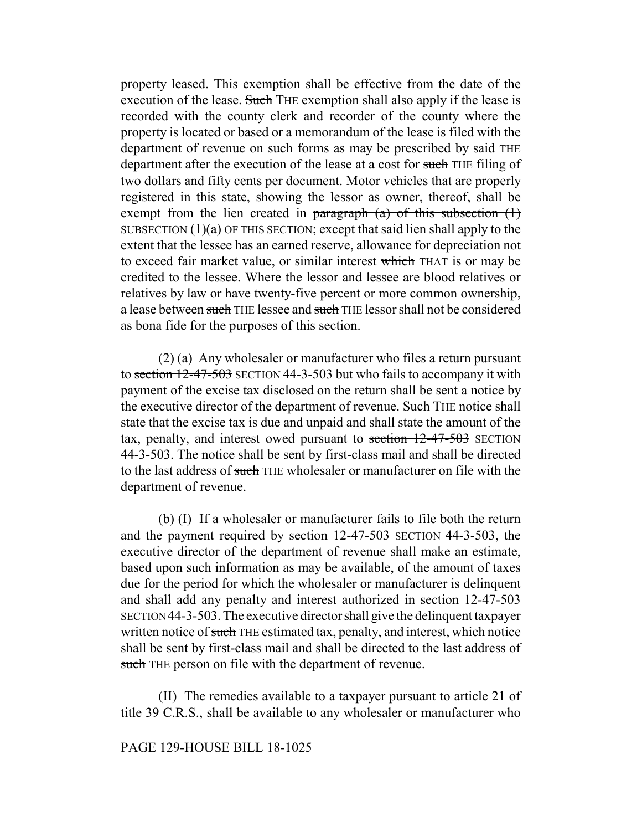property leased. This exemption shall be effective from the date of the execution of the lease. Such THE exemption shall also apply if the lease is recorded with the county clerk and recorder of the county where the property is located or based or a memorandum of the lease is filed with the department of revenue on such forms as may be prescribed by said THE department after the execution of the lease at a cost for such THE filing of two dollars and fifty cents per document. Motor vehicles that are properly registered in this state, showing the lessor as owner, thereof, shall be exempt from the lien created in paragraph  $(a)$  of this subsection  $(1)$ SUBSECTION  $(1)(a)$  OF THIS SECTION; except that said lien shall apply to the extent that the lessee has an earned reserve, allowance for depreciation not to exceed fair market value, or similar interest which THAT is or may be credited to the lessee. Where the lessor and lessee are blood relatives or relatives by law or have twenty-five percent or more common ownership, a lease between such THE lessee and such THE lessor shall not be considered as bona fide for the purposes of this section.

(2) (a) Any wholesaler or manufacturer who files a return pursuant to section 12-47-503 SECTION 44-3-503 but who fails to accompany it with payment of the excise tax disclosed on the return shall be sent a notice by the executive director of the department of revenue. Such THE notice shall state that the excise tax is due and unpaid and shall state the amount of the tax, penalty, and interest owed pursuant to section 12-47-503 SECTION 44-3-503. The notice shall be sent by first-class mail and shall be directed to the last address of such THE wholesaler or manufacturer on file with the department of revenue.

(b) (I) If a wholesaler or manufacturer fails to file both the return and the payment required by section  $12-47-503$  SECTION 44-3-503, the executive director of the department of revenue shall make an estimate, based upon such information as may be available, of the amount of taxes due for the period for which the wholesaler or manufacturer is delinquent and shall add any penalty and interest authorized in section 12-47-503 SECTION 44-3-503. The executive director shall give the delinquent taxpayer written notice of such THE estimated tax, penalty, and interest, which notice shall be sent by first-class mail and shall be directed to the last address of such THE person on file with the department of revenue.

(II) The remedies available to a taxpayer pursuant to article 21 of title 39  $C.R.S.,$  shall be available to any wholesaler or manufacturer who

## PAGE 129-HOUSE BILL 18-1025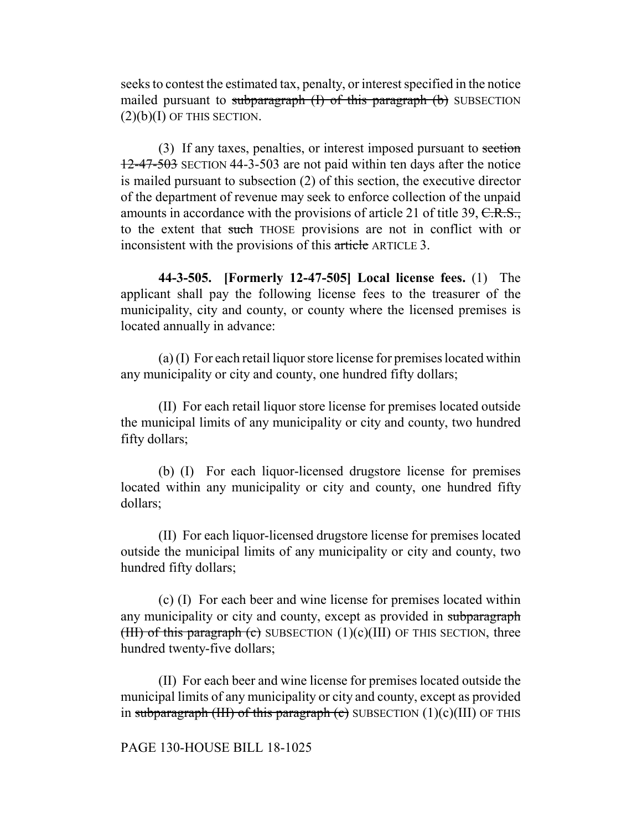seeks to contest the estimated tax, penalty, or interest specified in the notice mailed pursuant to subparagraph  $(I)$  of this paragraph  $(b)$  SUBSECTION  $(2)(b)(I)$  OF THIS SECTION.

(3) If any taxes, penalties, or interest imposed pursuant to section 12-47-503 SECTION 44-3-503 are not paid within ten days after the notice is mailed pursuant to subsection (2) of this section, the executive director of the department of revenue may seek to enforce collection of the unpaid amounts in accordance with the provisions of article 21 of title 39, C.R.S., to the extent that such THOSE provisions are not in conflict with or inconsistent with the provisions of this article ARTICLE 3.

**44-3-505. [Formerly 12-47-505] Local license fees.** (1) The applicant shall pay the following license fees to the treasurer of the municipality, city and county, or county where the licensed premises is located annually in advance:

(a) (I) For each retail liquor store license for premises located within any municipality or city and county, one hundred fifty dollars;

(II) For each retail liquor store license for premises located outside the municipal limits of any municipality or city and county, two hundred fifty dollars;

(b) (I) For each liquor-licensed drugstore license for premises located within any municipality or city and county, one hundred fifty dollars;

(II) For each liquor-licensed drugstore license for premises located outside the municipal limits of any municipality or city and county, two hundred fifty dollars;

(c) (I) For each beer and wine license for premises located within any municipality or city and county, except as provided in subparagraph (III) of this paragraph (c) SUBSECTION  $(1)(c)(III)$  OF THIS SECTION, three hundred twenty-five dollars;

(II) For each beer and wine license for premises located outside the municipal limits of any municipality or city and county, except as provided in subparagraph (III) of this paragraph (c) SUBSECTION  $(1)(c)(III)$  OF THIS

#### PAGE 130-HOUSE BILL 18-1025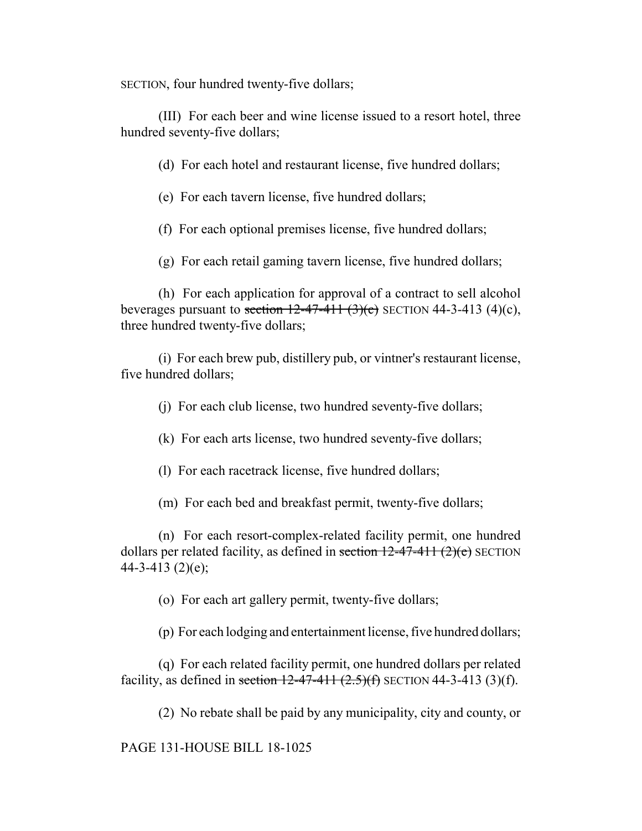SECTION, four hundred twenty-five dollars;

(III) For each beer and wine license issued to a resort hotel, three hundred seventy-five dollars;

(d) For each hotel and restaurant license, five hundred dollars;

(e) For each tavern license, five hundred dollars;

(f) For each optional premises license, five hundred dollars;

(g) For each retail gaming tavern license, five hundred dollars;

(h) For each application for approval of a contract to sell alcohol beverages pursuant to section  $12-47-411$   $(3)(c)$  SECTION 44-3-413  $(4)(c)$ . three hundred twenty-five dollars;

(i) For each brew pub, distillery pub, or vintner's restaurant license, five hundred dollars;

(j) For each club license, two hundred seventy-five dollars;

(k) For each arts license, two hundred seventy-five dollars;

(l) For each racetrack license, five hundred dollars;

(m) For each bed and breakfast permit, twenty-five dollars;

(n) For each resort-complex-related facility permit, one hundred dollars per related facility, as defined in section  $12-47-411$   $(2)(e)$  SECTION 44-3-413 (2)(e);

(o) For each art gallery permit, twenty-five dollars;

(p) For each lodging and entertainment license, five hundred dollars;

(q) For each related facility permit, one hundred dollars per related facility, as defined in section  $12-47-411$   $(2.5)(f)$  SECTION 44-3-413 (3)(f).

(2) No rebate shall be paid by any municipality, city and county, or

PAGE 131-HOUSE BILL 18-1025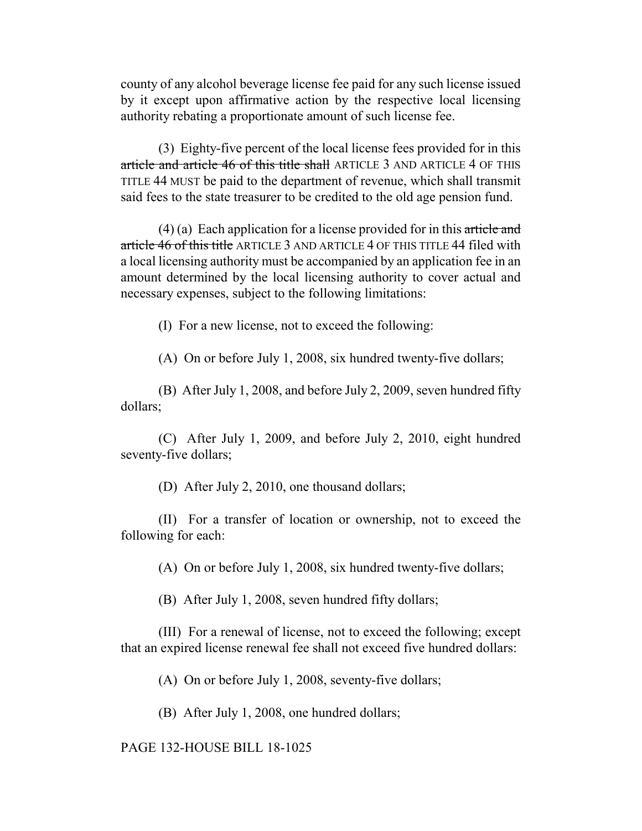county of any alcohol beverage license fee paid for any such license issued by it except upon affirmative action by the respective local licensing authority rebating a proportionate amount of such license fee.

(3) Eighty-five percent of the local license fees provided for in this article and article 46 of this title shall ARTICLE 3 AND ARTICLE 4 OF THIS TITLE 44 MUST be paid to the department of revenue, which shall transmit said fees to the state treasurer to be credited to the old age pension fund.

 $(4)$  (a) Each application for a license provided for in this article and article 46 of this title ARTICLE 3 AND ARTICLE 4 OF THIS TITLE 44 filed with a local licensing authority must be accompanied by an application fee in an amount determined by the local licensing authority to cover actual and necessary expenses, subject to the following limitations:

(I) For a new license, not to exceed the following:

(A) On or before July 1, 2008, six hundred twenty-five dollars;

(B) After July 1, 2008, and before July 2, 2009, seven hundred fifty dollars;

(C) After July 1, 2009, and before July 2, 2010, eight hundred seventy-five dollars;

(D) After July 2, 2010, one thousand dollars;

(II) For a transfer of location or ownership, not to exceed the following for each:

(A) On or before July 1, 2008, six hundred twenty-five dollars;

(B) After July 1, 2008, seven hundred fifty dollars;

(III) For a renewal of license, not to exceed the following; except that an expired license renewal fee shall not exceed five hundred dollars:

(A) On or before July 1, 2008, seventy-five dollars;

(B) After July 1, 2008, one hundred dollars;

PAGE 132-HOUSE BILL 18-1025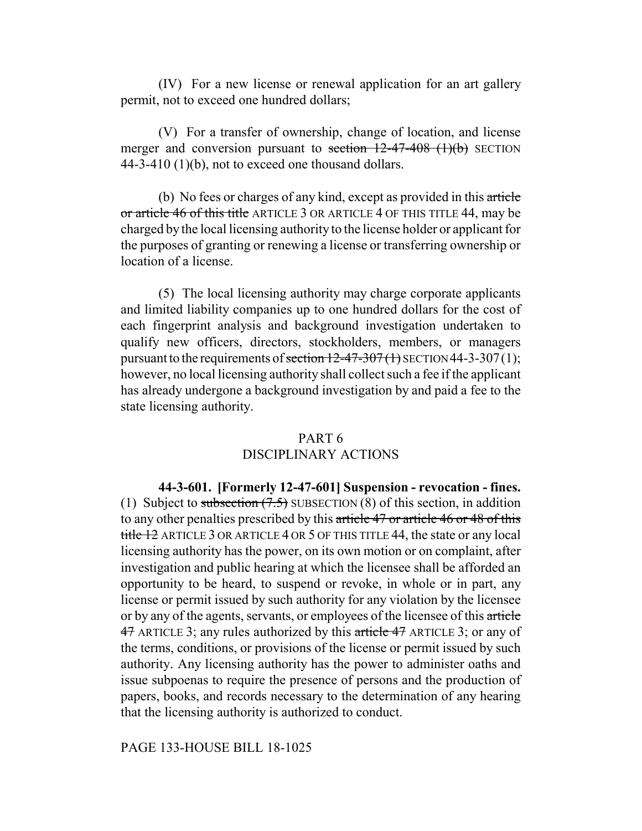(IV) For a new license or renewal application for an art gallery permit, not to exceed one hundred dollars;

(V) For a transfer of ownership, change of location, and license merger and conversion pursuant to section  $12-47-408$  (1)(b) SECTION 44-3-410 (1)(b), not to exceed one thousand dollars.

(b) No fees or charges of any kind, except as provided in this article or article 46 of this title ARTICLE 3 OR ARTICLE 4 OF THIS TITLE 44, may be charged by the local licensing authority to the license holder or applicant for the purposes of granting or renewing a license or transferring ownership or location of a license.

(5) The local licensing authority may charge corporate applicants and limited liability companies up to one hundred dollars for the cost of each fingerprint analysis and background investigation undertaken to qualify new officers, directors, stockholders, members, or managers pursuant to the requirements of section  $12-47-307(1)$  SECTION 44-3-307(1); however, no local licensing authority shall collect such a fee if the applicant has already undergone a background investigation by and paid a fee to the state licensing authority.

# PART 6 DISCIPLINARY ACTIONS

**44-3-601. [Formerly 12-47-601] Suspension - revocation - fines.** (1) Subject to subsection  $(7.5)$  SUBSECTION (8) of this section, in addition to any other penalties prescribed by this article 47 or article 46 or 48 of this title 12 ARTICLE 3 OR ARTICLE 4 OR 5 OF THIS TITLE 44, the state or any local licensing authority has the power, on its own motion or on complaint, after investigation and public hearing at which the licensee shall be afforded an opportunity to be heard, to suspend or revoke, in whole or in part, any license or permit issued by such authority for any violation by the licensee or by any of the agents, servants, or employees of the licensee of this article 47 ARTICLE 3; any rules authorized by this article 47 ARTICLE 3; or any of the terms, conditions, or provisions of the license or permit issued by such authority. Any licensing authority has the power to administer oaths and issue subpoenas to require the presence of persons and the production of papers, books, and records necessary to the determination of any hearing that the licensing authority is authorized to conduct.

#### PAGE 133-HOUSE BILL 18-1025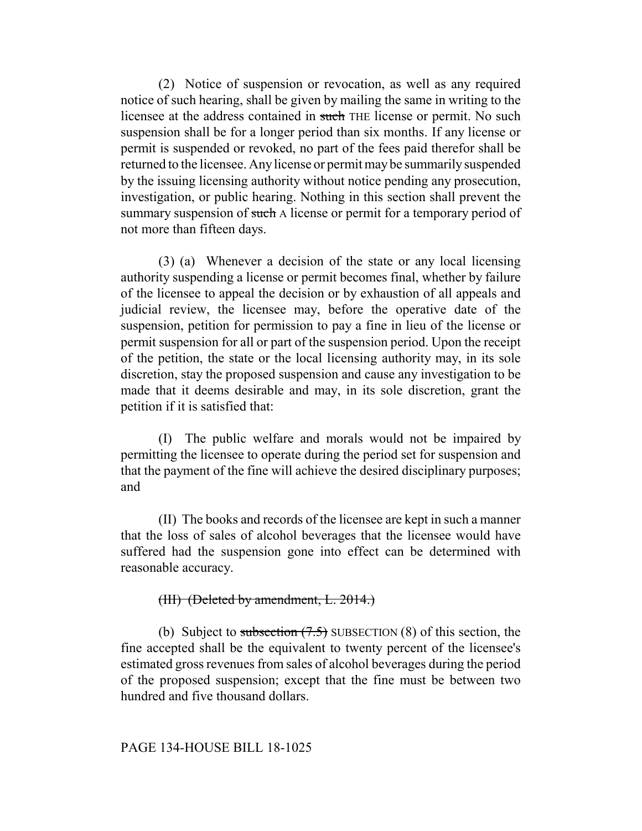(2) Notice of suspension or revocation, as well as any required notice of such hearing, shall be given by mailing the same in writing to the licensee at the address contained in such THE license or permit. No such suspension shall be for a longer period than six months. If any license or permit is suspended or revoked, no part of the fees paid therefor shall be returned to the licensee. Any license or permit may be summarily suspended by the issuing licensing authority without notice pending any prosecution, investigation, or public hearing. Nothing in this section shall prevent the summary suspension of such A license or permit for a temporary period of not more than fifteen days.

(3) (a) Whenever a decision of the state or any local licensing authority suspending a license or permit becomes final, whether by failure of the licensee to appeal the decision or by exhaustion of all appeals and judicial review, the licensee may, before the operative date of the suspension, petition for permission to pay a fine in lieu of the license or permit suspension for all or part of the suspension period. Upon the receipt of the petition, the state or the local licensing authority may, in its sole discretion, stay the proposed suspension and cause any investigation to be made that it deems desirable and may, in its sole discretion, grant the petition if it is satisfied that:

(I) The public welfare and morals would not be impaired by permitting the licensee to operate during the period set for suspension and that the payment of the fine will achieve the desired disciplinary purposes; and

(II) The books and records of the licensee are kept in such a manner that the loss of sales of alcohol beverages that the licensee would have suffered had the suspension gone into effect can be determined with reasonable accuracy.

# (III) (Deleted by amendment, L. 2014.)

(b) Subject to subsection  $(7.5)$  SUBSECTION (8) of this section, the fine accepted shall be the equivalent to twenty percent of the licensee's estimated gross revenues from sales of alcohol beverages during the period of the proposed suspension; except that the fine must be between two hundred and five thousand dollars.

#### PAGE 134-HOUSE BILL 18-1025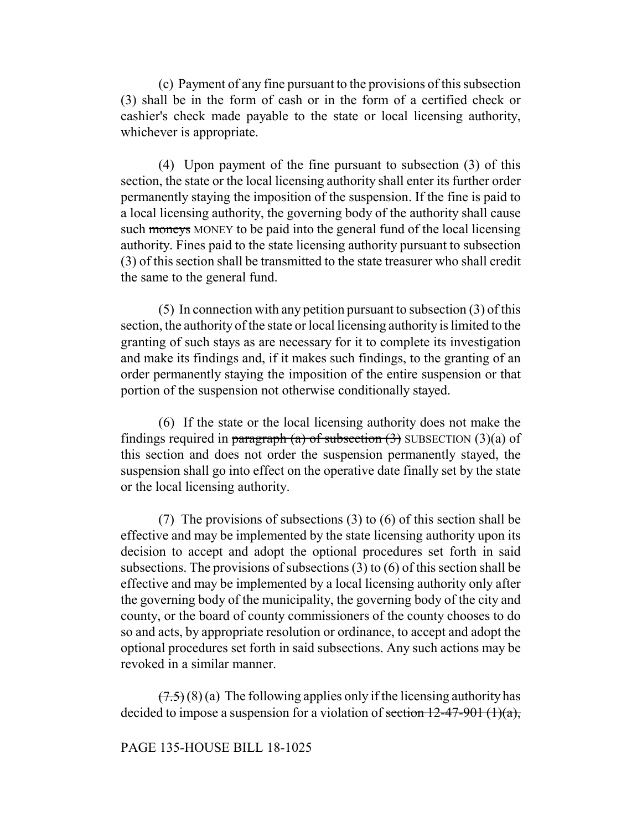(c) Payment of any fine pursuant to the provisions of this subsection (3) shall be in the form of cash or in the form of a certified check or cashier's check made payable to the state or local licensing authority, whichever is appropriate.

(4) Upon payment of the fine pursuant to subsection (3) of this section, the state or the local licensing authority shall enter its further order permanently staying the imposition of the suspension. If the fine is paid to a local licensing authority, the governing body of the authority shall cause such moneys MONEY to be paid into the general fund of the local licensing authority. Fines paid to the state licensing authority pursuant to subsection (3) of this section shall be transmitted to the state treasurer who shall credit the same to the general fund.

(5) In connection with any petition pursuant to subsection (3) of this section, the authority of the state or local licensing authority is limited to the granting of such stays as are necessary for it to complete its investigation and make its findings and, if it makes such findings, to the granting of an order permanently staying the imposition of the entire suspension or that portion of the suspension not otherwise conditionally stayed.

(6) If the state or the local licensing authority does not make the findings required in paragraph (a) of subsection  $(3)$  SUBSECTION  $(3)(a)$  of this section and does not order the suspension permanently stayed, the suspension shall go into effect on the operative date finally set by the state or the local licensing authority.

(7) The provisions of subsections (3) to (6) of this section shall be effective and may be implemented by the state licensing authority upon its decision to accept and adopt the optional procedures set forth in said subsections. The provisions of subsections (3) to (6) of this section shall be effective and may be implemented by a local licensing authority only after the governing body of the municipality, the governing body of the city and county, or the board of county commissioners of the county chooses to do so and acts, by appropriate resolution or ordinance, to accept and adopt the optional procedures set forth in said subsections. Any such actions may be revoked in a similar manner.

 $(7.5)(8)$  (a) The following applies only if the licensing authority has decided to impose a suspension for a violation of section  $12-47-901$  (1)(a),

## PAGE 135-HOUSE BILL 18-1025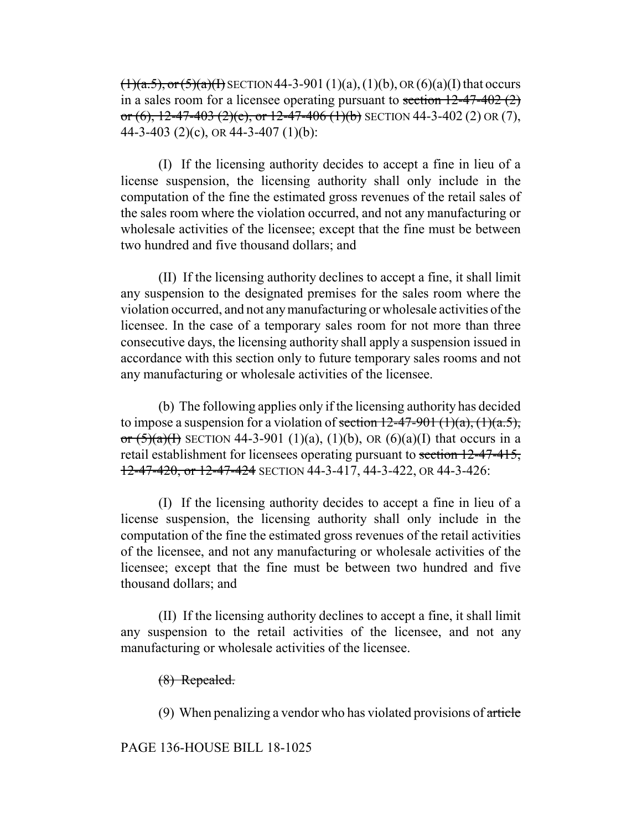$(1)(a.5)$ , or  $(5)(a)(1)$  SECTION 44-3-901 (1)(a), (1)(b), OR (6)(a)(I) that occurs in a sales room for a licensee operating pursuant to section  $12-47-402$  (2) or (6),  $12-47-403$  (2)(e), or  $12-47-406$  (1)(b) SECTION 44-3-402 (2) OR (7), 44-3-403 (2)(c), OR 44-3-407 (1)(b):

(I) If the licensing authority decides to accept a fine in lieu of a license suspension, the licensing authority shall only include in the computation of the fine the estimated gross revenues of the retail sales of the sales room where the violation occurred, and not any manufacturing or wholesale activities of the licensee; except that the fine must be between two hundred and five thousand dollars; and

(II) If the licensing authority declines to accept a fine, it shall limit any suspension to the designated premises for the sales room where the violation occurred, and not any manufacturing or wholesale activities of the licensee. In the case of a temporary sales room for not more than three consecutive days, the licensing authority shall apply a suspension issued in accordance with this section only to future temporary sales rooms and not any manufacturing or wholesale activities of the licensee.

(b) The following applies only if the licensing authority has decided to impose a suspension for a violation of section  $12-47-901$  (1)(a), (1)(a.5), or  $(5)(a)(1)$  SECTION 44-3-901 (1)(a), (1)(b), OR (6)(a)(I) that occurs in a retail establishment for licensees operating pursuant to section 12-47-415, 12-47-420, or 12-47-424 SECTION 44-3-417, 44-3-422, OR 44-3-426:

(I) If the licensing authority decides to accept a fine in lieu of a license suspension, the licensing authority shall only include in the computation of the fine the estimated gross revenues of the retail activities of the licensee, and not any manufacturing or wholesale activities of the licensee; except that the fine must be between two hundred and five thousand dollars; and

(II) If the licensing authority declines to accept a fine, it shall limit any suspension to the retail activities of the licensee, and not any manufacturing or wholesale activities of the licensee.

(8) Repealed.

(9) When penalizing a vendor who has violated provisions of article

PAGE 136-HOUSE BILL 18-1025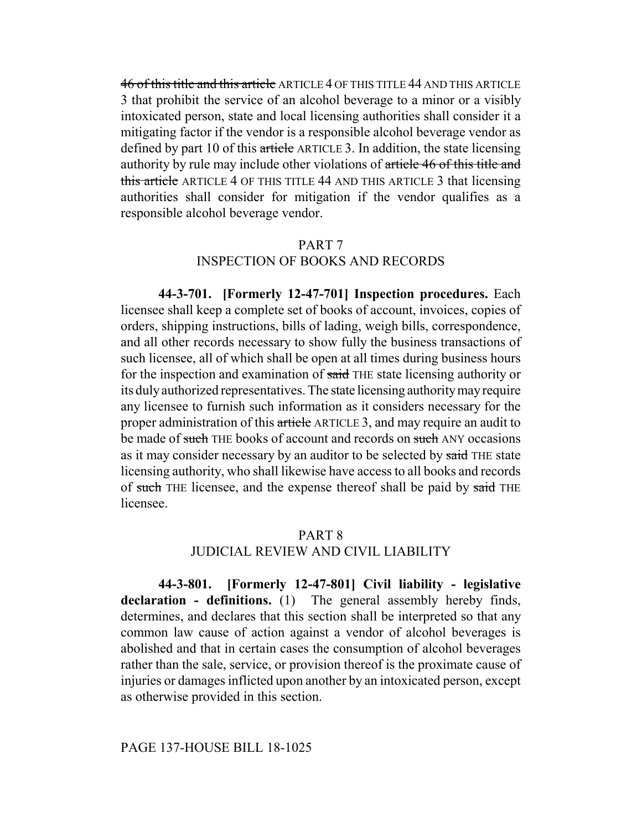46 of this title and this article ARTICLE 4 OF THIS TITLE 44 AND THIS ARTICLE 3 that prohibit the service of an alcohol beverage to a minor or a visibly intoxicated person, state and local licensing authorities shall consider it a mitigating factor if the vendor is a responsible alcohol beverage vendor as defined by part 10 of this article ARTICLE 3. In addition, the state licensing authority by rule may include other violations of article 46 of this title and this article ARTICLE 4 OF THIS TITLE 44 AND THIS ARTICLE 3 that licensing authorities shall consider for mitigation if the vendor qualifies as a responsible alcohol beverage vendor.

#### PART 7

# INSPECTION OF BOOKS AND RECORDS

**44-3-701. [Formerly 12-47-701] Inspection procedures.** Each licensee shall keep a complete set of books of account, invoices, copies of orders, shipping instructions, bills of lading, weigh bills, correspondence, and all other records necessary to show fully the business transactions of such licensee, all of which shall be open at all times during business hours for the inspection and examination of said THE state licensing authority or its duly authorized representatives. The state licensing authority may require any licensee to furnish such information as it considers necessary for the proper administration of this article ARTICLE 3, and may require an audit to be made of such THE books of account and records on such ANY occasions as it may consider necessary by an auditor to be selected by said THE state licensing authority, who shall likewise have access to all books and records of such THE licensee, and the expense thereof shall be paid by said THE licensee.

#### PART 8

#### JUDICIAL REVIEW AND CIVIL LIABILITY

**44-3-801. [Formerly 12-47-801] Civil liability - legislative declaration - definitions.** (1) The general assembly hereby finds, determines, and declares that this section shall be interpreted so that any common law cause of action against a vendor of alcohol beverages is abolished and that in certain cases the consumption of alcohol beverages rather than the sale, service, or provision thereof is the proximate cause of injuries or damages inflicted upon another by an intoxicated person, except as otherwise provided in this section.

#### PAGE 137-HOUSE BILL 18-1025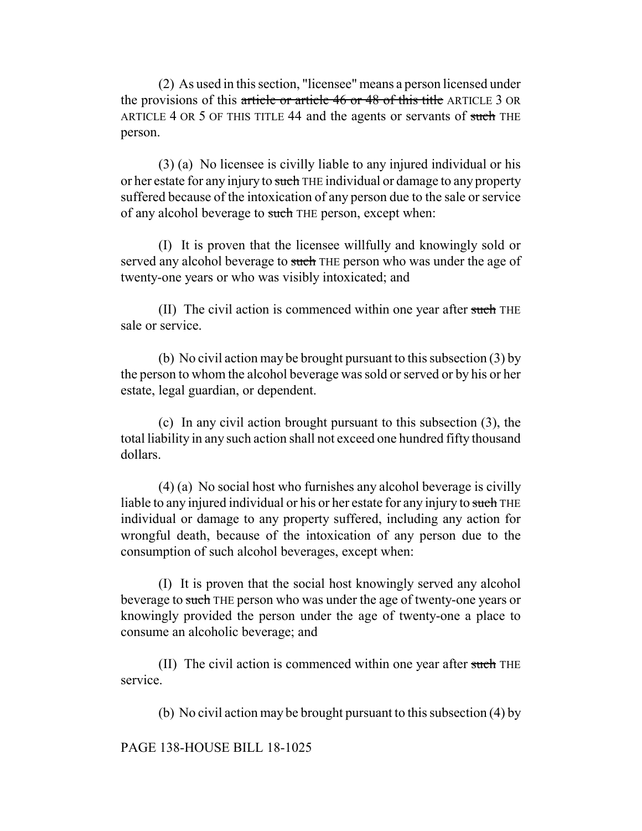(2) As used in this section, "licensee" means a person licensed under the provisions of this article or article 46 or 48 of this title ARTICLE 3 OR ARTICLE 4 OR 5 OF THIS TITLE 44 and the agents or servants of such THE person.

(3) (a) No licensee is civilly liable to any injured individual or his or her estate for any injury to such THE individual or damage to any property suffered because of the intoxication of any person due to the sale or service of any alcohol beverage to such THE person, except when:

(I) It is proven that the licensee willfully and knowingly sold or served any alcohol beverage to such THE person who was under the age of twenty-one years or who was visibly intoxicated; and

(II) The civil action is commenced within one year after such THE sale or service.

(b) No civil action may be brought pursuant to this subsection (3) by the person to whom the alcohol beverage was sold or served or by his or her estate, legal guardian, or dependent.

(c) In any civil action brought pursuant to this subsection (3), the total liability in any such action shall not exceed one hundred fifty thousand dollars.

(4) (a) No social host who furnishes any alcohol beverage is civilly liable to any injured individual or his or her estate for any injury to such THE individual or damage to any property suffered, including any action for wrongful death, because of the intoxication of any person due to the consumption of such alcohol beverages, except when:

(I) It is proven that the social host knowingly served any alcohol beverage to such THE person who was under the age of twenty-one years or knowingly provided the person under the age of twenty-one a place to consume an alcoholic beverage; and

(II) The civil action is commenced within one year after such THE service.

(b) No civil action may be brought pursuant to this subsection (4) by

PAGE 138-HOUSE BILL 18-1025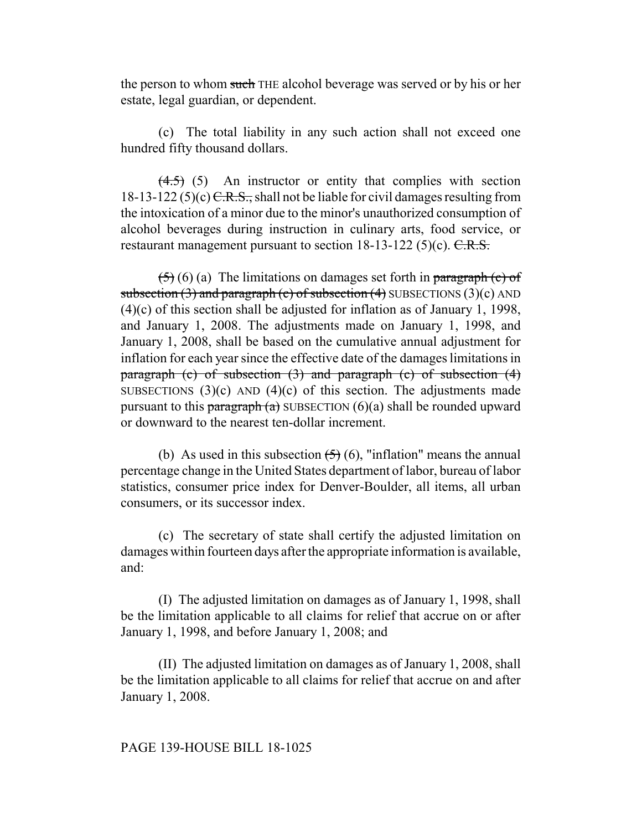the person to whom such THE alcohol beverage was served or by his or her estate, legal guardian, or dependent.

(c) The total liability in any such action shall not exceed one hundred fifty thousand dollars.

 $(4.5)$  (5) An instructor or entity that complies with section 18-13-122 (5)(c)  $C.R.S.,$  shall not be liable for civil damages resulting from the intoxication of a minor due to the minor's unauthorized consumption of alcohol beverages during instruction in culinary arts, food service, or restaurant management pursuant to section  $18-13-122$  (5)(c). C.R.S.

 $(5)(6)$  (a) The limitations on damages set forth in paragraph (c) of subsection  $(3)$  and paragraph  $(c)$  of subsection  $(4)$  SUBSECTIONS  $(3)(c)$  AND (4)(c) of this section shall be adjusted for inflation as of January 1, 1998, and January 1, 2008. The adjustments made on January 1, 1998, and January 1, 2008, shall be based on the cumulative annual adjustment for inflation for each year since the effective date of the damages limitations in paragraph (c) of subsection (3) and paragraph (c) of subsection (4) SUBSECTIONS  $(3)(c)$  AND  $(4)(c)$  of this section. The adjustments made pursuant to this paragraph (a) SUBSECTION  $(6)(a)$  shall be rounded upward or downward to the nearest ten-dollar increment.

(b) As used in this subsection  $\left(\frac{1}{2}\right)$  (6), "inflation" means the annual percentage change in the United States department of labor, bureau of labor statistics, consumer price index for Denver-Boulder, all items, all urban consumers, or its successor index.

(c) The secretary of state shall certify the adjusted limitation on damages within fourteen days after the appropriate information is available, and:

(I) The adjusted limitation on damages as of January 1, 1998, shall be the limitation applicable to all claims for relief that accrue on or after January 1, 1998, and before January 1, 2008; and

(II) The adjusted limitation on damages as of January 1, 2008, shall be the limitation applicable to all claims for relief that accrue on and after January 1, 2008.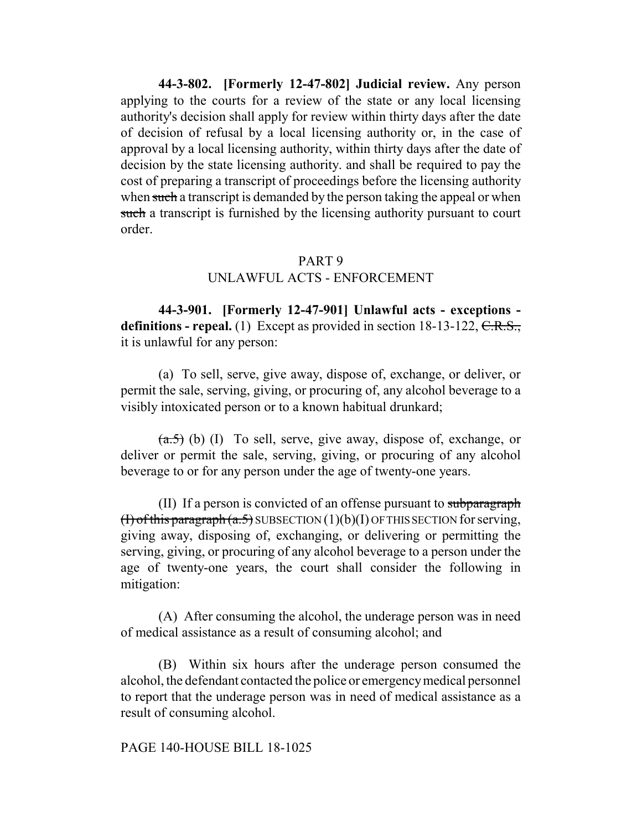**44-3-802. [Formerly 12-47-802] Judicial review.** Any person applying to the courts for a review of the state or any local licensing authority's decision shall apply for review within thirty days after the date of decision of refusal by a local licensing authority or, in the case of approval by a local licensing authority, within thirty days after the date of decision by the state licensing authority. and shall be required to pay the cost of preparing a transcript of proceedings before the licensing authority when such a transcript is demanded by the person taking the appeal or when such a transcript is furnished by the licensing authority pursuant to court order.

# PART 9

# UNLAWFUL ACTS - ENFORCEMENT

**44-3-901. [Formerly 12-47-901] Unlawful acts - exceptions**  definitions - repeal. (1) Except as provided in section 18-13-122, C.R.S., it is unlawful for any person:

(a) To sell, serve, give away, dispose of, exchange, or deliver, or permit the sale, serving, giving, or procuring of, any alcohol beverage to a visibly intoxicated person or to a known habitual drunkard;

 $(a.5)$  (b) (I) To sell, serve, give away, dispose of, exchange, or deliver or permit the sale, serving, giving, or procuring of any alcohol beverage to or for any person under the age of twenty-one years.

(II) If a person is convicted of an offense pursuant to subparagraph (I) of this paragraph  $(a.5)$  SUBSECTION  $(1)(b)(I)$  OF THIS SECTION for serving, giving away, disposing of, exchanging, or delivering or permitting the serving, giving, or procuring of any alcohol beverage to a person under the age of twenty-one years, the court shall consider the following in mitigation:

(A) After consuming the alcohol, the underage person was in need of medical assistance as a result of consuming alcohol; and

(B) Within six hours after the underage person consumed the alcohol, the defendant contacted the police or emergency medical personnel to report that the underage person was in need of medical assistance as a result of consuming alcohol.

#### PAGE 140-HOUSE BILL 18-1025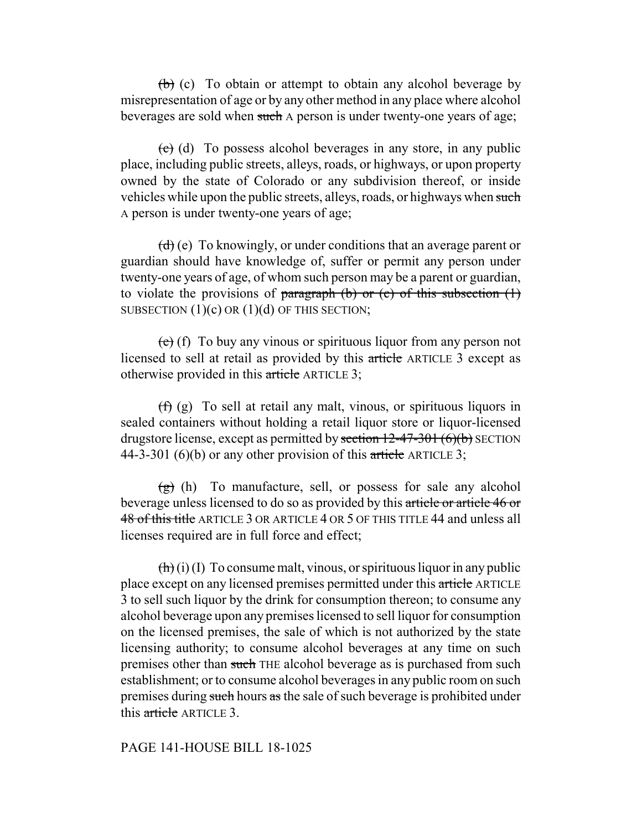$(b)$  (c) To obtain or attempt to obtain any alcohol beverage by misrepresentation of age or by any other method in any place where alcohol beverages are sold when such A person is under twenty-one years of age;

 $\left(\frac{c}{c}\right)$  (d) To possess alcohol beverages in any store, in any public place, including public streets, alleys, roads, or highways, or upon property owned by the state of Colorado or any subdivision thereof, or inside vehicles while upon the public streets, alleys, roads, or highways when such A person is under twenty-one years of age;

 $(d)$  (e) To knowingly, or under conditions that an average parent or guardian should have knowledge of, suffer or permit any person under twenty-one years of age, of whom such person may be a parent or guardian, to violate the provisions of paragraph (b) or (c) of this subsection  $(1)$ SUBSECTION  $(1)(c)$  OR  $(1)(d)$  OF THIS SECTION;

 $(e)$  (f) To buy any vinous or spirituous liquor from any person not licensed to sell at retail as provided by this article ARTICLE 3 except as otherwise provided in this article ARTICLE 3;

(f) (g) To sell at retail any malt, vinous, or spirituous liquors in sealed containers without holding a retail liquor store or liquor-licensed drugstore license, except as permitted by section  $12-47-301$  (6)(b) SECTION 44-3-301 (6)(b) or any other provision of this article ARTICLE 3;

 $(g)$  (h) To manufacture, sell, or possess for sale any alcohol beverage unless licensed to do so as provided by this article or article 46 or 48 of this title ARTICLE 3 OR ARTICLE 4 OR 5 OF THIS TITLE 44 and unless all licenses required are in full force and effect;

 $(\mathbf{h})$  (i) (I) To consume malt, vinous, or spirituous liquor in any public place except on any licensed premises permitted under this article ARTICLE 3 to sell such liquor by the drink for consumption thereon; to consume any alcohol beverage upon any premises licensed to sell liquor for consumption on the licensed premises, the sale of which is not authorized by the state licensing authority; to consume alcohol beverages at any time on such premises other than such THE alcohol beverage as is purchased from such establishment; or to consume alcohol beverages in any public room on such premises during such hours as the sale of such beverage is prohibited under this article ARTICLE 3.

#### PAGE 141-HOUSE BILL 18-1025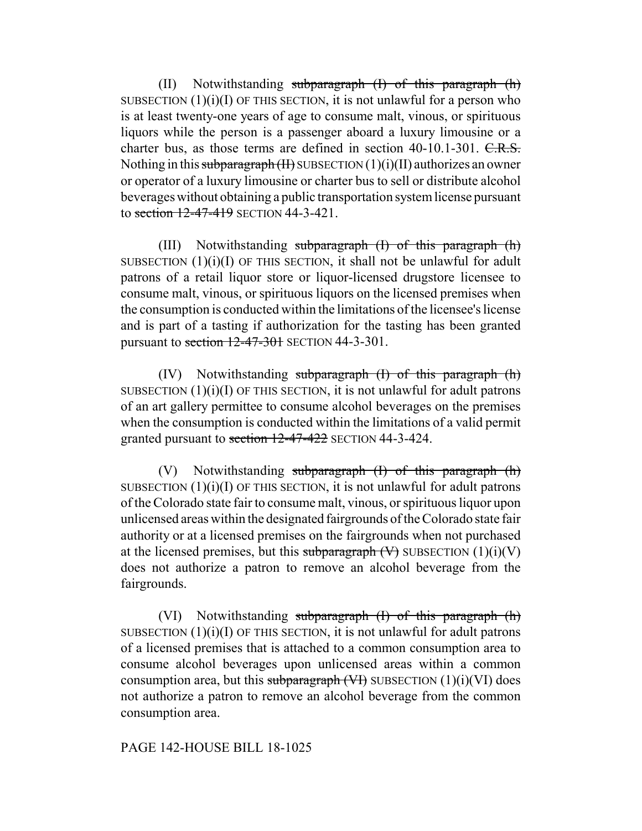(II) Notwithstanding subparagraph  $(I)$  of this paragraph  $(h)$ SUBSECTION  $(1)(i)(I)$  OF THIS SECTION, it is not unlawful for a person who is at least twenty-one years of age to consume malt, vinous, or spirituous liquors while the person is a passenger aboard a luxury limousine or a charter bus, as those terms are defined in section 40-10.1-301. C.R.S. Nothing in this subparagraph (II) SUBSECTION  $(1)(i)(II)$  authorizes an owner or operator of a luxury limousine or charter bus to sell or distribute alcohol beverages without obtaining a public transportation system license pursuant to section 12-47-419 SECTION 44-3-421.

(III) Notwithstanding subparagraph (I) of this paragraph (h) SUBSECTION  $(1)(i)(I)$  OF THIS SECTION, it shall not be unlawful for adult patrons of a retail liquor store or liquor-licensed drugstore licensee to consume malt, vinous, or spirituous liquors on the licensed premises when the consumption is conducted within the limitations of the licensee's license and is part of a tasting if authorization for the tasting has been granted pursuant to section  $12-47-301$  SECTION 44-3-301.

 $(IV)$  Notwithstanding subparagraph  $(I)$  of this paragraph  $(h)$ SUBSECTION  $(1)(i)(I)$  OF THIS SECTION, it is not unlawful for adult patrons of an art gallery permittee to consume alcohol beverages on the premises when the consumption is conducted within the limitations of a valid permit granted pursuant to section 12-47-422 SECTION 44-3-424.

(V) Notwithstanding subparagraph (I) of this paragraph (h) SUBSECTION  $(1)(i)(I)$  OF THIS SECTION, it is not unlawful for adult patrons of the Colorado state fair to consume malt, vinous, or spirituous liquor upon unlicensed areas within the designated fairgrounds of the Colorado state fair authority or at a licensed premises on the fairgrounds when not purchased at the licensed premises, but this subparagraph  $(V)$  SUBSECTION  $(1)(i)(V)$ does not authorize a patron to remove an alcohol beverage from the fairgrounds.

(VI) Notwithstanding subparagraph  $(I)$  of this paragraph  $(h)$ SUBSECTION  $(1)(i)(I)$  OF THIS SECTION, it is not unlawful for adult patrons of a licensed premises that is attached to a common consumption area to consume alcohol beverages upon unlicensed areas within a common consumption area, but this subparagraph  $(V)$  SUBSECTION  $(1)(i)(VI)$  does not authorize a patron to remove an alcohol beverage from the common consumption area.

#### PAGE 142-HOUSE BILL 18-1025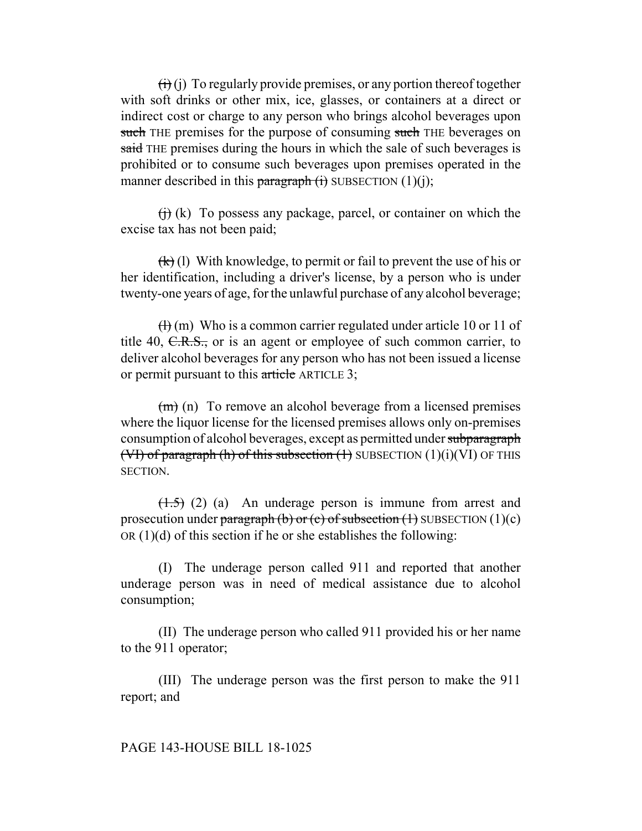$\overrightarrow{(ii)}$  (i) To regularly provide premises, or any portion thereof together with soft drinks or other mix, ice, glasses, or containers at a direct or indirect cost or charge to any person who brings alcohol beverages upon such THE premises for the purpose of consuming such THE beverages on said THE premises during the hours in which the sale of such beverages is prohibited or to consume such beverages upon premises operated in the manner described in this paragraph  $(i)$  SUBSECTION  $(1)(i)$ ;

 $\overrightarrow{(h)}$  (k) To possess any package, parcel, or container on which the excise tax has not been paid;

 $\left(\frac{k}{k}\right)$  (l) With knowledge, to permit or fail to prevent the use of his or her identification, including a driver's license, by a person who is under twenty-one years of age, for the unlawful purchase of any alcohol beverage;

 $\left(\frac{H}{H}\right)$  (m) Who is a common carrier regulated under article 10 or 11 of title 40,  $C.R.S.,$  or is an agent or employee of such common carrier, to deliver alcohol beverages for any person who has not been issued a license or permit pursuant to this article ARTICLE 3;

 $(m)$  (n) To remove an alcohol beverage from a licensed premises where the liquor license for the licensed premises allows only on-premises consumption of alcohol beverages, except as permitted under subparagraph (VI) of paragraph (h) of this subsection  $(1)$  SUBSECTION  $(1)(i)(VI)$  OF THIS SECTION.

 $(1.5)$  (2) (a) An underage person is immune from arrest and prosecution under paragraph (b) or (c) of subsection (1) SUBSECTION  $(1)(c)$ OR  $(1)(d)$  of this section if he or she establishes the following:

(I) The underage person called 911 and reported that another underage person was in need of medical assistance due to alcohol consumption;

(II) The underage person who called 911 provided his or her name to the 911 operator;

(III) The underage person was the first person to make the 911 report; and

#### PAGE 143-HOUSE BILL 18-1025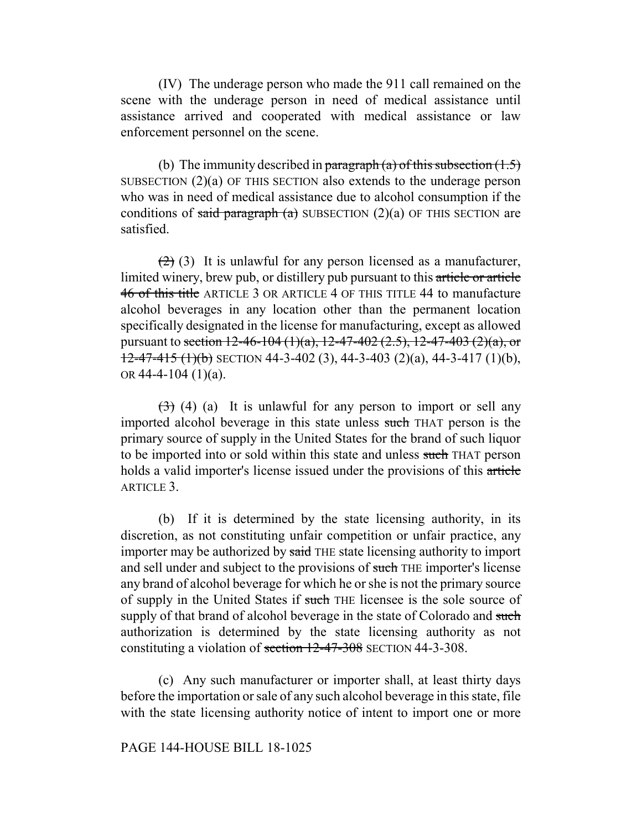(IV) The underage person who made the 911 call remained on the scene with the underage person in need of medical assistance until assistance arrived and cooperated with medical assistance or law enforcement personnel on the scene.

(b) The immunity described in paragraph (a) of this subsection  $(1.5)$ SUBSECTION (2)(a) OF THIS SECTION also extends to the underage person who was in need of medical assistance due to alcohol consumption if the conditions of said paragraph (a) SUBSECTION (2)(a) OF THIS SECTION are satisfied.

 $(2)$  (3) It is unlawful for any person licensed as a manufacturer, limited winery, brew pub, or distillery pub pursuant to this article or article 46 of this title ARTICLE 3 OR ARTICLE 4 OF THIS TITLE 44 to manufacture alcohol beverages in any location other than the permanent location specifically designated in the license for manufacturing, except as allowed pursuant to section 12-46-104 (1)(a), 12-47-402 (2.5), 12-47-403 (2)(a), or  $12-47-415$  (1)(b) SECTION 44-3-402 (3), 44-3-403 (2)(a), 44-3-417 (1)(b), OR 44-4-104  $(1)(a)$ .

 $(3)$  (4) (a) It is unlawful for any person to import or sell any imported alcohol beverage in this state unless such THAT person is the primary source of supply in the United States for the brand of such liquor to be imported into or sold within this state and unless such THAT person holds a valid importer's license issued under the provisions of this article ARTICLE 3

(b) If it is determined by the state licensing authority, in its discretion, as not constituting unfair competition or unfair practice, any importer may be authorized by said THE state licensing authority to import and sell under and subject to the provisions of such THE importer's license any brand of alcohol beverage for which he or she is not the primary source of supply in the United States if such THE licensee is the sole source of supply of that brand of alcohol beverage in the state of Colorado and such authorization is determined by the state licensing authority as not constituting a violation of section 12-47-308 SECTION 44-3-308.

(c) Any such manufacturer or importer shall, at least thirty days before the importation or sale of any such alcohol beverage in this state, file with the state licensing authority notice of intent to import one or more

#### PAGE 144-HOUSE BILL 18-1025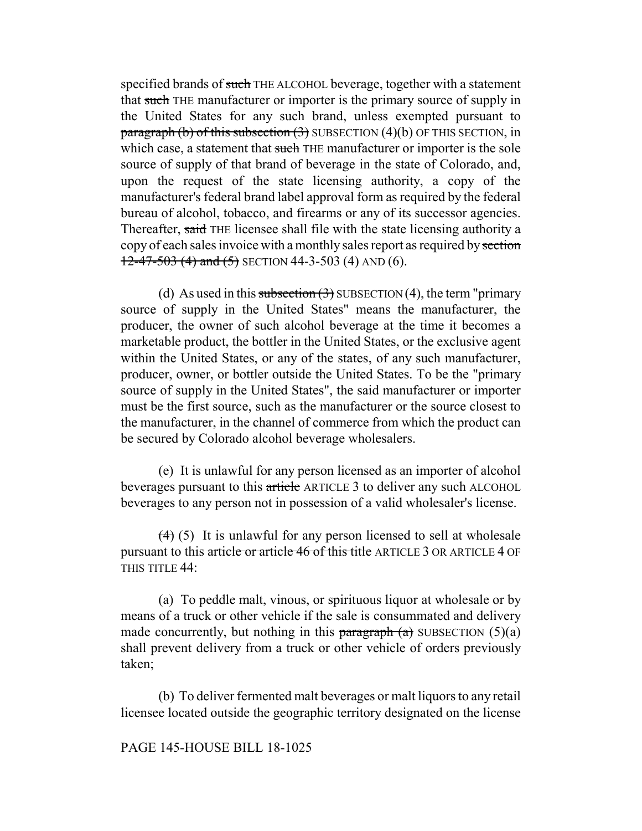specified brands of such THE ALCOHOL beverage, together with a statement that such THE manufacturer or importer is the primary source of supply in the United States for any such brand, unless exempted pursuant to paragraph (b) of this subsection  $(3)$  SUBSECTION  $(4)(b)$  OF THIS SECTION, in which case, a statement that such THE manufacturer or importer is the sole source of supply of that brand of beverage in the state of Colorado, and, upon the request of the state licensing authority, a copy of the manufacturer's federal brand label approval form as required by the federal bureau of alcohol, tobacco, and firearms or any of its successor agencies. Thereafter, said THE licensee shall file with the state licensing authority a copy of each sales invoice with a monthly sales report as required by section  $12-47-503$  (4) and (5) SECTION 44-3-503 (4) AND (6).

(d) As used in this subsection  $(3)$  SUBSECTION  $(4)$ , the term "primary source of supply in the United States" means the manufacturer, the producer, the owner of such alcohol beverage at the time it becomes a marketable product, the bottler in the United States, or the exclusive agent within the United States, or any of the states, of any such manufacturer, producer, owner, or bottler outside the United States. To be the "primary source of supply in the United States", the said manufacturer or importer must be the first source, such as the manufacturer or the source closest to the manufacturer, in the channel of commerce from which the product can be secured by Colorado alcohol beverage wholesalers.

(e) It is unlawful for any person licensed as an importer of alcohol beverages pursuant to this article ARTICLE 3 to deliver any such ALCOHOL beverages to any person not in possession of a valid wholesaler's license.

 $(4)$  (5) It is unlawful for any person licensed to sell at wholesale pursuant to this article or article 46 of this title ARTICLE 3 OR ARTICLE 4 OF THIS TITLE 44:

(a) To peddle malt, vinous, or spirituous liquor at wholesale or by means of a truck or other vehicle if the sale is consummated and delivery made concurrently, but nothing in this paragraph  $(a)$  SUBSECTION  $(5)(a)$ shall prevent delivery from a truck or other vehicle of orders previously taken;

(b) To deliver fermented malt beverages or malt liquors to any retail licensee located outside the geographic territory designated on the license

# PAGE 145-HOUSE BILL 18-1025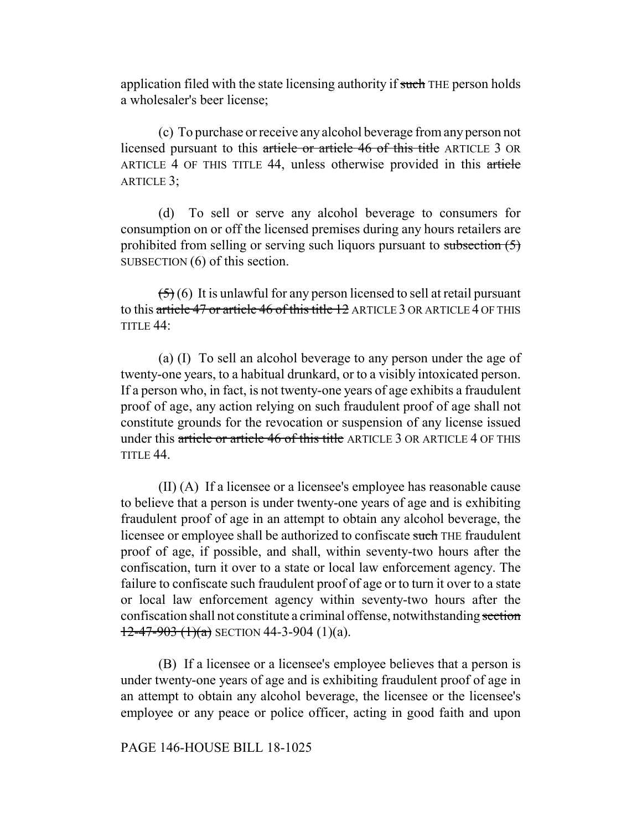application filed with the state licensing authority if such THE person holds a wholesaler's beer license;

(c) To purchase or receive any alcohol beverage from any person not licensed pursuant to this article or article 46 of this title ARTICLE 3 OR ARTICLE 4 OF THIS TITLE 44, unless otherwise provided in this article ARTICLE 3;

(d) To sell or serve any alcohol beverage to consumers for consumption on or off the licensed premises during any hours retailers are prohibited from selling or serving such liquors pursuant to subsection  $(5)$ SUBSECTION (6) of this section.

 $(5)(6)$  It is unlawful for any person licensed to sell at retail pursuant to this article 47 or article 46 of this title 12 ARTICLE 3 OR ARTICLE 4 OF THIS TITLE 44:

(a) (I) To sell an alcohol beverage to any person under the age of twenty-one years, to a habitual drunkard, or to a visibly intoxicated person. If a person who, in fact, is not twenty-one years of age exhibits a fraudulent proof of age, any action relying on such fraudulent proof of age shall not constitute grounds for the revocation or suspension of any license issued under this article or article 46 of this title ARTICLE 3 OR ARTICLE 4 OF THIS TITLE 44.

(II) (A) If a licensee or a licensee's employee has reasonable cause to believe that a person is under twenty-one years of age and is exhibiting fraudulent proof of age in an attempt to obtain any alcohol beverage, the licensee or employee shall be authorized to confiscate such THE fraudulent proof of age, if possible, and shall, within seventy-two hours after the confiscation, turn it over to a state or local law enforcement agency. The failure to confiscate such fraudulent proof of age or to turn it over to a state or local law enforcement agency within seventy-two hours after the confiscation shall not constitute a criminal offense, notwithstanding section  $12-47-903$   $(1)(a)$  SECTION 44-3-904  $(1)(a)$ .

(B) If a licensee or a licensee's employee believes that a person is under twenty-one years of age and is exhibiting fraudulent proof of age in an attempt to obtain any alcohol beverage, the licensee or the licensee's employee or any peace or police officer, acting in good faith and upon

## PAGE 146-HOUSE BILL 18-1025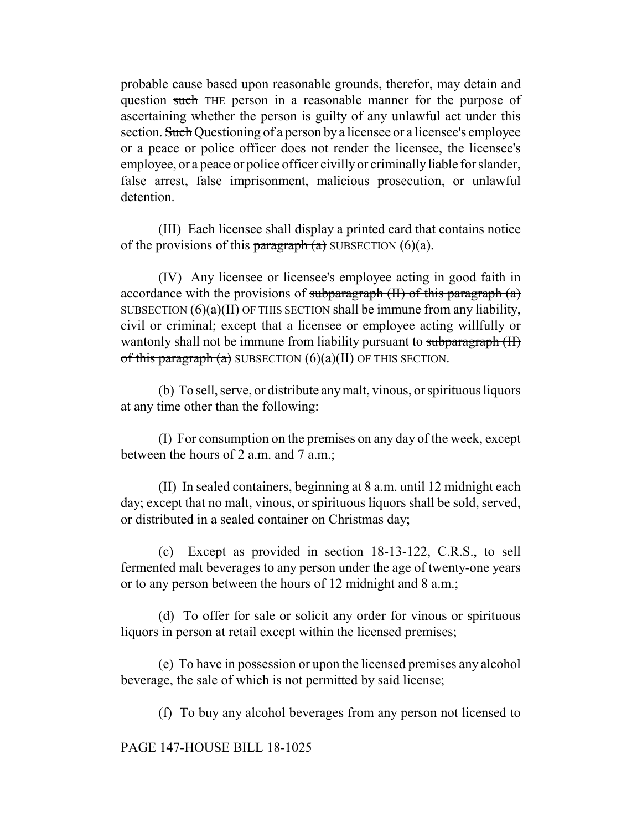probable cause based upon reasonable grounds, therefor, may detain and question such THE person in a reasonable manner for the purpose of ascertaining whether the person is guilty of any unlawful act under this section. Such Questioning of a person by a licensee or a licensee's employee or a peace or police officer does not render the licensee, the licensee's employee, or a peace or police officer civilly or criminally liable for slander, false arrest, false imprisonment, malicious prosecution, or unlawful detention.

(III) Each licensee shall display a printed card that contains notice of the provisions of this paragraph  $(a)$  SUBSECTION  $(6)(a)$ .

(IV) Any licensee or licensee's employee acting in good faith in accordance with the provisions of subparagraph  $(H)$  of this paragraph  $(a)$ SUBSECTION  $(6)(a)(II)$  OF THIS SECTION shall be immune from any liability, civil or criminal; except that a licensee or employee acting willfully or wantonly shall not be immune from liability pursuant to subparagraph (II) of this paragraph  $(a)$  SUBSECTION  $(6)(a)(II)$  OF THIS SECTION.

(b) To sell, serve, or distribute any malt, vinous, or spirituous liquors at any time other than the following:

(I) For consumption on the premises on any day of the week, except between the hours of 2 a.m. and 7 a.m.;

(II) In sealed containers, beginning at 8 a.m. until 12 midnight each day; except that no malt, vinous, or spirituous liquors shall be sold, served, or distributed in a sealed container on Christmas day;

(c) Except as provided in section  $18-13-122$ ,  $C.R.S.,$  to sell fermented malt beverages to any person under the age of twenty-one years or to any person between the hours of 12 midnight and 8 a.m.;

(d) To offer for sale or solicit any order for vinous or spirituous liquors in person at retail except within the licensed premises;

(e) To have in possession or upon the licensed premises any alcohol beverage, the sale of which is not permitted by said license;

(f) To buy any alcohol beverages from any person not licensed to

PAGE 147-HOUSE BILL 18-1025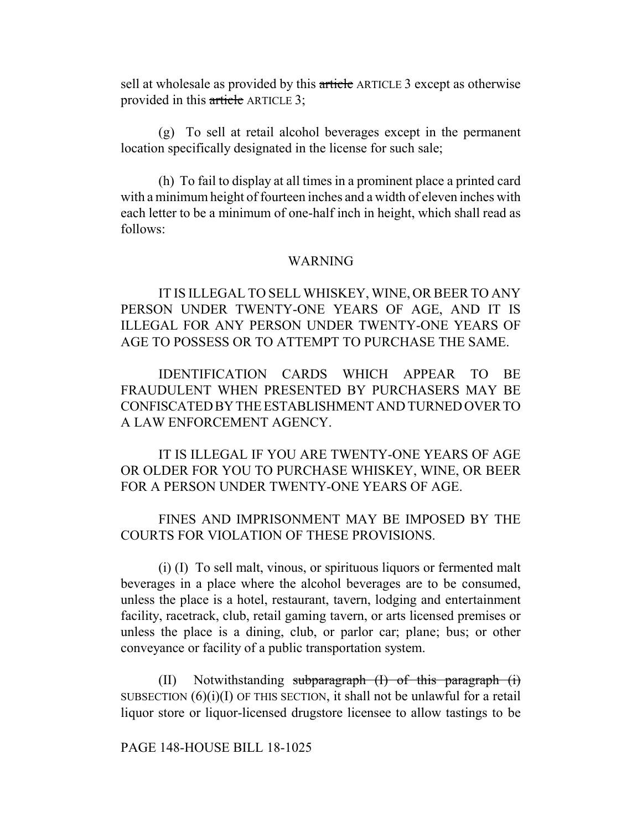sell at wholesale as provided by this article ARTICLE 3 except as otherwise provided in this article ARTICLE 3;

(g) To sell at retail alcohol beverages except in the permanent location specifically designated in the license for such sale;

(h) To fail to display at all times in a prominent place a printed card with a minimum height of fourteen inches and a width of eleven inches with each letter to be a minimum of one-half inch in height, which shall read as follows:

## WARNING

IT IS ILLEGAL TO SELL WHISKEY, WINE, OR BEER TO ANY PERSON UNDER TWENTY-ONE YEARS OF AGE, AND IT IS ILLEGAL FOR ANY PERSON UNDER TWENTY-ONE YEARS OF AGE TO POSSESS OR TO ATTEMPT TO PURCHASE THE SAME.

IDENTIFICATION CARDS WHICH APPEAR TO BE FRAUDULENT WHEN PRESENTED BY PURCHASERS MAY BE CONFISCATED BY THE ESTABLISHMENT AND TURNED OVER TO A LAW ENFORCEMENT AGENCY.

IT IS ILLEGAL IF YOU ARE TWENTY-ONE YEARS OF AGE OR OLDER FOR YOU TO PURCHASE WHISKEY, WINE, OR BEER FOR A PERSON UNDER TWENTY-ONE YEARS OF AGE.

FINES AND IMPRISONMENT MAY BE IMPOSED BY THE COURTS FOR VIOLATION OF THESE PROVISIONS.

(i) (I) To sell malt, vinous, or spirituous liquors or fermented malt beverages in a place where the alcohol beverages are to be consumed, unless the place is a hotel, restaurant, tavern, lodging and entertainment facility, racetrack, club, retail gaming tavern, or arts licensed premises or unless the place is a dining, club, or parlor car; plane; bus; or other conveyance or facility of a public transportation system.

(II) Notwithstanding subparagraph  $(I)$  of this paragraph  $(i)$ SUBSECTION  $(6)(i)(I)$  OF THIS SECTION, it shall not be unlawful for a retail liquor store or liquor-licensed drugstore licensee to allow tastings to be

PAGE 148-HOUSE BILL 18-1025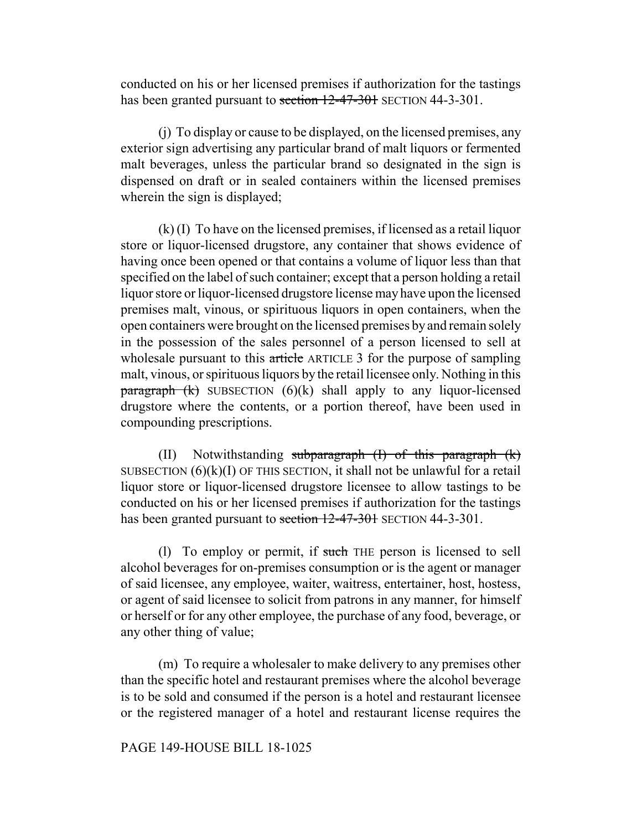conducted on his or her licensed premises if authorization for the tastings has been granted pursuant to section 12-47-301 SECTION 44-3-301.

(j) To display or cause to be displayed, on the licensed premises, any exterior sign advertising any particular brand of malt liquors or fermented malt beverages, unless the particular brand so designated in the sign is dispensed on draft or in sealed containers within the licensed premises wherein the sign is displayed;

(k) (I) To have on the licensed premises, if licensed as a retail liquor store or liquor-licensed drugstore, any container that shows evidence of having once been opened or that contains a volume of liquor less than that specified on the label of such container; except that a person holding a retail liquor store or liquor-licensed drugstore license may have upon the licensed premises malt, vinous, or spirituous liquors in open containers, when the open containers were brought on the licensed premises by and remain solely in the possession of the sales personnel of a person licensed to sell at wholesale pursuant to this article ARTICLE 3 for the purpose of sampling malt, vinous, or spirituous liquors by the retail licensee only. Nothing in this  $\frac{\text{pargraph (k)}}{\text{SUBSECTION (6)(k)}}$  shall apply to any liquor-licensed drugstore where the contents, or a portion thereof, have been used in compounding prescriptions.

(II) Notwithstanding subparagraph (I) of this paragraph (k) SUBSECTION  $(6)(k)(I)$  OF THIS SECTION, it shall not be unlawful for a retail liquor store or liquor-licensed drugstore licensee to allow tastings to be conducted on his or her licensed premises if authorization for the tastings has been granted pursuant to section 12-47-301 SECTION 44-3-301.

(1) To employ or permit, if such THE person is licensed to sell alcohol beverages for on-premises consumption or is the agent or manager of said licensee, any employee, waiter, waitress, entertainer, host, hostess, or agent of said licensee to solicit from patrons in any manner, for himself or herself or for any other employee, the purchase of any food, beverage, or any other thing of value;

(m) To require a wholesaler to make delivery to any premises other than the specific hotel and restaurant premises where the alcohol beverage is to be sold and consumed if the person is a hotel and restaurant licensee or the registered manager of a hotel and restaurant license requires the

## PAGE 149-HOUSE BILL 18-1025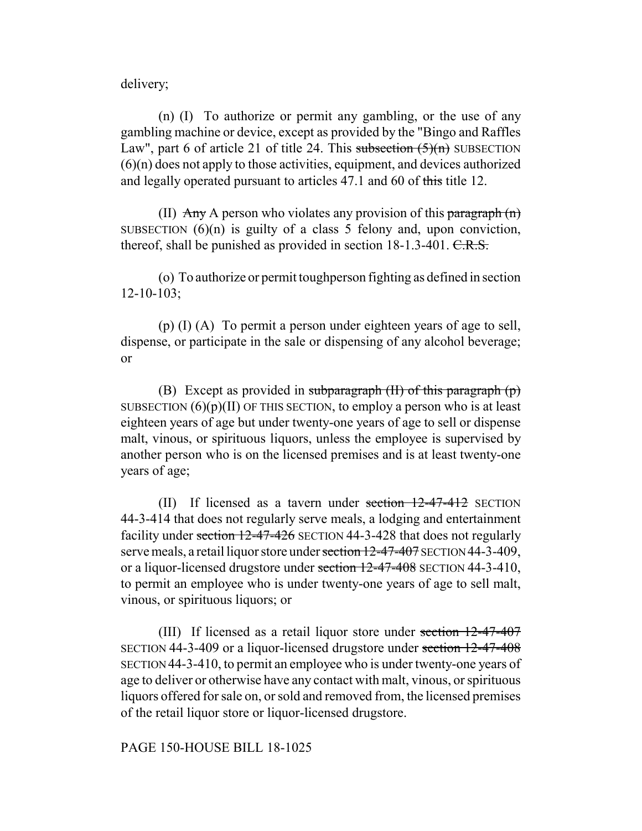delivery;

(n) (I) To authorize or permit any gambling, or the use of any gambling machine or device, except as provided by the "Bingo and Raffles Law", part 6 of article 21 of title 24. This subsection  $(5)(n)$  SUBSECTION (6)(n) does not apply to those activities, equipment, and devices authorized and legally operated pursuant to articles 47.1 and 60 of this title 12.

(II)  $\overrightarrow{Any}$  A person who violates any provision of this paragraph  $(n)$ SUBSECTION  $(6)(n)$  is guilty of a class 5 felony and, upon conviction, thereof, shall be punished as provided in section 18-1.3-401. C.R.S.

(o) To authorize or permit toughperson fighting as defined in section 12-10-103;

(p) (I) (A) To permit a person under eighteen years of age to sell, dispense, or participate in the sale or dispensing of any alcohol beverage; or

(B) Except as provided in subparagraph  $(H)$  of this paragraph  $(p)$ SUBSECTION  $(6)(p)(II)$  OF THIS SECTION, to employ a person who is at least eighteen years of age but under twenty-one years of age to sell or dispense malt, vinous, or spirituous liquors, unless the employee is supervised by another person who is on the licensed premises and is at least twenty-one years of age;

(II) If licensed as a tavern under section  $12-47-412$  SECTION 44-3-414 that does not regularly serve meals, a lodging and entertainment facility under section 12-47-426 SECTION 44-3-428 that does not regularly serve meals, a retail liquor store under section 12-47-407 SECTION 44-3-409, or a liquor-licensed drugstore under section 12-47-408 SECTION 44-3-410, to permit an employee who is under twenty-one years of age to sell malt, vinous, or spirituous liquors; or

(III) If licensed as a retail liquor store under section 12-47-407 SECTION 44-3-409 or a liquor-licensed drugstore under section 12-47-408 SECTION 44-3-410, to permit an employee who is under twenty-one years of age to deliver or otherwise have any contact with malt, vinous, or spirituous liquors offered for sale on, or sold and removed from, the licensed premises of the retail liquor store or liquor-licensed drugstore.

# PAGE 150-HOUSE BILL 18-1025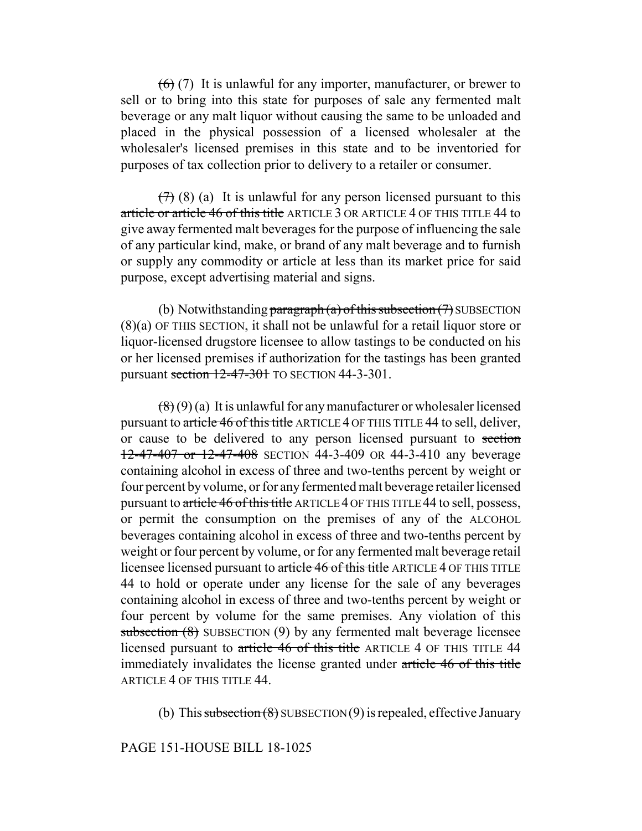$(6)$  (7) It is unlawful for any importer, manufacturer, or brewer to sell or to bring into this state for purposes of sale any fermented malt beverage or any malt liquor without causing the same to be unloaded and placed in the physical possession of a licensed wholesaler at the wholesaler's licensed premises in this state and to be inventoried for purposes of tax collection prior to delivery to a retailer or consumer.

 $(7)$  (8) (a) It is unlawful for any person licensed pursuant to this article or article 46 of this title ARTICLE 3 OR ARTICLE 4 OF THIS TITLE 44 to give away fermented malt beverages for the purpose of influencing the sale of any particular kind, make, or brand of any malt beverage and to furnish or supply any commodity or article at less than its market price for said purpose, except advertising material and signs.

(b) Notwithstanding paragraph (a) of this subsection  $(7)$  SUBSECTION (8)(a) OF THIS SECTION, it shall not be unlawful for a retail liquor store or liquor-licensed drugstore licensee to allow tastings to be conducted on his or her licensed premises if authorization for the tastings has been granted pursuant section  $12-47-301$  TO SECTION 44-3-301.

 $(8)(9)(a)$  It is unlawful for any manufacturer or wholesaler licensed pursuant to article 46 of this title ARTICLE 4 OF THIS TITLE 44 to sell, deliver, or cause to be delivered to any person licensed pursuant to section 12-47-407 or 12-47-408 SECTION 44-3-409 OR 44-3-410 any beverage containing alcohol in excess of three and two-tenths percent by weight or four percent by volume, or for any fermented malt beverage retailer licensed pursuant to article 46 of this title ARTICLE 4 OF THIS TITLE 44 to sell, possess, or permit the consumption on the premises of any of the ALCOHOL beverages containing alcohol in excess of three and two-tenths percent by weight or four percent by volume, or for any fermented malt beverage retail licensee licensed pursuant to article 46 of this title ARTICLE 4 OF THIS TITLE 44 to hold or operate under any license for the sale of any beverages containing alcohol in excess of three and two-tenths percent by weight or four percent by volume for the same premises. Any violation of this subsection (8) SUBSECTION (9) by any fermented malt beverage licensee licensed pursuant to article 46 of this title ARTICLE 4 OF THIS TITLE 44 immediately invalidates the license granted under article 46 of this title ARTICLE 4 OF THIS TITLE 44.

(b) This subsection  $(8)$  SUBSECTION  $(9)$  is repealed, effective January

# PAGE 151-HOUSE BILL 18-1025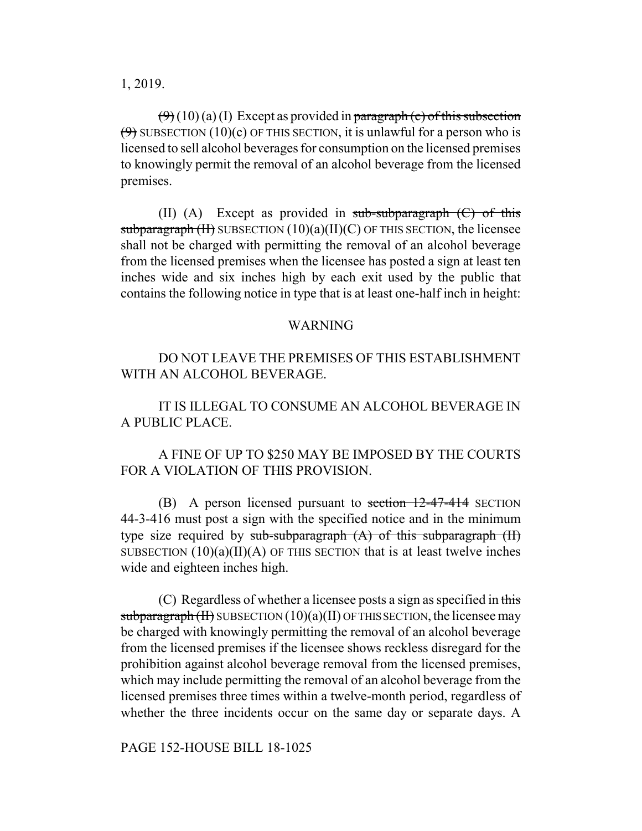1, 2019.

 $(\theta$  (10) (a) (I) Except as provided in paragraph (c) of this subsection  $(9)$  SUBSECTION (10)(c) OF THIS SECTION, it is unlawful for a person who is licensed to sell alcohol beverages for consumption on the licensed premises to knowingly permit the removal of an alcohol beverage from the licensed premises.

(II) (A) Except as provided in sub-subparagraph  $(C)$  of this subparagraph  $(H)$  SUBSECTION  $(10)(a)(II)(C)$  OF THIS SECTION, the licensee shall not be charged with permitting the removal of an alcohol beverage from the licensed premises when the licensee has posted a sign at least ten inches wide and six inches high by each exit used by the public that contains the following notice in type that is at least one-half inch in height:

#### WARNING

DO NOT LEAVE THE PREMISES OF THIS ESTABLISHMENT WITH AN ALCOHOL BEVERAGE.

IT IS ILLEGAL TO CONSUME AN ALCOHOL BEVERAGE IN A PUBLIC PLACE.

A FINE OF UP TO \$250 MAY BE IMPOSED BY THE COURTS FOR A VIOLATION OF THIS PROVISION.

(B) A person licensed pursuant to section  $12-47-414$  SECTION 44-3-416 must post a sign with the specified notice and in the minimum type size required by sub-subparagraph  $(A)$  of this subparagraph  $(II)$ SUBSECTION  $(10)(a)(II)(A)$  OF THIS SECTION that is at least twelve inches wide and eighteen inches high.

(C) Regardless of whether a licensee posts a sign as specified in this subparagraph (II) SUBSECTION  $(10)(a)(II)$  OF THIS SECTION, the licensee may be charged with knowingly permitting the removal of an alcohol beverage from the licensed premises if the licensee shows reckless disregard for the prohibition against alcohol beverage removal from the licensed premises, which may include permitting the removal of an alcohol beverage from the licensed premises three times within a twelve-month period, regardless of whether the three incidents occur on the same day or separate days. A

PAGE 152-HOUSE BILL 18-1025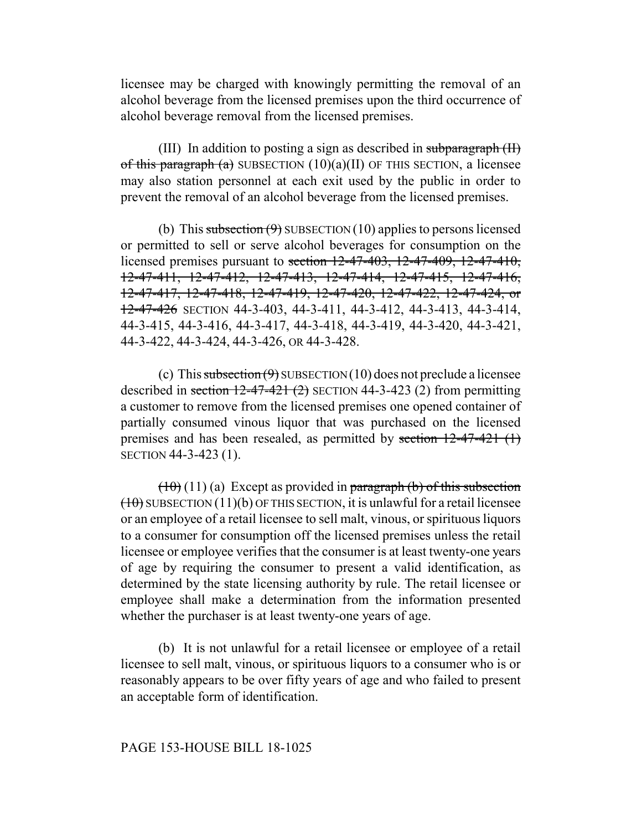licensee may be charged with knowingly permitting the removal of an alcohol beverage from the licensed premises upon the third occurrence of alcohol beverage removal from the licensed premises.

(III) In addition to posting a sign as described in subparagraph  $(H)$ of this paragraph (a) SUBSECTION  $(10)(a)(II)$  OF THIS SECTION, a licensee may also station personnel at each exit used by the public in order to prevent the removal of an alcohol beverage from the licensed premises.

(b) This subsection  $(9)$  SUBSECTION (10) applies to persons licensed or permitted to sell or serve alcohol beverages for consumption on the licensed premises pursuant to section 12-47-403, 12-47-409, 12-47-410, 12-47-411, 12-47-412, 12-47-413, 12-47-414, 12-47-415, 12-47-416, 12-47-417, 12-47-418, 12-47-419, 12-47-420, 12-47-422, 12-47-424, or 12-47-426 SECTION 44-3-403, 44-3-411, 44-3-412, 44-3-413, 44-3-414, 44-3-415, 44-3-416, 44-3-417, 44-3-418, 44-3-419, 44-3-420, 44-3-421, 44-3-422, 44-3-424, 44-3-426, OR 44-3-428.

(c) This subsection  $(9)$  SUBSECTION (10) does not preclude a licensee described in section  $12-47-421$  (2) SECTION 44-3-423 (2) from permitting a customer to remove from the licensed premises one opened container of partially consumed vinous liquor that was purchased on the licensed premises and has been resealed, as permitted by section  $12-47-421$  (1) SECTION 44-3-423 (1).

 $(10)(11)(a)$  Except as provided in paragraph (b) of this subsection  $(10)$  SUBSECTION  $(11)(b)$  OF THIS SECTION, it is unlawful for a retail licensee or an employee of a retail licensee to sell malt, vinous, or spirituous liquors to a consumer for consumption off the licensed premises unless the retail licensee or employee verifies that the consumer is at least twenty-one years of age by requiring the consumer to present a valid identification, as determined by the state licensing authority by rule. The retail licensee or employee shall make a determination from the information presented whether the purchaser is at least twenty-one years of age.

(b) It is not unlawful for a retail licensee or employee of a retail licensee to sell malt, vinous, or spirituous liquors to a consumer who is or reasonably appears to be over fifty years of age and who failed to present an acceptable form of identification.

## PAGE 153-HOUSE BILL 18-1025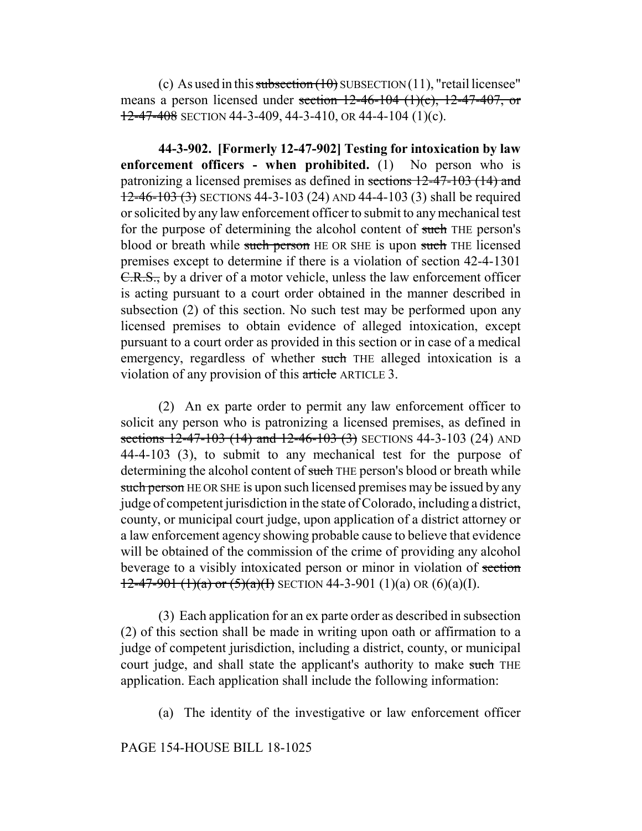(c) As used in this subsection  $(10)$  SUBSECTION  $(11)$ , "retail licensee" means a person licensed under section  $12-46-104$   $(1)(c)$ ,  $12-47-407$ , or  $12-47-408$  SECTION 44-3-409, 44-3-410, OR 44-4-104 (1)(c).

**44-3-902. [Formerly 12-47-902] Testing for intoxication by law enforcement officers - when prohibited.** (1) No person who is patronizing a licensed premises as defined in sections 12-47-103 (14) and 12-46-103 (3) SECTIONS 44-3-103 (24) AND 44-4-103 (3) shall be required or solicited by any law enforcement officer to submit to any mechanical test for the purpose of determining the alcohol content of such THE person's blood or breath while such person HE OR SHE is upon such THE licensed premises except to determine if there is a violation of section 42-4-1301 C.R.S., by a driver of a motor vehicle, unless the law enforcement officer is acting pursuant to a court order obtained in the manner described in subsection (2) of this section. No such test may be performed upon any licensed premises to obtain evidence of alleged intoxication, except pursuant to a court order as provided in this section or in case of a medical emergency, regardless of whether such THE alleged intoxication is a violation of any provision of this article ARTICLE 3.

(2) An ex parte order to permit any law enforcement officer to solicit any person who is patronizing a licensed premises, as defined in sections  $12-47-103$  (14) and  $12-46-103$  (3) SECTIONS 44-3-103 (24) AND 44-4-103 (3), to submit to any mechanical test for the purpose of determining the alcohol content of such THE person's blood or breath while such person HE OR SHE is upon such licensed premises may be issued by any judge of competent jurisdiction in the state of Colorado, including a district, county, or municipal court judge, upon application of a district attorney or a law enforcement agency showing probable cause to believe that evidence will be obtained of the commission of the crime of providing any alcohol beverage to a visibly intoxicated person or minor in violation of section  $12-47-901$  (1)(a) or (5)(a)(I) SECTION 44-3-901 (1)(a) OR (6)(a)(I).

(3) Each application for an ex parte order as described in subsection (2) of this section shall be made in writing upon oath or affirmation to a judge of competent jurisdiction, including a district, county, or municipal court judge, and shall state the applicant's authority to make such THE application. Each application shall include the following information:

(a) The identity of the investigative or law enforcement officer

## PAGE 154-HOUSE BILL 18-1025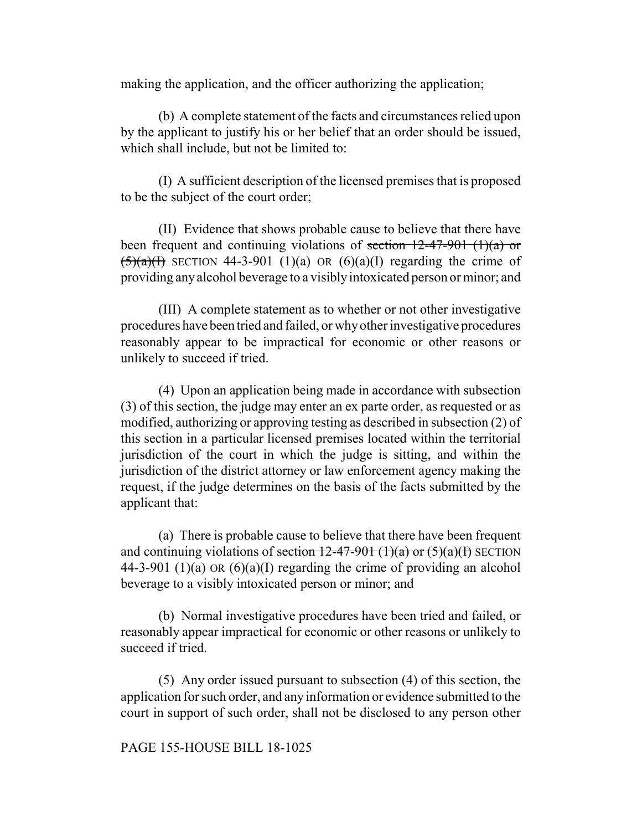making the application, and the officer authorizing the application;

(b) A complete statement of the facts and circumstances relied upon by the applicant to justify his or her belief that an order should be issued, which shall include, but not be limited to:

(I) A sufficient description of the licensed premises that is proposed to be the subject of the court order;

(II) Evidence that shows probable cause to believe that there have been frequent and continuing violations of section  $12-47-901$  (1)(a) or  $\sqrt{(5)(a)(1)}$  SECTION 44-3-901 (1)(a) OR (6)(a)(I) regarding the crime of providing any alcohol beverage to a visibly intoxicated person or minor; and

(III) A complete statement as to whether or not other investigative procedures have been tried and failed, or why other investigative procedures reasonably appear to be impractical for economic or other reasons or unlikely to succeed if tried.

(4) Upon an application being made in accordance with subsection (3) of this section, the judge may enter an ex parte order, as requested or as modified, authorizing or approving testing as described in subsection (2) of this section in a particular licensed premises located within the territorial jurisdiction of the court in which the judge is sitting, and within the jurisdiction of the district attorney or law enforcement agency making the request, if the judge determines on the basis of the facts submitted by the applicant that:

(a) There is probable cause to believe that there have been frequent and continuing violations of <del>section 12-47-901 (1)(a) or (5)(a)(I)</del> SECTION 44-3-901 (1)(a) OR  $(6)(a)(I)$  regarding the crime of providing an alcohol beverage to a visibly intoxicated person or minor; and

(b) Normal investigative procedures have been tried and failed, or reasonably appear impractical for economic or other reasons or unlikely to succeed if tried.

(5) Any order issued pursuant to subsection (4) of this section, the application for such order, and any information or evidence submitted to the court in support of such order, shall not be disclosed to any person other

# PAGE 155-HOUSE BILL 18-1025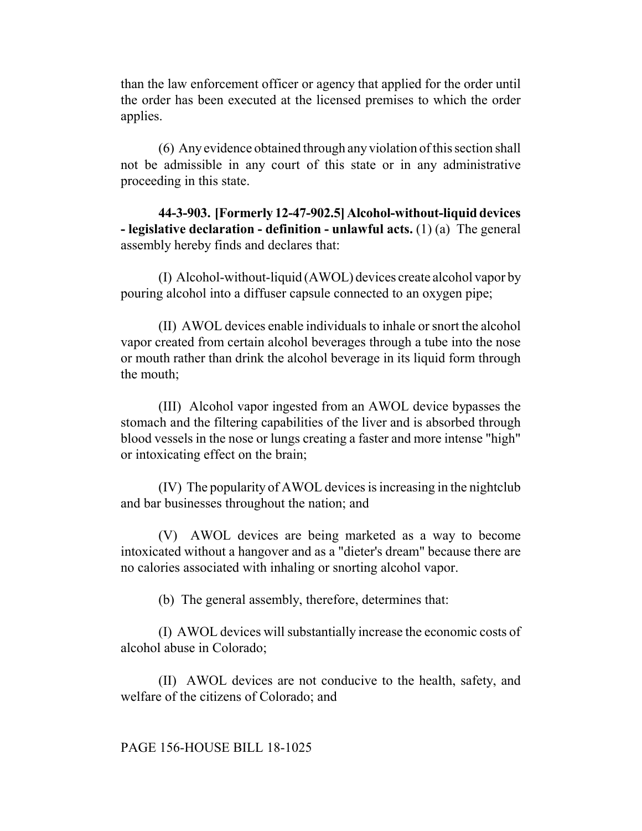than the law enforcement officer or agency that applied for the order until the order has been executed at the licensed premises to which the order applies.

(6) Any evidence obtained through any violation of this section shall not be admissible in any court of this state or in any administrative proceeding in this state.

**44-3-903. [Formerly 12-47-902.5] Alcohol-without-liquid devices - legislative declaration - definition - unlawful acts.** (1) (a) The general assembly hereby finds and declares that:

(I) Alcohol-without-liquid (AWOL) devices create alcohol vapor by pouring alcohol into a diffuser capsule connected to an oxygen pipe;

(II) AWOL devices enable individuals to inhale or snort the alcohol vapor created from certain alcohol beverages through a tube into the nose or mouth rather than drink the alcohol beverage in its liquid form through the mouth;

(III) Alcohol vapor ingested from an AWOL device bypasses the stomach and the filtering capabilities of the liver and is absorbed through blood vessels in the nose or lungs creating a faster and more intense "high" or intoxicating effect on the brain;

(IV) The popularity of AWOL devices is increasing in the nightclub and bar businesses throughout the nation; and

(V) AWOL devices are being marketed as a way to become intoxicated without a hangover and as a "dieter's dream" because there are no calories associated with inhaling or snorting alcohol vapor.

(b) The general assembly, therefore, determines that:

(I) AWOL devices will substantially increase the economic costs of alcohol abuse in Colorado;

(II) AWOL devices are not conducive to the health, safety, and welfare of the citizens of Colorado; and

## PAGE 156-HOUSE BILL 18-1025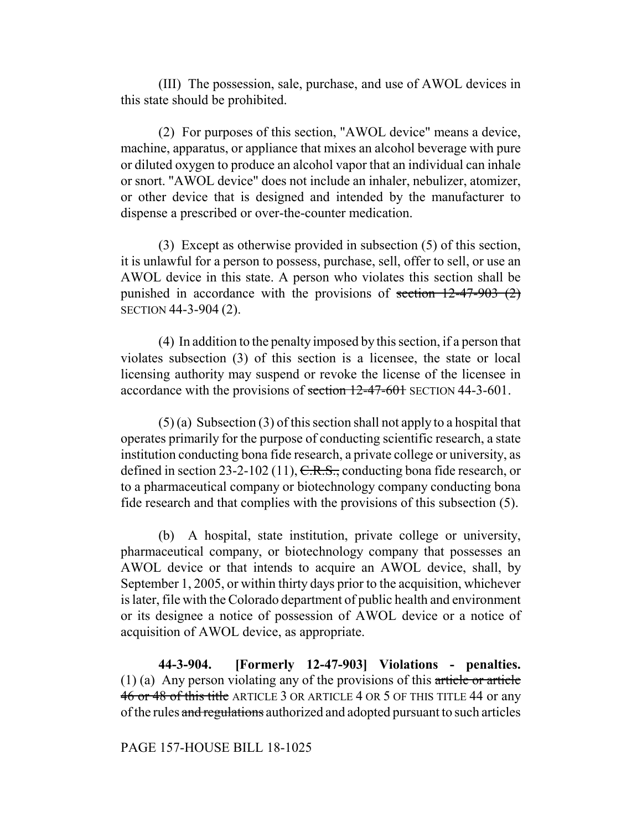(III) The possession, sale, purchase, and use of AWOL devices in this state should be prohibited.

(2) For purposes of this section, "AWOL device" means a device, machine, apparatus, or appliance that mixes an alcohol beverage with pure or diluted oxygen to produce an alcohol vapor that an individual can inhale or snort. "AWOL device" does not include an inhaler, nebulizer, atomizer, or other device that is designed and intended by the manufacturer to dispense a prescribed or over-the-counter medication.

(3) Except as otherwise provided in subsection (5) of this section, it is unlawful for a person to possess, purchase, sell, offer to sell, or use an AWOL device in this state. A person who violates this section shall be punished in accordance with the provisions of section  $12-47-903$  (2) SECTION 44-3-904 (2).

(4) In addition to the penalty imposed by this section, if a person that violates subsection (3) of this section is a licensee, the state or local licensing authority may suspend or revoke the license of the licensee in accordance with the provisions of section 12-47-601 SECTION 44-3-601.

(5) (a) Subsection (3) of this section shall not apply to a hospital that operates primarily for the purpose of conducting scientific research, a state institution conducting bona fide research, a private college or university, as defined in section 23-2-102 (11),  $C.R.S.,$  conducting bona fide research, or to a pharmaceutical company or biotechnology company conducting bona fide research and that complies with the provisions of this subsection (5).

(b) A hospital, state institution, private college or university, pharmaceutical company, or biotechnology company that possesses an AWOL device or that intends to acquire an AWOL device, shall, by September 1, 2005, or within thirty days prior to the acquisition, whichever is later, file with the Colorado department of public health and environment or its designee a notice of possession of AWOL device or a notice of acquisition of AWOL device, as appropriate.

**44-3-904. [Formerly 12-47-903] Violations - penalties.** (1) (a) Any person violating any of the provisions of this article or article 46 or 48 of this title ARTICLE 3 OR ARTICLE 4 OR 5 OF THIS TITLE 44 or any of the rules and regulations authorized and adopted pursuant to such articles

## PAGE 157-HOUSE BILL 18-1025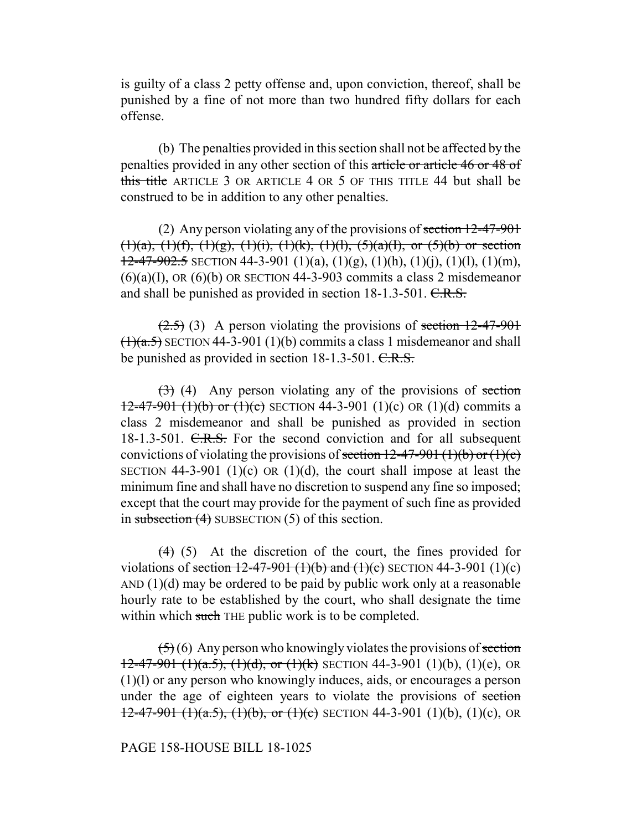is guilty of a class 2 petty offense and, upon conviction, thereof, shall be punished by a fine of not more than two hundred fifty dollars for each offense.

(b) The penalties provided in this section shall not be affected by the penalties provided in any other section of this article or article 46 or 48 of this title ARTICLE 3 OR ARTICLE 4 OR 5 OF THIS TITLE 44 but shall be construed to be in addition to any other penalties.

(2) Any person violating any of the provisions of section  $12-47-901$  $(1)(a)$ ,  $(1)(f)$ ,  $(1)(g)$ ,  $(1)(i)$ ,  $(1)(k)$ ,  $(1)(l)$ ,  $(5)(a)(l)$ , or  $(5)(b)$  or section  $12-47-902.5$  SECTION 44-3-901 (1)(a), (1)(g), (1)(h), (1)(j), (1)(l), (1)(m),  $(6)(a)(I)$ , OR  $(6)(b)$  OR SECTION 44-3-903 commits a class 2 misdemeanor and shall be punished as provided in section 18-1.3-501. C.R.S.

 $(2.5)$  (3) A person violating the provisions of section 12-47-901  $(1)(a.5)$  SECTION 44-3-901 (1)(b) commits a class 1 misdemeanor and shall be punished as provided in section 18-1.3-501. C.R.S.

 $(3)$  (4) Any person violating any of the provisions of section  $12-47-901$  (1)(b) or (1)(c) SECTION 44-3-901 (1)(c) OR (1)(d) commits a class 2 misdemeanor and shall be punished as provided in section 18-1.3-501. C.R.S. For the second conviction and for all subsequent convictions of violating the provisions of <del>section 12-47-901 (1)(b) or (1)(c)</del> SECTION 44-3-901 (1)(c) OR (1)(d), the court shall impose at least the minimum fine and shall have no discretion to suspend any fine so imposed; except that the court may provide for the payment of such fine as provided in subsection  $(4)$  SUBSECTION  $(5)$  of this section.

 $(4)$  (5) At the discretion of the court, the fines provided for violations of <del>section 12-47-901 (1)(b) and (1)(c)</del> SECTION 44-3-901 (1)(c) AND  $(1)(d)$  may be ordered to be paid by public work only at a reasonable hourly rate to be established by the court, who shall designate the time within which such THE public work is to be completed.

 $(5)(6)$  Any person who knowingly violates the provisions of section  $12-47-901$  (1)(a.5), (1)(d), or (1)(k) SECTION 44-3-901 (1)(b), (1)(e), OR (1)(l) or any person who knowingly induces, aids, or encourages a person under the age of eighteen years to violate the provisions of section  $12-47-901$  (1)(a.5), (1)(b), or (1)(c) SECTION 44-3-901 (1)(b), (1)(c), OR

## PAGE 158-HOUSE BILL 18-1025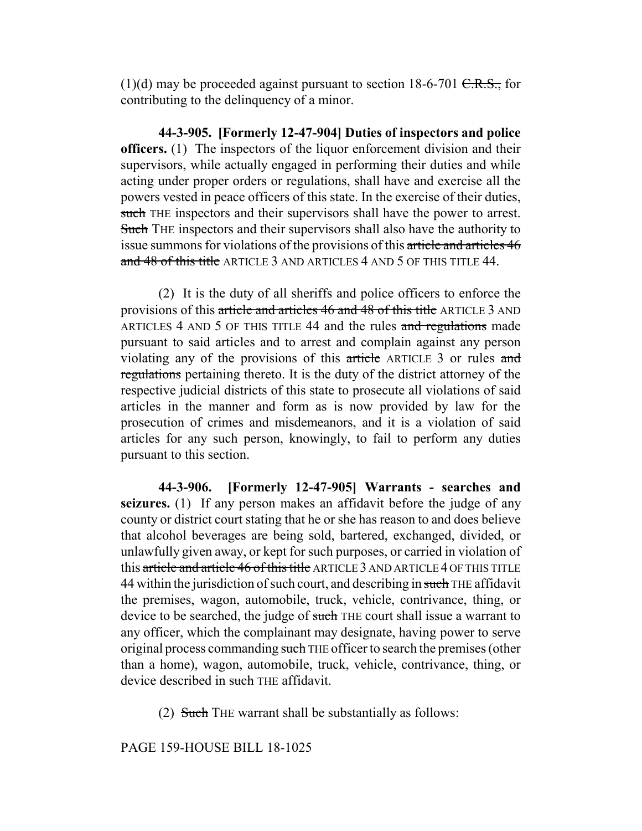(1)(d) may be proceeded against pursuant to section 18-6-701  $C.R.S.,$  for contributing to the delinquency of a minor.

**44-3-905. [Formerly 12-47-904] Duties of inspectors and police officers.** (1) The inspectors of the liquor enforcement division and their supervisors, while actually engaged in performing their duties and while acting under proper orders or regulations, shall have and exercise all the powers vested in peace officers of this state. In the exercise of their duties, such THE inspectors and their supervisors shall have the power to arrest. Such THE inspectors and their supervisors shall also have the authority to issue summons for violations of the provisions of this article and articles 46 and 48 of this title ARTICLE 3 AND ARTICLES 4 AND 5 OF THIS TITLE 44.

(2) It is the duty of all sheriffs and police officers to enforce the provisions of this article and articles 46 and 48 of this title ARTICLE 3 AND ARTICLES 4 AND 5 OF THIS TITLE 44 and the rules and regulations made pursuant to said articles and to arrest and complain against any person violating any of the provisions of this article ARTICLE 3 or rules and regulations pertaining thereto. It is the duty of the district attorney of the respective judicial districts of this state to prosecute all violations of said articles in the manner and form as is now provided by law for the prosecution of crimes and misdemeanors, and it is a violation of said articles for any such person, knowingly, to fail to perform any duties pursuant to this section.

**44-3-906. [Formerly 12-47-905] Warrants - searches and seizures.** (1) If any person makes an affidavit before the judge of any county or district court stating that he or she has reason to and does believe that alcohol beverages are being sold, bartered, exchanged, divided, or unlawfully given away, or kept for such purposes, or carried in violation of this article and article 46 of this title ARTICLE 3 AND ARTICLE 4 OF THIS TITLE 44 within the jurisdiction of such court, and describing in such THE affidavit the premises, wagon, automobile, truck, vehicle, contrivance, thing, or device to be searched, the judge of such THE court shall issue a warrant to any officer, which the complainant may designate, having power to serve original process commanding such THE officer to search the premises (other than a home), wagon, automobile, truck, vehicle, contrivance, thing, or device described in such THE affidavit.

(2) Such THE warrant shall be substantially as follows:

PAGE 159-HOUSE BILL 18-1025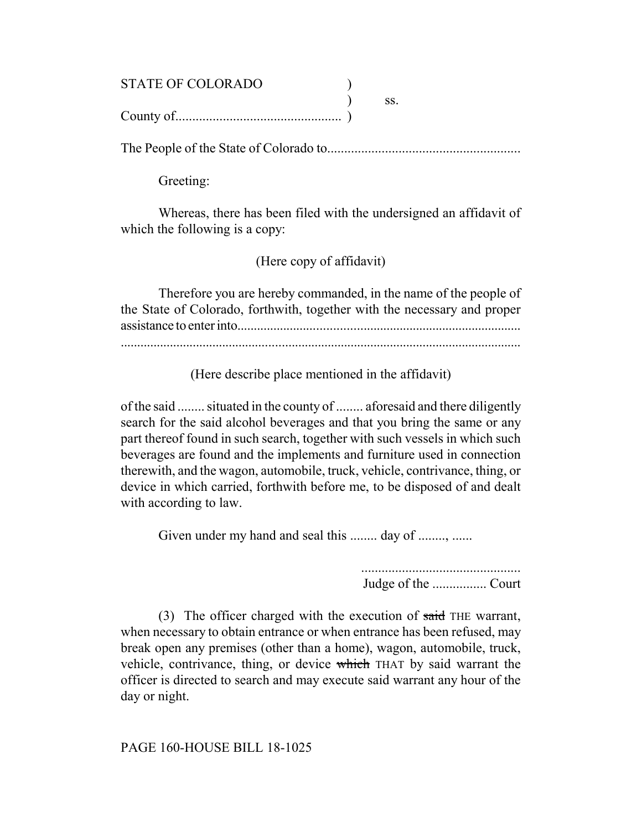# STATE OF COLORADO (1)  $\overline{\phantom{a}}$  ss. County of................................................. )

The People of the State of Colorado to.........................................................

Greeting:

Whereas, there has been filed with the undersigned an affidavit of which the following is a copy:

(Here copy of affidavit)

Therefore you are hereby commanded, in the name of the people of the State of Colorado, forthwith, together with the necessary and proper assistance to enter into......................................................................................

(Here describe place mentioned in the affidavit)

of the said ........ situated in the county of ........ aforesaid and there diligently search for the said alcohol beverages and that you bring the same or any part thereof found in such search, together with such vessels in which such beverages are found and the implements and furniture used in connection therewith, and the wagon, automobile, truck, vehicle, contrivance, thing, or device in which carried, forthwith before me, to be disposed of and dealt with according to law.

Given under my hand and seal this ........ day of ........, ......

 ............................................... Judge of the ................ Court

(3) The officer charged with the execution of said THE warrant, when necessary to obtain entrance or when entrance has been refused, may break open any premises (other than a home), wagon, automobile, truck, vehicle, contrivance, thing, or device which THAT by said warrant the officer is directed to search and may execute said warrant any hour of the day or night.

PAGE 160-HOUSE BILL 18-1025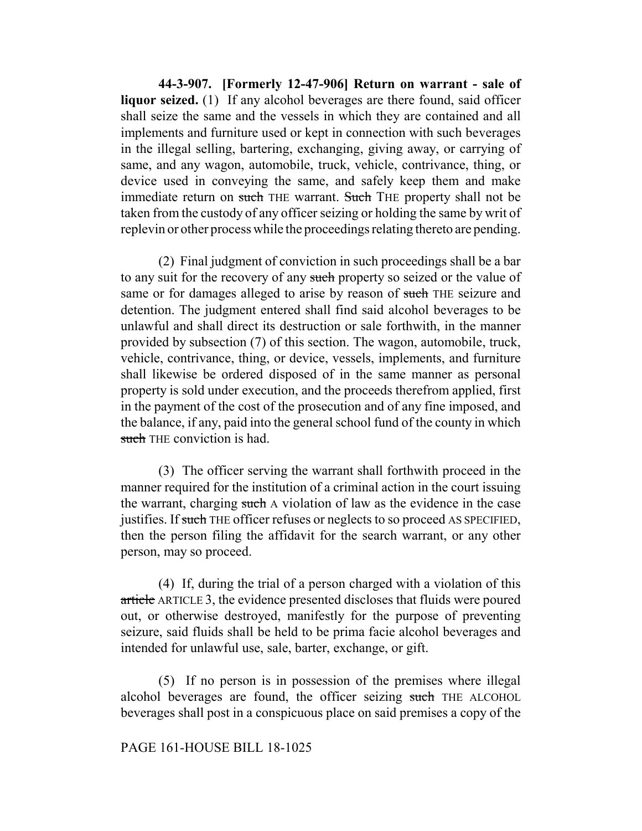**44-3-907. [Formerly 12-47-906] Return on warrant - sale of liquor seized.** (1) If any alcohol beverages are there found, said officer shall seize the same and the vessels in which they are contained and all implements and furniture used or kept in connection with such beverages in the illegal selling, bartering, exchanging, giving away, or carrying of same, and any wagon, automobile, truck, vehicle, contrivance, thing, or device used in conveying the same, and safely keep them and make immediate return on such THE warrant. Such THE property shall not be taken from the custody of any officer seizing or holding the same by writ of replevin or other process while the proceedings relating thereto are pending.

(2) Final judgment of conviction in such proceedings shall be a bar to any suit for the recovery of any such property so seized or the value of same or for damages alleged to arise by reason of such THE seizure and detention. The judgment entered shall find said alcohol beverages to be unlawful and shall direct its destruction or sale forthwith, in the manner provided by subsection (7) of this section. The wagon, automobile, truck, vehicle, contrivance, thing, or device, vessels, implements, and furniture shall likewise be ordered disposed of in the same manner as personal property is sold under execution, and the proceeds therefrom applied, first in the payment of the cost of the prosecution and of any fine imposed, and the balance, if any, paid into the general school fund of the county in which such THE conviction is had.

(3) The officer serving the warrant shall forthwith proceed in the manner required for the institution of a criminal action in the court issuing the warrant, charging such A violation of law as the evidence in the case justifies. If such THE officer refuses or neglects to so proceed AS SPECIFIED, then the person filing the affidavit for the search warrant, or any other person, may so proceed.

(4) If, during the trial of a person charged with a violation of this article ARTICLE 3, the evidence presented discloses that fluids were poured out, or otherwise destroyed, manifestly for the purpose of preventing seizure, said fluids shall be held to be prima facie alcohol beverages and intended for unlawful use, sale, barter, exchange, or gift.

(5) If no person is in possession of the premises where illegal alcohol beverages are found, the officer seizing such THE ALCOHOL beverages shall post in a conspicuous place on said premises a copy of the

#### PAGE 161-HOUSE BILL 18-1025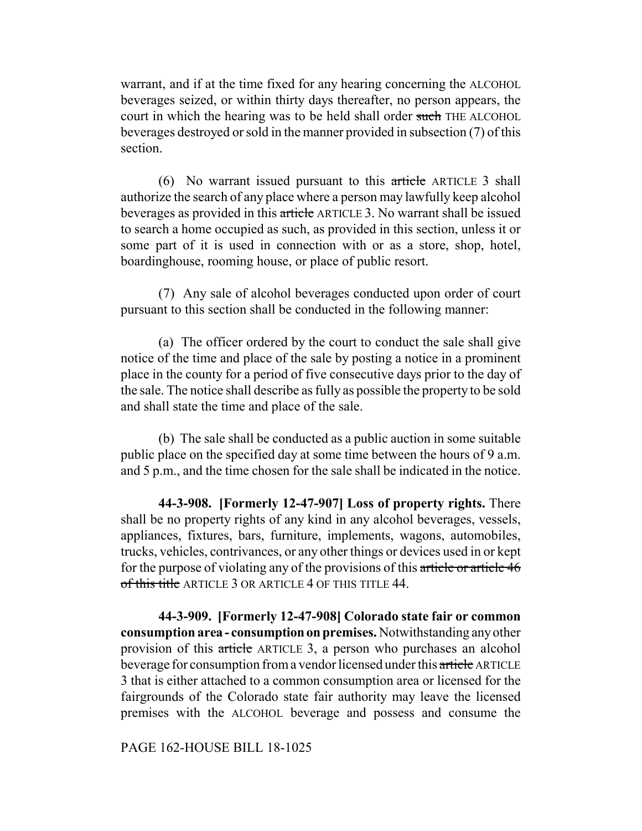warrant, and if at the time fixed for any hearing concerning the ALCOHOL beverages seized, or within thirty days thereafter, no person appears, the court in which the hearing was to be held shall order such THE ALCOHOL beverages destroyed or sold in the manner provided in subsection (7) of this section.

(6) No warrant issued pursuant to this article ARTICLE 3 shall authorize the search of any place where a person may lawfully keep alcohol beverages as provided in this article ARTICLE 3. No warrant shall be issued to search a home occupied as such, as provided in this section, unless it or some part of it is used in connection with or as a store, shop, hotel, boardinghouse, rooming house, or place of public resort.

(7) Any sale of alcohol beverages conducted upon order of court pursuant to this section shall be conducted in the following manner:

(a) The officer ordered by the court to conduct the sale shall give notice of the time and place of the sale by posting a notice in a prominent place in the county for a period of five consecutive days prior to the day of the sale. The notice shall describe as fully as possible the property to be sold and shall state the time and place of the sale.

(b) The sale shall be conducted as a public auction in some suitable public place on the specified day at some time between the hours of 9 a.m. and 5 p.m., and the time chosen for the sale shall be indicated in the notice.

**44-3-908. [Formerly 12-47-907] Loss of property rights.** There shall be no property rights of any kind in any alcohol beverages, vessels, appliances, fixtures, bars, furniture, implements, wagons, automobiles, trucks, vehicles, contrivances, or any other things or devices used in or kept for the purpose of violating any of the provisions of this article or article 46 of this title ARTICLE 3 OR ARTICLE 4 OF THIS TITLE 44.

**44-3-909. [Formerly 12-47-908] Colorado state fair or common consumption area - consumption on premises.** Notwithstanding any other provision of this article ARTICLE 3, a person who purchases an alcohol beverage for consumption from a vendor licensed under this article ARTICLE 3 that is either attached to a common consumption area or licensed for the fairgrounds of the Colorado state fair authority may leave the licensed premises with the ALCOHOL beverage and possess and consume the

PAGE 162-HOUSE BILL 18-1025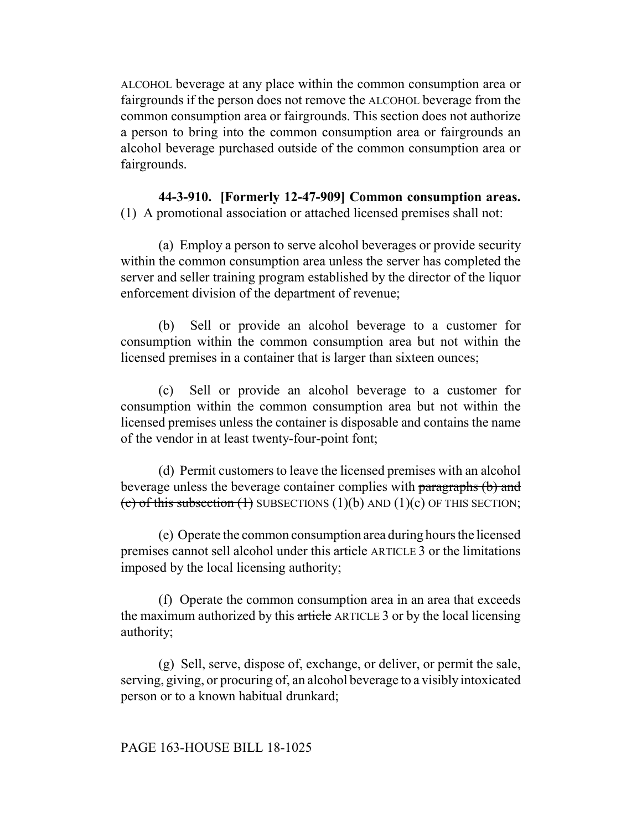ALCOHOL beverage at any place within the common consumption area or fairgrounds if the person does not remove the ALCOHOL beverage from the common consumption area or fairgrounds. This section does not authorize a person to bring into the common consumption area or fairgrounds an alcohol beverage purchased outside of the common consumption area or fairgrounds.

**44-3-910. [Formerly 12-47-909] Common consumption areas.** (1) A promotional association or attached licensed premises shall not:

(a) Employ a person to serve alcohol beverages or provide security within the common consumption area unless the server has completed the server and seller training program established by the director of the liquor enforcement division of the department of revenue;

(b) Sell or provide an alcohol beverage to a customer for consumption within the common consumption area but not within the licensed premises in a container that is larger than sixteen ounces;

(c) Sell or provide an alcohol beverage to a customer for consumption within the common consumption area but not within the licensed premises unless the container is disposable and contains the name of the vendor in at least twenty-four-point font;

(d) Permit customers to leave the licensed premises with an alcohol beverage unless the beverage container complies with paragraphs (b) and (c) of this subsection  $(1)$  SUBSECTIONS  $(1)(b)$  AND  $(1)(c)$  OF THIS SECTION;

(e) Operate the common consumption area during hours the licensed premises cannot sell alcohol under this article ARTICLE 3 or the limitations imposed by the local licensing authority;

(f) Operate the common consumption area in an area that exceeds the maximum authorized by this article ARTICLE 3 or by the local licensing authority;

(g) Sell, serve, dispose of, exchange, or deliver, or permit the sale, serving, giving, or procuring of, an alcohol beverage to a visibly intoxicated person or to a known habitual drunkard;

# PAGE 163-HOUSE BILL 18-1025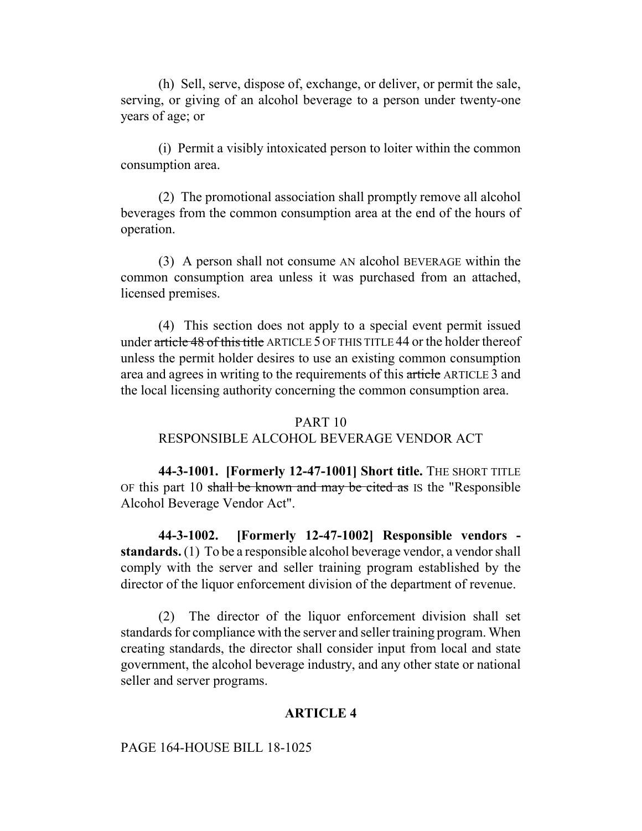(h) Sell, serve, dispose of, exchange, or deliver, or permit the sale, serving, or giving of an alcohol beverage to a person under twenty-one years of age; or

(i) Permit a visibly intoxicated person to loiter within the common consumption area.

(2) The promotional association shall promptly remove all alcohol beverages from the common consumption area at the end of the hours of operation.

(3) A person shall not consume AN alcohol BEVERAGE within the common consumption area unless it was purchased from an attached, licensed premises.

(4) This section does not apply to a special event permit issued under article 48 of this title ARTICLE 5 OF THIS TITLE 44 or the holder thereof unless the permit holder desires to use an existing common consumption area and agrees in writing to the requirements of this article ARTICLE 3 and the local licensing authority concerning the common consumption area.

## PART 10

# RESPONSIBLE ALCOHOL BEVERAGE VENDOR ACT

**44-3-1001. [Formerly 12-47-1001] Short title.** THE SHORT TITLE OF this part 10 shall be known and may be cited as IS the "Responsible Alcohol Beverage Vendor Act".

**44-3-1002. [Formerly 12-47-1002] Responsible vendors standards.** (1) To be a responsible alcohol beverage vendor, a vendor shall comply with the server and seller training program established by the director of the liquor enforcement division of the department of revenue.

(2) The director of the liquor enforcement division shall set standards for compliance with the server and seller training program. When creating standards, the director shall consider input from local and state government, the alcohol beverage industry, and any other state or national seller and server programs.

## **ARTICLE 4**

#### PAGE 164-HOUSE BILL 18-1025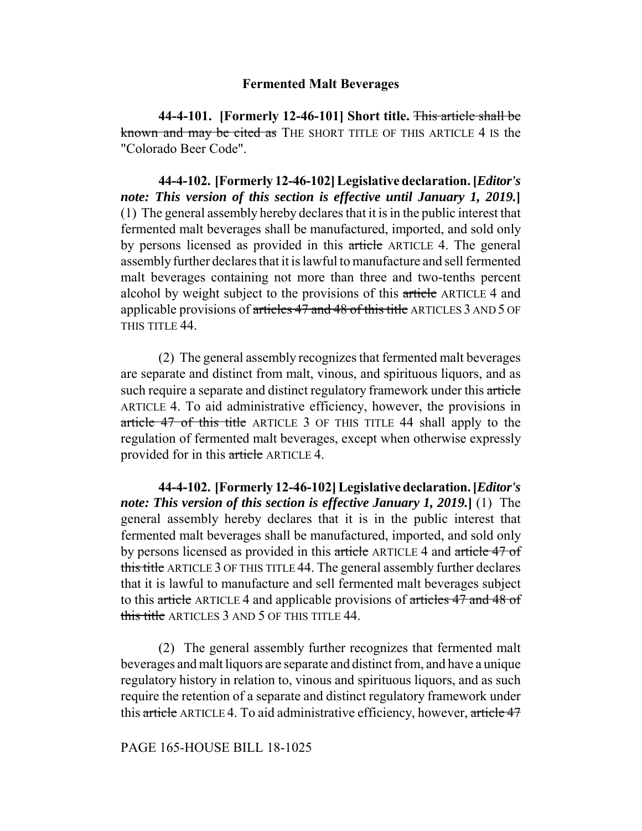## **Fermented Malt Beverages**

**44-4-101. [Formerly 12-46-101] Short title.** This article shall be known and may be cited as THE SHORT TITLE OF THIS ARTICLE 4 IS the "Colorado Beer Code".

**44-4-102. [Formerly 12-46-102] Legislative declaration. [***Editor's note: This version of this section is effective until January 1, 2019.***]** (1) The general assembly hereby declares that it is in the public interest that fermented malt beverages shall be manufactured, imported, and sold only by persons licensed as provided in this article ARTICLE 4. The general assembly further declares that it is lawful to manufacture and sell fermented malt beverages containing not more than three and two-tenths percent alcohol by weight subject to the provisions of this article ARTICLE 4 and applicable provisions of articles 47 and 48 of this title ARTICLES 3 AND 5 OF THIS TITLE 44.

(2) The general assembly recognizes that fermented malt beverages are separate and distinct from malt, vinous, and spirituous liquors, and as such require a separate and distinct regulatory framework under this article ARTICLE 4. To aid administrative efficiency, however, the provisions in article 47 of this title ARTICLE 3 OF THIS TITLE 44 shall apply to the regulation of fermented malt beverages, except when otherwise expressly provided for in this article ARTICLE 4.

**44-4-102. [Formerly 12-46-102] Legislative declaration. [***Editor's note: This version of this section is effective January 1, 2019.***]** (1) The general assembly hereby declares that it is in the public interest that fermented malt beverages shall be manufactured, imported, and sold only by persons licensed as provided in this article ARTICLE 4 and article 47 of this title ARTICLE 3 OF THIS TITLE 44. The general assembly further declares that it is lawful to manufacture and sell fermented malt beverages subject to this article ARTICLE 4 and applicable provisions of articles 47 and 48 of this title ARTICLES 3 AND 5 OF THIS TITLE 44.

(2) The general assembly further recognizes that fermented malt beverages and malt liquors are separate and distinct from, and have a unique regulatory history in relation to, vinous and spirituous liquors, and as such require the retention of a separate and distinct regulatory framework under this article ARTICLE 4. To aid administrative efficiency, however, article 47

## PAGE 165-HOUSE BILL 18-1025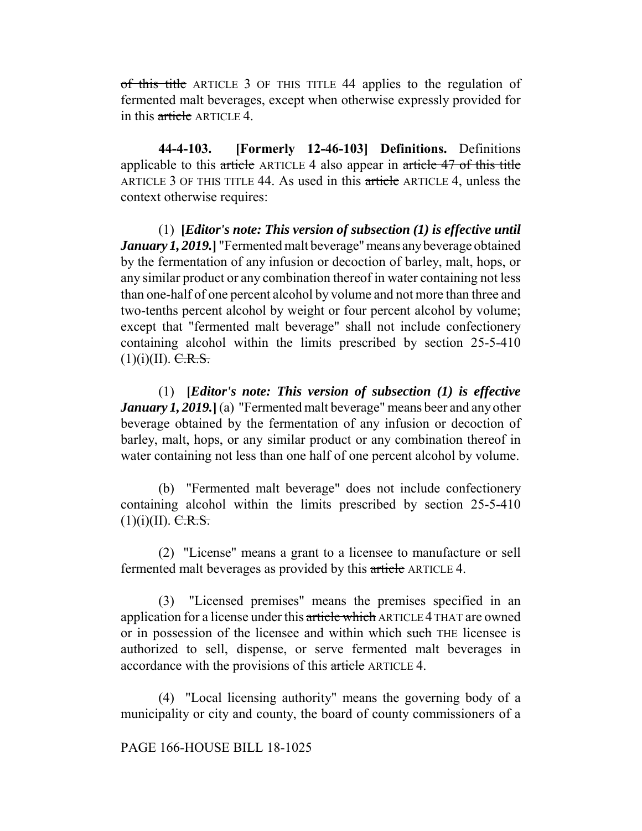of this title ARTICLE 3 OF THIS TITLE 44 applies to the regulation of fermented malt beverages, except when otherwise expressly provided for in this article ARTICLE 4.

**44-4-103. [Formerly 12-46-103] Definitions.** Definitions applicable to this article ARTICLE 4 also appear in article 47 of this title ARTICLE 3 OF THIS TITLE 44. As used in this article ARTICLE 4, unless the context otherwise requires:

(1) **[***Editor's note: This version of subsection (1) is effective until January 1, 2019.***]** "Fermented malt beverage" means any beverage obtained by the fermentation of any infusion or decoction of barley, malt, hops, or any similar product or any combination thereof in water containing not less than one-half of one percent alcohol by volume and not more than three and two-tenths percent alcohol by weight or four percent alcohol by volume; except that "fermented malt beverage" shall not include confectionery containing alcohol within the limits prescribed by section 25-5-410  $(1)(i)(II)$ . C.R.S.

(1) **[***Editor's note: This version of subsection (1) is effective January 1, 2019.***]** (a) "Fermented malt beverage" means beer and any other beverage obtained by the fermentation of any infusion or decoction of barley, malt, hops, or any similar product or any combination thereof in water containing not less than one half of one percent alcohol by volume.

(b) "Fermented malt beverage" does not include confectionery containing alcohol within the limits prescribed by section 25-5-410  $(1)(i)(II)$ . C.R.S.

(2) "License" means a grant to a licensee to manufacture or sell fermented malt beverages as provided by this article ARTICLE 4.

(3) "Licensed premises" means the premises specified in an application for a license under this article which ARTICLE 4 THAT are owned or in possession of the licensee and within which such THE licensee is authorized to sell, dispense, or serve fermented malt beverages in accordance with the provisions of this article ARTICLE 4.

(4) "Local licensing authority" means the governing body of a municipality or city and county, the board of county commissioners of a

## PAGE 166-HOUSE BILL 18-1025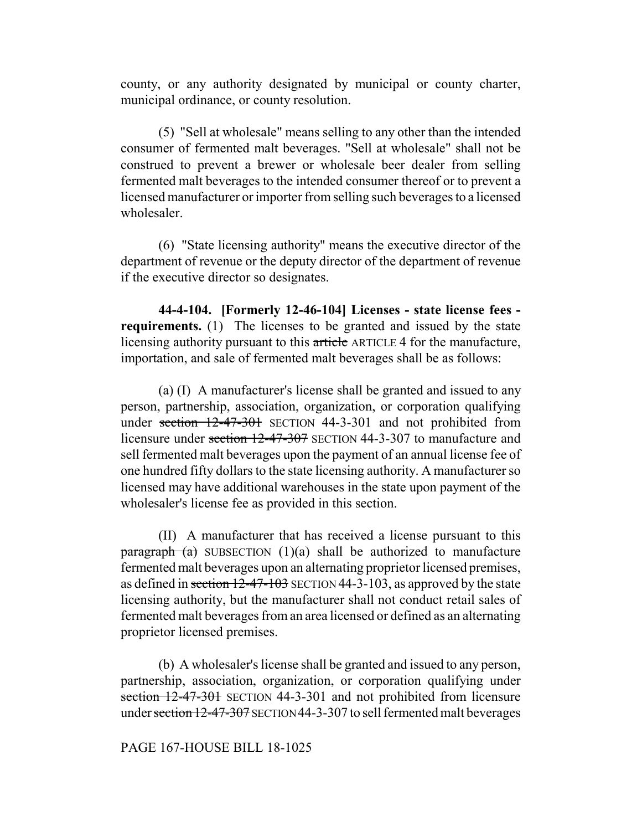county, or any authority designated by municipal or county charter, municipal ordinance, or county resolution.

(5) "Sell at wholesale" means selling to any other than the intended consumer of fermented malt beverages. "Sell at wholesale" shall not be construed to prevent a brewer or wholesale beer dealer from selling fermented malt beverages to the intended consumer thereof or to prevent a licensed manufacturer or importer from selling such beverages to a licensed wholesaler.

(6) "State licensing authority" means the executive director of the department of revenue or the deputy director of the department of revenue if the executive director so designates.

**44-4-104. [Formerly 12-46-104] Licenses - state license fees requirements.** (1) The licenses to be granted and issued by the state licensing authority pursuant to this article ARTICLE 4 for the manufacture, importation, and sale of fermented malt beverages shall be as follows:

(a) (I) A manufacturer's license shall be granted and issued to any person, partnership, association, organization, or corporation qualifying under section 12-47-301 SECTION 44-3-301 and not prohibited from licensure under section 12-47-307 SECTION 44-3-307 to manufacture and sell fermented malt beverages upon the payment of an annual license fee of one hundred fifty dollars to the state licensing authority. A manufacturer so licensed may have additional warehouses in the state upon payment of the wholesaler's license fee as provided in this section.

(II) A manufacturer that has received a license pursuant to this  $\frac{\text{parameter}}{\text{mean}}$  (a) SUBSECTION (1)(a) shall be authorized to manufacture fermented malt beverages upon an alternating proprietor licensed premises, as defined in section 12-47-103 SECTION 44-3-103, as approved by the state licensing authority, but the manufacturer shall not conduct retail sales of fermented malt beverages from an area licensed or defined as an alternating proprietor licensed premises.

(b) A wholesaler's license shall be granted and issued to any person, partnership, association, organization, or corporation qualifying under section 12-47-301 SECTION 44-3-301 and not prohibited from licensure under section 12-47-307 SECTION 44-3-307 to sell fermented malt beverages

## PAGE 167-HOUSE BILL 18-1025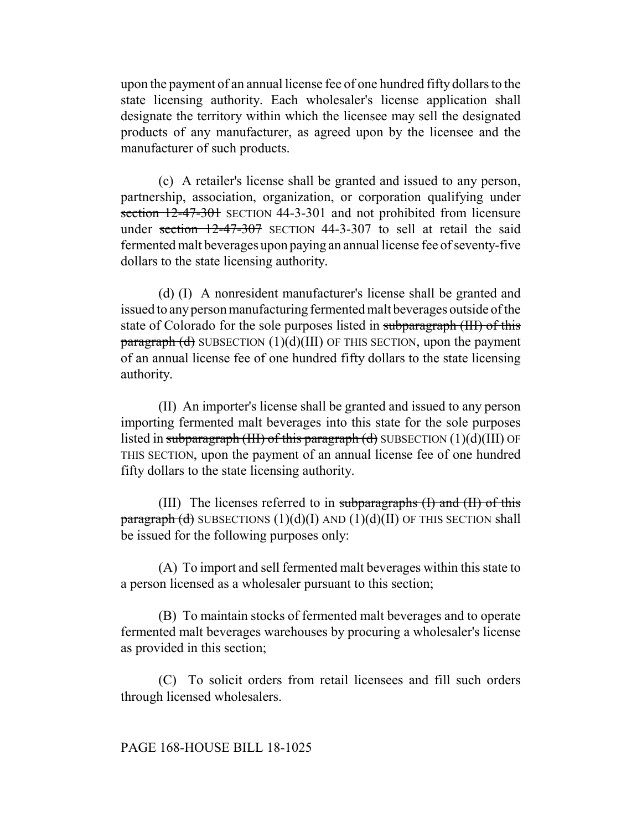upon the payment of an annual license fee of one hundred fifty dollars to the state licensing authority. Each wholesaler's license application shall designate the territory within which the licensee may sell the designated products of any manufacturer, as agreed upon by the licensee and the manufacturer of such products.

(c) A retailer's license shall be granted and issued to any person, partnership, association, organization, or corporation qualifying under section 12-47-301 SECTION 44-3-301 and not prohibited from licensure under section  $12-47-307$  SECTION 44-3-307 to sell at retail the said fermented malt beverages upon paying an annual license fee of seventy-five dollars to the state licensing authority.

(d) (I) A nonresident manufacturer's license shall be granted and issued to any person manufacturing fermented malt beverages outside of the state of Colorado for the sole purposes listed in subparagraph (III) of this  $\frac{\text{parameter}}{\text{equation}}$  SUBSECTION (1)(d)(III) OF THIS SECTION, upon the payment of an annual license fee of one hundred fifty dollars to the state licensing authority.

(II) An importer's license shall be granted and issued to any person importing fermented malt beverages into this state for the sole purposes listed in subparagraph (III) of this paragraph (d) SUBSECTION  $(1)(d)(III)$  OF THIS SECTION, upon the payment of an annual license fee of one hundred fifty dollars to the state licensing authority.

(III) The licenses referred to in subparagraphs  $(I)$  and  $(II)$  of this paragraph  $(d)$  SUBSECTIONS  $(1)(d)(I)$  AND  $(1)(d)(II)$  OF THIS SECTION shall be issued for the following purposes only:

(A) To import and sell fermented malt beverages within this state to a person licensed as a wholesaler pursuant to this section;

(B) To maintain stocks of fermented malt beverages and to operate fermented malt beverages warehouses by procuring a wholesaler's license as provided in this section;

(C) To solicit orders from retail licensees and fill such orders through licensed wholesalers.

## PAGE 168-HOUSE BILL 18-1025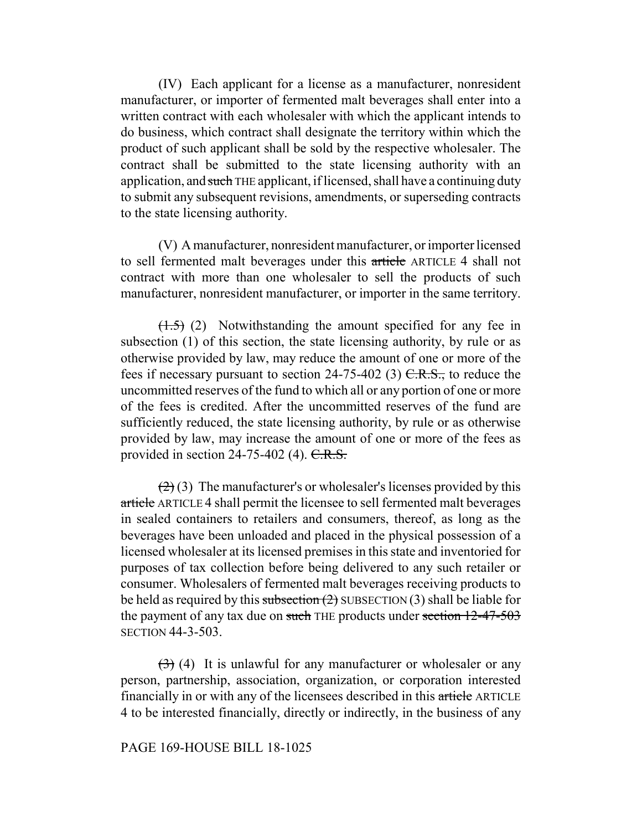(IV) Each applicant for a license as a manufacturer, nonresident manufacturer, or importer of fermented malt beverages shall enter into a written contract with each wholesaler with which the applicant intends to do business, which contract shall designate the territory within which the product of such applicant shall be sold by the respective wholesaler. The contract shall be submitted to the state licensing authority with an application, and such THE applicant, if licensed, shall have a continuing duty to submit any subsequent revisions, amendments, or superseding contracts to the state licensing authority.

(V) A manufacturer, nonresident manufacturer, or importer licensed to sell fermented malt beverages under this article ARTICLE 4 shall not contract with more than one wholesaler to sell the products of such manufacturer, nonresident manufacturer, or importer in the same territory.

 $(1.5)$  (2) Notwithstanding the amount specified for any fee in subsection (1) of this section, the state licensing authority, by rule or as otherwise provided by law, may reduce the amount of one or more of the fees if necessary pursuant to section 24-75-402 (3)  $C.R.S.,$  to reduce the uncommitted reserves of the fund to which all or any portion of one or more of the fees is credited. After the uncommitted reserves of the fund are sufficiently reduced, the state licensing authority, by rule or as otherwise provided by law, may increase the amount of one or more of the fees as provided in section  $24-75-402$  (4). C.R.S.

 $(2)(3)$  The manufacturer's or wholesaler's licenses provided by this article ARTICLE 4 shall permit the licensee to sell fermented malt beverages in sealed containers to retailers and consumers, thereof, as long as the beverages have been unloaded and placed in the physical possession of a licensed wholesaler at its licensed premises in this state and inventoried for purposes of tax collection before being delivered to any such retailer or consumer. Wholesalers of fermented malt beverages receiving products to be held as required by this subsection  $(2)$  SUBSECTION  $(3)$  shall be liable for the payment of any tax due on such THE products under section 12-47-503 SECTION 44-3-503.

 $(3)$  (4) It is unlawful for any manufacturer or wholesaler or any person, partnership, association, organization, or corporation interested financially in or with any of the licensees described in this article ARTICLE 4 to be interested financially, directly or indirectly, in the business of any

## PAGE 169-HOUSE BILL 18-1025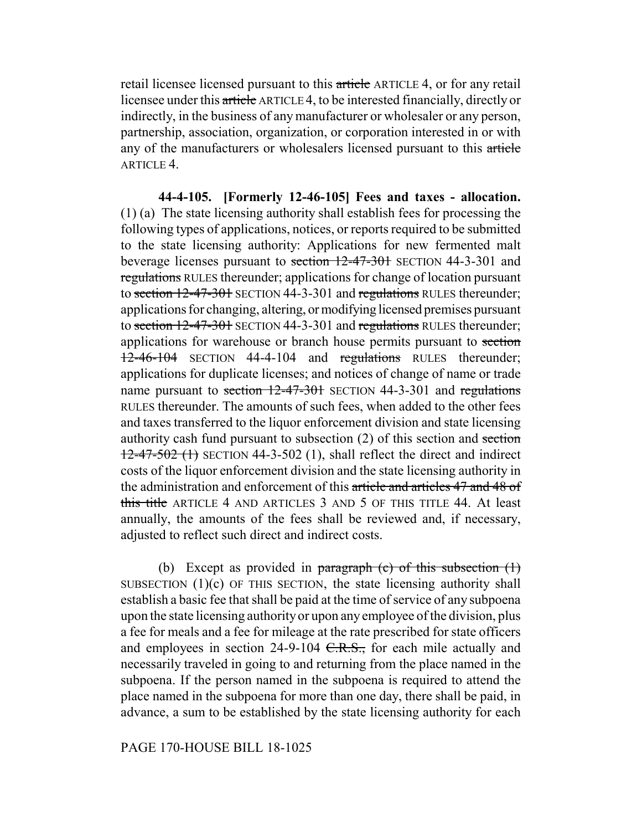retail licensee licensed pursuant to this article ARTICLE 4, or for any retail licensee under this article ARTICLE 4, to be interested financially, directly or indirectly, in the business of any manufacturer or wholesaler or any person, partnership, association, organization, or corporation interested in or with any of the manufacturers or wholesalers licensed pursuant to this article ARTICLE 4.

**44-4-105. [Formerly 12-46-105] Fees and taxes - allocation.** (1) (a) The state licensing authority shall establish fees for processing the following types of applications, notices, or reports required to be submitted to the state licensing authority: Applications for new fermented malt beverage licenses pursuant to section 12-47-301 SECTION 44-3-301 and regulations RULES thereunder; applications for change of location pursuant to section 12-47-301 SECTION 44-3-301 and regulations RULES thereunder; applications for changing, altering, or modifying licensed premises pursuant to section 12-47-301 SECTION 44-3-301 and regulations RULES thereunder; applications for warehouse or branch house permits pursuant to section 12-46-104 SECTION 44-4-104 and regulations RULES thereunder; applications for duplicate licenses; and notices of change of name or trade name pursuant to section 12-47-301 SECTION 44-3-301 and regulations RULES thereunder. The amounts of such fees, when added to the other fees and taxes transferred to the liquor enforcement division and state licensing authority cash fund pursuant to subsection (2) of this section and section  $12-47-502$  (1) SECTION 44-3-502 (1), shall reflect the direct and indirect costs of the liquor enforcement division and the state licensing authority in the administration and enforcement of this article and articles 47 and 48 of this title ARTICLE 4 AND ARTICLES 3 AND 5 OF THIS TITLE 44. At least annually, the amounts of the fees shall be reviewed and, if necessary, adjusted to reflect such direct and indirect costs.

(b) Except as provided in  $\frac{1}{2}$  paragraph (c) of this subsection (1) SUBSECTION  $(1)(c)$  OF THIS SECTION, the state licensing authority shall establish a basic fee that shall be paid at the time of service of any subpoena upon the state licensing authority or upon any employee of the division, plus a fee for meals and a fee for mileage at the rate prescribed for state officers and employees in section  $24-9-104$  C.R.S., for each mile actually and necessarily traveled in going to and returning from the place named in the subpoena. If the person named in the subpoena is required to attend the place named in the subpoena for more than one day, there shall be paid, in advance, a sum to be established by the state licensing authority for each

## PAGE 170-HOUSE BILL 18-1025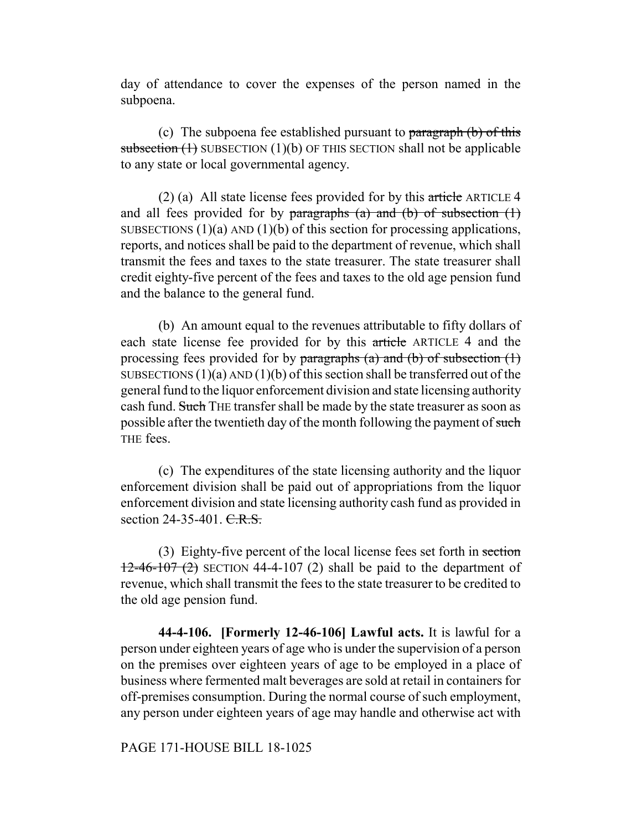day of attendance to cover the expenses of the person named in the subpoena.

(c) The subpoena fee established pursuant to paragraph (b) of this subsection  $(1)$  SUBSECTION  $(1)(b)$  OF THIS SECTION shall not be applicable to any state or local governmental agency.

(2) (a) All state license fees provided for by this article ARTICLE 4 and all fees provided for by paragraphs (a) and (b) of subsection  $(1)$ SUBSECTIONS  $(1)(a)$  AND  $(1)(b)$  of this section for processing applications, reports, and notices shall be paid to the department of revenue, which shall transmit the fees and taxes to the state treasurer. The state treasurer shall credit eighty-five percent of the fees and taxes to the old age pension fund and the balance to the general fund.

(b) An amount equal to the revenues attributable to fifty dollars of each state license fee provided for by this article ARTICLE 4 and the processing fees provided for by paragraphs (a) and (b) of subsection  $(1)$ SUBSECTIONS  $(1)(a)$  AND  $(1)(b)$  of this section shall be transferred out of the general fund to the liquor enforcement division and state licensing authority cash fund. Such THE transfer shall be made by the state treasurer as soon as possible after the twentieth day of the month following the payment of such THE fees.

(c) The expenditures of the state licensing authority and the liquor enforcement division shall be paid out of appropriations from the liquor enforcement division and state licensing authority cash fund as provided in section 24-35-401. C.R.S.

(3) Eighty-five percent of the local license fees set forth in section  $12-46-107(2)$  SECTION 44-4-107 (2) shall be paid to the department of revenue, which shall transmit the fees to the state treasurer to be credited to the old age pension fund.

**44-4-106. [Formerly 12-46-106] Lawful acts.** It is lawful for a person under eighteen years of age who is under the supervision of a person on the premises over eighteen years of age to be employed in a place of business where fermented malt beverages are sold at retail in containers for off-premises consumption. During the normal course of such employment, any person under eighteen years of age may handle and otherwise act with

PAGE 171-HOUSE BILL 18-1025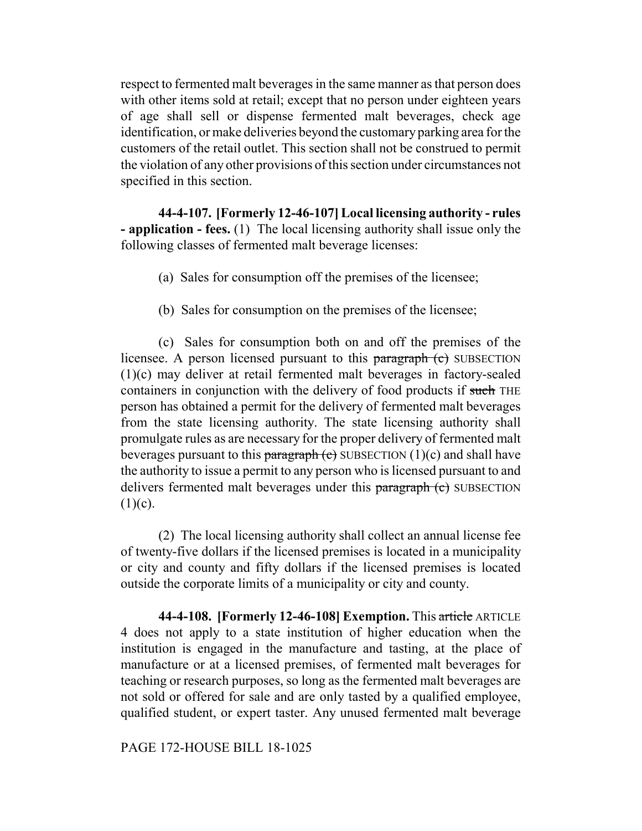respect to fermented malt beverages in the same manner as that person does with other items sold at retail; except that no person under eighteen years of age shall sell or dispense fermented malt beverages, check age identification, or make deliveries beyond the customary parking area for the customers of the retail outlet. This section shall not be construed to permit the violation of any other provisions of this section under circumstances not specified in this section.

**44-4-107. [Formerly 12-46-107] Local licensing authority - rules - application - fees.** (1) The local licensing authority shall issue only the following classes of fermented malt beverage licenses:

- (a) Sales for consumption off the premises of the licensee;
- (b) Sales for consumption on the premises of the licensee;

(c) Sales for consumption both on and off the premises of the licensee. A person licensed pursuant to this paragraph (c) SUBSECTION (1)(c) may deliver at retail fermented malt beverages in factory-sealed containers in conjunction with the delivery of food products if such THE person has obtained a permit for the delivery of fermented malt beverages from the state licensing authority. The state licensing authority shall promulgate rules as are necessary for the proper delivery of fermented malt beverages pursuant to this paragraph  $(c)$  SUBSECTION  $(1)(c)$  and shall have the authority to issue a permit to any person who is licensed pursuant to and delivers fermented malt beverages under this paragraph (c) SUBSECTION  $(1)(c)$ .

(2) The local licensing authority shall collect an annual license fee of twenty-five dollars if the licensed premises is located in a municipality or city and county and fifty dollars if the licensed premises is located outside the corporate limits of a municipality or city and county.

**44-4-108. [Formerly 12-46-108] Exemption.** This article ARTICLE 4 does not apply to a state institution of higher education when the institution is engaged in the manufacture and tasting, at the place of manufacture or at a licensed premises, of fermented malt beverages for teaching or research purposes, so long as the fermented malt beverages are not sold or offered for sale and are only tasted by a qualified employee, qualified student, or expert taster. Any unused fermented malt beverage

PAGE 172-HOUSE BILL 18-1025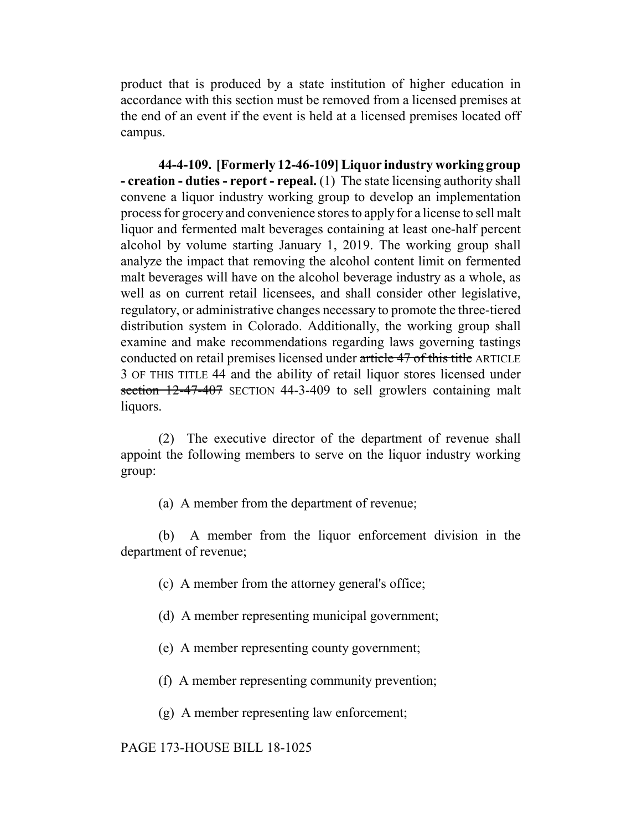product that is produced by a state institution of higher education in accordance with this section must be removed from a licensed premises at the end of an event if the event is held at a licensed premises located off campus.

**44-4-109. [Formerly 12-46-109] Liquor industry working group - creation - duties - report - repeal.** (1) The state licensing authority shall convene a liquor industry working group to develop an implementation process for grocery and convenience stores to apply for a license to sell malt liquor and fermented malt beverages containing at least one-half percent alcohol by volume starting January 1, 2019. The working group shall analyze the impact that removing the alcohol content limit on fermented malt beverages will have on the alcohol beverage industry as a whole, as well as on current retail licensees, and shall consider other legislative, regulatory, or administrative changes necessary to promote the three-tiered distribution system in Colorado. Additionally, the working group shall examine and make recommendations regarding laws governing tastings conducted on retail premises licensed under article 47 of this title ARTICLE 3 OF THIS TITLE 44 and the ability of retail liquor stores licensed under section 12-47-407 SECTION 44-3-409 to sell growlers containing malt liquors.

(2) The executive director of the department of revenue shall appoint the following members to serve on the liquor industry working group:

(a) A member from the department of revenue;

(b) A member from the liquor enforcement division in the department of revenue;

- (c) A member from the attorney general's office;
- (d) A member representing municipal government;
- (e) A member representing county government;
- (f) A member representing community prevention;
- (g) A member representing law enforcement;

#### PAGE 173-HOUSE BILL 18-1025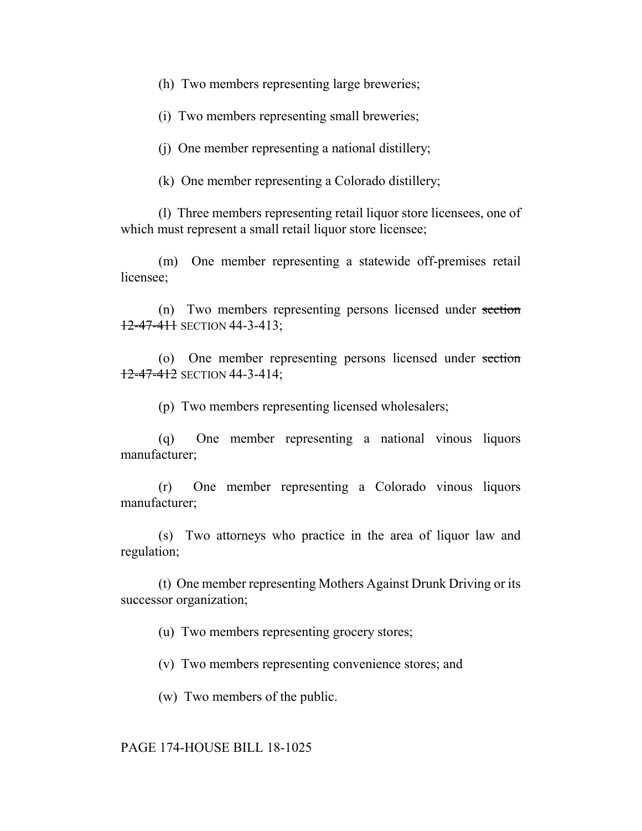(h) Two members representing large breweries;

(i) Two members representing small breweries;

(j) One member representing a national distillery;

(k) One member representing a Colorado distillery;

(l) Three members representing retail liquor store licensees, one of which must represent a small retail liquor store licensee;

(m) One member representing a statewide off-premises retail licensee;

(n) Two members representing persons licensed under section  $12-47-411$  SECTION 44-3-413;

(o) One member representing persons licensed under section 12-47-412 SECTION 44-3-414;

(p) Two members representing licensed wholesalers;

(q) One member representing a national vinous liquors manufacturer;

(r) One member representing a Colorado vinous liquors manufacturer;

(s) Two attorneys who practice in the area of liquor law and regulation;

(t) One member representing Mothers Against Drunk Driving or its successor organization;

(u) Two members representing grocery stores;

(v) Two members representing convenience stores; and

(w) Two members of the public.

## PAGE 174-HOUSE BILL 18-1025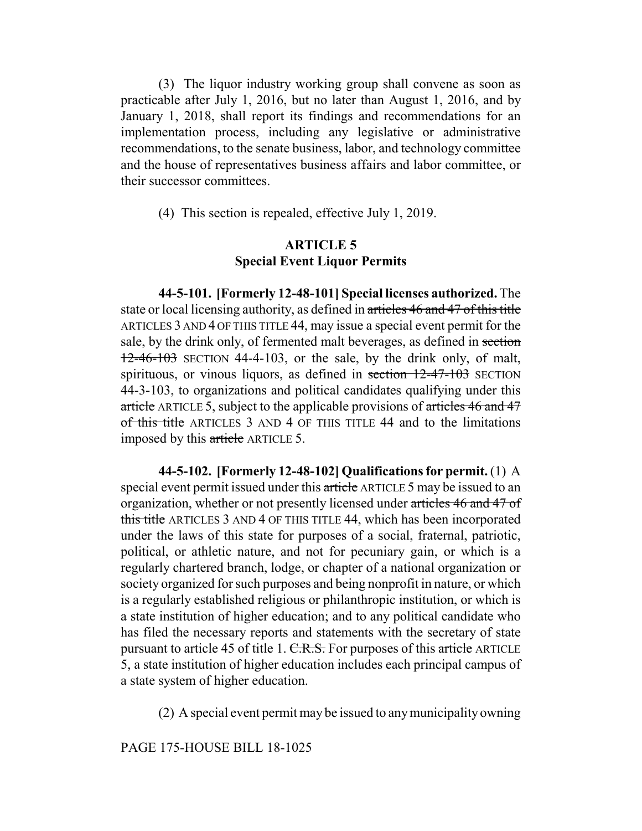(3) The liquor industry working group shall convene as soon as practicable after July 1, 2016, but no later than August 1, 2016, and by January 1, 2018, shall report its findings and recommendations for an implementation process, including any legislative or administrative recommendations, to the senate business, labor, and technology committee and the house of representatives business affairs and labor committee, or their successor committees.

(4) This section is repealed, effective July 1, 2019.

# **ARTICLE 5 Special Event Liquor Permits**

**44-5-101. [Formerly 12-48-101] Special licenses authorized.** The state or local licensing authority, as defined in articles 46 and 47 of this title ARTICLES 3 AND 4 OF THIS TITLE 44, may issue a special event permit for the sale, by the drink only, of fermented malt beverages, as defined in section  $12-46-103$  SECTION 44-4-103, or the sale, by the drink only, of malt, spirituous, or vinous liquors, as defined in section 12-47-103 SECTION 44-3-103, to organizations and political candidates qualifying under this article ARTICLE 5, subject to the applicable provisions of articles 46 and 47 of this title ARTICLES 3 AND 4 OF THIS TITLE 44 and to the limitations imposed by this article ARTICLE 5.

**44-5-102. [Formerly 12-48-102] Qualifications for permit.** (1) A special event permit issued under this article ARTICLE 5 may be issued to an organization, whether or not presently licensed under articles 46 and 47 of this title ARTICLES 3 AND 4 OF THIS TITLE 44, which has been incorporated under the laws of this state for purposes of a social, fraternal, patriotic, political, or athletic nature, and not for pecuniary gain, or which is a regularly chartered branch, lodge, or chapter of a national organization or society organized for such purposes and being nonprofit in nature, or which is a regularly established religious or philanthropic institution, or which is a state institution of higher education; and to any political candidate who has filed the necessary reports and statements with the secretary of state pursuant to article 45 of title 1. C.R.S. For purposes of this article ARTICLE 5, a state institution of higher education includes each principal campus of a state system of higher education.

(2) A special event permit may be issued to any municipality owning

PAGE 175-HOUSE BILL 18-1025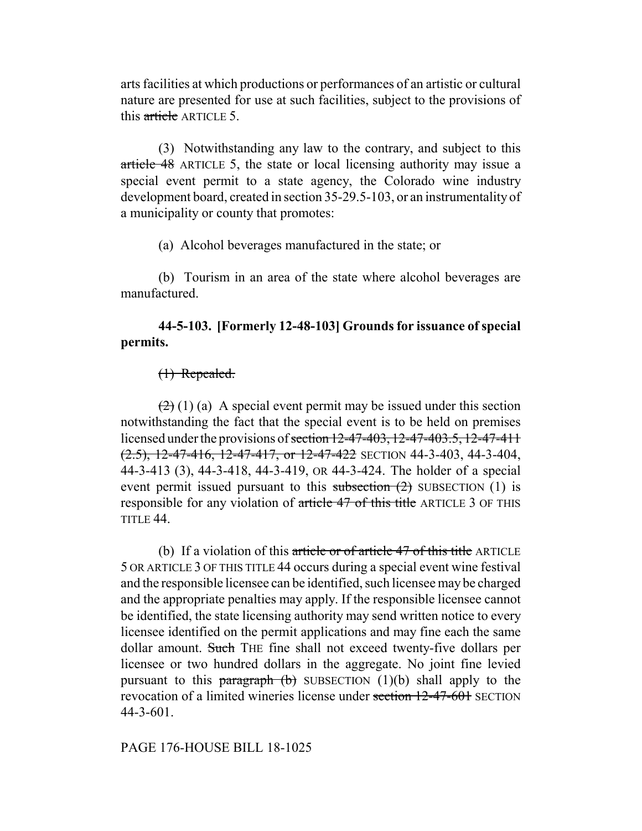arts facilities at which productions or performances of an artistic or cultural nature are presented for use at such facilities, subject to the provisions of this article ARTICLE 5.

(3) Notwithstanding any law to the contrary, and subject to this article 48 ARTICLE 5, the state or local licensing authority may issue a special event permit to a state agency, the Colorado wine industry development board, created in section 35-29.5-103, or an instrumentality of a municipality or county that promotes:

(a) Alcohol beverages manufactured in the state; or

(b) Tourism in an area of the state where alcohol beverages are manufactured.

# **44-5-103. [Formerly 12-48-103] Grounds for issuance of special permits.**

# (1) Repealed.

 $(2)$  (1) (a) A special event permit may be issued under this section notwithstanding the fact that the special event is to be held on premises licensed under the provisions of <del>section 12-47-403, 12-47-403.5, 12-47-411</del>  $(2.5)$ , 12-47-416, 12-47-417, or 12-47-422 SECTION 44-3-403, 44-3-404, 44-3-413 (3), 44-3-418, 44-3-419, OR 44-3-424. The holder of a special event permit issued pursuant to this subsection  $(2)$  SUBSECTION  $(1)$  is responsible for any violation of article 47 of this title ARTICLE 3 OF THIS TITLE 44.

(b) If a violation of this article or of article  $47$  of this title ARTICLE 5 OR ARTICLE 3 OF THIS TITLE 44 occurs during a special event wine festival and the responsible licensee can be identified, such licensee may be charged and the appropriate penalties may apply. If the responsible licensee cannot be identified, the state licensing authority may send written notice to every licensee identified on the permit applications and may fine each the same dollar amount. Such THE fine shall not exceed twenty-five dollars per licensee or two hundred dollars in the aggregate. No joint fine levied pursuant to this paragraph  $(b)$  SUBSECTION  $(1)(b)$  shall apply to the revocation of a limited wineries license under section 12-47-601 SECTION 44-3-601.

# PAGE 176-HOUSE BILL 18-1025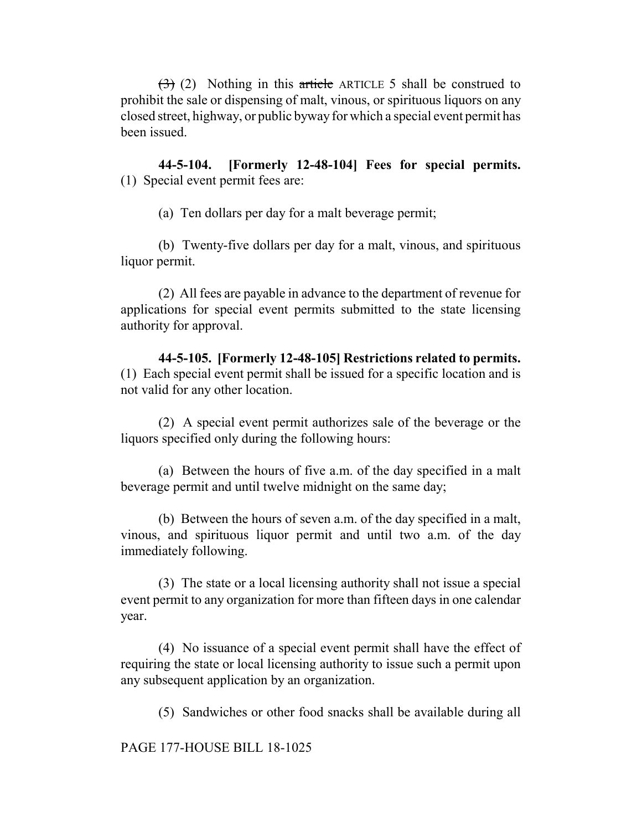$(3)$  (2) Nothing in this article ARTICLE 5 shall be construed to prohibit the sale or dispensing of malt, vinous, or spirituous liquors on any closed street, highway, or public byway for which a special event permit has been issued.

**44-5-104. [Formerly 12-48-104] Fees for special permits.** (1) Special event permit fees are:

(a) Ten dollars per day for a malt beverage permit;

(b) Twenty-five dollars per day for a malt, vinous, and spirituous liquor permit.

(2) All fees are payable in advance to the department of revenue for applications for special event permits submitted to the state licensing authority for approval.

**44-5-105. [Formerly 12-48-105] Restrictions related to permits.** (1) Each special event permit shall be issued for a specific location and is not valid for any other location.

(2) A special event permit authorizes sale of the beverage or the liquors specified only during the following hours:

(a) Between the hours of five a.m. of the day specified in a malt beverage permit and until twelve midnight on the same day;

(b) Between the hours of seven a.m. of the day specified in a malt, vinous, and spirituous liquor permit and until two a.m. of the day immediately following.

(3) The state or a local licensing authority shall not issue a special event permit to any organization for more than fifteen days in one calendar year.

(4) No issuance of a special event permit shall have the effect of requiring the state or local licensing authority to issue such a permit upon any subsequent application by an organization.

(5) Sandwiches or other food snacks shall be available during all

PAGE 177-HOUSE BILL 18-1025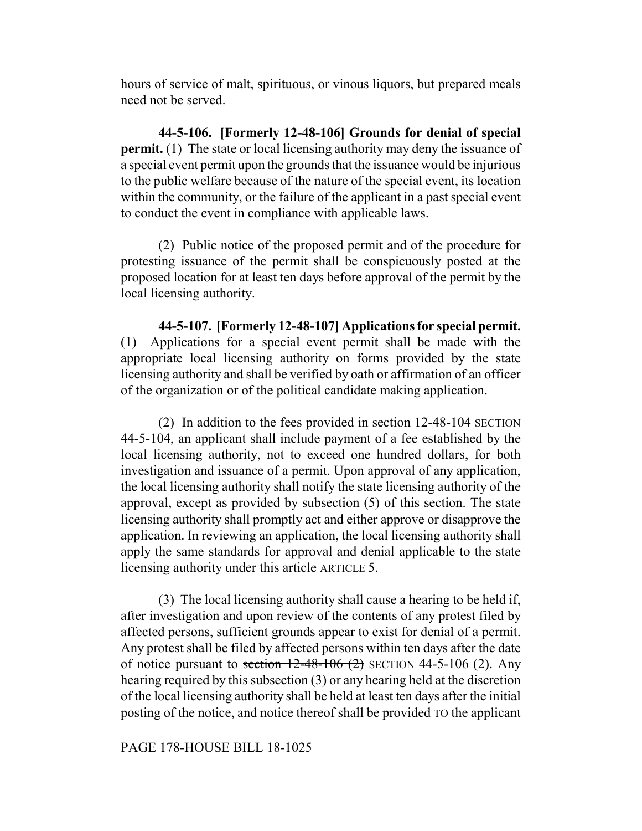hours of service of malt, spirituous, or vinous liquors, but prepared meals need not be served.

**44-5-106. [Formerly 12-48-106] Grounds for denial of special permit.** (1) The state or local licensing authority may deny the issuance of a special event permit upon the grounds that the issuance would be injurious to the public welfare because of the nature of the special event, its location within the community, or the failure of the applicant in a past special event to conduct the event in compliance with applicable laws.

(2) Public notice of the proposed permit and of the procedure for protesting issuance of the permit shall be conspicuously posted at the proposed location for at least ten days before approval of the permit by the local licensing authority.

**44-5-107. [Formerly 12-48-107] Applications for special permit.** (1) Applications for a special event permit shall be made with the appropriate local licensing authority on forms provided by the state licensing authority and shall be verified by oath or affirmation of an officer of the organization or of the political candidate making application.

(2) In addition to the fees provided in section  $12-48-104$  SECTION 44-5-104, an applicant shall include payment of a fee established by the local licensing authority, not to exceed one hundred dollars, for both investigation and issuance of a permit. Upon approval of any application, the local licensing authority shall notify the state licensing authority of the approval, except as provided by subsection (5) of this section. The state licensing authority shall promptly act and either approve or disapprove the application. In reviewing an application, the local licensing authority shall apply the same standards for approval and denial applicable to the state licensing authority under this article ARTICLE 5.

(3) The local licensing authority shall cause a hearing to be held if, after investigation and upon review of the contents of any protest filed by affected persons, sufficient grounds appear to exist for denial of a permit. Any protest shall be filed by affected persons within ten days after the date of notice pursuant to section  $12-48-106$  (2) SECTION 44-5-106 (2). Any hearing required by this subsection (3) or any hearing held at the discretion of the local licensing authority shall be held at least ten days after the initial posting of the notice, and notice thereof shall be provided TO the applicant

# PAGE 178-HOUSE BILL 18-1025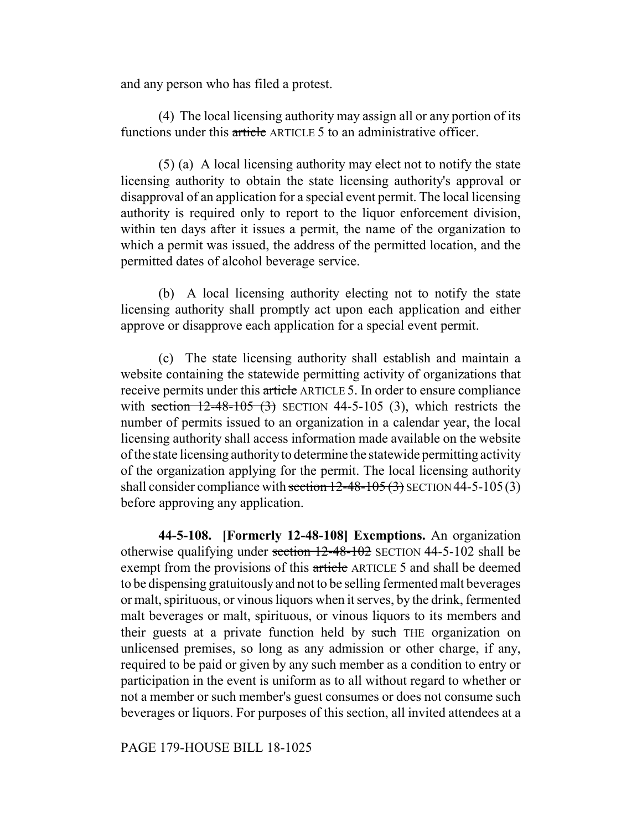and any person who has filed a protest.

(4) The local licensing authority may assign all or any portion of its functions under this article ARTICLE 5 to an administrative officer.

(5) (a) A local licensing authority may elect not to notify the state licensing authority to obtain the state licensing authority's approval or disapproval of an application for a special event permit. The local licensing authority is required only to report to the liquor enforcement division, within ten days after it issues a permit, the name of the organization to which a permit was issued, the address of the permitted location, and the permitted dates of alcohol beverage service.

(b) A local licensing authority electing not to notify the state licensing authority shall promptly act upon each application and either approve or disapprove each application for a special event permit.

(c) The state licensing authority shall establish and maintain a website containing the statewide permitting activity of organizations that receive permits under this article ARTICLE 5. In order to ensure compliance with section  $12-48-105$  (3) SECTION 44-5-105 (3), which restricts the number of permits issued to an organization in a calendar year, the local licensing authority shall access information made available on the website of the state licensing authority to determine the statewide permitting activity of the organization applying for the permit. The local licensing authority shall consider compliance with section  $12-48-105(3)$  SECTION 44-5-105(3) before approving any application.

**44-5-108. [Formerly 12-48-108] Exemptions.** An organization otherwise qualifying under section  $12-48-102$  SECTION 44-5-102 shall be exempt from the provisions of this article ARTICLE 5 and shall be deemed to be dispensing gratuitously and not to be selling fermented malt beverages or malt, spirituous, or vinous liquors when it serves, by the drink, fermented malt beverages or malt, spirituous, or vinous liquors to its members and their guests at a private function held by such THE organization on unlicensed premises, so long as any admission or other charge, if any, required to be paid or given by any such member as a condition to entry or participation in the event is uniform as to all without regard to whether or not a member or such member's guest consumes or does not consume such beverages or liquors. For purposes of this section, all invited attendees at a

PAGE 179-HOUSE BILL 18-1025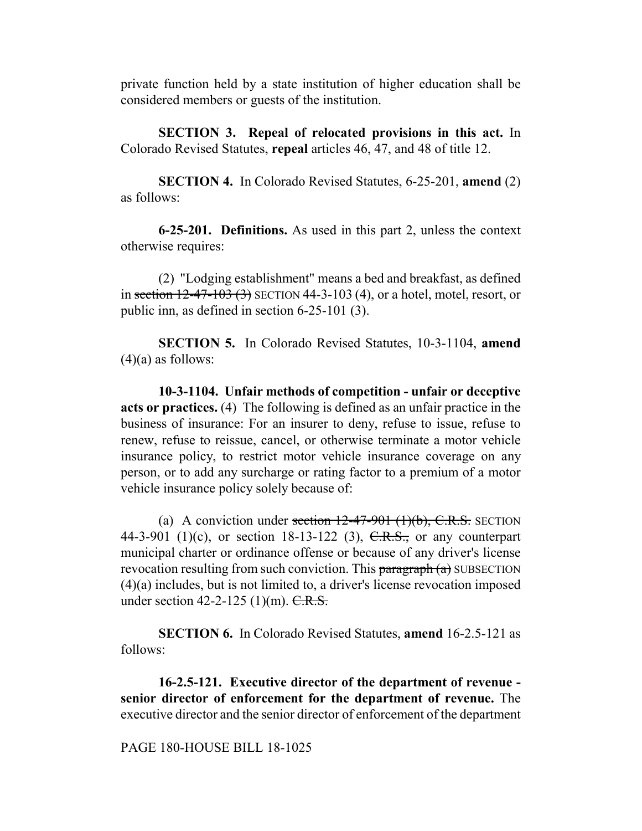private function held by a state institution of higher education shall be considered members or guests of the institution.

**SECTION 3. Repeal of relocated provisions in this act.** In Colorado Revised Statutes, **repeal** articles 46, 47, and 48 of title 12.

**SECTION 4.** In Colorado Revised Statutes, 6-25-201, **amend** (2) as follows:

**6-25-201. Definitions.** As used in this part 2, unless the context otherwise requires:

(2) "Lodging establishment" means a bed and breakfast, as defined in section  $12-47-103(3)$  SECTION 44-3-103 (4), or a hotel, motel, resort, or public inn, as defined in section 6-25-101 (3).

**SECTION 5.** In Colorado Revised Statutes, 10-3-1104, **amend**  $(4)(a)$  as follows:

**10-3-1104. Unfair methods of competition - unfair or deceptive acts or practices.** (4) The following is defined as an unfair practice in the business of insurance: For an insurer to deny, refuse to issue, refuse to renew, refuse to reissue, cancel, or otherwise terminate a motor vehicle insurance policy, to restrict motor vehicle insurance coverage on any person, or to add any surcharge or rating factor to a premium of a motor vehicle insurance policy solely because of:

(a) A conviction under section  $12-47-901$  (1)(b), C.R.S. SECTION 44-3-901 (1)(c), or section 18-13-122 (3),  $C.R.S.,$  or any counterpart municipal charter or ordinance offense or because of any driver's license revocation resulting from such conviction. This  $\frac{1}{2}$  are  $\frac{1}{2}$  SUBSECTION (4)(a) includes, but is not limited to, a driver's license revocation imposed under section 42-2-125  $(1)(m)$ . C.R.S.

**SECTION 6.** In Colorado Revised Statutes, **amend** 16-2.5-121 as follows:

**16-2.5-121. Executive director of the department of revenue senior director of enforcement for the department of revenue.** The executive director and the senior director of enforcement of the department

## PAGE 180-HOUSE BILL 18-1025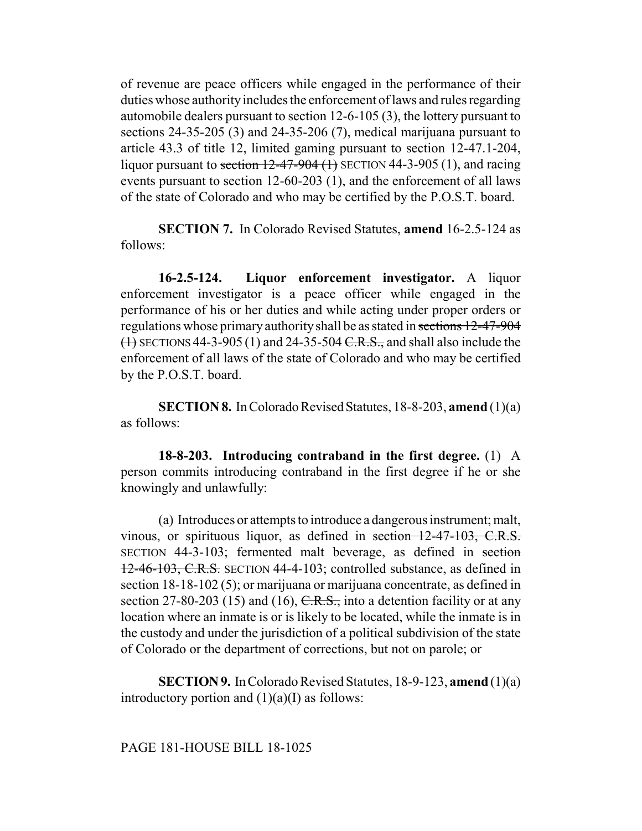of revenue are peace officers while engaged in the performance of their duties whose authority includes the enforcement of laws and rules regarding automobile dealers pursuant to section 12-6-105 (3), the lottery pursuant to sections 24-35-205 (3) and 24-35-206 (7), medical marijuana pursuant to article 43.3 of title 12, limited gaming pursuant to section 12-47.1-204, liquor pursuant to section  $12-47-904$  (1) SECTION 44-3-905 (1), and racing events pursuant to section 12-60-203 (1), and the enforcement of all laws of the state of Colorado and who may be certified by the P.O.S.T. board.

**SECTION 7.** In Colorado Revised Statutes, **amend** 16-2.5-124 as follows:

**16-2.5-124. Liquor enforcement investigator.** A liquor enforcement investigator is a peace officer while engaged in the performance of his or her duties and while acting under proper orders or regulations whose primary authority shall be as stated in sections 12-47-904  $(1)$  SECTIONS 44-3-905 (1) and 24-35-504 C.R.S., and shall also include the enforcement of all laws of the state of Colorado and who may be certified by the P.O.S.T. board.

**SECTION 8.** In Colorado Revised Statutes, 18-8-203, **amend** (1)(a) as follows:

**18-8-203. Introducing contraband in the first degree.** (1) A person commits introducing contraband in the first degree if he or she knowingly and unlawfully:

(a) Introduces or attempts to introduce a dangerous instrument; malt, vinous, or spirituous liquor, as defined in section 12-47-103, C.R.S. SECTION 44-3-103; fermented malt beverage, as defined in section 12-46-103, C.R.S. SECTION 44-4-103; controlled substance, as defined in section 18-18-102 (5); or marijuana or marijuana concentrate, as defined in section 27-80-203 (15) and (16),  $C.R.S.,$  into a detention facility or at any location where an inmate is or is likely to be located, while the inmate is in the custody and under the jurisdiction of a political subdivision of the state of Colorado or the department of corrections, but not on parole; or

**SECTION 9.** In Colorado Revised Statutes, 18-9-123, **amend** (1)(a) introductory portion and  $(1)(a)(I)$  as follows:

## PAGE 181-HOUSE BILL 18-1025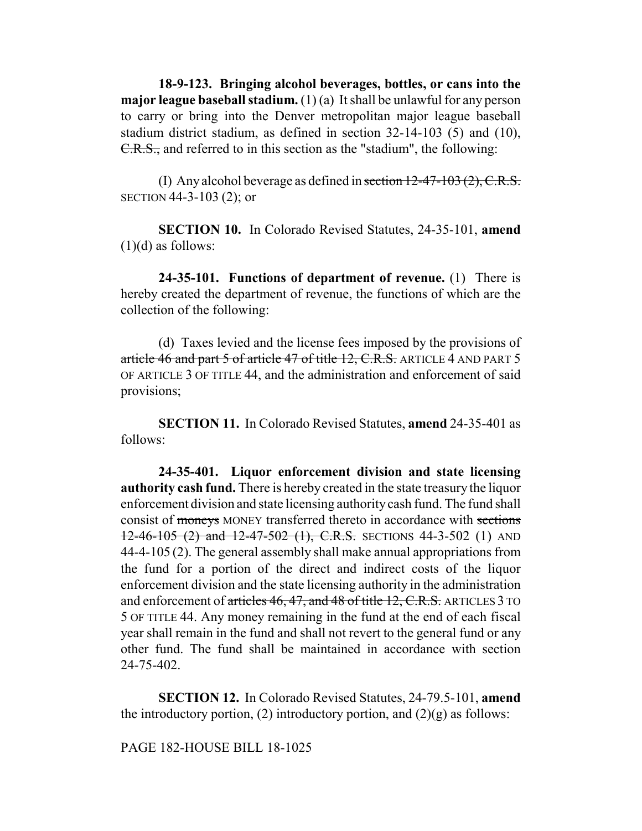**18-9-123. Bringing alcohol beverages, bottles, or cans into the major league baseball stadium.** (1) (a) It shall be unlawful for any person to carry or bring into the Denver metropolitan major league baseball stadium district stadium, as defined in section 32-14-103 (5) and (10), C.R.S., and referred to in this section as the "stadium", the following:

(I) Any alcohol beverage as defined in section  $12-47-103(2)$ , C.R.S. SECTION 44-3-103 (2); or

**SECTION 10.** In Colorado Revised Statutes, 24-35-101, **amend**  $(1)(d)$  as follows:

**24-35-101. Functions of department of revenue.** (1) There is hereby created the department of revenue, the functions of which are the collection of the following:

(d) Taxes levied and the license fees imposed by the provisions of article 46 and part 5 of article 47 of title 12, C.R.S. ARTICLE 4 AND PART 5 OF ARTICLE 3 OF TITLE 44, and the administration and enforcement of said provisions;

**SECTION 11.** In Colorado Revised Statutes, **amend** 24-35-401 as follows:

**24-35-401. Liquor enforcement division and state licensing authority cash fund.** There is hereby created in the state treasury the liquor enforcement division and state licensing authority cash fund. The fund shall consist of moneys MONEY transferred thereto in accordance with sections  $12-46-105$  (2) and  $12-47-502$  (1), C.R.S. SECTIONS 44-3-502 (1) AND 44-4-105 (2). The general assembly shall make annual appropriations from the fund for a portion of the direct and indirect costs of the liquor enforcement division and the state licensing authority in the administration and enforcement of articles 46, 47, and 48 of title 12, C.R.S. ARTICLES 3 TO 5 OF TITLE 44. Any money remaining in the fund at the end of each fiscal year shall remain in the fund and shall not revert to the general fund or any other fund. The fund shall be maintained in accordance with section 24-75-402.

**SECTION 12.** In Colorado Revised Statutes, 24-79.5-101, **amend** the introductory portion, (2) introductory portion, and  $(2)(g)$  as follows:

PAGE 182-HOUSE BILL 18-1025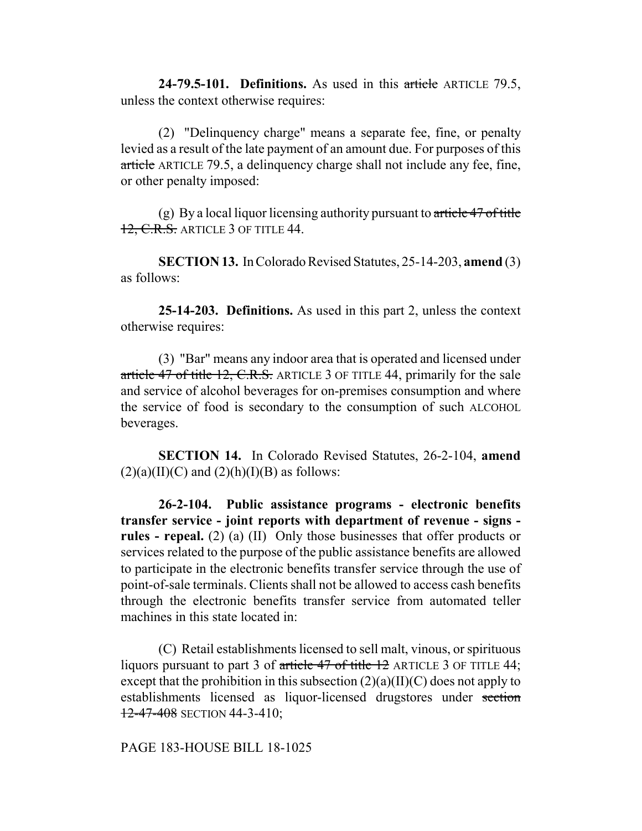**24-79.5-101. Definitions.** As used in this article ARTICLE 79.5, unless the context otherwise requires:

(2) "Delinquency charge" means a separate fee, fine, or penalty levied as a result of the late payment of an amount due. For purposes of this article ARTICLE 79.5, a delinquency charge shall not include any fee, fine, or other penalty imposed:

(g) By a local liquor licensing authority pursuant to  $\ar{t}$  article 47 of title 12, C.R.S. ARTICLE 3 OF TITLE 44.

**SECTION 13.** In Colorado Revised Statutes, 25-14-203, **amend** (3) as follows:

**25-14-203. Definitions.** As used in this part 2, unless the context otherwise requires:

(3) "Bar" means any indoor area that is operated and licensed under article 47 of title 12, C.R.S. ARTICLE 3 OF TITLE 44, primarily for the sale and service of alcohol beverages for on-premises consumption and where the service of food is secondary to the consumption of such ALCOHOL beverages.

**SECTION 14.** In Colorado Revised Statutes, 26-2-104, **amend**  $(2)(a)(II)(C)$  and  $(2)(h)(I)(B)$  as follows:

**26-2-104. Public assistance programs - electronic benefits transfer service - joint reports with department of revenue - signs rules - repeal.** (2) (a) (II) Only those businesses that offer products or services related to the purpose of the public assistance benefits are allowed to participate in the electronic benefits transfer service through the use of point-of-sale terminals. Clients shall not be allowed to access cash benefits through the electronic benefits transfer service from automated teller machines in this state located in:

(C) Retail establishments licensed to sell malt, vinous, or spirituous liquors pursuant to part 3 of article 47 of title 12 ARTICLE 3 OF TITLE 44; except that the prohibition in this subsection  $(2)(a)(II)(C)$  does not apply to establishments licensed as liquor-licensed drugstores under section  $12-47-408$  SECTION 44-3-410;

PAGE 183-HOUSE BILL 18-1025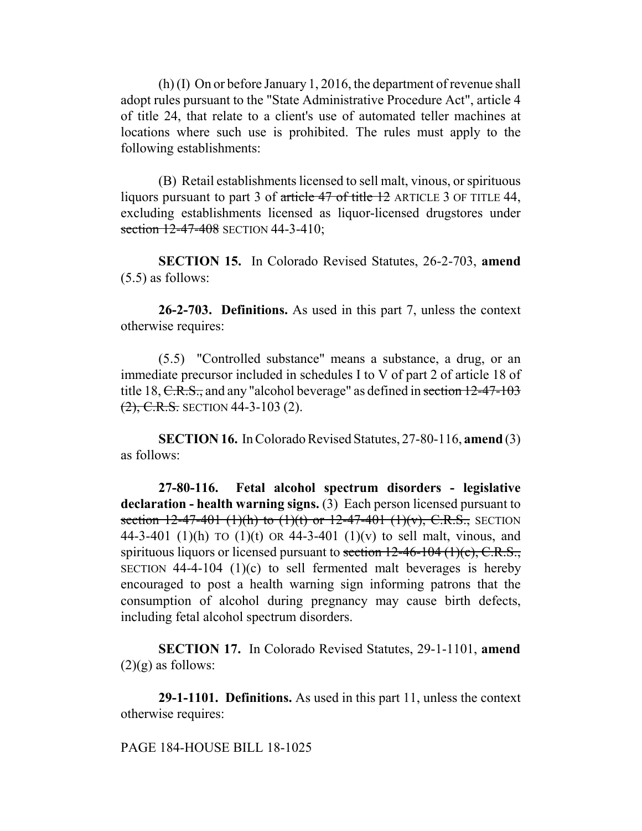(h) (I) On or before January 1, 2016, the department of revenue shall adopt rules pursuant to the "State Administrative Procedure Act", article 4 of title 24, that relate to a client's use of automated teller machines at locations where such use is prohibited. The rules must apply to the following establishments:

(B) Retail establishments licensed to sell malt, vinous, or spirituous liquors pursuant to part 3 of article 47 of title 12 ARTICLE 3 OF TITLE 44, excluding establishments licensed as liquor-licensed drugstores under section 12-47-408 SECTION 44-3-410;

**SECTION 15.** In Colorado Revised Statutes, 26-2-703, **amend** (5.5) as follows:

**26-2-703. Definitions.** As used in this part 7, unless the context otherwise requires:

(5.5) "Controlled substance" means a substance, a drug, or an immediate precursor included in schedules I to V of part 2 of article 18 of title 18, C.R.S., and any "alcohol beverage" as defined in section 12-47-103  $(2)$ , C.R.S. SECTION 44-3-103 (2).

**SECTION 16.** In Colorado Revised Statutes, 27-80-116, **amend** (3) as follows:

**27-80-116. Fetal alcohol spectrum disorders - legislative declaration - health warning signs.** (3) Each person licensed pursuant to section  $12-47-401$  (1)(h) to (1)(t) or  $12-47-401$  (1)(v), C.R.S., SECTION 44-3-401 (1)(h) TO (1)(t) OR 44-3-401 (1)(v) to sell malt, vinous, and spirituous liquors or licensed pursuant to section  $12-46-104$  (1)(c), C.R.S., SECTION  $44-4-104$  (1)(c) to sell fermented malt beverages is hereby encouraged to post a health warning sign informing patrons that the consumption of alcohol during pregnancy may cause birth defects, including fetal alcohol spectrum disorders.

**SECTION 17.** In Colorado Revised Statutes, 29-1-1101, **amend**  $(2)(g)$  as follows:

**29-1-1101. Definitions.** As used in this part 11, unless the context otherwise requires:

## PAGE 184-HOUSE BILL 18-1025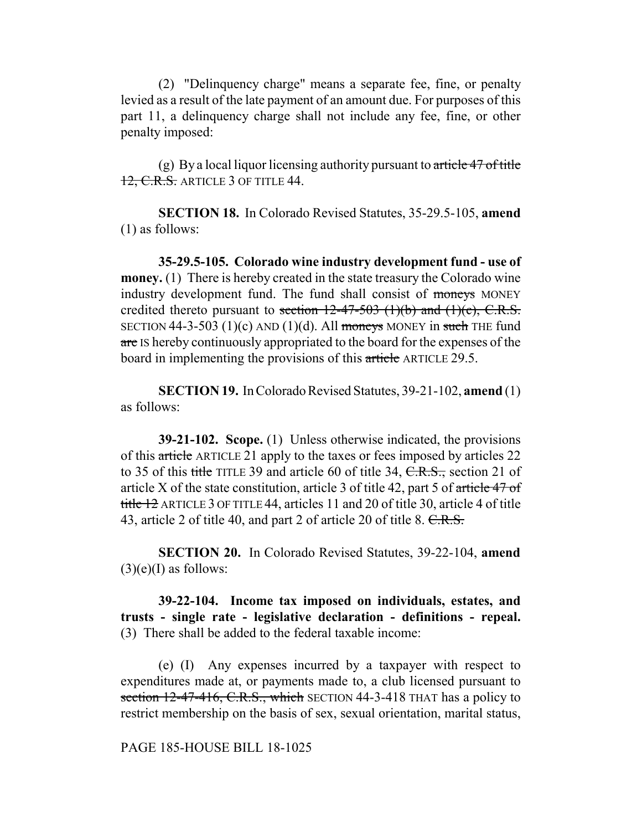(2) "Delinquency charge" means a separate fee, fine, or penalty levied as a result of the late payment of an amount due. For purposes of this part 11, a delinquency charge shall not include any fee, fine, or other penalty imposed:

(g) By a local liquor licensing authority pursuant to  $\alpha$  article 47 of title 12, C.R.S. ARTICLE 3 OF TITLE 44.

**SECTION 18.** In Colorado Revised Statutes, 35-29.5-105, **amend** (1) as follows:

**35-29.5-105. Colorado wine industry development fund - use of money.** (1) There is hereby created in the state treasury the Colorado wine industry development fund. The fund shall consist of moneys MONEY credited thereto pursuant to section  $12-47-503$  (1)(b) and (1)(c), C.R.S. SECTION 44-3-503 (1)(c) AND (1)(d). All moneys MONEY in such THE fund are IS hereby continuously appropriated to the board for the expenses of the board in implementing the provisions of this article ARTICLE 29.5.

**SECTION 19.** In Colorado Revised Statutes, 39-21-102, **amend** (1) as follows:

**39-21-102. Scope.** (1) Unless otherwise indicated, the provisions of this article ARTICLE 21 apply to the taxes or fees imposed by articles 22 to 35 of this title TITLE 39 and article 60 of title 34,  $C.R.S.,$  section 21 of article X of the state constitution, article 3 of title 42, part 5 of article 47 of title 12 ARTICLE 3 OF TITLE 44, articles 11 and 20 of title 30, article 4 of title 43, article 2 of title 40, and part 2 of article 20 of title 8. C.R.S.

**SECTION 20.** In Colorado Revised Statutes, 39-22-104, **amend**  $(3)(e)(I)$  as follows:

**39-22-104. Income tax imposed on individuals, estates, and trusts - single rate - legislative declaration - definitions - repeal.** (3) There shall be added to the federal taxable income:

(e) (I) Any expenses incurred by a taxpayer with respect to expenditures made at, or payments made to, a club licensed pursuant to section 12-47-416, C.R.S., which SECTION 44-3-418 THAT has a policy to restrict membership on the basis of sex, sexual orientation, marital status,

## PAGE 185-HOUSE BILL 18-1025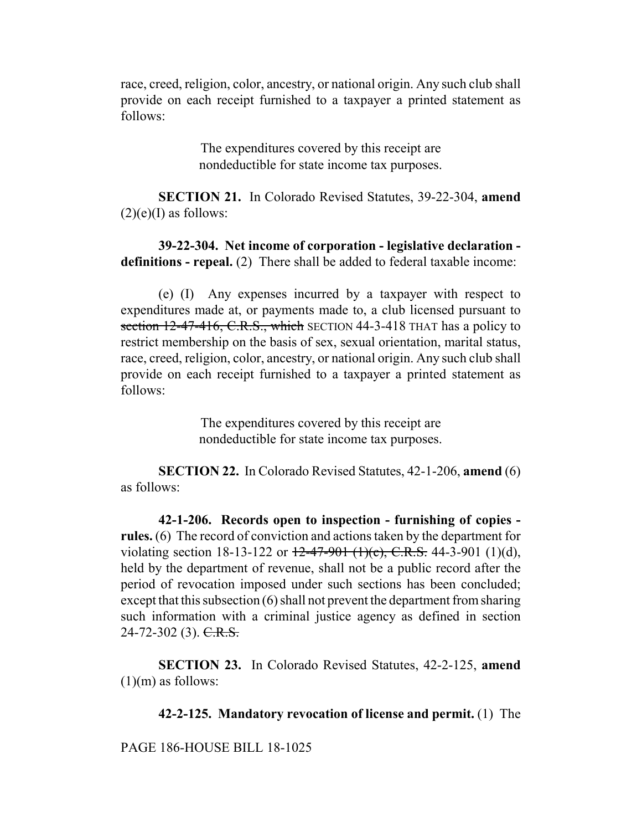race, creed, religion, color, ancestry, or national origin. Any such club shall provide on each receipt furnished to a taxpayer a printed statement as follows:

> The expenditures covered by this receipt are nondeductible for state income tax purposes.

**SECTION 21.** In Colorado Revised Statutes, 39-22-304, **amend**  $(2)(e)$ (I) as follows:

**39-22-304. Net income of corporation - legislative declaration definitions - repeal.** (2) There shall be added to federal taxable income:

(e) (I) Any expenses incurred by a taxpayer with respect to expenditures made at, or payments made to, a club licensed pursuant to section 12-47-416, C.R.S., which SECTION 44-3-418 THAT has a policy to restrict membership on the basis of sex, sexual orientation, marital status, race, creed, religion, color, ancestry, or national origin. Any such club shall provide on each receipt furnished to a taxpayer a printed statement as follows:

> The expenditures covered by this receipt are nondeductible for state income tax purposes.

**SECTION 22.** In Colorado Revised Statutes, 42-1-206, **amend** (6) as follows:

**42-1-206. Records open to inspection - furnishing of copies rules.** (6) The record of conviction and actions taken by the department for violating section 18-13-122 or  $12-47-901$  (1)(c), C.R.S. 44-3-901 (1)(d), held by the department of revenue, shall not be a public record after the period of revocation imposed under such sections has been concluded; except that this subsection (6) shall not prevent the department from sharing such information with a criminal justice agency as defined in section  $24-72-302$  (3). C.R.S.

**SECTION 23.** In Colorado Revised Statutes, 42-2-125, **amend**  $(1)(m)$  as follows:

**42-2-125. Mandatory revocation of license and permit.** (1) The

PAGE 186-HOUSE BILL 18-1025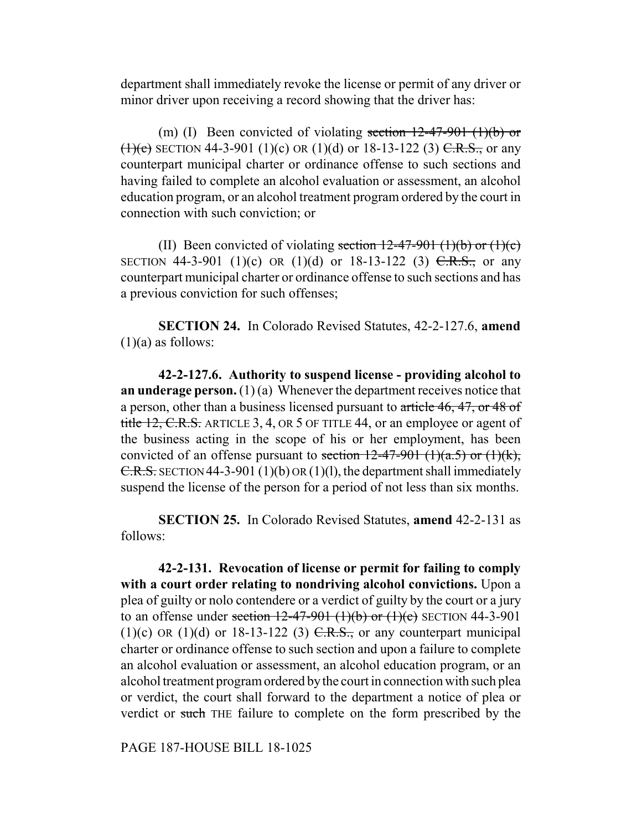department shall immediately revoke the license or permit of any driver or minor driver upon receiving a record showing that the driver has:

(m) (I) Been convicted of violating section  $12-47-901$  (1)(b) or  $(1)(e)$  SECTION 44-3-901 (1)(c) OR (1)(d) or 18-13-122 (3) C.R.S., or any counterpart municipal charter or ordinance offense to such sections and having failed to complete an alcohol evaluation or assessment, an alcohol education program, or an alcohol treatment program ordered by the court in connection with such conviction; or

(II) Been convicted of violating section  $12-47-901$  (1)(b) or (1)(c) SECTION 44-3-901 (1)(c) OR (1)(d) or 18-13-122 (3)  $C.R.S.,$  or any counterpart municipal charter or ordinance offense to such sections and has a previous conviction for such offenses;

**SECTION 24.** In Colorado Revised Statutes, 42-2-127.6, **amend**  $(1)(a)$  as follows:

**42-2-127.6. Authority to suspend license - providing alcohol to an underage person.** (1) (a) Whenever the department receives notice that a person, other than a business licensed pursuant to article 46, 47, or 48 of title 12, C.R.S. ARTICLE 3, 4, OR 5 OF TITLE 44, or an employee or agent of the business acting in the scope of his or her employment, has been convicted of an offense pursuant to section  $12-47-901$  (1)(a.5) or (1)(k), C.R.S. SECTION 44-3-901 (1)(b) OR (1)(l), the department shall immediately suspend the license of the person for a period of not less than six months.

**SECTION 25.** In Colorado Revised Statutes, **amend** 42-2-131 as follows:

**42-2-131. Revocation of license or permit for failing to comply with a court order relating to nondriving alcohol convictions.** Upon a plea of guilty or nolo contendere or a verdict of guilty by the court or a jury to an offense under section  $12-47-901$  (1)(b) or (1)(c) SECTION 44-3-901 (1)(c) OR (1)(d) or 18-13-122 (3)  $C.R.S.,$  or any counterpart municipal charter or ordinance offense to such section and upon a failure to complete an alcohol evaluation or assessment, an alcohol education program, or an alcohol treatment program ordered by the court in connection with such plea or verdict, the court shall forward to the department a notice of plea or verdict or such THE failure to complete on the form prescribed by the

PAGE 187-HOUSE BILL 18-1025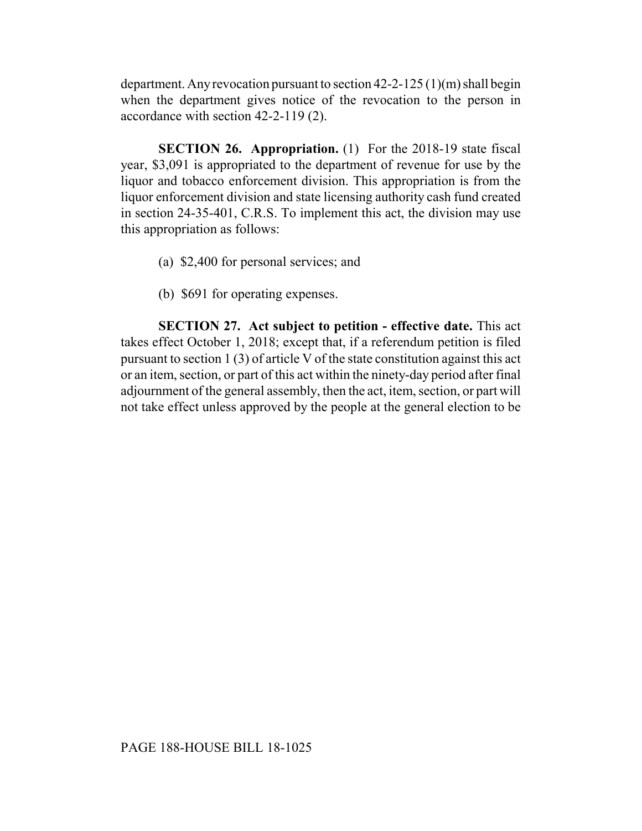department. Any revocation pursuant to section 42-2-125 (1)(m) shall begin when the department gives notice of the revocation to the person in accordance with section 42-2-119 (2).

**SECTION 26. Appropriation.** (1) For the 2018-19 state fiscal year, \$3,091 is appropriated to the department of revenue for use by the liquor and tobacco enforcement division. This appropriation is from the liquor enforcement division and state licensing authority cash fund created in section 24-35-401, C.R.S. To implement this act, the division may use this appropriation as follows:

- (a) \$2,400 for personal services; and
- (b) \$691 for operating expenses.

**SECTION 27. Act subject to petition - effective date.** This act takes effect October 1, 2018; except that, if a referendum petition is filed pursuant to section 1 (3) of article V of the state constitution against this act or an item, section, or part of this act within the ninety-day period after final adjournment of the general assembly, then the act, item, section, or part will not take effect unless approved by the people at the general election to be